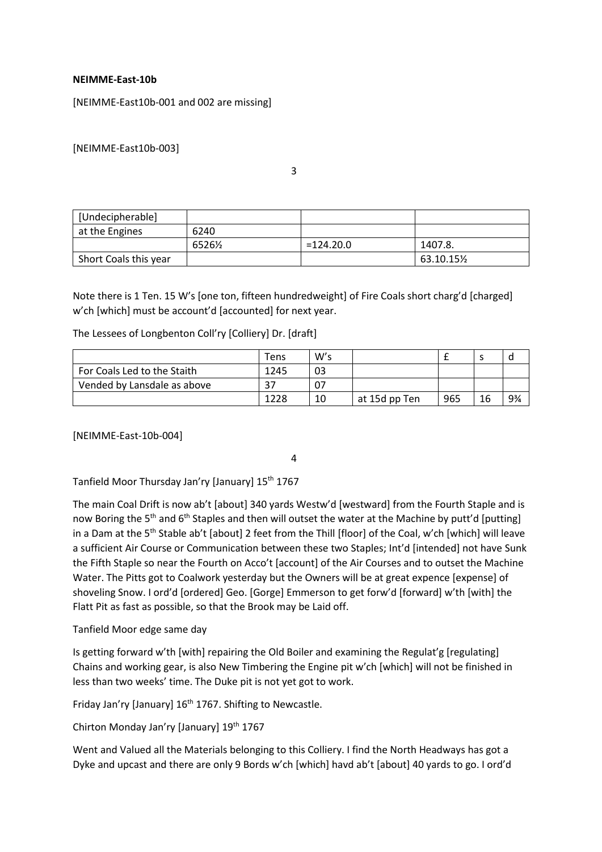### **NEIMME-East-10b**

[NEIMME-East10b-001 and 002 are missing]

[NEIMME-East10b-003]

3

| [Undecipherable]      |       |             |           |
|-----------------------|-------|-------------|-----------|
| at the Engines        | 6240  |             |           |
|                       | 6526½ | $=124.20.0$ | 1407.8.   |
| Short Coals this year |       |             | 63.10.15½ |

Note there is 1 Ten. 15 W's [one ton, fifteen hundredweight] of Fire Coals short charg'd [charged] w'ch [which] must be account'd [accounted] for next year.

The Lessees of Longbenton Coll'ry [Colliery] Dr. [draft]

|                             | Tens | W's |               |     |    |       |
|-----------------------------|------|-----|---------------|-----|----|-------|
| For Coals Led to the Staith | 1245 | 03  |               |     |    |       |
| Vended by Lansdale as above | 37   | 07  |               |     |    |       |
|                             | 1228 | 10  | at 15d pp Ten | 965 | 16 | $9\%$ |

[NEIMME-East-10b-004]

4

Tanfield Moor Thursday Jan'ry [January] 15<sup>th</sup> 1767

The main Coal Drift is now ab't [about] 340 yards Westw'd [westward] from the Fourth Staple and is now Boring the 5<sup>th</sup> and 6<sup>th</sup> Staples and then will outset the water at the Machine by putt'd [putting] in a Dam at the 5<sup>th</sup> Stable ab't [about] 2 feet from the Thill [floor] of the Coal, w'ch [which] will leave a sufficient Air Course or Communication between these two Staples; Int'd [intended] not have Sunk the Fifth Staple so near the Fourth on Acco't [account] of the Air Courses and to outset the Machine Water. The Pitts got to Coalwork yesterday but the Owners will be at great expence [expense] of shoveling Snow. I ord'd [ordered] Geo. [Gorge] Emmerson to get forw'd [forward] w'th [with] the Flatt Pit as fast as possible, so that the Brook may be Laid off.

### Tanfield Moor edge same day

Is getting forward w'th [with] repairing the Old Boiler and examining the Regulat'g [regulating] Chains and working gear, is also New Timbering the Engine pit w'ch [which] will not be finished in less than two weeks' time. The Duke pit is not yet got to work.

Friday Jan'ry [January] 16<sup>th</sup> 1767. Shifting to Newcastle.

Chirton Monday Jan'ry [January] 19th 1767

Went and Valued all the Materials belonging to this Colliery. I find the North Headways has got a Dyke and upcast and there are only 9 Bords w'ch [which] havd ab't [about] 40 yards to go. I ord'd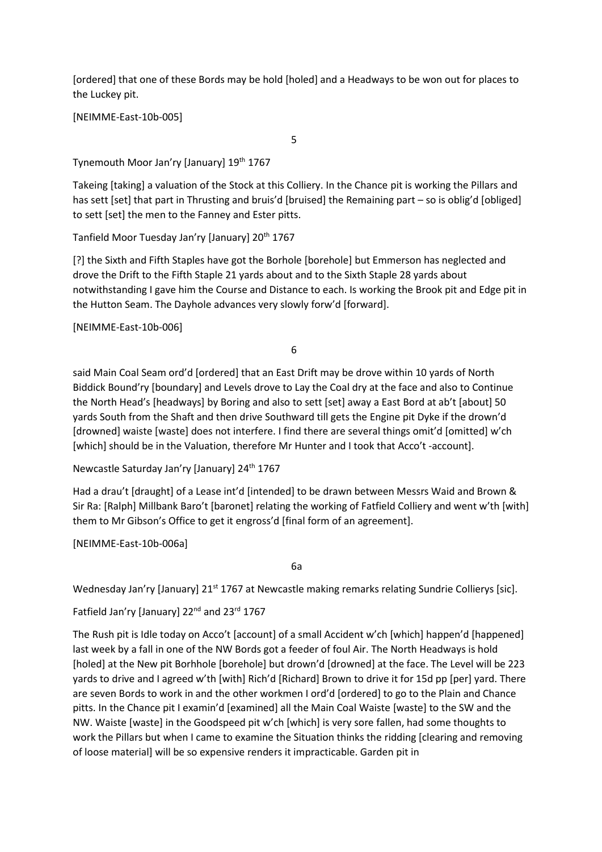[ordered] that one of these Bords may be hold [holed] and a Headways to be won out for places to the Luckey pit.

[NEIMME-East-10b-005]

5

Tynemouth Moor Jan'ry [January] 19<sup>th</sup> 1767

Takeing [taking] a valuation of the Stock at this Colliery. In the Chance pit is working the Pillars and has sett [set] that part in Thrusting and bruis'd [bruised] the Remaining part – so is oblig'd [obliged] to sett [set] the men to the Fanney and Ester pitts.

Tanfield Moor Tuesday Jan'ry [January] 20<sup>th</sup> 1767

[?] the Sixth and Fifth Staples have got the Borhole [borehole] but Emmerson has neglected and drove the Drift to the Fifth Staple 21 yards about and to the Sixth Staple 28 yards about notwithstanding I gave him the Course and Distance to each. Is working the Brook pit and Edge pit in the Hutton Seam. The Dayhole advances very slowly forw'd [forward].

[NEIMME-East-10b-006]

6

said Main Coal Seam ord'd [ordered] that an East Drift may be drove within 10 yards of North Biddick Bound'ry [boundary] and Levels drove to Lay the Coal dry at the face and also to Continue the North Head's [headways] by Boring and also to sett [set] away a East Bord at ab't [about] 50 yards South from the Shaft and then drive Southward till gets the Engine pit Dyke if the drown'd [drowned] waiste [waste] does not interfere. I find there are several things omit'd [omitted] w'ch [which] should be in the Valuation, therefore Mr Hunter and I took that Acco't -account].

Newcastle Saturday Jan'ry [January] 24th 1767

Had a drau't [draught] of a Lease int'd [intended] to be drawn between Messrs Waid and Brown & Sir Ra: [Ralph] Millbank Baro't [baronet] relating the working of Fatfield Colliery and went w'th [with] them to Mr Gibson's Office to get it engross'd [final form of an agreement].

[NEIMME-East-10b-006a]

6a

Wednesday Jan'ry [January] 21<sup>st</sup> 1767 at Newcastle making remarks relating Sundrie Collierys [sic].

Fatfield Jan'ry [January] 22<sup>nd</sup> and 23<sup>rd</sup> 1767

The Rush pit is Idle today on Acco't [account] of a small Accident w'ch [which] happen'd [happened] last week by a fall in one of the NW Bords got a feeder of foul Air. The North Headways is hold [holed] at the New pit Borhhole [borehole] but drown'd [drowned] at the face. The Level will be 223 yards to drive and I agreed w'th [with] Rich'd [Richard] Brown to drive it for 15d pp [per] yard. There are seven Bords to work in and the other workmen I ord'd [ordered] to go to the Plain and Chance pitts. In the Chance pit I examin'd [examined] all the Main Coal Waiste [waste] to the SW and the NW. Waiste [waste] in the Goodspeed pit w'ch [which] is very sore fallen, had some thoughts to work the Pillars but when I came to examine the Situation thinks the ridding [clearing and removing of loose material] will be so expensive renders it impracticable. Garden pit in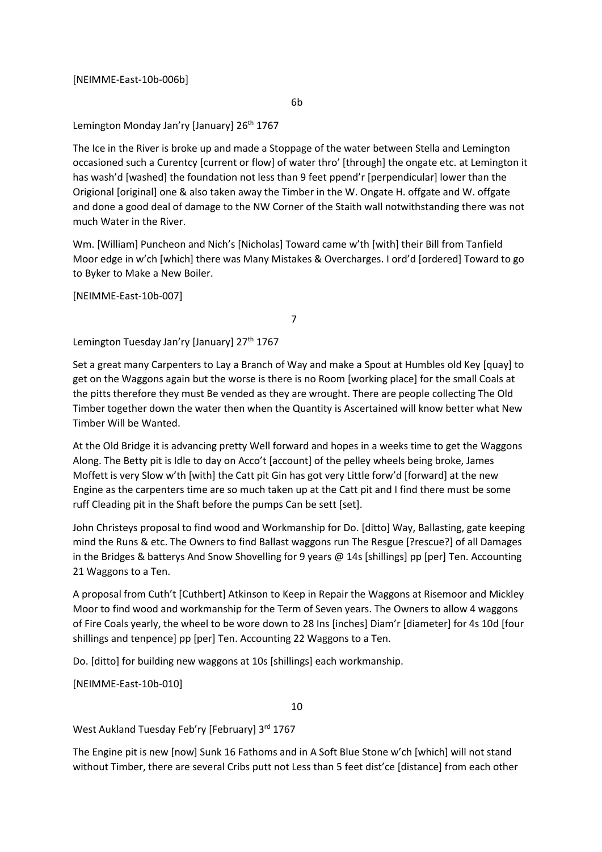### [NEIMME-East-10b-006b]

6b

Lemington Monday Jan'ry [January] 26<sup>th</sup> 1767

The Ice in the River is broke up and made a Stoppage of the water between Stella and Lemington occasioned such a Curentcy [current or flow] of water thro' [through] the ongate etc. at Lemington it has wash'd [washed] the foundation not less than 9 feet ppend'r [perpendicular] lower than the Origional [original] one & also taken away the Timber in the W. Ongate H. offgate and W. offgate and done a good deal of damage to the NW Corner of the Staith wall notwithstanding there was not much Water in the River.

Wm. [William] Puncheon and Nich's [Nicholas] Toward came w'th [with] their Bill from Tanfield Moor edge in w'ch [which] there was Many Mistakes & Overcharges. I ord'd [ordered] Toward to go to Byker to Make a New Boiler.

[NEIMME-East-10b-007]

7

Lemington Tuesday Jan'ry [January] 27<sup>th</sup> 1767

Set a great many Carpenters to Lay a Branch of Way and make a Spout at Humbles old Key [quay] to get on the Waggons again but the worse is there is no Room [working place] for the small Coals at the pitts therefore they must Be vended as they are wrought. There are people collecting The Old Timber together down the water then when the Quantity is Ascertained will know better what New Timber Will be Wanted.

At the Old Bridge it is advancing pretty Well forward and hopes in a weeks time to get the Waggons Along. The Betty pit is Idle to day on Acco't [account] of the pelley wheels being broke, James Moffett is very Slow w'th [with] the Catt pit Gin has got very Little forw'd [forward] at the new Engine as the carpenters time are so much taken up at the Catt pit and I find there must be some ruff Cleading pit in the Shaft before the pumps Can be sett [set].

John Christeys proposal to find wood and Workmanship for Do. [ditto] Way, Ballasting, gate keeping mind the Runs & etc. The Owners to find Ballast waggons run The Resgue [?rescue?] of all Damages in the Bridges & batterys And Snow Shovelling for 9 years @ 14s [shillings] pp [per] Ten. Accounting 21 Waggons to a Ten.

A proposal from Cuth't [Cuthbert] Atkinson to Keep in Repair the Waggons at Risemoor and Mickley Moor to find wood and workmanship for the Term of Seven years. The Owners to allow 4 waggons of Fire Coals yearly, the wheel to be wore down to 28 Ins [inches] Diam'r [diameter] for 4s 10d [four shillings and tenpence] pp [per] Ten. Accounting 22 Waggons to a Ten.

Do. [ditto] for building new waggons at 10s [shillings] each workmanship.

[NEIMME-East-10b-010]

10

West Aukland Tuesday Feb'ry [February] 3rd 1767

The Engine pit is new [now] Sunk 16 Fathoms and in A Soft Blue Stone w'ch [which] will not stand without Timber, there are several Cribs putt not Less than 5 feet dist'ce [distance] from each other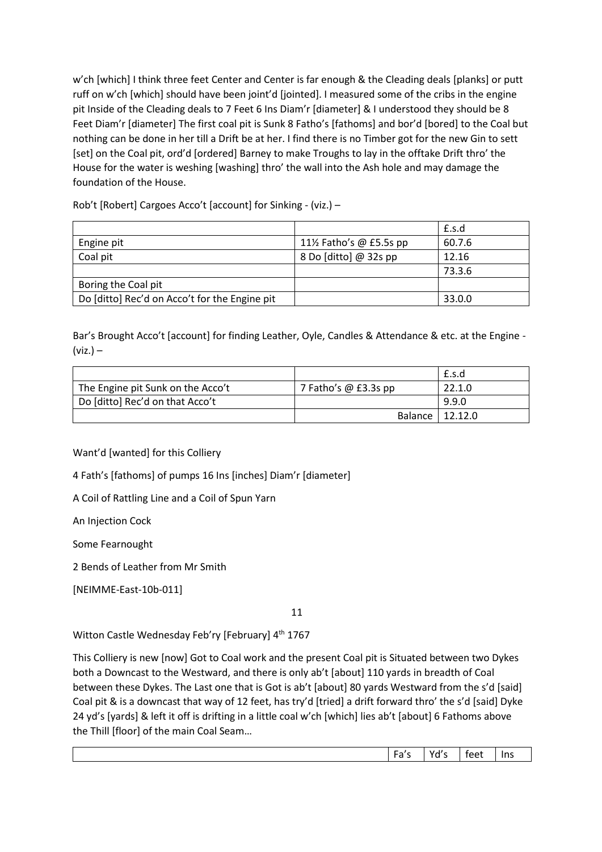w'ch [which] I think three feet Center and Center is far enough & the Cleading deals [planks] or putt ruff on w'ch [which] should have been joint'd [jointed]. I measured some of the cribs in the engine pit Inside of the Cleading deals to 7 Feet 6 Ins Diam'r [diameter] & I understood they should be 8 Feet Diam'r [diameter] The first coal pit is Sunk 8 Fatho's [fathoms] and bor'd [bored] to the Coal but nothing can be done in her till a Drift be at her. I find there is no Timber got for the new Gin to sett [set] on the Coal pit, ord'd [ordered] Barney to make Troughs to lay in the offtake Drift thro' the House for the water is weshing [washing] thro' the wall into the Ash hole and may damage the foundation of the House.

Rob't [Robert] Cargoes Acco't [account] for Sinking - (viz.) –

|                                               |                          | £.s.d  |
|-----------------------------------------------|--------------------------|--------|
| Engine pit                                    | 11½ Fatho's $@$ £5.5s pp | 60.7.6 |
| Coal pit                                      | 8 Do [ditto] $@$ 32s pp  | 12.16  |
|                                               |                          | 73.3.6 |
| Boring the Coal pit                           |                          |        |
| Do [ditto] Rec'd on Acco't for the Engine pit |                          | 33.0.0 |

Bar's Brought Acco't [account] for finding Leather, Oyle, Candles & Attendance & etc. at the Engine - (viz.) –

|                                   |                        | £.s.d   |
|-----------------------------------|------------------------|---------|
| The Engine pit Sunk on the Acco't | 7 Fatho's $@$ £3.3s pp | 22.1.0  |
| Do [ditto] Rec'd on that Acco't   |                        | 9.9.0   |
|                                   | Balance I              | 12.12.0 |

Want'd [wanted] for this Colliery

4 Fath's [fathoms] of pumps 16 Ins [inches] Diam'r [diameter]

A Coil of Rattling Line and a Coil of Spun Yarn

An Injection Cock

Some Fearnought

2 Bends of Leather from Mr Smith

[NEIMME-East-10b-011]

11

Witton Castle Wednesday Feb'ry [February] 4<sup>th</sup> 1767

This Colliery is new [now] Got to Coal work and the present Coal pit is Situated between two Dykes both a Downcast to the Westward, and there is only ab't [about] 110 yards in breadth of Coal between these Dykes. The Last one that is Got is ab't [about] 80 yards Westward from the s'd [said] Coal pit & is a downcast that way of 12 feet, has try'd [tried] a drift forward thro' the s'd [said] Dyke 24 yd's [yards] & left it off is drifting in a little coal w'ch [which] lies ab't [about] 6 Fathoms above the Thill [floor] of the main Coal Seam…

| - <i>الحاد</i><br>- ^ ^ +<br><b>Ins</b><br>-<br>ρρ1<br>ו ז<br>∽<br><u>.</u><br>.<br>- -<br>$- - - -$ |
|------------------------------------------------------------------------------------------------------|
|------------------------------------------------------------------------------------------------------|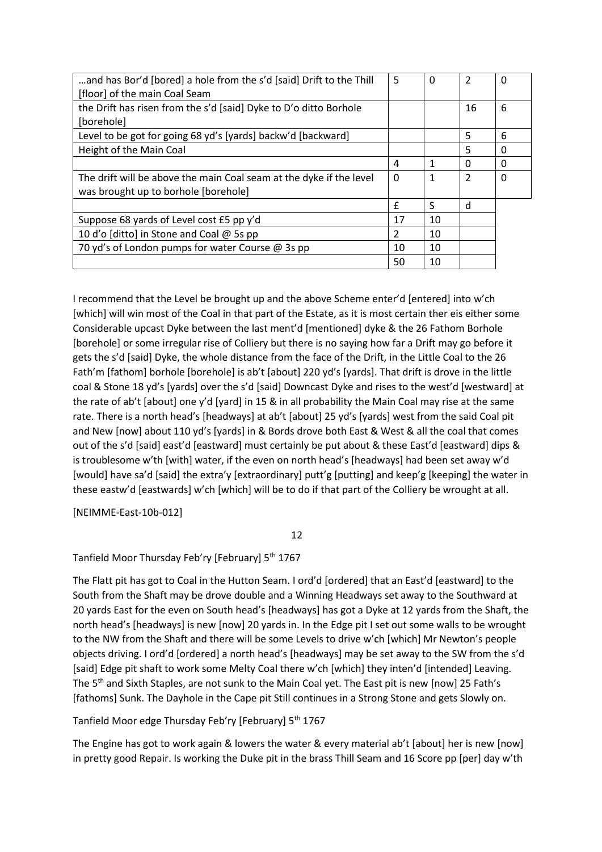| and has Bor'd [bored] a hole from the s'd [said] Drift to the Thill | 5             | 0            | $\mathfrak z$ | 0        |
|---------------------------------------------------------------------|---------------|--------------|---------------|----------|
| [floor] of the main Coal Seam                                       |               |              |               |          |
| the Drift has risen from the s'd [said] Dyke to D'o ditto Borhole   |               |              | 16            | 6        |
| [borehole]                                                          |               |              |               |          |
| Level to be got for going 68 yd's [yards] backw'd [backward]        |               |              | 5             | 6        |
| Height of the Main Coal                                             |               |              | 5             | 0        |
|                                                                     | 4             | 1            | 0             | $\Omega$ |
| The drift will be above the main Coal seam at the dyke if the level | 0             | $\mathbf{1}$ | 2             | 0        |
| was brought up to borhole [borehole]                                |               |              |               |          |
|                                                                     | $\mathbf{f}$  | S            | d             |          |
| Suppose 68 yards of Level cost £5 pp y'd                            | 17            | 10           |               |          |
| 10 d'o [ditto] in Stone and Coal @ 5s pp                            | $\mathcal{P}$ | 10           |               |          |
| 70 yd's of London pumps for water Course @ 3s pp                    | 10            | 10           |               |          |
|                                                                     | 50            | 10           |               |          |

I recommend that the Level be brought up and the above Scheme enter'd [entered] into w'ch [which] will win most of the Coal in that part of the Estate, as it is most certain ther eis either some Considerable upcast Dyke between the last ment'd [mentioned] dyke & the 26 Fathom Borhole [borehole] or some irregular rise of Colliery but there is no saying how far a Drift may go before it gets the s'd [said] Dyke, the whole distance from the face of the Drift, in the Little Coal to the 26 Fath'm [fathom] borhole [borehole] is ab't [about] 220 yd's [yards]. That drift is drove in the little coal & Stone 18 yd's [yards] over the s'd [said] Downcast Dyke and rises to the west'd [westward] at the rate of ab't [about] one y'd [yard] in 15 & in all probability the Main Coal may rise at the same rate. There is a north head's [headways] at ab't [about] 25 yd's [yards] west from the said Coal pit and New [now] about 110 yd's [yards] in & Bords drove both East & West & all the coal that comes out of the s'd [said] east'd [eastward] must certainly be put about & these East'd [eastward] dips & is troublesome w'th [with] water, if the even on north head's [headways] had been set away w'd [would] have sa'd [said] the extra'y [extraordinary] putt'g [putting] and keep'g [keeping] the water in these eastw'd [eastwards] w'ch [which] will be to do if that part of the Colliery be wrought at all.

[NEIMME-East-10b-012]

12

Tanfield Moor Thursday Feb'ry [February] 5<sup>th</sup> 1767

The Flatt pit has got to Coal in the Hutton Seam. I ord'd [ordered] that an East'd [eastward] to the South from the Shaft may be drove double and a Winning Headways set away to the Southward at 20 yards East for the even on South head's [headways] has got a Dyke at 12 yards from the Shaft, the north head's [headways] is new [now] 20 yards in. In the Edge pit I set out some walls to be wrought to the NW from the Shaft and there will be some Levels to drive w'ch [which] Mr Newton's people objects driving. I ord'd [ordered] a north head's [headways] may be set away to the SW from the s'd [said] Edge pit shaft to work some Melty Coal there w'ch [which] they inten'd [intended] Leaving. The 5<sup>th</sup> and Sixth Staples, are not sunk to the Main Coal yet. The East pit is new [now] 25 Fath's [fathoms] Sunk. The Dayhole in the Cape pit Still continues in a Strong Stone and gets Slowly on.

Tanfield Moor edge Thursday Feb'ry [February] 5<sup>th</sup> 1767

The Engine has got to work again & lowers the water & every material ab't [about] her is new [now] in pretty good Repair. Is working the Duke pit in the brass Thill Seam and 16 Score pp [per] day w'th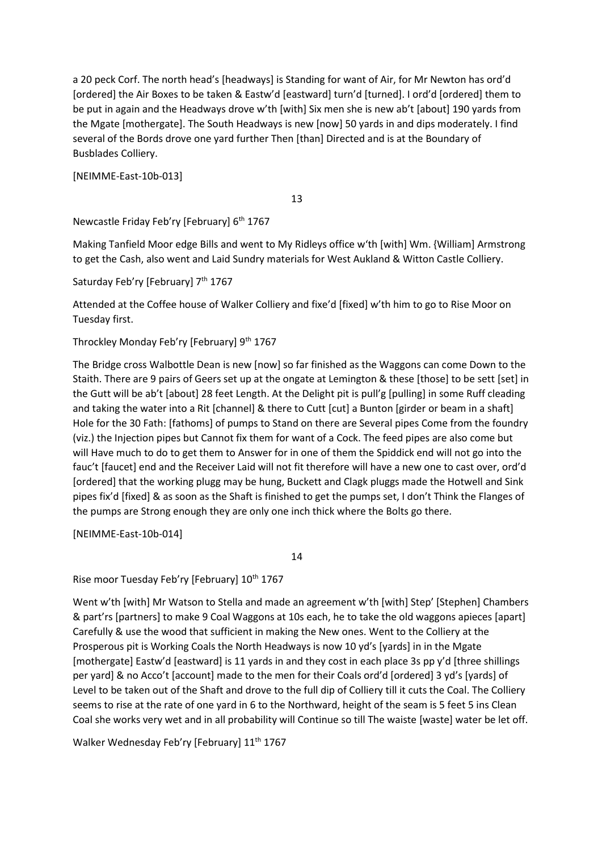a 20 peck Corf. The north head's [headways] is Standing for want of Air, for Mr Newton has ord'd [ordered] the Air Boxes to be taken & Eastw'd [eastward] turn'd [turned]. I ord'd [ordered] them to be put in again and the Headways drove w'th [with] Six men she is new ab't [about] 190 yards from the Mgate [mothergate]. The South Headways is new [now] 50 yards in and dips moderately. I find several of the Bords drove one yard further Then [than] Directed and is at the Boundary of Busblades Colliery.

[NEIMME-East-10b-013]

13

Newcastle Friday Feb'ry [February] 6th 1767

Making Tanfield Moor edge Bills and went to My Ridleys office w'th [with] Wm. {William] Armstrong to get the Cash, also went and Laid Sundry materials for West Aukland & Witton Castle Colliery.

Saturday Feb'ry [February] 7<sup>th</sup> 1767

Attended at the Coffee house of Walker Colliery and fixe'd [fixed] w'th him to go to Rise Moor on Tuesday first.

Throckley Monday Feb'ry [February] 9<sup>th</sup> 1767

The Bridge cross Walbottle Dean is new [now] so far finished as the Waggons can come Down to the Staith. There are 9 pairs of Geers set up at the ongate at Lemington & these [those] to be sett [set] in the Gutt will be ab't [about] 28 feet Length. At the Delight pit is pull'g [pulling] in some Ruff cleading and taking the water into a Rit [channel] & there to Cutt [cut] a Bunton [girder or beam in a shaft] Hole for the 30 Fath: [fathoms] of pumps to Stand on there are Several pipes Come from the foundry (viz.) the Injection pipes but Cannot fix them for want of a Cock. The feed pipes are also come but will Have much to do to get them to Answer for in one of them the Spiddick end will not go into the fauc't [faucet] end and the Receiver Laid will not fit therefore will have a new one to cast over, ord'd [ordered] that the working plugg may be hung, Buckett and Clagk pluggs made the Hotwell and Sink pipes fix'd [fixed] & as soon as the Shaft is finished to get the pumps set, I don't Think the Flanges of the pumps are Strong enough they are only one inch thick where the Bolts go there.

[NEIMME-East-10b-014]

14

Rise moor Tuesday Feb'ry [February] 10<sup>th</sup> 1767

Went w'th [with] Mr Watson to Stella and made an agreement w'th [with] Step' [Stephen] Chambers & part'rs [partners] to make 9 Coal Waggons at 10s each, he to take the old waggons apieces [apart] Carefully & use the wood that sufficient in making the New ones. Went to the Colliery at the Prosperous pit is Working Coals the North Headways is now 10 yd's [yards] in in the Mgate [mothergate] Eastw'd [eastward] is 11 yards in and they cost in each place 3s pp y'd [three shillings per yard] & no Acco't [account] made to the men for their Coals ord'd [ordered] 3 yd's [yards] of Level to be taken out of the Shaft and drove to the full dip of Colliery till it cuts the Coal. The Colliery seems to rise at the rate of one yard in 6 to the Northward, height of the seam is 5 feet 5 ins Clean Coal she works very wet and in all probability will Continue so till The waiste [waste] water be let off.

Walker Wednesday Feb'ry [February] 11<sup>th</sup> 1767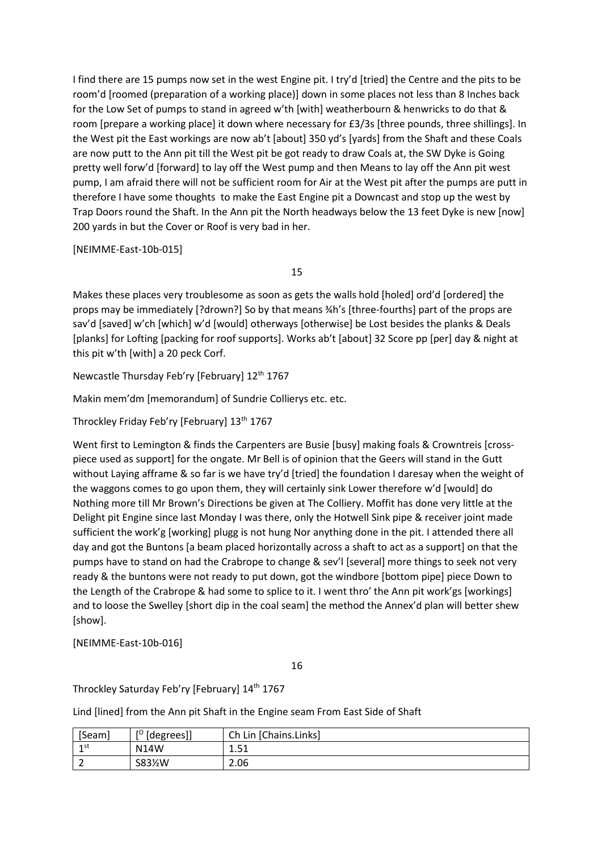I find there are 15 pumps now set in the west Engine pit. I try'd [tried] the Centre and the pits to be room'd [roomed (preparation of a working place)] down in some places not less than 8 Inches back for the Low Set of pumps to stand in agreed w'th [with] weatherbourn & henwricks to do that & room [prepare a working place] it down where necessary for £3/3s [three pounds, three shillings]. In the West pit the East workings are now ab't [about] 350 yd's [yards] from the Shaft and these Coals are now putt to the Ann pit till the West pit be got ready to draw Coals at, the SW Dyke is Going pretty well forw'd [forward] to lay off the West pump and then Means to lay off the Ann pit west pump, I am afraid there will not be sufficient room for Air at the West pit after the pumps are putt in therefore I have some thoughts to make the East Engine pit a Downcast and stop up the west by Trap Doors round the Shaft. In the Ann pit the North headways below the 13 feet Dyke is new [now] 200 yards in but the Cover or Roof is very bad in her.

[NEIMME-East-10b-015]

15

Makes these places very troublesome as soon as gets the walls hold [holed] ord'd [ordered] the props may be immediately [?drown?] So by that means ¾h's [three-fourths] part of the props are sav'd [saved] w'ch [which] w'd [would] otherways [otherwise] be Lost besides the planks & Deals [planks] for Lofting [packing for roof supports]. Works ab't [about] 32 Score pp [per] day & night at this pit w'th [with] a 20 peck Corf.

Newcastle Thursday Feb'ry [February] 12th 1767

Makin mem'dm [memorandum] of Sundrie Collierys etc. etc.

Throckley Friday Feb'ry [February] 13<sup>th</sup> 1767

Went first to Lemington & finds the Carpenters are Busie [busy] making foals & Crowntreis [crosspiece used as support] for the ongate. Mr Bell is of opinion that the Geers will stand in the Gutt without Laying afframe & so far is we have try'd [tried] the foundation I daresay when the weight of the waggons comes to go upon them, they will certainly sink Lower therefore w'd [would] do Nothing more till Mr Brown's Directions be given at The Colliery. Moffit has done very little at the Delight pit Engine since last Monday I was there, only the Hotwell Sink pipe & receiver joint made sufficient the work'g [working] plugg is not hung Nor anything done in the pit. I attended there all day and got the Buntons [a beam placed horizontally across a shaft to act as a support] on that the pumps have to stand on had the Crabrope to change & sev'l [several] more things to seek not very ready & the buntons were not ready to put down, got the windbore [bottom pipe] piece Down to the Length of the Crabrope & had some to splice to it. I went thro' the Ann pit work'gs [workings] and to loose the Swelley [short dip in the coal seam] the method the Annex'd plan will better shew [show].

[NEIMME-East-10b-016]

16

Throckley Saturday Feb'ry [February] 14<sup>th</sup> 1767

Lind [lined] from the Ann pit Shaft in the Engine seam From East Side of Shaft

| [Seam]    | $[°$ [degrees]] | Ch Lin [Chains.Links] |
|-----------|-----------------|-----------------------|
| 1 st<br>∸ | N14W            | 51<br>4.<br>ᆠᆢ        |
|           | S83½W           | 2.06                  |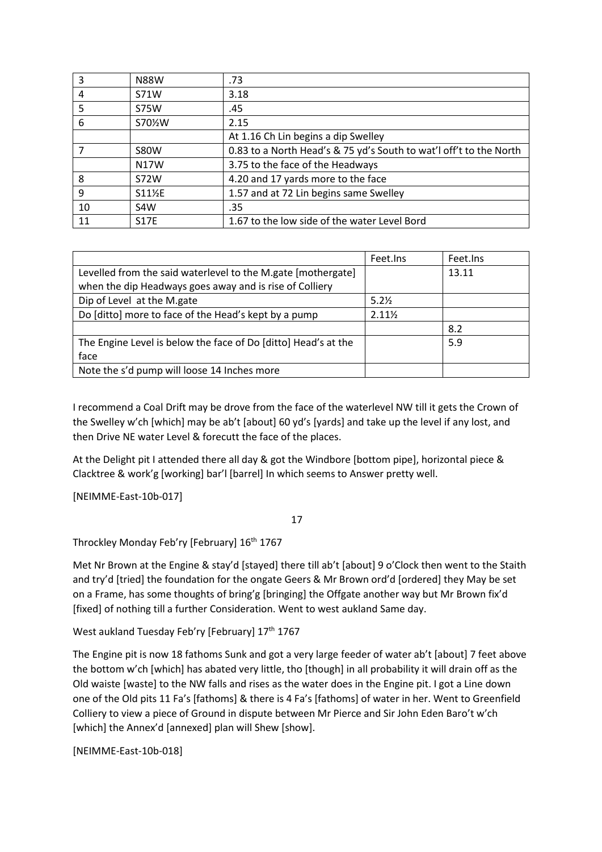| 3  | <b>N88W</b> | .73                                                                |
|----|-------------|--------------------------------------------------------------------|
| 4  | S71W        | 3.18                                                               |
| 5  | <b>S75W</b> | .45                                                                |
| 6  | S70%W       | 2.15                                                               |
|    |             | At 1.16 Ch Lin begins a dip Swelley                                |
|    | <b>S80W</b> | 0.83 to a North Head's & 75 yd's South to wat'l off't to the North |
|    | <b>N17W</b> | 3.75 to the face of the Headways                                   |
| 8  | <b>S72W</b> | 4.20 and 17 yards more to the face                                 |
| 9  | S11%E       | 1.57 and at 72 Lin begins same Swelley                             |
| 10 | S4W         | .35                                                                |
| 11 | <b>S17E</b> | 1.67 to the low side of the water Level Bord                       |

|                                                                | Feet. Ins | Feet. Ins |
|----------------------------------------------------------------|-----------|-----------|
| Levelled from the said waterlevel to the M.gate [mothergate]   |           | 13.11     |
| when the dip Headways goes away and is rise of Colliery        |           |           |
| Dip of Level at the M.gate                                     | 5.2%      |           |
| Do [ditto] more to face of the Head's kept by a pump           | 2.11%     |           |
|                                                                |           | 8.2       |
| The Engine Level is below the face of Do [ditto] Head's at the |           | 5.9       |
| face                                                           |           |           |
| Note the s'd pump will loose 14 Inches more                    |           |           |

I recommend a Coal Drift may be drove from the face of the waterlevel NW till it gets the Crown of the Swelley w'ch [which] may be ab't [about] 60 yd's [yards] and take up the level if any lost, and then Drive NE water Level & forecutt the face of the places.

At the Delight pit I attended there all day & got the Windbore [bottom pipe], horizontal piece & Clacktree & work'g [working] bar'l [barrel] In which seems to Answer pretty well.

[NEIMME-East-10b-017]

17

Throckley Monday Feb'ry [February] 16<sup>th</sup> 1767

Met Nr Brown at the Engine & stay'd [stayed] there till ab't [about] 9 o'Clock then went to the Staith and try'd [tried] the foundation for the ongate Geers & Mr Brown ord'd [ordered] they May be set on a Frame, has some thoughts of bring'g [bringing] the Offgate another way but Mr Brown fix'd [fixed] of nothing till a further Consideration. Went to west aukland Same day.

West aukland Tuesday Feb'ry [February] 17<sup>th</sup> 1767

The Engine pit is now 18 fathoms Sunk and got a very large feeder of water ab't [about] 7 feet above the bottom w'ch [which] has abated very little, tho [though] in all probability it will drain off as the Old waiste [waste] to the NW falls and rises as the water does in the Engine pit. I got a Line down one of the Old pits 11 Fa's [fathoms] & there is 4 Fa's [fathoms] of water in her. Went to Greenfield Colliery to view a piece of Ground in dispute between Mr Pierce and Sir John Eden Baro't w'ch [which] the Annex'd [annexed] plan will Shew [show].

[NEIMME-East-10b-018]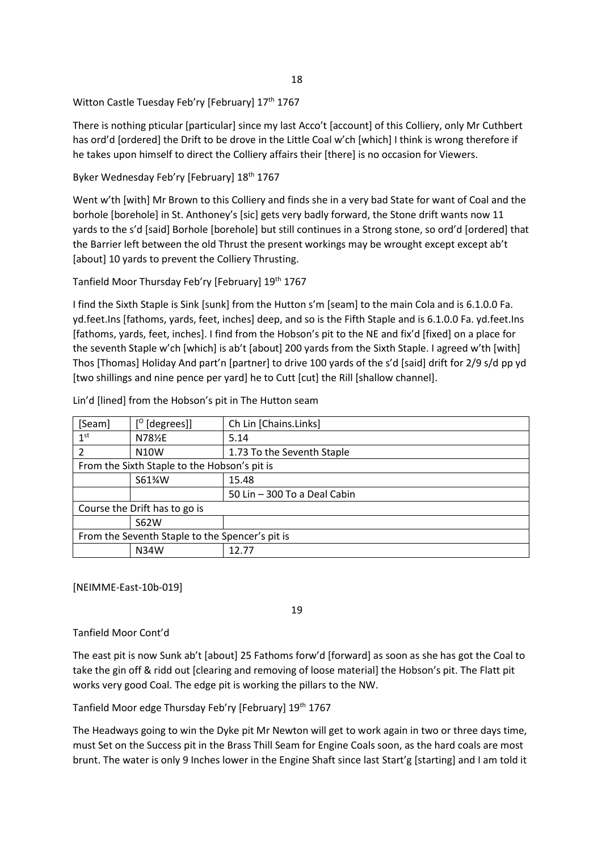Witton Castle Tuesday Feb'ry [February] 17<sup>th</sup> 1767

There is nothing pticular [particular] since my last Acco't [account] of this Colliery, only Mr Cuthbert has ord'd [ordered] the Drift to be drove in the Little Coal w'ch [which] I think is wrong therefore if he takes upon himself to direct the Colliery affairs their [there] is no occasion for Viewers.

Byker Wednesday Feb'ry [February] 18th 1767

Went w'th [with] Mr Brown to this Colliery and finds she in a very bad State for want of Coal and the borhole [borehole] in St. Anthoney's [sic] gets very badly forward, the Stone drift wants now 11 yards to the s'd [said] Borhole [borehole] but still continues in a Strong stone, so ord'd [ordered] that the Barrier left between the old Thrust the present workings may be wrought except except ab't [about] 10 yards to prevent the Colliery Thrusting.

Tanfield Moor Thursday Feb'ry [February] 19<sup>th</sup> 1767

I find the Sixth Staple is Sink [sunk] from the Hutton s'm [seam] to the main Cola and is 6.1.0.0 Fa. yd.feet.Ins [fathoms, yards, feet, inches] deep, and so is the Fifth Staple and is 6.1.0.0 Fa. yd.feet.Ins [fathoms, yards, feet, inches]. I find from the Hobson's pit to the NE and fix'd [fixed] on a place for the seventh Staple w'ch [which] is ab't [about] 200 yards from the Sixth Staple. I agreed w'th [with] Thos [Thomas] Holiday And part'n [partner] to drive 100 yards of the s'd [said] drift for 2/9 s/d pp yd [two shillings and nine pence per yard] he to Cutt [cut] the Rill [shallow channel].

| [Seam]                                          | $[°$ [degrees]]                              | Ch Lin [Chains.Links]        |
|-------------------------------------------------|----------------------------------------------|------------------------------|
| 1 <sup>st</sup>                                 | N78½E                                        | 5.14                         |
| 2                                               | N <sub>10</sub> W                            | 1.73 To the Seventh Staple   |
|                                                 | From the Sixth Staple to the Hobson's pit is |                              |
|                                                 | S61%W                                        | 15.48                        |
|                                                 |                                              | 50 Lin - 300 To a Deal Cabin |
|                                                 | Course the Drift has to go is                |                              |
|                                                 | <b>S62W</b>                                  |                              |
| From the Seventh Staple to the Spencer's pit is |                                              |                              |
|                                                 | N34W                                         | 12.77                        |

Lin'd [lined] from the Hobson's pit in The Hutton seam

[NEIMME-East-10b-019]

19

### Tanfield Moor Cont'd

The east pit is now Sunk ab't [about] 25 Fathoms forw'd [forward] as soon as she has got the Coal to take the gin off & ridd out [clearing and removing of loose material] the Hobson's pit. The Flatt pit works very good Coal. The edge pit is working the pillars to the NW.

Tanfield Moor edge Thursday Feb'ry [February] 19th 1767

The Headways going to win the Dyke pit Mr Newton will get to work again in two or three days time, must Set on the Success pit in the Brass Thill Seam for Engine Coals soon, as the hard coals are most brunt. The water is only 9 Inches lower in the Engine Shaft since last Start'g [starting] and I am told it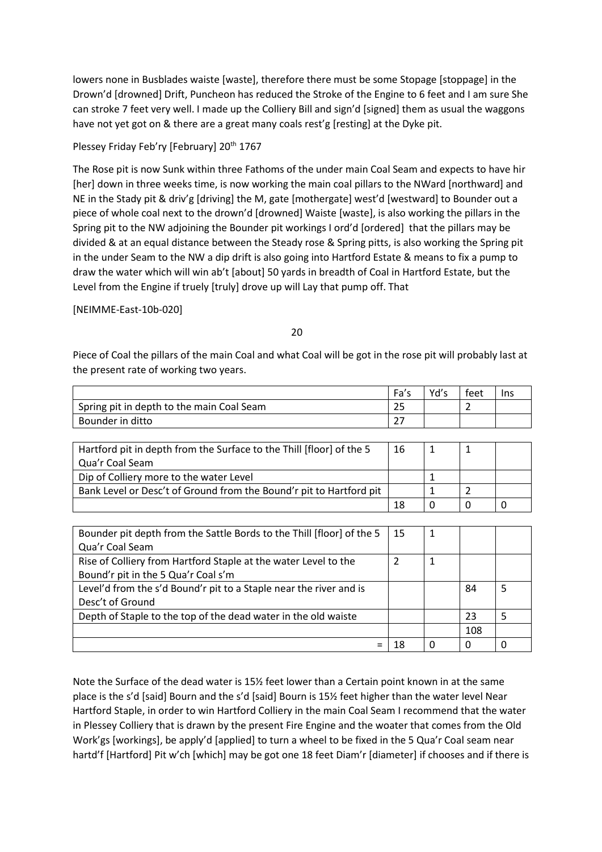lowers none in Busblades waiste [waste], therefore there must be some Stopage [stoppage] in the Drown'd [drowned] Drift, Puncheon has reduced the Stroke of the Engine to 6 feet and I am sure She can stroke 7 feet very well. I made up the Colliery Bill and sign'd [signed] them as usual the waggons have not yet got on & there are a great many coals rest'g [resting] at the Dyke pit.

## Plessey Friday Feb'ry [February] 20<sup>th</sup> 1767

The Rose pit is now Sunk within three Fathoms of the under main Coal Seam and expects to have hir [her] down in three weeks time, is now working the main coal pillars to the NWard [northward] and NE in the Stady pit & driv'g [driving] the M, gate [mothergate] west'd [westward] to Bounder out a piece of whole coal next to the drown'd [drowned] Waiste [waste], is also working the pillars in the Spring pit to the NW adjoining the Bounder pit workings I ord'd [ordered] that the pillars may be divided & at an equal distance between the Steady rose & Spring pitts, is also working the Spring pit in the under Seam to the NW a dip drift is also going into Hartford Estate & means to fix a pump to draw the water which will win ab't [about] 50 yards in breadth of Coal in Hartford Estate, but the Level from the Engine if truely [truly] drove up will Lay that pump off. That

[NEIMME-East-10b-020]

20

Piece of Coal the pillars of the main Coal and what Coal will be got in the rose pit will probably last at the present rate of working two years.

|                                           | Fa's | VY, C | feet |  |
|-------------------------------------------|------|-------|------|--|
| Spring pit in depth to the main Coal Seam |      |       |      |  |
| Bounder in ditto                          |      |       |      |  |
|                                           |      |       |      |  |

| Hartford pit in depth from the Surface to the Thill [floor] of the 5 | 16 |  |  |
|----------------------------------------------------------------------|----|--|--|
| Qua'r Coal Seam                                                      |    |  |  |
| Dip of Colliery more to the water Level                              |    |  |  |
| Bank Level or Desc't of Ground from the Bound'r pit to Hartford pit  |    |  |  |
|                                                                      | 18 |  |  |

| Bounder pit depth from the Sattle Bords to the Thill [floor] of the 5 $\parallel$ 15 |  |     |   |
|--------------------------------------------------------------------------------------|--|-----|---|
| Qua'r Coal Seam                                                                      |  |     |   |
| Rise of Colliery from Hartford Staple at the water Level to the                      |  |     |   |
| Bound'r pit in the 5 Qua'r Coal s'm                                                  |  |     |   |
| Level'd from the s'd Bound'r pit to a Staple near the river and is                   |  | 84  | 5 |
| Desc't of Ground                                                                     |  |     |   |
| Depth of Staple to the top of the dead water in the old waiste                       |  | 23  | 5 |
|                                                                                      |  | 108 |   |
|                                                                                      |  | n   |   |

Note the Surface of the dead water is 15½ feet lower than a Certain point known in at the same place is the s'd [said] Bourn and the s'd [said] Bourn is 15½ feet higher than the water level Near Hartford Staple, in order to win Hartford Colliery in the main Coal Seam I recommend that the water in Plessey Colliery that is drawn by the present Fire Engine and the woater that comes from the Old Work'gs [workings], be apply'd [applied] to turn a wheel to be fixed in the 5 Qua'r Coal seam near hartd'f [Hartford] Pit w'ch [which] may be got one 18 feet Diam'r [diameter] if chooses and if there is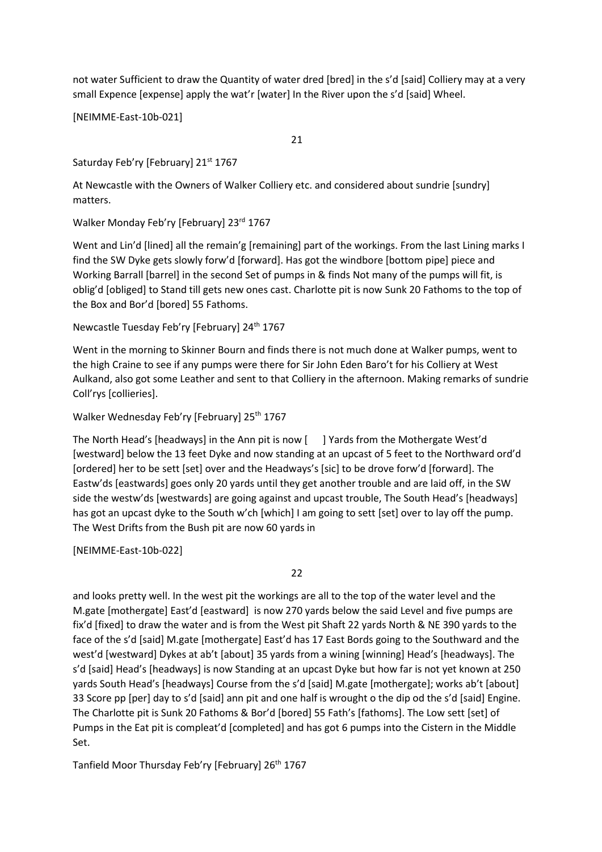not water Sufficient to draw the Quantity of water dred [bred] in the s'd [said] Colliery may at a very small Expence [expense] apply the wat'r [water] In the River upon the s'd [said] Wheel.

[NEIMME-East-10b-021]

21

Saturday Feb'ry [February] 21<sup>st</sup> 1767

At Newcastle with the Owners of Walker Colliery etc. and considered about sundrie [sundry] matters.

Walker Monday Feb'ry [February] 23rd 1767

Went and Lin'd [lined] all the remain'g [remaining] part of the workings. From the last Lining marks I find the SW Dyke gets slowly forw'd [forward]. Has got the windbore [bottom pipe] piece and Working Barrall [barrel] in the second Set of pumps in & finds Not many of the pumps will fit, is oblig'd [obliged] to Stand till gets new ones cast. Charlotte pit is now Sunk 20 Fathoms to the top of the Box and Bor'd [bored] 55 Fathoms.

Newcastle Tuesday Feb'ry [February] 24<sup>th</sup> 1767

Went in the morning to Skinner Bourn and finds there is not much done at Walker pumps, went to the high Craine to see if any pumps were there for Sir John Eden Baro't for his Colliery at West Aulkand, also got some Leather and sent to that Colliery in the afternoon. Making remarks of sundrie Coll'rys [collieries].

Walker Wednesday Feb'ry [February] 25<sup>th</sup> 1767

The North Head's [headways] in the Ann pit is now [ ] Yards from the Mothergate West'd [westward] below the 13 feet Dyke and now standing at an upcast of 5 feet to the Northward ord'd [ordered] her to be sett [set] over and the Headways's [sic] to be drove forw'd [forward]. The Eastw'ds [eastwards] goes only 20 yards until they get another trouble and are laid off, in the SW side the westw'ds [westwards] are going against and upcast trouble, The South Head's [headways] has got an upcast dyke to the South w'ch [which] I am going to sett [set] over to lay off the pump. The West Drifts from the Bush pit are now 60 yards in

[NEIMME-East-10b-022]

22

and looks pretty well. In the west pit the workings are all to the top of the water level and the M.gate [mothergate] East'd [eastward] is now 270 yards below the said Level and five pumps are fix'd [fixed] to draw the water and is from the West pit Shaft 22 yards North & NE 390 yards to the face of the s'd [said] M.gate [mothergate] East'd has 17 East Bords going to the Southward and the west'd [westward] Dykes at ab't [about] 35 yards from a wining [winning] Head's [headways]. The s'd [said] Head's [headways] is now Standing at an upcast Dyke but how far is not yet known at 250 yards South Head's [headways] Course from the s'd [said] M.gate [mothergate]; works ab't [about] 33 Score pp [per] day to s'd [said] ann pit and one half is wrought o the dip od the s'd [said] Engine. The Charlotte pit is Sunk 20 Fathoms & Bor'd [bored] 55 Fath's [fathoms]. The Low sett [set] of Pumps in the Eat pit is compleat'd [completed] and has got 6 pumps into the Cistern in the Middle Set.

Tanfield Moor Thursday Feb'ry [February] 26<sup>th</sup> 1767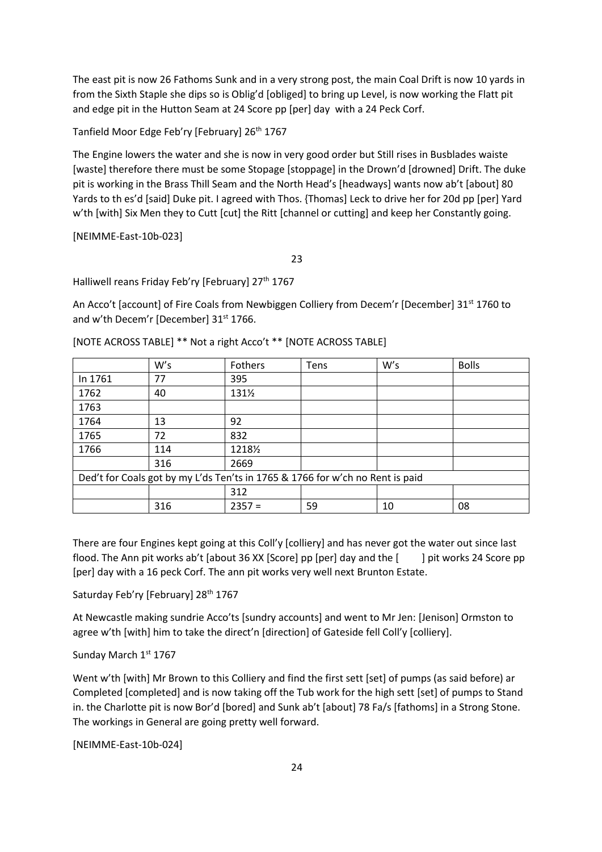The east pit is now 26 Fathoms Sunk and in a very strong post, the main Coal Drift is now 10 yards in from the Sixth Staple she dips so is Oblig'd [obliged] to bring up Level, is now working the Flatt pit and edge pit in the Hutton Seam at 24 Score pp [per] day with a 24 Peck Corf.

Tanfield Moor Edge Feb'ry [February] 26th 1767

The Engine lowers the water and she is now in very good order but Still rises in Busblades waiste [waste] therefore there must be some Stopage [stoppage] in the Drown'd [drowned] Drift. The duke pit is working in the Brass Thill Seam and the North Head's [headways] wants now ab't [about] 80 Yards to th es'd [said] Duke pit. I agreed with Thos. {Thomas] Leck to drive her for 20d pp [per] Yard w'th [with] Six Men they to Cutt [cut] the Ritt [channel or cutting] and keep her Constantly going.

[NEIMME-East-10b-023]

23

Halliwell reans Friday Feb'ry [February] 27<sup>th</sup> 1767

An Acco't [account] of Fire Coals from Newbiggen Colliery from Decem'r [December] 31<sup>st</sup> 1760 to and w'th Decem'r [December] 31<sup>st</sup> 1766.

|         | W's                                                                           | Fothers  | Tens | W's | <b>Bolls</b> |
|---------|-------------------------------------------------------------------------------|----------|------|-----|--------------|
| In 1761 | 77                                                                            | 395      |      |     |              |
| 1762    | 40                                                                            | 131½     |      |     |              |
| 1763    |                                                                               |          |      |     |              |
| 1764    | 13                                                                            | 92       |      |     |              |
| 1765    | 72                                                                            | 832      |      |     |              |
| 1766    | 114                                                                           | 12181/2  |      |     |              |
|         | 316                                                                           | 2669     |      |     |              |
|         | Ded't for Coals got by my L'ds Ten'ts in 1765 & 1766 for w'ch no Rent is paid |          |      |     |              |
|         |                                                                               | 312      |      |     |              |
|         | 316                                                                           | $2357 =$ | 59   | 10  | 08           |

[NOTE ACROSS TABLE] \*\* Not a right Acco't \*\* [NOTE ACROSS TABLE]

There are four Engines kept going at this Coll'y [colliery] and has never got the water out since last flood. The Ann pit works ab't [about 36 XX [Score] pp [per] day and the [ ] pit works 24 Score pp [per] day with a 16 peck Corf. The ann pit works very well next Brunton Estate.

Saturday Feb'ry [February] 28<sup>th</sup> 1767

At Newcastle making sundrie Acco'ts [sundry accounts] and went to Mr Jen: [Jenison] Ormston to agree w'th [with] him to take the direct'n [direction] of Gateside fell Coll'y [colliery].

### Sunday March 1st 1767

Went w'th [with] Mr Brown to this Colliery and find the first sett [set] of pumps (as said before) ar Completed [completed] and is now taking off the Tub work for the high sett [set] of pumps to Stand in. the Charlotte pit is now Bor'd [bored] and Sunk ab't [about] 78 Fa/s [fathoms] in a Strong Stone. The workings in General are going pretty well forward.

[NEIMME-East-10b-024]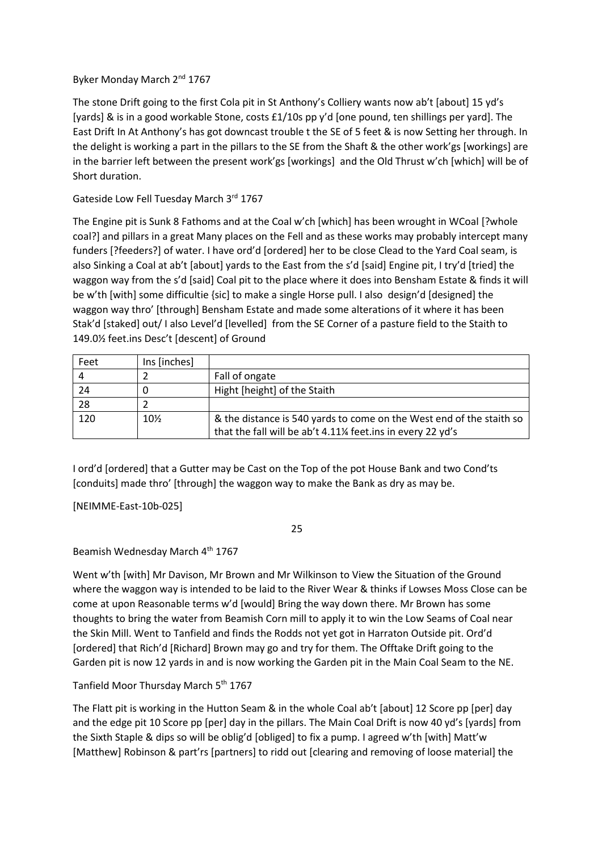## Byker Monday March 2nd 1767

The stone Drift going to the first Cola pit in St Anthony's Colliery wants now ab't [about] 15 yd's [yards] & is in a good workable Stone, costs £1/10s pp y'd [one pound, ten shillings per yard]. The East Drift In At Anthony's has got downcast trouble t the SE of 5 feet & is now Setting her through. In the delight is working a part in the pillars to the SE from the Shaft & the other work'gs [workings] are in the barrier left between the present work'gs [workings] and the Old Thrust w'ch [which] will be of Short duration.

# Gateside Low Fell Tuesday March 3rd 1767

The Engine pit is Sunk 8 Fathoms and at the Coal w'ch [which] has been wrought in WCoal [?whole coal?] and pillars in a great Many places on the Fell and as these works may probably intercept many funders [?feeders?] of water. I have ord'd [ordered] her to be close Clead to the Yard Coal seam, is also Sinking a Coal at ab't [about] yards to the East from the s'd [said] Engine pit, I try'd [tried] the waggon way from the s'd [said] Coal pit to the place where it does into Bensham Estate & finds it will be w'th [with] some difficultie {sic] to make a single Horse pull. I also design'd [designed] the waggon way thro' [through] Bensham Estate and made some alterations of it where it has been Stak'd [staked] out/ I also Level'd [levelled] from the SE Corner of a pasture field to the Staith to 149.0½ feet.ins Desc't [descent] of Ground

| Feet | Ins [inches] |                                                                                                                                    |
|------|--------------|------------------------------------------------------------------------------------------------------------------------------------|
|      |              | Fall of ongate                                                                                                                     |
| 24   |              | Hight [height] of the Staith                                                                                                       |
| 28   |              |                                                                                                                                    |
| 120  | 10%          | & the distance is 540 yards to come on the West end of the staith so<br>that the fall will be ab't 4.11% feet.ins in every 22 yd's |

I ord'd [ordered] that a Gutter may be Cast on the Top of the pot House Bank and two Cond'ts [conduits] made thro' [through] the waggon way to make the Bank as dry as may be.

[NEIMME-East-10b-025]

25

Beamish Wednesday March 4th 1767

Went w'th [with] Mr Davison, Mr Brown and Mr Wilkinson to View the Situation of the Ground where the waggon way is intended to be laid to the River Wear & thinks if Lowses Moss Close can be come at upon Reasonable terms w'd [would] Bring the way down there. Mr Brown has some thoughts to bring the water from Beamish Corn mill to apply it to win the Low Seams of Coal near the Skin Mill. Went to Tanfield and finds the Rodds not yet got in Harraton Outside pit. Ord'd [ordered] that Rich'd [Richard] Brown may go and try for them. The Offtake Drift going to the Garden pit is now 12 yards in and is now working the Garden pit in the Main Coal Seam to the NE.

Tanfield Moor Thursday March 5<sup>th</sup> 1767

The Flatt pit is working in the Hutton Seam & in the whole Coal ab't [about] 12 Score pp [per] day and the edge pit 10 Score pp [per] day in the pillars. The Main Coal Drift is now 40 yd's [yards] from the Sixth Staple & dips so will be oblig'd [obliged] to fix a pump. I agreed w'th [with] Matt'w [Matthew] Robinson & part'rs [partners] to ridd out [clearing and removing of loose material] the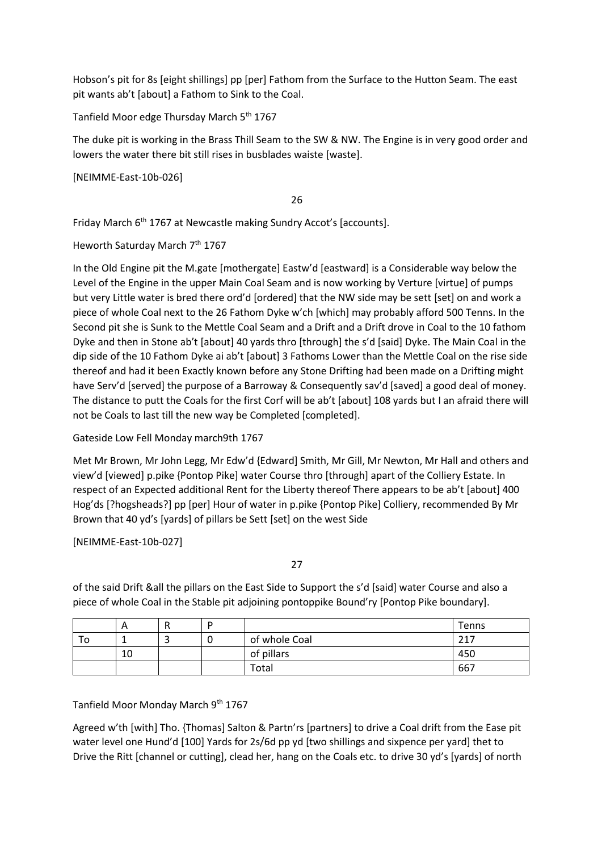Hobson's pit for 8s [eight shillings] pp [per] Fathom from the Surface to the Hutton Seam. The east pit wants ab't [about] a Fathom to Sink to the Coal.

Tanfield Moor edge Thursday March 5th 1767

The duke pit is working in the Brass Thill Seam to the SW & NW. The Engine is in very good order and lowers the water there bit still rises in busblades waiste [waste].

[NEIMME-East-10b-026]

26

Friday March 6<sup>th</sup> 1767 at Newcastle making Sundry Accot's [accounts].

## Heworth Saturday March 7<sup>th</sup> 1767

In the Old Engine pit the M.gate [mothergate] Eastw'd [eastward] is a Considerable way below the Level of the Engine in the upper Main Coal Seam and is now working by Verture [virtue] of pumps but very Little water is bred there ord'd [ordered] that the NW side may be sett [set] on and work a piece of whole Coal next to the 26 Fathom Dyke w'ch [which] may probably afford 500 Tenns. In the Second pit she is Sunk to the Mettle Coal Seam and a Drift and a Drift drove in Coal to the 10 fathom Dyke and then in Stone ab't [about] 40 yards thro [through] the s'd [said] Dyke. The Main Coal in the dip side of the 10 Fathom Dyke ai ab't [about] 3 Fathoms Lower than the Mettle Coal on the rise side thereof and had it been Exactly known before any Stone Drifting had been made on a Drifting might have Serv'd [served] the purpose of a Barroway & Consequently sav'd [saved] a good deal of money. The distance to putt the Coals for the first Corf will be ab't [about] 108 yards but I an afraid there will not be Coals to last till the new way be Completed [completed].

Gateside Low Fell Monday march9th 1767

Met Mr Brown, Mr John Legg, Mr Edw'd {Edward] Smith, Mr Gill, Mr Newton, Mr Hall and others and view'd [viewed] p.pike {Pontop Pike] water Course thro [through] apart of the Colliery Estate. In respect of an Expected additional Rent for the Liberty thereof There appears to be ab't [about] 400 Hog'ds [?hogsheads?] pp [per] Hour of water in p.pike {Pontop Pike] Colliery, recommended By Mr Brown that 40 yd's [yards] of pillars be Sett [set] on the west Side

[NEIMME-East-10b-027]

27

of the said Drift &all the pillars on the East Side to Support the s'd [said] water Course and also a piece of whole Coal in the Stable pit adjoining pontoppike Bound'ry [Pontop Pike boundary].

|    | A  | $\cdots$ | D |               | Tenns |
|----|----|----------|---|---------------|-------|
| ۱o |    |          | u | of whole Coal | 217   |
|    | 10 |          |   | of pillars    | 450   |
|    |    |          |   | Total         | 667   |

Tanfield Moor Monday March 9th 1767

Agreed w'th [with] Tho. {Thomas] Salton & Partn'rs [partners] to drive a Coal drift from the Ease pit water level one Hund'd [100] Yards for 2s/6d pp yd [two shillings and sixpence per yard] thet to Drive the Ritt [channel or cutting], clead her, hang on the Coals etc. to drive 30 yd's [yards] of north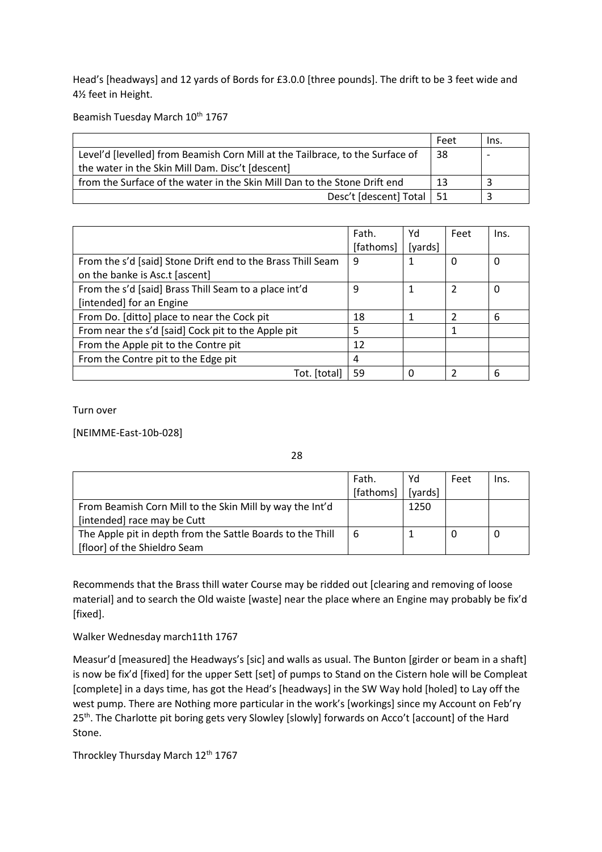Head's [headways] and 12 yards of Bords for £3.0.0 [three pounds]. The drift to be 3 feet wide and 4½ feet in Height.

Beamish Tuesday March 10<sup>th</sup> 1767

|                                                                               | Feet | Ins. |
|-------------------------------------------------------------------------------|------|------|
| Level'd [levelled] from Beamish Corn Mill at the Tailbrace, to the Surface of | -38  |      |
| the water in the Skin Mill Dam. Disc't [descent]                              |      |      |
| from the Surface of the water in the Skin Mill Dan to the Stone Drift end     | 13   |      |
| Desc't [descent] Total   51                                                   |      |      |

|                                                                                               | Fath.     | Yd      | Feet          | Ins. |
|-----------------------------------------------------------------------------------------------|-----------|---------|---------------|------|
|                                                                                               | [fathoms] | [yards] |               |      |
| From the s'd [said] Stone Drift end to the Brass Thill Seam<br>on the banke is Asc.t [ascent] | 9         |         | O             | 0    |
| From the s'd [said] Brass Thill Seam to a place int'd<br>[intended] for an Engine             | 9         |         | 2             | 0    |
| From Do. [ditto] place to near the Cock pit                                                   | 18        |         | $\mathcal{P}$ | 6    |
| From near the s'd [said] Cock pit to the Apple pit                                            | 5         |         | 1             |      |
| From the Apple pit to the Contre pit                                                          | 12        |         |               |      |
| From the Contre pit to the Edge pit                                                           | 4         |         |               |      |
| Tot. [total]                                                                                  | 59        | O       | 2             | 6    |

Turn over

[NEIMME-East-10b-028]

28

|                                                            | Fath.     | Yd      | Feet | Ins. |
|------------------------------------------------------------|-----------|---------|------|------|
|                                                            | [fathoms] | [yards] |      |      |
| From Beamish Corn Mill to the Skin Mill by way the Int'd   |           | 1250    |      |      |
| [intended] race may be Cutt                                |           |         |      |      |
| The Apple pit in depth from the Sattle Boards to the Thill | 6         |         |      |      |
| [floor] of the Shieldro Seam                               |           |         |      |      |

Recommends that the Brass thill water Course may be ridded out [clearing and removing of loose material] and to search the Old waiste [waste] near the place where an Engine may probably be fix'd [fixed].

Walker Wednesday march11th 1767

Measur'd [measured] the Headways's [sic] and walls as usual. The Bunton [girder or beam in a shaft] is now be fix'd [fixed] for the upper Sett [set] of pumps to Stand on the Cistern hole will be Compleat [complete] in a days time, has got the Head's [headways] in the SW Way hold [holed] to Lay off the west pump. There are Nothing more particular in the work's [workings] since my Account on Feb'ry 25<sup>th</sup>. The Charlotte pit boring gets very Slowley [slowly] forwards on Acco't [account] of the Hard Stone.

Throckley Thursday March 12<sup>th</sup> 1767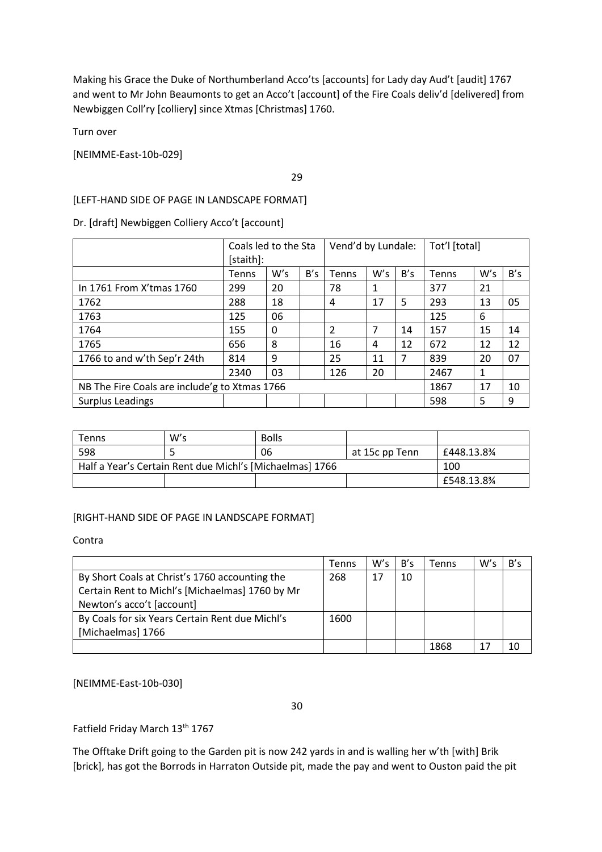Making his Grace the Duke of Northumberland Acco'ts [accounts] for Lady day Aud't [audit] 1767 and went to Mr John Beaumonts to get an Acco't [account] of the Fire Coals deliv'd [delivered] from Newbiggen Coll'ry [colliery] since Xtmas [Christmas] 1760.

Turn over

[NEIMME-East-10b-029]

29

### [LEFT-HAND SIDE OF PAGE IN LANDSCAPE FORMAT]

Dr. [draft] Newbiggen Colliery Acco't [account]

|                                               | Coals led to the Sta<br>[staith]: |     |     | Vend'd by Lundale: |     | Tot'l [total] |       |     |     |
|-----------------------------------------------|-----------------------------------|-----|-----|--------------------|-----|---------------|-------|-----|-----|
|                                               | Tenns                             | W's | B's | Tenns              | W's | B's           | Tenns | W's | B's |
| In 1761 From X'tmas 1760                      | 299                               | 20  |     | 78                 | 1   |               | 377   | 21  |     |
| 1762                                          | 288                               | 18  |     | 4                  | 17  | 5             | 293   | 13  | 05  |
| 1763                                          | 125                               | 06  |     |                    |     |               | 125   | 6   |     |
| 1764                                          | 155                               | 0   |     | $\overline{2}$     | 7   | 14            | 157   | 15  | 14  |
| 1765                                          | 656                               | 8   |     | 16                 | 4   | 12            | 672   | 12  | 12  |
| 1766 to and w'th Sep'r 24th                   | 814                               | 9   |     | 25                 | 11  | 7             | 839   | 20  | 07  |
|                                               | 2340                              | 03  |     | 126                | 20  |               | 2467  | 1   |     |
| NB The Fire Coals are include'g to Xtmas 1766 |                                   |     |     |                    |     | 1867          | 17    | 10  |     |
| Surplus Leadings                              |                                   |     |     |                    |     |               | 598   | 5   | 9   |

| <b>Tenns</b> | W's                                                      | <b>Bolls</b> |                |                        |
|--------------|----------------------------------------------------------|--------------|----------------|------------------------|
| 598          |                                                          | 06           | at 15c pp Tenn | £448.13.8%             |
|              | Half a Year's Certain Rent due Michl's [Michaelmas] 1766 |              |                | 100                    |
|              |                                                          |              |                | £548.13.8 <sup>3</sup> |

## [RIGHT-HAND SIDE OF PAGE IN LANDSCAPE FORMAT]

Contra

|                                                 | Tenns | W's | B's | Fenns | W's | B's |
|-------------------------------------------------|-------|-----|-----|-------|-----|-----|
| By Short Coals at Christ's 1760 accounting the  | 268   | 17  | 10  |       |     |     |
| Certain Rent to Michl's [Michaelmas] 1760 by Mr |       |     |     |       |     |     |
| Newton's acco't [account]                       |       |     |     |       |     |     |
| By Coals for six Years Certain Rent due Michl's | 1600  |     |     |       |     |     |
| [Michaelmas] 1766                               |       |     |     |       |     |     |
|                                                 |       |     |     | 1868  |     | 10  |

[NEIMME-East-10b-030]

30

Fatfield Friday March 13<sup>th</sup> 1767

The Offtake Drift going to the Garden pit is now 242 yards in and is walling her w'th [with] Brik [brick], has got the Borrods in Harraton Outside pit, made the pay and went to Ouston paid the pit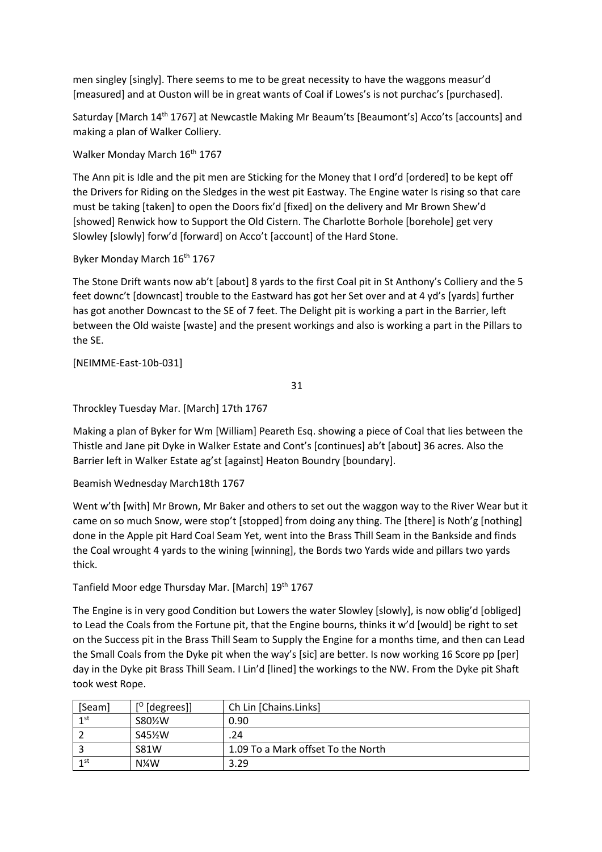men singley [singly]. There seems to me to be great necessity to have the waggons measur'd [measured] and at Ouston will be in great wants of Coal if Lowes's is not purchac's [purchased].

Saturday [March 14th 1767] at Newcastle Making Mr Beaum'ts [Beaumont's] Acco'ts [accounts] and making a plan of Walker Colliery.

Walker Monday March 16<sup>th</sup> 1767

The Ann pit is Idle and the pit men are Sticking for the Money that I ord'd [ordered] to be kept off the Drivers for Riding on the Sledges in the west pit Eastway. The Engine water Is rising so that care must be taking [taken] to open the Doors fix'd [fixed] on the delivery and Mr Brown Shew'd [showed] Renwick how to Support the Old Cistern. The Charlotte Borhole [borehole] get very Slowley [slowly] forw'd [forward] on Acco't [account] of the Hard Stone.

Byker Monday March 16<sup>th</sup> 1767

The Stone Drift wants now ab't [about] 8 yards to the first Coal pit in St Anthony's Colliery and the 5 feet downc't [downcast] trouble to the Eastward has got her Set over and at 4 yd's [yards] further has got another Downcast to the SE of 7 feet. The Delight pit is working a part in the Barrier, left between the Old waiste [waste] and the present workings and also is working a part in the Pillars to the SE.

[NEIMME-East-10b-031]

31

Throckley Tuesday Mar. [March] 17th 1767

Making a plan of Byker for Wm [William] Peareth Esq. showing a piece of Coal that lies between the Thistle and Jane pit Dyke in Walker Estate and Cont's [continues] ab't [about] 36 acres. Also the Barrier left in Walker Estate ag'st [against] Heaton Boundry [boundary].

Beamish Wednesday March18th 1767

Went w'th [with] Mr Brown, Mr Baker and others to set out the waggon way to the River Wear but it came on so much Snow, were stop't [stopped] from doing any thing. The [there] is Noth'g [nothing] done in the Apple pit Hard Coal Seam Yet, went into the Brass Thill Seam in the Bankside and finds the Coal wrought 4 yards to the wining [winning], the Bords two Yards wide and pillars two yards thick.

Tanfield Moor edge Thursday Mar. [March] 19th 1767

The Engine is in very good Condition but Lowers the water Slowley [slowly], is now oblig'd [obliged] to Lead the Coals from the Fortune pit, that the Engine bourns, thinks it w'd [would] be right to set on the Success pit in the Brass Thill Seam to Supply the Engine for a months time, and then can Lead the Small Coals from the Dyke pit when the way's [sic] are better. Is now working 16 Score pp [per] day in the Dyke pit Brass Thill Seam. I Lin'd [lined] the workings to the NW. From the Dyke pit Shaft took west Rope.

| [Seam]          | $[°$ [degrees]]    | Ch Lin [Chains.Links]              |
|-----------------|--------------------|------------------------------------|
| 1 <sub>st</sub> | S80 <sup>%</sup> W | 0.90                               |
|                 | S45 <sup>%</sup> W | 24                                 |
|                 | <b>S81W</b>        | 1.09 To a Mark offset To the North |
| 1 <sub>st</sub> | $N\frac{1}{4}W$    | 3.29                               |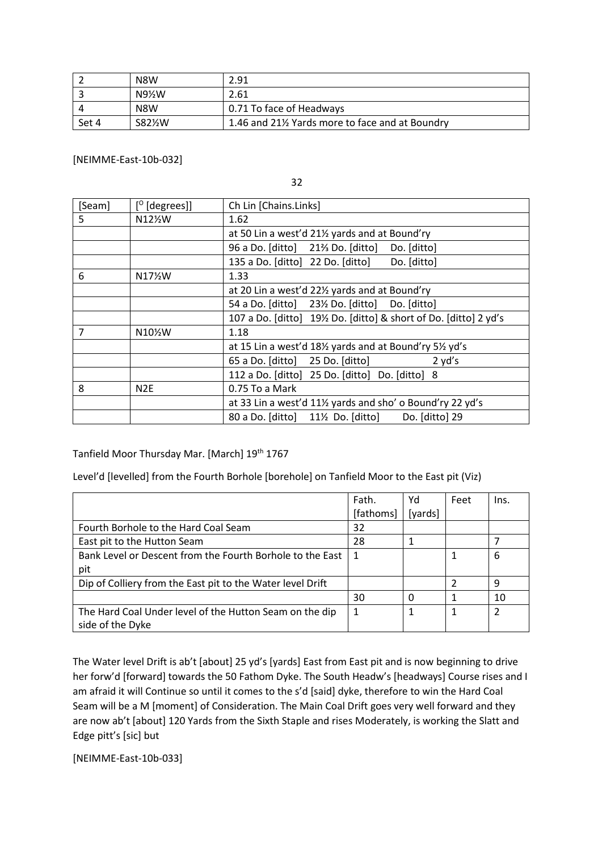|       | N8W                               | 2.91                                           |
|-------|-----------------------------------|------------------------------------------------|
|       | N9½W                              | 2.61                                           |
|       | N8W                               | 0.71 To face of Headways                       |
| Set 4 | S82 <sup>1</sup> / <sub>2</sub> W | 1.46 and 21½ Yards more to face and at Boundry |

[NEIMME-East-10b-032]

32

| [Seam] | $[°$ [degrees]]     | Ch Lin [Chains.Links]                                                      |
|--------|---------------------|----------------------------------------------------------------------------|
| 5      | N12½W               | 1.62                                                                       |
|        |                     | at 50 Lin a west'd 211/2 yards and at Bound'ry                             |
|        |                     | 96 a Do. [ditto] 21 <sup>2</sup> / <sub>3</sub> Do. [ditto] Do. [ditto]    |
|        |                     | Do. [ditto]<br>135 a Do. [ditto] 22 Do. [ditto]                            |
| 6      | N17 <sup>/2</sup> W | 1.33                                                                       |
|        |                     | at 20 Lin a west'd 221/2 yards and at Bound'ry                             |
|        |                     | 54 a Do. [ditto] 23½ Do. [ditto] Do. [ditto]                               |
|        |                     | 107 a Do. [ditto] 19½ Do. [ditto] & short of Do. [ditto] 2 yd's            |
| 7      | N10%W               | 1.18                                                                       |
|        |                     | at 15 Lin a west'd 181/2 yards and at Bound'ry 51/2 yd's                   |
|        |                     | 65 a Do. [ditto] 25 Do. [ditto]<br>2 yd's                                  |
|        |                     | 112 a Do. [ditto] 25 Do. [ditto] Do. [ditto] 8                             |
| 8      | N <sub>2</sub> E    | 0.75 To a Mark                                                             |
|        |                     | at 33 Lin a west'd 111/2 yards and sho' o Bound'ry 22 yd's                 |
|        |                     | 80 a Do. [ditto] 11 <sup>1</sup> / <sub>2</sub> Do. [ditto] Do. [ditto] 29 |

Tanfield Moor Thursday Mar. [March] 19<sup>th</sup> 1767

Level'd [levelled] from the Fourth Borhole [borehole] on Tanfield Moor to the East pit (Viz)

|                                                            | Fath.     | Yd      | Feet | Ins. |
|------------------------------------------------------------|-----------|---------|------|------|
|                                                            | [fathoms] | [yards] |      |      |
| Fourth Borhole to the Hard Coal Seam                       | 32        |         |      |      |
| East pit to the Hutton Seam                                | 28        |         |      |      |
| Bank Level or Descent from the Fourth Borhole to the East  | 1         |         |      | 6    |
| pit                                                        |           |         |      |      |
| Dip of Colliery from the East pit to the Water level Drift |           |         | 2    | 9    |
|                                                            | 30        | Ω       |      | 10   |
| The Hard Coal Under level of the Hutton Seam on the dip    | 1         |         |      | 2    |
| side of the Dyke                                           |           |         |      |      |

The Water level Drift is ab't [about] 25 yd's [yards] East from East pit and is now beginning to drive her forw'd [forward] towards the 50 Fathom Dyke. The South Headw's [headways] Course rises and I am afraid it will Continue so until it comes to the s'd [said] dyke, therefore to win the Hard Coal Seam will be a M [moment] of Consideration. The Main Coal Drift goes very well forward and they are now ab't [about] 120 Yards from the Sixth Staple and rises Moderately, is working the Slatt and Edge pitt's [sic] but

[NEIMME-East-10b-033]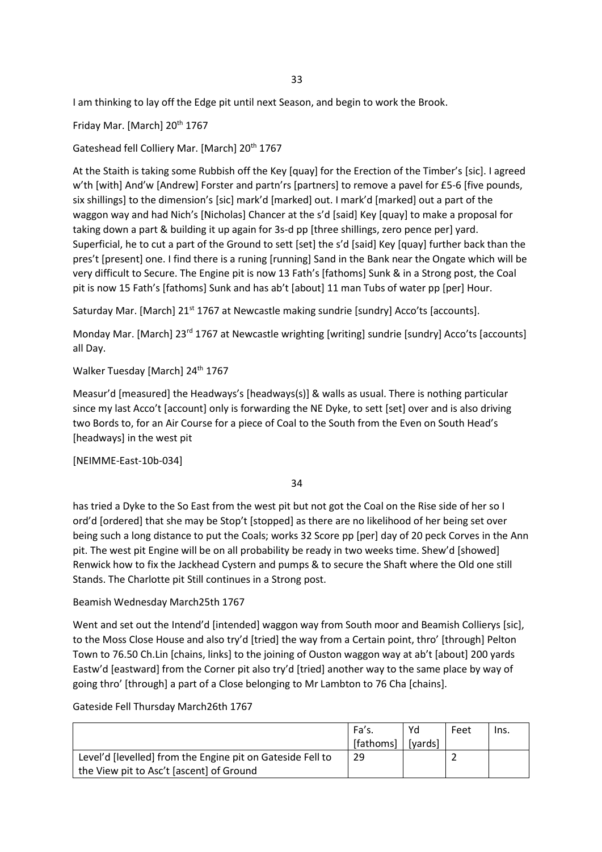I am thinking to lay off the Edge pit until next Season, and begin to work the Brook.

Friday Mar. [March] 20<sup>th</sup> 1767

Gateshead fell Colliery Mar. [March] 20<sup>th</sup> 1767

At the Staith is taking some Rubbish off the Key [quay] for the Erection of the Timber's [sic]. I agreed w'th [with] And'w [Andrew] Forster and partn'rs [partners] to remove a pavel for £5-6 [five pounds, six shillings] to the dimension's [sic] mark'd [marked] out. I mark'd [marked] out a part of the waggon way and had Nich's [Nicholas] Chancer at the s'd [said] Key [quay] to make a proposal for taking down a part & building it up again for 3s-d pp [three shillings, zero pence per] yard. Superficial, he to cut a part of the Ground to sett [set] the s'd [said] Key [quay] further back than the pres't [present] one. I find there is a runing [running] Sand in the Bank near the Ongate which will be very difficult to Secure. The Engine pit is now 13 Fath's [fathoms] Sunk & in a Strong post, the Coal pit is now 15 Fath's [fathoms] Sunk and has ab't [about] 11 man Tubs of water pp [per] Hour.

Saturday Mar. [March] 21<sup>st</sup> 1767 at Newcastle making sundrie [sundry] Acco'ts [accounts].

Monday Mar. [March] 23<sup>rd</sup> 1767 at Newcastle wrighting [writing] sundrie [sundry] Acco'ts [accounts] all Day.

## Walker Tuesday [March] 24<sup>th</sup> 1767

Measur'd [measured] the Headways's [headways(s)] & walls as usual. There is nothing particular since my last Acco't [account] only is forwarding the NE Dyke, to sett [set] over and is also driving two Bords to, for an Air Course for a piece of Coal to the South from the Even on South Head's [headways] in the west pit

[NEIMME-East-10b-034]

34

has tried a Dyke to the So East from the west pit but not got the Coal on the Rise side of her so I ord'd [ordered] that she may be Stop't [stopped] as there are no likelihood of her being set over being such a long distance to put the Coals; works 32 Score pp [per] day of 20 peck Corves in the Ann pit. The west pit Engine will be on all probability be ready in two weeks time. Shew'd [showed] Renwick how to fix the Jackhead Cystern and pumps & to secure the Shaft where the Old one still Stands. The Charlotte pit Still continues in a Strong post.

### Beamish Wednesday March25th 1767

Went and set out the Intend'd [intended] waggon way from South moor and Beamish Collierys [sic], to the Moss Close House and also try'd [tried] the way from a Certain point, thro' [through] Pelton Town to 76.50 Ch.Lin [chains, links] to the joining of Ouston waggon way at ab't [about] 200 yards Eastw'd [eastward] from the Corner pit also try'd [tried] another way to the same place by way of going thro' [through] a part of a Close belonging to Mr Lambton to 76 Cha [chains].

Gateside Fell Thursday March26th 1767

|                                                            | Fa's.     | Yd      | Feet | Ins |
|------------------------------------------------------------|-----------|---------|------|-----|
|                                                            | [fathoms] | [yards] |      |     |
| Level'd [levelled] from the Engine pit on Gateside Fell to | 29        |         |      |     |
| the View pit to Asc't [ascent] of Ground                   |           |         |      |     |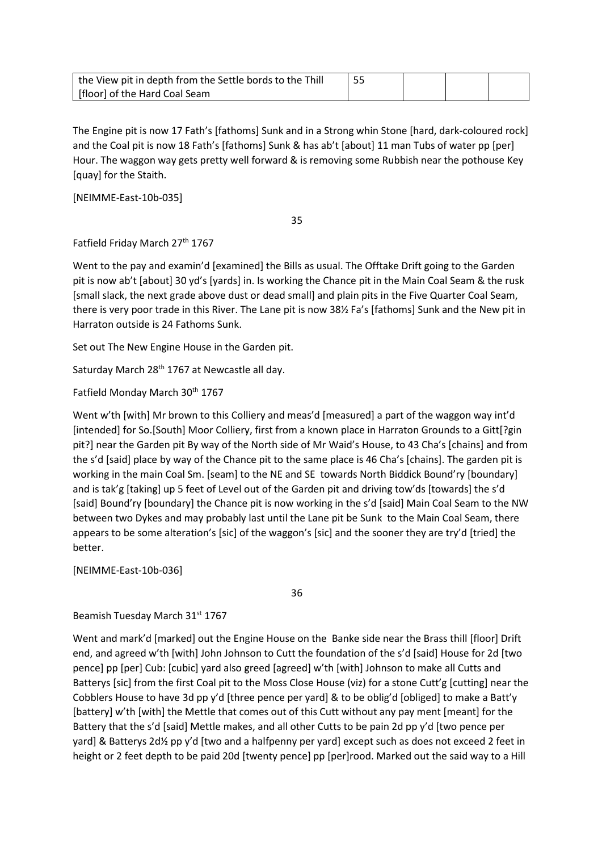| the View pit in depth from the Settle bords to the Thill | -55 |  |  |
|----------------------------------------------------------|-----|--|--|
| [floor] of the Hard Coal Seam                            |     |  |  |

The Engine pit is now 17 Fath's [fathoms] Sunk and in a Strong whin Stone [hard, dark-coloured [rock\]](https://en.wikipedia.org/wiki/Rock_(geology)) and the Coal pit is now 18 Fath's [fathoms] Sunk & has ab't [about] 11 man Tubs of water pp [per] Hour. The waggon way gets pretty well forward & is removing some Rubbish near the pothouse Key [quay] for the Staith.

[NEIMME-East-10b-035]

35

Fatfield Friday March 27th 1767

Went to the pay and examin'd [examined] the Bills as usual. The Offtake Drift going to the Garden pit is now ab't [about] 30 yd's [yards] in. Is working the Chance pit in the Main Coal Seam & the rusk [small slack, the next grade above dust or dead small] and plain pits in the Five Quarter Coal Seam, there is very poor trade in this River. The Lane pit is now 38½ Fa's [fathoms] Sunk and the New pit in Harraton outside is 24 Fathoms Sunk.

Set out The New Engine House in the Garden pit.

Saturday March 28<sup>th</sup> 1767 at Newcastle all day.

Fatfield Monday March 30<sup>th</sup> 1767

Went w'th [with] Mr brown to this Colliery and meas'd [measured] a part of the waggon way int'd [intended] for So.[South] Moor Colliery, first from a known place in Harraton Grounds to a Gitt[?gin pit?] near the Garden pit By way of the North side of Mr Waid's House, to 43 Cha's [chains] and from the s'd [said] place by way of the Chance pit to the same place is 46 Cha's [chains]. The garden pit is working in the main Coal Sm. [seam] to the NE and SE towards North Biddick Bound'ry [boundary] and is tak'g [taking] up 5 feet of Level out of the Garden pit and driving tow'ds [towards] the s'd [said] Bound'ry [boundary] the Chance pit is now working in the s'd [said] Main Coal Seam to the NW between two Dykes and may probably last until the Lane pit be Sunk to the Main Coal Seam, there appears to be some alteration's [sic] of the waggon's [sic] and the sooner they are try'd [tried] the better.

[NEIMME-East-10b-036]

36

Beamish Tuesday March 31st 1767

Went and mark'd [marked] out the Engine House on the Banke side near the Brass thill [floor] Drift end, and agreed w'th [with] John Johnson to Cutt the foundation of the s'd [said] House for 2d [two pence] pp [per] Cub: [cubic] yard also greed [agreed] w'th [with] Johnson to make all Cutts and Batterys [sic] from the first Coal pit to the Moss Close House (viz) for a stone Cutt'g [cutting] near the Cobblers House to have 3d pp y'd [three pence per yard] & to be oblig'd [obliged] to make a Batt'y [battery] w'th [with] the Mettle that comes out of this Cutt without any pay ment [meant] for the Battery that the s'd [said] Mettle makes, and all other Cutts to be pain 2d pp y'd [two pence per yard] & Batterys 2d½ pp y'd [two and a halfpenny per yard] except such as does not exceed 2 feet in height or 2 feet depth to be paid 20d [twenty pence] pp [per]rood. Marked out the said way to a Hill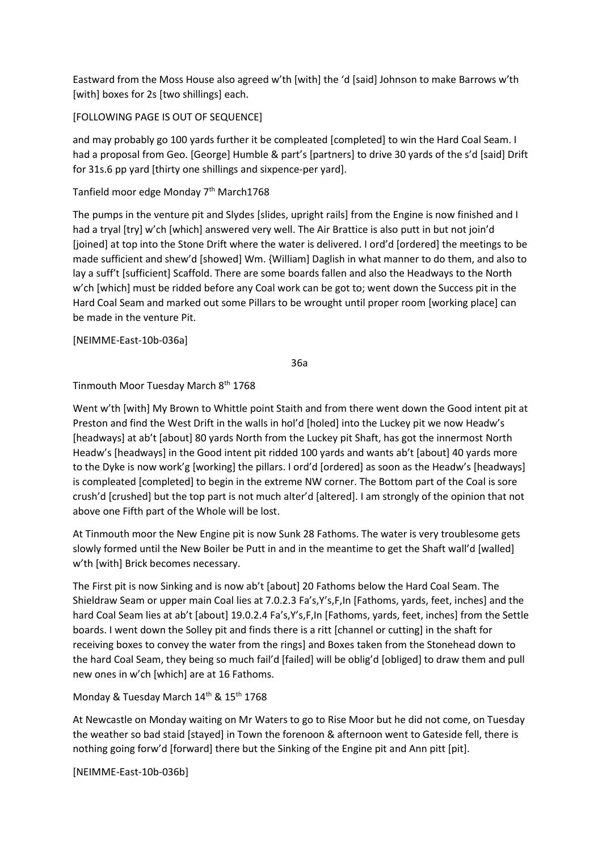Eastward from the Moss House also agreed w'th [with] the 'd [said] Johnson to make Barrows w'th [with] boxes for 2s [two shillings] each.

# [FOLLOWING PAGE IS OUT OF SEQUENCE]

and may probably go 100 yards further it be compleated [completed] to win the Hard Coal Seam. I had a proposal from Geo. [George] Humble & part's [partners] to drive 30 yards of the s'd [said] Drift for 31s.6 pp yard [thirty one shillings and sixpence-per yard].

# Tanfield moor edge Monday 7<sup>th</sup> March1768

The pumps in the venture pit and Slydes [slides, upright rails] from the Engine is now finished and I had a tryal [try] w'ch [which] answered very well. The Air Brattice is also putt in but not join'd [joined] at top into the Stone Drift where the water is delivered. I ord'd [ordered] the meetings to be made sufficient and shew'd [showed] Wm. {William] Daglish in what manner to do them, and also to lay a suff't [sufficient] Scaffold. There are some boards fallen and also the Headways to the North w'ch [which] must be ridded before any Coal work can be got to; went down the Success pit in the Hard Coal Seam and marked out some Pillars to be wrought until proper room [working place] can be made in the venture Pit.

[NEIMME-East-10b-036a]

36a

Tinmouth Moor Tuesday March 8<sup>th</sup> 1768

Went w'th [with] My Brown to Whittle point Staith and from there went down the Good intent pit at Preston and find the West Drift in the walls in hol'd [holed] into the Luckey pit we now Headw's [headways] at ab't [about] 80 yards North from the Luckey pit Shaft, has got the innermost North Headw's [headways] in the Good intent pit ridded 100 yards and wants ab't [about] 40 yards more to the Dyke is now work'g [working] the pillars. I ord'd [ordered] as soon as the Headw's [headways] is compleated [completed] to begin in the extreme NW corner. The Bottom part of the Coal is sore crush'd [crushed] but the top part is not much alter'd [altered]. I am strongly of the opinion that not above one Fifth part of the Whole will be lost.

At Tinmouth moor the New Engine pit is now Sunk 28 Fathoms. The water is very troublesome gets slowly formed until the New Boiler be Putt in and in the meantime to get the Shaft wall'd [walled] w'th [with] Brick becomes necessary.

The First pit is now Sinking and is now ab't [about] 20 Fathoms below the Hard Coal Seam. The Shieldraw Seam or upper main Coal lies at 7.0.2.3 Fa's,Y's,F,In [Fathoms, yards, feet, inches] and the hard Coal Seam lies at ab't [about] 19.0.2.4 Fa's,Y's,F,In [Fathoms, yards, feet, inches] from the Settle boards. I went down the Solley pit and finds there is a ritt [channel or cutting] in the shaft for receiving boxes to convey the water from the rings] and Boxes taken from the Stonehead down to the hard Coal Seam, they being so much fail'd [failed] will be oblig'd [obliged] to draw them and pull new ones in w'ch [which] are at 16 Fathoms.

## Monday & Tuesday March 14<sup>th</sup> & 15<sup>th</sup> 1768

At Newcastle on Monday waiting on Mr Waters to go to Rise Moor but he did not come, on Tuesday the weather so bad staid [stayed] in Town the forenoon & afternoon went to Gateside fell, there is nothing going forw'd [forward] there but the Sinking of the Engine pit and Ann pitt [pit].

[NEIMME-East-10b-036b]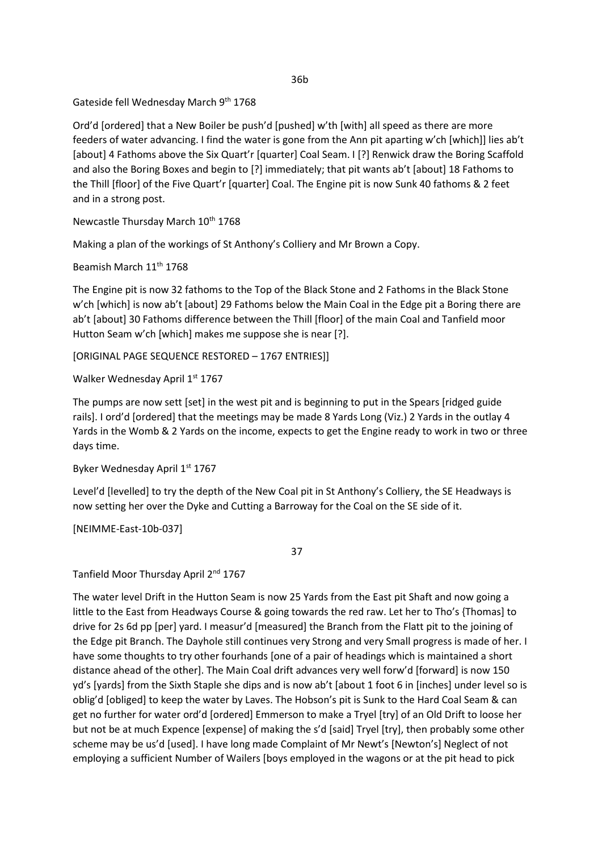36b

Gateside fell Wednesday March 9th 1768

Ord'd [ordered] that a New Boiler be push'd [pushed] w'th [with] all speed as there are more feeders of water advancing. I find the water is gone from the Ann pit aparting w'ch [which]] lies ab't [about] 4 Fathoms above the Six Quart'r [quarter] Coal Seam. I [?] Renwick draw the Boring Scaffold and also the Boring Boxes and begin to [?] immediately; that pit wants ab't [about] 18 Fathoms to the Thill [floor] of the Five Quart'r [quarter] Coal. The Engine pit is now Sunk 40 fathoms & 2 feet and in a strong post.

Newcastle Thursday March 10<sup>th</sup> 1768

Making a plan of the workings of St Anthony's Colliery and Mr Brown a Copy.

Beamish March 11<sup>th</sup> 1768

The Engine pit is now 32 fathoms to the Top of the Black Stone and 2 Fathoms in the Black Stone w'ch [which] is now ab't [about] 29 Fathoms below the Main Coal in the Edge pit a Boring there are ab't [about] 30 Fathoms difference between the Thill [floor] of the main Coal and Tanfield moor Hutton Seam w'ch [which] makes me suppose she is near [?].

[ORIGINAL PAGE SEQUENCE RESTORED – 1767 ENTRIES]]

Walker Wednesday April 1st 1767

The pumps are now sett [set] in the west pit and is beginning to put in the Spears [ridged guide rails]. I ord'd [ordered] that the meetings may be made 8 Yards Long (Viz.) 2 Yards in the outlay 4 Yards in the Womb & 2 Yards on the income, expects to get the Engine ready to work in two or three days time.

Byker Wednesday April 1st 1767

Level'd [levelled] to try the depth of the New Coal pit in St Anthony's Colliery, the SE Headways is now setting her over the Dyke and Cutting a Barroway for the Coal on the SE side of it.

[NEIMME-East-10b-037]

37

Tanfield Moor Thursday April 2<sup>nd</sup> 1767

The water level Drift in the Hutton Seam is now 25 Yards from the East pit Shaft and now going a little to the East from Headways Course & going towards the red raw. Let her to Tho's {Thomas] to drive for 2s 6d pp [per] yard. I measur'd [measured] the Branch from the Flatt pit to the joining of the Edge pit Branch. The Dayhole still continues very Strong and very Small progress is made of her. I have some thoughts to try other fourhands [one of a pair of headings which is maintained a short distance ahead of the other]. The Main Coal drift advances very well forw'd [forward] is now 150 yd's [yards] from the Sixth Staple she dips and is now ab't [about 1 foot 6 in [inches] under level so is oblig'd [obliged] to keep the water by Laves. The Hobson's pit is Sunk to the Hard Coal Seam & can get no further for water ord'd [ordered] Emmerson to make a Tryel [try] of an Old Drift to loose her but not be at much Expence [expense] of making the s'd [said] Tryel [try], then probably some other scheme may be us'd [used]. I have long made Complaint of Mr Newt's [Newton's] Neglect of not employing a sufficient Number of Wailers [boys employed in the wagons or at the pit head to pick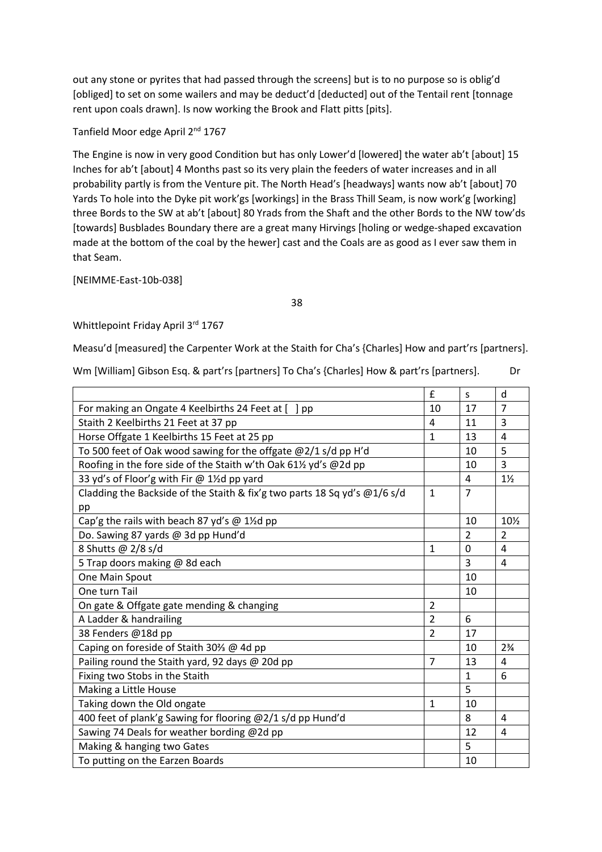out any stone or pyrites that had passed through the screens] but is to no purpose so is oblig'd [obliged] to set on some wailers and may be deduct'd [deducted] out of the Tentail rent [tonnage rent upon coals drawn]. Is now working the Brook and Flatt pitts [pits].

Tanfield Moor edge April 2nd 1767

The Engine is now in very good Condition but has only Lower'd [lowered] the water ab't [about] 15 Inches for ab't [about] 4 Months past so its very plain the feeders of water increases and in all probability partly is from the Venture pit. The North Head's [headways] wants now ab't [about] 70 Yards To hole into the Dyke pit work'gs [workings] in the Brass Thill Seam, is now work'g [working] three Bords to the SW at ab't [about] 80 Yrads from the Shaft and the other Bords to the NW tow'ds [towards] Busblades Boundary there are a great many Hirvings [holing or wedge-shaped excavation made at the bottom of the coal by the hewer] cast and the Coals are as good as I ever saw them in that Seam.

[NEIMME-East-10b-038]

38

Whittlepoint Friday April 3rd 1767

Measu'd [measured] the Carpenter Work at the Staith for Cha's {Charles] How and part'rs [partners].

Wm [William] Gibson Esq. & part'rs [partners] To Cha's {Charles] How & part'rs [partners]. Dr

|                                                                           | £              | <sub>S</sub>   | d              |
|---------------------------------------------------------------------------|----------------|----------------|----------------|
| For making an Ongate 4 Keelbirths 24 Feet at [ ] pp                       | 10             | 17             | $\overline{7}$ |
| Staith 2 Keelbirths 21 Feet at 37 pp                                      | 4              | 11             | 3              |
| Horse Offgate 1 Keelbirths 15 Feet at 25 pp                               | $\mathbf{1}$   | 13             | 4              |
| To 500 feet of Oak wood sawing for the offgate @2/1 s/d pp H'd            |                | 10             | 5              |
| Roofing in the fore side of the Staith w'th Oak 611/2 yd's @2d pp         |                | 10             | 3              |
| 33 yd's of Floor'g with Fir @ 11/2d pp yard                               |                | 4              | $1\frac{1}{2}$ |
| Cladding the Backside of the Staith & fix'g two parts 18 Sq yd's @1/6 s/d | $\mathbf{1}$   | $\overline{7}$ |                |
| pp                                                                        |                |                |                |
| Cap'g the rails with beach 87 yd's @ 11/2d pp                             |                | 10             | 10½            |
| Do. Sawing 87 yards @ 3d pp Hund'd                                        |                | $\overline{2}$ | $\overline{2}$ |
| 8 Shutts @ 2/8 s/d                                                        | $\mathbf{1}$   | 0              | 4              |
| 5 Trap doors making @ 8d each                                             |                | 3              | 4              |
| One Main Spout                                                            |                | 10             |                |
| One turn Tail                                                             |                | 10             |                |
| On gate & Offgate gate mending & changing                                 | $\overline{2}$ |                |                |
| A Ladder & handrailing                                                    | $\overline{2}$ | 6              |                |
| 38 Fenders @18d pp                                                        | $\overline{2}$ | 17             |                |
| Caping on foreside of Staith 30% @ 4d pp                                  |                | 10             | $2\frac{3}{4}$ |
| Pailing round the Staith yard, 92 days @ 20d pp                           | 7              | 13             | 4              |
| Fixing two Stobs in the Staith                                            |                | $\mathbf{1}$   | 6              |
| Making a Little House                                                     |                | 5              |                |
| Taking down the Old ongate                                                | $\mathbf{1}$   | 10             |                |
| 400 feet of plank'g Sawing for flooring @2/1 s/d pp Hund'd                |                | 8              | 4              |
| Sawing 74 Deals for weather bording @2d pp                                |                | 12             | 4              |
| Making & hanging two Gates                                                |                | 5              |                |
| To putting on the Earzen Boards                                           |                | 10             |                |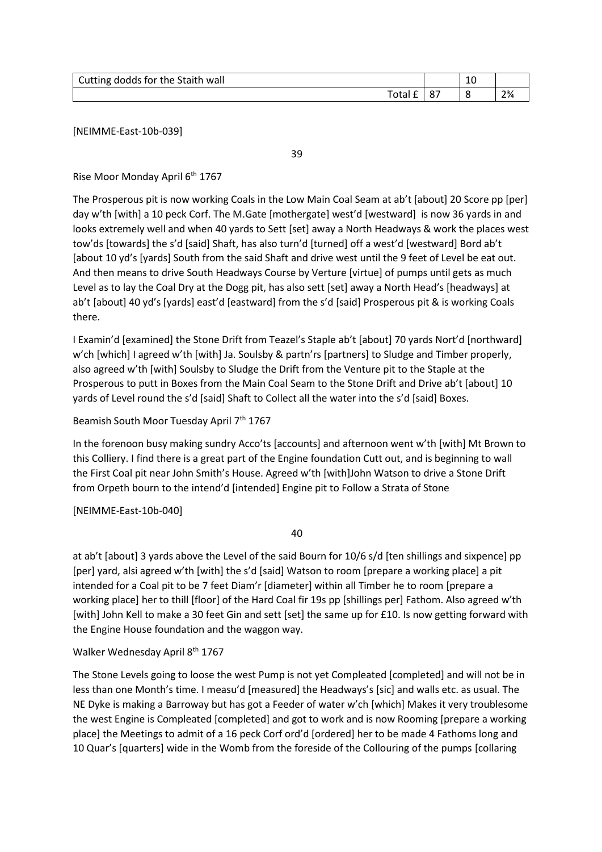| Cutting dodds for the Staith wall |              | ᅩ |                  |
|-----------------------------------|--------------|---|------------------|
| Total.                            | <br>∽<br>. ပ | c | $\bigcap$<br>274 |

[NEIMME-East-10b-039]

39

Rise Moor Monday April 6<sup>th</sup> 1767

The Prosperous pit is now working Coals in the Low Main Coal Seam at ab't [about] 20 Score pp [per] day w'th [with] a 10 peck Corf. The M.Gate [mothergate] west'd [westward] is now 36 yards in and looks extremely well and when 40 yards to Sett [set] away a North Headways & work the places west tow'ds [towards] the s'd [said] Shaft, has also turn'd [turned] off a west'd [westward] Bord ab't [about 10 yd's [yards] South from the said Shaft and drive west until the 9 feet of Level be eat out. And then means to drive South Headways Course by Verture [virtue] of pumps until gets as much Level as to lay the Coal Dry at the Dogg pit, has also sett [set] away a North Head's [headways] at ab't [about] 40 yd's [yards] east'd [eastward] from the s'd [said] Prosperous pit & is working Coals there.

I Examin'd [examined] the Stone Drift from Teazel's Staple ab't [about] 70 yards Nort'd [northward] w'ch [which] I agreed w'th [with] Ja. Soulsby & partn'rs [partners] to Sludge and Timber properly, also agreed w'th [with] Soulsby to Sludge the Drift from the Venture pit to the Staple at the Prosperous to putt in Boxes from the Main Coal Seam to the Stone Drift and Drive ab't [about] 10 yards of Level round the s'd [said] Shaft to Collect all the water into the s'd [said] Boxes.

Beamish South Moor Tuesday April 7<sup>th</sup> 1767

In the forenoon busy making sundry Acco'ts [accounts] and afternoon went w'th [with] Mt Brown to this Colliery. I find there is a great part of the Engine foundation Cutt out, and is beginning to wall the First Coal pit near John Smith's House. Agreed w'th [with]John Watson to drive a Stone Drift from Orpeth bourn to the intend'd [intended] Engine pit to Follow a Strata of Stone

[NEIMME-East-10b-040]

40

at ab't [about] 3 yards above the Level of the said Bourn for 10/6 s/d [ten shillings and sixpence] pp [per] yard, alsi agreed w'th [with] the s'd [said] Watson to room [prepare a working place] a pit intended for a Coal pit to be 7 feet Diam'r [diameter] within all Timber he to room [prepare a working place] her to thill [floor] of the Hard Coal fir 19s pp [shillings per] Fathom. Also agreed w'th [with] John Kell to make a 30 feet Gin and sett [set] the same up for £10. Is now getting forward with the Engine House foundation and the waggon way.

## Walker Wednesday April 8<sup>th</sup> 1767

The Stone Levels going to loose the west Pump is not yet Compleated [completed] and will not be in less than one Month's time. I measu'd [measured] the Headways's [sic] and walls etc. as usual. The NE Dyke is making a Barroway but has got a Feeder of water w'ch [which] Makes it very troublesome the west Engine is Compleated [completed] and got to work and is now Rooming [prepare a working place] the Meetings to admit of a 16 peck Corf ord'd [ordered] her to be made 4 Fathoms long and 10 Quar's [quarters] wide in the Womb from the foreside of the Collouring of the pumps [collaring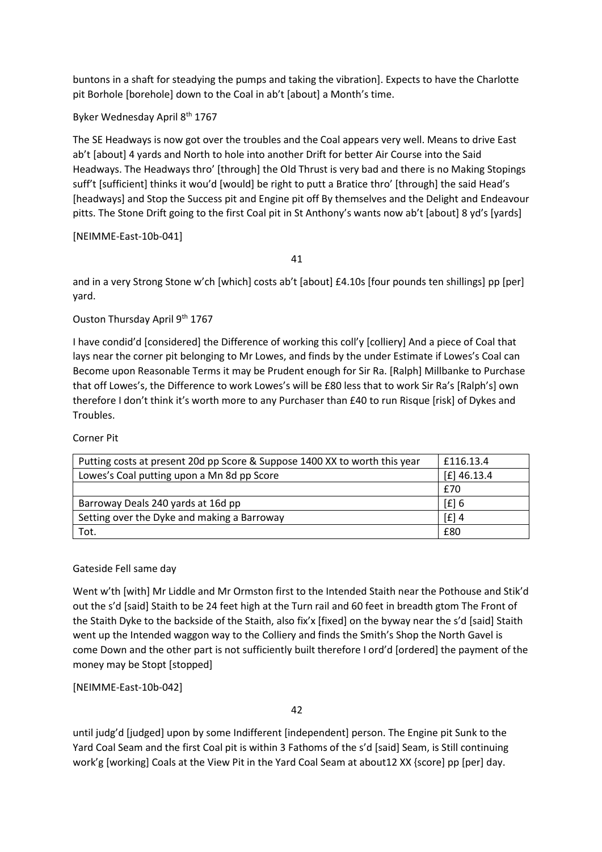buntons in a shaft for steadying the pumps and taking the vibration]. Expects to have the Charlotte pit Borhole [borehole] down to the Coal in ab't [about] a Month's time.

Byker Wednesday April 8th 1767

The SE Headways is now got over the troubles and the Coal appears very well. Means to drive East ab't [about] 4 yards and North to hole into another Drift for better Air Course into the Said Headways. The Headways thro' [through] the Old Thrust is very bad and there is no Making Stopings suff't [sufficient] thinks it wou'd [would] be right to putt a Bratice thro' [through] the said Head's [headways] and Stop the Success pit and Engine pit off By themselves and the Delight and Endeavour pitts. The Stone Drift going to the first Coal pit in St Anthony's wants now ab't [about] 8 yd's [yards]

[NEIMME-East-10b-041]

41

and in a very Strong Stone w'ch [which] costs ab't [about] £4.10s [four pounds ten shillings] pp [per] yard.

Ouston Thursday April 9th 1767

I have condid'd [considered] the Difference of working this coll'y [colliery] And a piece of Coal that lays near the corner pit belonging to Mr Lowes, and finds by the under Estimate if Lowes's Coal can Become upon Reasonable Terms it may be Prudent enough for Sir Ra. [Ralph] Millbanke to Purchase that off Lowes's, the Difference to work Lowes's will be £80 less that to work Sir Ra's [Ralph's] own therefore I don't think it's worth more to any Purchaser than £40 to run Risque [risk] of Dykes and Troubles.

Corner Pit

| Putting costs at present 20d pp Score & Suppose 1400 XX to worth this year | £116.13.4     |
|----------------------------------------------------------------------------|---------------|
| Lowes's Coal putting upon a Mn 8d pp Score                                 | $[£]$ 46.13.4 |
|                                                                            | £70           |
| Barroway Deals 240 yards at 16d pp                                         | $[f]$ 6       |
| Setting over the Dyke and making a Barroway                                | $[f]$ 4       |
| Tot.                                                                       | £80           |

# Gateside Fell same day

Went w'th [with] Mr Liddle and Mr Ormston first to the Intended Staith near the Pothouse and Stik'd out the s'd [said] Staith to be 24 feet high at the Turn rail and 60 feet in breadth gtom The Front of the Staith Dyke to the backside of the Staith, also fix'x [fixed] on the byway near the s'd [said] Staith went up the Intended waggon way to the Colliery and finds the Smith's Shop the North Gavel is come Down and the other part is not sufficiently built therefore I ord'd [ordered] the payment of the money may be Stopt [stopped]

[NEIMME-East-10b-042]

42

until judg'd [judged] upon by some Indifferent [independent] person. The Engine pit Sunk to the Yard Coal Seam and the first Coal pit is within 3 Fathoms of the s'd [said] Seam, is Still continuing work'g [working] Coals at the View Pit in the Yard Coal Seam at about12 XX {score] pp [per] day.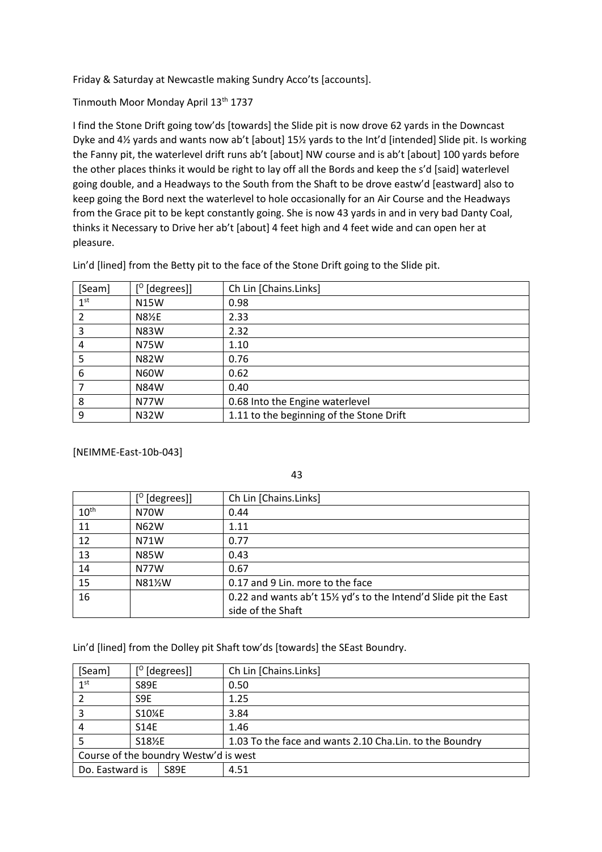Friday & Saturday at Newcastle making Sundry Acco'ts [accounts].

Tinmouth Moor Monday April 13<sup>th</sup> 1737

I find the Stone Drift going tow'ds [towards] the Slide pit is now drove 62 yards in the Downcast Dyke and 4½ yards and wants now ab't [about] 15½ yards to the Int'd [intended] Slide pit. Is working the Fanny pit, the waterlevel drift runs ab't [about] NW course and is ab't [about] 100 yards before the other places thinks it would be right to lay off all the Bords and keep the s'd [said] waterlevel going double, and a Headways to the South from the Shaft to be drove eastw'd [eastward] also to keep going the Bord next the waterlevel to hole occasionally for an Air Course and the Headways from the Grace pit to be kept constantly going. She is now 43 yards in and in very bad Danty Coal, thinks it Necessary to Drive her ab't [about] 4 feet high and 4 feet wide and can open her at pleasure.

| [Seam]          | ŗО<br>[degrees]] | Ch Lin [Chains.Links]                    |
|-----------------|------------------|------------------------------------------|
| 1 <sup>st</sup> | <b>N15W</b>      | 0.98                                     |
| 2               | N8½E             | 2.33                                     |
| 3               | <b>N83W</b>      | 2.32                                     |
| $\overline{4}$  | <b>N75W</b>      | 1.10                                     |
| 5               | <b>N82W</b>      | 0.76                                     |
| 6               | <b>N60W</b>      | 0.62                                     |
|                 | <b>N84W</b>      | 0.40                                     |
| 8               | <b>N77W</b>      | 0.68 Into the Engine waterlevel          |
| 9               | <b>N32W</b>      | 1.11 to the beginning of the Stone Drift |

Lin'd [lined] from the Betty pit to the face of the Stone Drift going to the Slide pit.

[NEIMME-East-10b-043]

43

|                  | $[°$ [degrees]] | Ch Lin [Chains.Links]                                           |
|------------------|-----------------|-----------------------------------------------------------------|
| 10 <sup>th</sup> | <b>N70W</b>     | 0.44                                                            |
| 11               | <b>N62W</b>     | 1.11                                                            |
| 12               | N71W            | 0.77                                                            |
| 13               | <b>N85W</b>     | 0.43                                                            |
| 14               | <b>N77W</b>     | 0.67                                                            |
| 15               | N81%W           | 0.17 and 9 Lin. more to the face                                |
| 16               |                 | 0.22 and wants ab't 15% yd's to the Intend'd Slide pit the East |
|                  |                 | side of the Shaft                                               |

Lin'd [lined] from the Dolley pit Shaft tow'ds [towards] the SEast Boundry.

| [Seam]                                |                 | $[°$ [degrees]] | Ch Lin [Chains.Links]                                   |
|---------------------------------------|-----------------|-----------------|---------------------------------------------------------|
| 1 <sup>st</sup>                       | <b>S89E</b>     |                 | 0.50                                                    |
|                                       | S <sub>9E</sub> |                 | 1.25                                                    |
|                                       | S10%E           |                 | 3.84                                                    |
|                                       | S14E            |                 | 1.46                                                    |
|                                       | S181/2E         |                 | 1.03 To the face and wants 2.10 Cha.Lin. to the Boundry |
| Course of the boundry Westw'd is west |                 |                 |                                                         |
| Do. Eastward is                       |                 | <b>S89E</b>     | 4.51                                                    |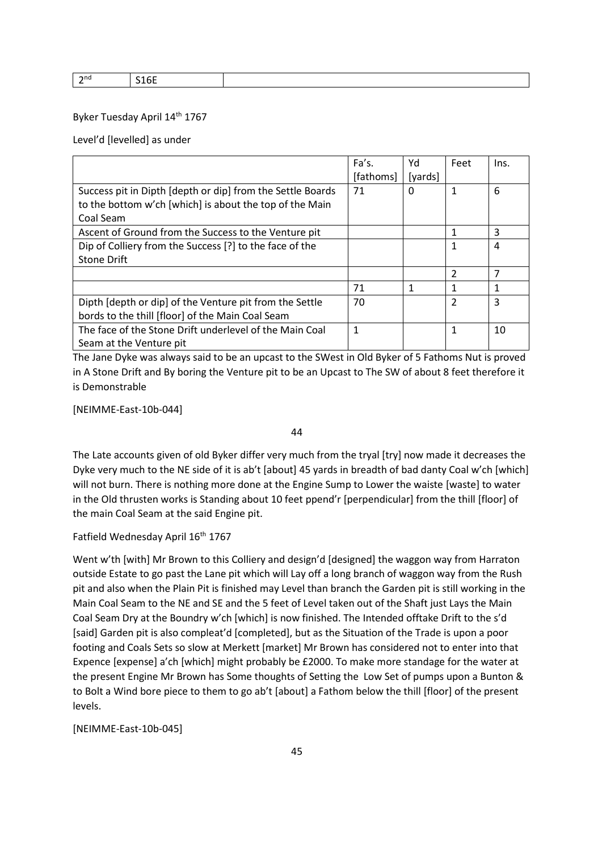| າ $n$ d<br>-<br>____ |
|----------------------|
|----------------------|

## Byker Tuesday April 14<sup>th</sup> 1767

Level'd [levelled] as under

|                                                            | Fa's.     | Yd      | Feet           | Ins. |
|------------------------------------------------------------|-----------|---------|----------------|------|
|                                                            | [fathoms] | [yards] |                |      |
| Success pit in Dipth [depth or dip] from the Settle Boards | 71        | 0       | 1              | 6    |
| to the bottom w'ch [which] is about the top of the Main    |           |         |                |      |
| Coal Seam                                                  |           |         |                |      |
| Ascent of Ground from the Success to the Venture pit       |           |         | 1              | 3    |
| Dip of Colliery from the Success [?] to the face of the    |           |         | 1              | 4    |
| <b>Stone Drift</b>                                         |           |         |                |      |
|                                                            |           |         | $\mathfrak{p}$ | 7    |
|                                                            | 71        | 1       | 1              | 1    |
| Dipth [depth or dip] of the Venture pit from the Settle    | 70        |         | $\overline{2}$ | 3    |
| bords to the thill [floor] of the Main Coal Seam           |           |         |                |      |
| The face of the Stone Drift underlevel of the Main Coal    | 1         |         | 1              | 10   |
| Seam at the Venture pit                                    |           |         |                |      |

The Jane Dyke was always said to be an upcast to the SWest in Old Byker of 5 Fathoms Nut is proved in A Stone Drift and By boring the Venture pit to be an Upcast to The SW of about 8 feet therefore it is Demonstrable

[NEIMME-East-10b-044]

44

The Late accounts given of old Byker differ very much from the tryal [try] now made it decreases the Dyke very much to the NE side of it is ab't [about] 45 yards in breadth of bad danty Coal w'ch [which] will not burn. There is nothing more done at the Engine Sump to Lower the waiste [waste] to water in the Old thrusten works is Standing about 10 feet ppend'r [perpendicular] from the thill [floor] of the main Coal Seam at the said Engine pit.

## Fatfield Wednesday April 16th 1767

Went w'th [with] Mr Brown to this Colliery and design'd [designed] the waggon way from Harraton outside Estate to go past the Lane pit which will Lay off a long branch of waggon way from the Rush pit and also when the Plain Pit is finished may Level than branch the Garden pit is still working in the Main Coal Seam to the NE and SE and the 5 feet of Level taken out of the Shaft just Lays the Main Coal Seam Dry at the Boundry w'ch [which] is now finished. The Intended offtake Drift to the s'd [said] Garden pit is also compleat'd [completed], but as the Situation of the Trade is upon a poor footing and Coals Sets so slow at Merkett [market] Mr Brown has considered not to enter into that Expence [expense] a'ch [which] might probably be £2000. To make more standage for the water at the present Engine Mr Brown has Some thoughts of Setting the Low Set of pumps upon a Bunton & to Bolt a Wind bore piece to them to go ab't [about] a Fathom below the thill [floor] of the present levels.

[NEIMME-East-10b-045]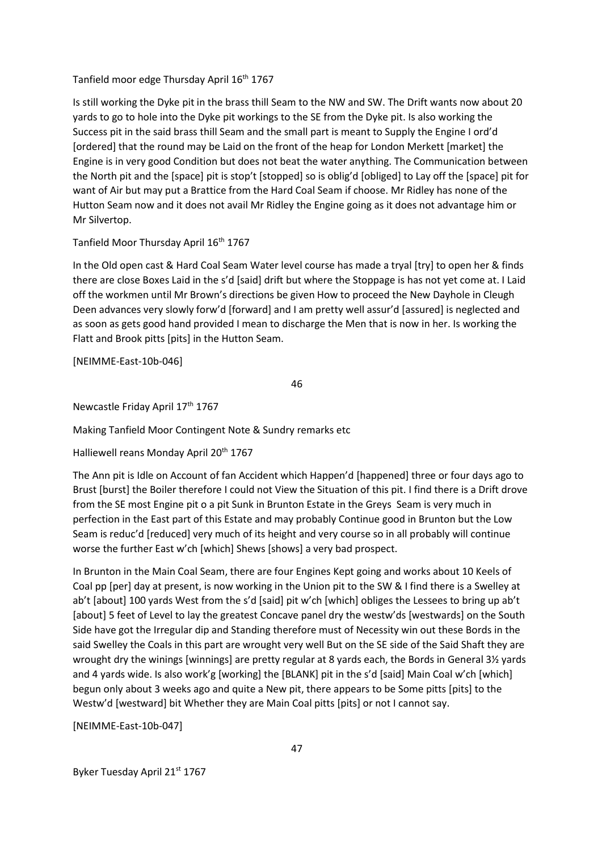### Tanfield moor edge Thursday April 16<sup>th</sup> 1767

Is still working the Dyke pit in the brass thill Seam to the NW and SW. The Drift wants now about 20 yards to go to hole into the Dyke pit workings to the SE from the Dyke pit. Is also working the Success pit in the said brass thill Seam and the small part is meant to Supply the Engine I ord'd [ordered] that the round may be Laid on the front of the heap for London Merkett [market] the Engine is in very good Condition but does not beat the water anything. The Communication between the North pit and the [space] pit is stop't [stopped] so is oblig'd [obliged] to Lay off the [space] pit for want of Air but may put a Brattice from the Hard Coal Seam if choose. Mr Ridley has none of the Hutton Seam now and it does not avail Mr Ridley the Engine going as it does not advantage him or Mr Silvertop.

## Tanfield Moor Thursday April 16<sup>th</sup> 1767

In the Old open cast & Hard Coal Seam Water level course has made a tryal [try] to open her & finds there are close Boxes Laid in the s'd [said] drift but where the Stoppage is has not yet come at. I Laid off the workmen until Mr Brown's directions be given How to proceed the New Dayhole in Cleugh Deen advances very slowly forw'd [forward] and I am pretty well assur'd [assured] is neglected and as soon as gets good hand provided I mean to discharge the Men that is now in her. Is working the Flatt and Brook pitts [pits] in the Hutton Seam.

### [NEIMME-East-10b-046]

46

Newcastle Friday April 17th 1767

Making Tanfield Moor Contingent Note & Sundry remarks etc

Halliewell reans Monday April 20<sup>th</sup> 1767

The Ann pit is Idle on Account of fan Accident which Happen'd [happened] three or four days ago to Brust [burst] the Boiler therefore I could not View the Situation of this pit. I find there is a Drift drove from the SE most Engine pit o a pit Sunk in Brunton Estate in the Greys Seam is very much in perfection in the East part of this Estate and may probably Continue good in Brunton but the Low Seam is reduc'd [reduced] very much of its height and very course so in all probably will continue worse the further East w'ch [which] Shews [shows] a very bad prospect.

In Brunton in the Main Coal Seam, there are four Engines Kept going and works about 10 Keels of Coal pp [per] day at present, is now working in the Union pit to the SW & I find there is a Swelley at ab't [about] 100 yards West from the s'd [said] pit w'ch [which] obliges the Lessees to bring up ab't [about] 5 feet of Level to lay the greatest Concave panel dry the westw'ds [westwards] on the South Side have got the Irregular dip and Standing therefore must of Necessity win out these Bords in the said Swelley the Coals in this part are wrought very well But on the SE side of the Said Shaft they are wrought dry the winings [winnings] are pretty regular at 8 yards each, the Bords in General 3½ yards and 4 yards wide. Is also work'g [working] the [BLANK] pit in the s'd [said] Main Coal w'ch [which] begun only about 3 weeks ago and quite a New pit, there appears to be Some pitts [pits] to the Westw'd [westward] bit Whether they are Main Coal pitts [pits] or not I cannot say.

[NEIMME-East-10b-047]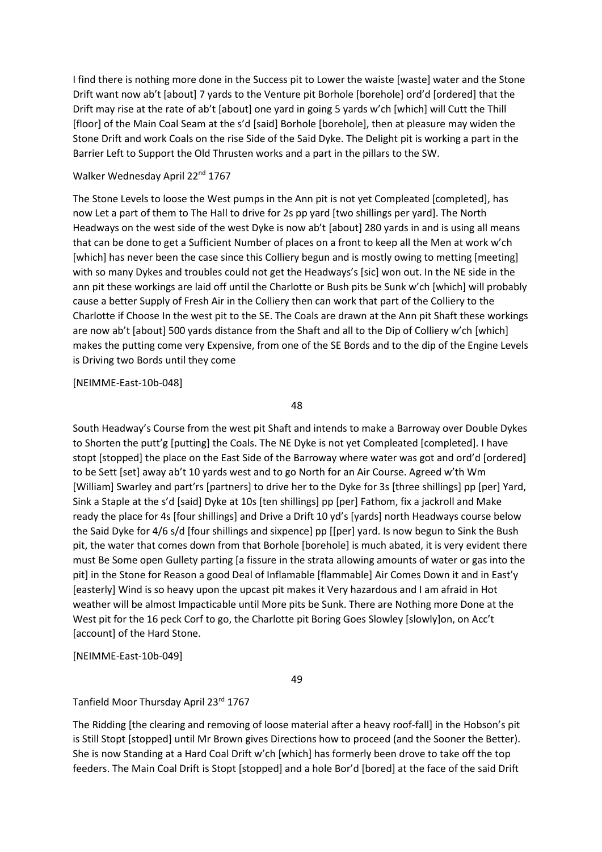I find there is nothing more done in the Success pit to Lower the waiste [waste] water and the Stone Drift want now ab't [about] 7 yards to the Venture pit Borhole [borehole] ord'd [ordered] that the Drift may rise at the rate of ab't [about] one yard in going 5 yards w'ch [which] will Cutt the Thill [floor] of the Main Coal Seam at the s'd [said] Borhole [borehole], then at pleasure may widen the Stone Drift and work Coals on the rise Side of the Said Dyke. The Delight pit is working a part in the Barrier Left to Support the Old Thrusten works and a part in the pillars to the SW.

## Walker Wednesday April 22<sup>nd</sup> 1767

The Stone Levels to loose the West pumps in the Ann pit is not yet Compleated [completed], has now Let a part of them to The Hall to drive for 2s pp yard [two shillings per yard]. The North Headways on the west side of the west Dyke is now ab't [about] 280 yards in and is using all means that can be done to get a Sufficient Number of places on a front to keep all the Men at work w'ch [which] has never been the case since this Colliery begun and is mostly owing to metting [meeting] with so many Dykes and troubles could not get the Headways's [sic] won out. In the NE side in the ann pit these workings are laid off until the Charlotte or Bush pits be Sunk w'ch [which] will probably cause a better Supply of Fresh Air in the Colliery then can work that part of the Colliery to the Charlotte if Choose In the west pit to the SE. The Coals are drawn at the Ann pit Shaft these workings are now ab't [about] 500 yards distance from the Shaft and all to the Dip of Colliery w'ch [which] makes the putting come very Expensive, from one of the SE Bords and to the dip of the Engine Levels is Driving two Bords until they come

[NEIMME-East-10b-048]

48

South Headway's Course from the west pit Shaft and intends to make a Barroway over Double Dykes to Shorten the putt'g [putting] the Coals. The NE Dyke is not yet Compleated [completed]. I have stopt [stopped] the place on the East Side of the Barroway where water was got and ord'd [ordered] to be Sett [set] away ab't 10 yards west and to go North for an Air Course. Agreed w'th Wm [William] Swarley and part'rs [partners] to drive her to the Dyke for 3s [three shillings] pp [per] Yard, Sink a Staple at the s'd [said] Dyke at 10s [ten shillings] pp [per] Fathom, fix a jackroll and Make ready the place for 4s [four shillings] and Drive a Drift 10 yd's [yards] north Headways course below the Said Dyke for 4/6 s/d [four shillings and sixpence] pp [[per] yard. Is now begun to Sink the Bush pit, the water that comes down from that Borhole [borehole] is much abated, it is very evident there must Be Some open Gullety parting [a fissure in the strata allowing amounts of water or gas into the pit] in the Stone for Reason a good Deal of Inflamable [flammable] Air Comes Down it and in East'y [easterly] Wind is so heavy upon the upcast pit makes it Very hazardous and I am afraid in Hot weather will be almost Impacticable until More pits be Sunk. There are Nothing more Done at the West pit for the 16 peck Corf to go, the Charlotte pit Boring Goes Slowley [slowly]on, on Acc't [account] of the Hard Stone.

[NEIMME-East-10b-049]

49

Tanfield Moor Thursday April 23rd 1767

The Ridding [the clearing and removing of loose material after a heavy roof-fall] in the Hobson's pit is Still Stopt [stopped] until Mr Brown gives Directions how to proceed (and the Sooner the Better). She is now Standing at a Hard Coal Drift w'ch [which] has formerly been drove to take off the top feeders. The Main Coal Drift is Stopt [stopped] and a hole Bor'd [bored] at the face of the said Drift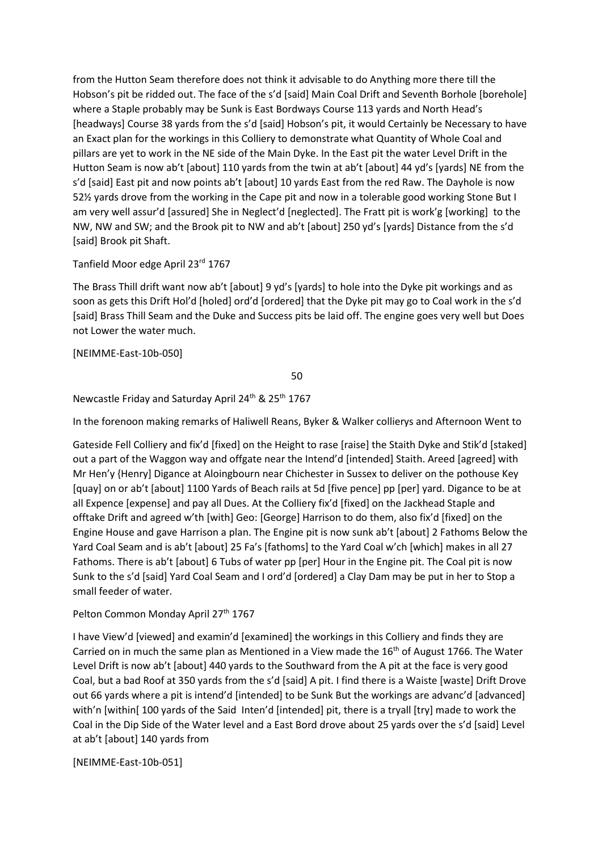from the Hutton Seam therefore does not think it advisable to do Anything more there till the Hobson's pit be ridded out. The face of the s'd [said] Main Coal Drift and Seventh Borhole [borehole] where a Staple probably may be Sunk is East Bordways Course 113 yards and North Head's [headways] Course 38 yards from the s'd [said] Hobson's pit, it would Certainly be Necessary to have an Exact plan for the workings in this Colliery to demonstrate what Quantity of Whole Coal and pillars are yet to work in the NE side of the Main Dyke. In the East pit the water Level Drift in the Hutton Seam is now ab't [about] 110 yards from the twin at ab't [about] 44 yd's [yards] NE from the s'd [said] East pit and now points ab't [about] 10 yards East from the red Raw. The Dayhole is now 52½ yards drove from the working in the Cape pit and now in a tolerable good working Stone But I am very well assur'd [assured] She in Neglect'd [neglected]. The Fratt pit is work'g [working] to the NW, NW and SW; and the Brook pit to NW and ab't [about] 250 yd's [yards] Distance from the s'd [said] Brook pit Shaft.

## Tanfield Moor edge April 23rd 1767

The Brass Thill drift want now ab't [about] 9 yd's [yards] to hole into the Dyke pit workings and as soon as gets this Drift Hol'd [holed] ord'd [ordered] that the Dyke pit may go to Coal work in the s'd [said] Brass Thill Seam and the Duke and Success pits be laid off. The engine goes very well but Does not Lower the water much.

[NEIMME-East-10b-050]

50

Newcastle Friday and Saturday April 24<sup>th</sup> & 25<sup>th</sup> 1767

In the forenoon making remarks of Haliwell Reans, Byker & Walker collierys and Afternoon Went to

Gateside Fell Colliery and fix'd [fixed] on the Height to rase [raise] the Staith Dyke and Stik'd [staked] out a part of the Waggon way and offgate near the Intend'd [intended] Staith. Areed [agreed] with Mr Hen'y {Henry] Digance at Aloingbourn near Chichester in Sussex to deliver on the pothouse Key [quay] on or ab't [about] 1100 Yards of Beach rails at 5d [five pence] pp [per] yard. Digance to be at all Expence [expense] and pay all Dues. At the Colliery fix'd [fixed] on the Jackhead Staple and offtake Drift and agreed w'th [with] Geo: [George] Harrison to do them, also fix'd [fixed] on the Engine House and gave Harrison a plan. The Engine pit is now sunk ab't [about] 2 Fathoms Below the Yard Coal Seam and is ab't [about] 25 Fa's [fathoms] to the Yard Coal w'ch [which] makes in all 27 Fathoms. There is ab't [about] 6 Tubs of water pp [per] Hour in the Engine pit. The Coal pit is now Sunk to the s'd [said] Yard Coal Seam and I ord'd [ordered] a Clay Dam may be put in her to Stop a small feeder of water.

## Pelton Common Monday April 27<sup>th</sup> 1767

I have View'd [viewed] and examin'd [examined] the workings in this Colliery and finds they are Carried on in much the same plan as Mentioned in a View made the  $16<sup>th</sup>$  of August 1766. The Water Level Drift is now ab't [about] 440 yards to the Southward from the A pit at the face is very good Coal, but a bad Roof at 350 yards from the s'd [said] A pit. I find there is a Waiste [waste] Drift Drove out 66 yards where a pit is intend'd [intended] to be Sunk But the workings are advanc'd [advanced] with'n [within] 100 yards of the Said Inten'd [intended] pit, there is a tryall [try] made to work the Coal in the Dip Side of the Water level and a East Bord drove about 25 yards over the s'd [said] Level at ab't [about] 140 yards from

[NEIMME-East-10b-051]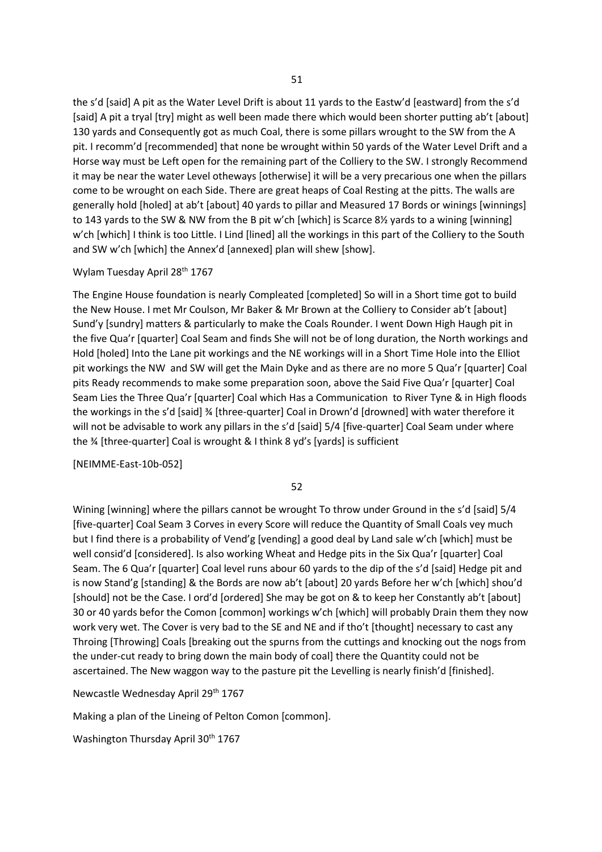the s'd [said] A pit as the Water Level Drift is about 11 yards to the Eastw'd [eastward] from the s'd [said] A pit a tryal [try] might as well been made there which would been shorter putting ab't [about] 130 yards and Consequently got as much Coal, there is some pillars wrought to the SW from the A pit. I recomm'd [recommended] that none be wrought within 50 yards of the Water Level Drift and a Horse way must be Left open for the remaining part of the Colliery to the SW. I strongly Recommend it may be near the water Level otheways [otherwise] it will be a very precarious one when the pillars come to be wrought on each Side. There are great heaps of Coal Resting at the pitts. The walls are generally hold [holed] at ab't [about] 40 yards to pillar and Measured 17 Bords or winings [winnings] to 143 yards to the SW & NW from the B pit w'ch [which] is Scarce 8½ yards to a wining [winning] w'ch [which] I think is too Little. I Lind [lined] all the workings in this part of the Colliery to the South and SW w'ch [which] the Annex'd [annexed] plan will shew [show].

### Wylam Tuesday April 28<sup>th</sup> 1767

The Engine House foundation is nearly Compleated [completed] So will in a Short time got to build the New House. I met Mr Coulson, Mr Baker & Mr Brown at the Colliery to Consider ab't [about] Sund'y [sundry] matters & particularly to make the Coals Rounder. I went Down High Haugh pit in the five Qua'r [quarter] Coal Seam and finds She will not be of long duration, the North workings and Hold [holed] Into the Lane pit workings and the NE workings will in a Short Time Hole into the Elliot pit workings the NW and SW will get the Main Dyke and as there are no more 5 Qua'r [quarter] Coal pits Ready recommends to make some preparation soon, above the Said Five Qua'r [quarter] Coal Seam Lies the Three Qua'r [quarter] Coal which Has a Communication to River Tyne & in High floods the workings in the s'd [said] ¾ [three-quarter] Coal in Drown'd [drowned] with water therefore it will not be advisable to work any pillars in the s'd [said] 5/4 [five-quarter] Coal Seam under where the ¾ [three-quarter] Coal is wrought & I think 8 yd's [yards] is sufficient

[NEIMME-East-10b-052]

52

Wining [winning] where the pillars cannot be wrought To throw under Ground in the s'd [said] 5/4 [five-quarter] Coal Seam 3 Corves in every Score will reduce the Quantity of Small Coals vey much but I find there is a probability of Vend'g [vending] a good deal by Land sale w'ch [which] must be well consid'd [considered]. Is also working Wheat and Hedge pits in the Six Qua'r [quarter] Coal Seam. The 6 Qua'r [quarter] Coal level runs abour 60 yards to the dip of the s'd [said] Hedge pit and is now Stand'g [standing] & the Bords are now ab't [about] 20 yards Before her w'ch [which] shou'd [should] not be the Case. I ord'd [ordered] She may be got on & to keep her Constantly ab't [about] 30 or 40 yards befor the Comon [common] workings w'ch [which] will probably Drain them they now work very wet. The Cover is very bad to the SE and NE and if tho't [thought] necessary to cast any Throing [Throwing] Coals [breaking out the spurns from the cuttings and knocking out the nogs from the under-cut ready to bring down the main body of coal] there the Quantity could not be ascertained. The New waggon way to the pasture pit the Levelling is nearly finish'd [finished].

Newcastle Wednesday April 29th 1767

Making a plan of the Lineing of Pelton Comon [common].

Washington Thursday April 30<sup>th</sup> 1767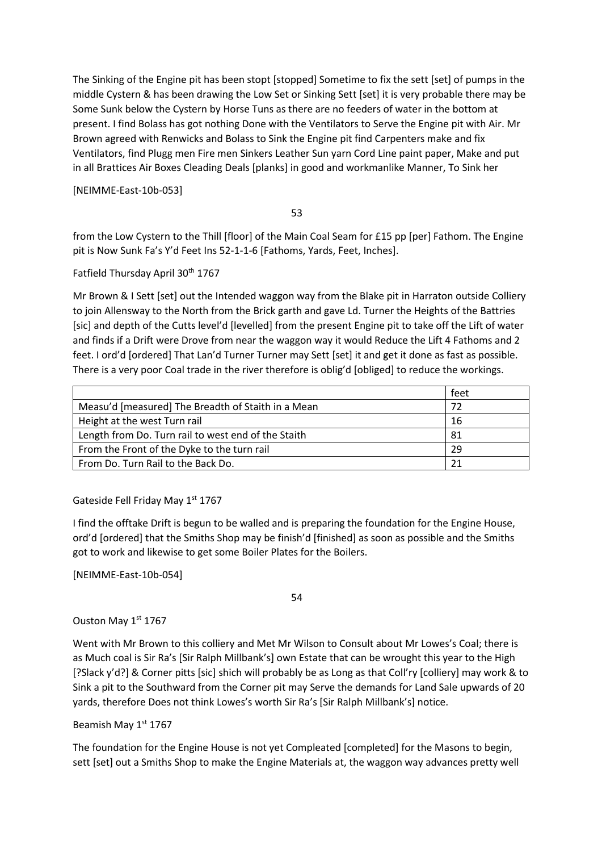The Sinking of the Engine pit has been stopt [stopped] Sometime to fix the sett [set] of pumps in the middle Cystern & has been drawing the Low Set or Sinking Sett [set] it is very probable there may be Some Sunk below the Cystern by Horse Tuns as there are no feeders of water in the bottom at present. I find Bolass has got nothing Done with the Ventilators to Serve the Engine pit with Air. Mr Brown agreed with Renwicks and Bolass to Sink the Engine pit find Carpenters make and fix Ventilators, find Plugg men Fire men Sinkers Leather Sun yarn Cord Line paint paper, Make and put in all Brattices Air Boxes Cleading Deals [planks] in good and workmanlike Manner, To Sink her

[NEIMME-East-10b-053]

53

from the Low Cystern to the Thill [floor] of the Main Coal Seam for £15 pp [per] Fathom. The Engine pit is Now Sunk Fa's Y'd Feet Ins 52-1-1-6 [Fathoms, Yards, Feet, Inches].

Fatfield Thursday April 30th 1767

Mr Brown & I Sett [set] out the Intended waggon way from the Blake pit in Harraton outside Colliery to join Allensway to the North from the Brick garth and gave Ld. Turner the Heights of the Battries [sic] and depth of the Cutts level'd [levelled] from the present Engine pit to take off the Lift of water and finds if a Drift were Drove from near the waggon way it would Reduce the Lift 4 Fathoms and 2 feet. I ord'd [ordered] That Lan'd Turner Turner may Sett [set] it and get it done as fast as possible. There is a very poor Coal trade in the river therefore is oblig'd [obliged] to reduce the workings.

|                                                     | feet |
|-----------------------------------------------------|------|
| Measu'd [measured] The Breadth of Staith in a Mean  | 72   |
| Height at the west Turn rail                        | 16   |
| Length from Do. Turn rail to west end of the Staith | 81   |
| From the Front of the Dyke to the turn rail         | 29   |
| From Do. Turn Rail to the Back Do.                  | 21   |

Gateside Fell Friday May 1st 1767

I find the offtake Drift is begun to be walled and is preparing the foundation for the Engine House, ord'd [ordered] that the Smiths Shop may be finish'd [finished] as soon as possible and the Smiths got to work and likewise to get some Boiler Plates for the Boilers.

[NEIMME-East-10b-054]

54

### Ouston May 1st 1767

Went with Mr Brown to this colliery and Met Mr Wilson to Consult about Mr Lowes's Coal; there is as Much coal is Sir Ra's [Sir Ralph Millbank's] own Estate that can be wrought this year to the High [?Slack y'd?] & Corner pitts [sic] shich will probably be as Long as that Coll'ry [colliery] may work & to Sink a pit to the Southward from the Corner pit may Serve the demands for Land Sale upwards of 20 yards, therefore Does not think Lowes's worth Sir Ra's [Sir Ralph Millbank's] notice.

Beamish May 1st 1767

The foundation for the Engine House is not yet Compleated [completed] for the Masons to begin, sett [set] out a Smiths Shop to make the Engine Materials at, the waggon way advances pretty well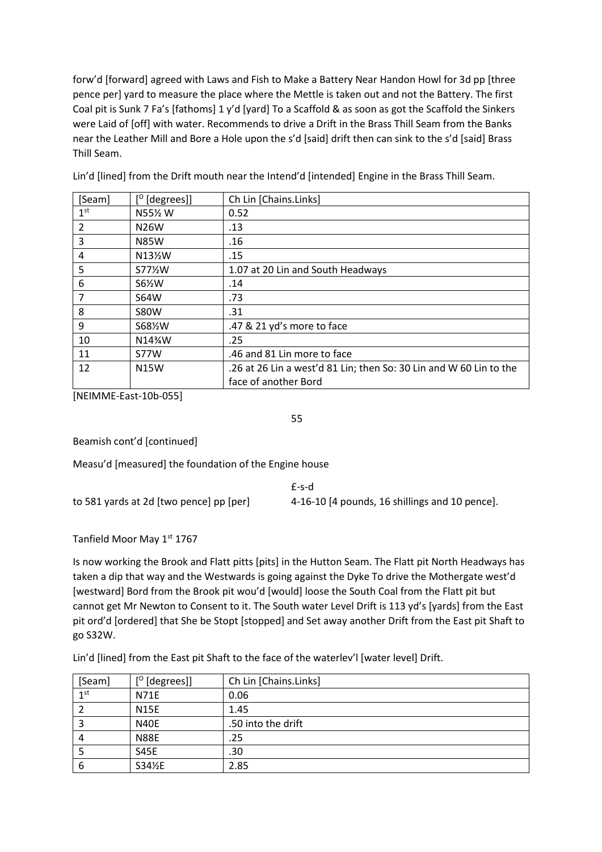forw'd [forward] agreed with Laws and Fish to Make a Battery Near Handon Howl for 3d pp [three pence per] yard to measure the place where the Mettle is taken out and not the Battery. The first Coal pit is Sunk 7 Fa's [fathoms] 1 y'd [yard] To a Scaffold & as soon as got the Scaffold the Sinkers were Laid of [off] with water. Recommends to drive a Drift in the Brass Thill Seam from the Banks near the Leather Mill and Bore a Hole upon the s'd [said] drift then can sink to the s'd [said] Brass Thill Seam.

| [Seam]          | [degrees]]          | Ch Lin [Chains.Links]                                              |
|-----------------|---------------------|--------------------------------------------------------------------|
| 1 <sup>st</sup> | N55½ W              | 0.52                                                               |
| $\overline{2}$  | N26W                | .13                                                                |
| 3               | <b>N85W</b>         | .16                                                                |
| 4               | $N13\frac{1}{2}W$   | .15                                                                |
| 5               | S77 <sup>/2</sup> W | 1.07 at 20 Lin and South Headways                                  |
| 6               | S61/2W              | .14                                                                |
| 7               | <b>S64W</b>         | .73                                                                |
| 8               | <b>S80W</b>         | .31                                                                |
| 9               | S68 <sup>%</sup> W  | .47 & 21 yd's more to face                                         |
| 10              | $N14\%$ W           | .25                                                                |
| 11              | S77W                | .46 and 81 Lin more to face                                        |
| 12              | <b>N15W</b>         | .26 at 26 Lin a west'd 81 Lin; then So: 30 Lin and W 60 Lin to the |
|                 |                     | face of another Bord                                               |

Lin'd [lined] from the Drift mouth near the Intend'd [intended] Engine in the Brass Thill Seam.

[NEIMME-East-10b-055]

55

Beamish cont'd [continued]

Measu'd [measured] the foundation of the Engine house

£-s-d to 581 yards at 2d [two pence] pp [per] 4-16-10 [4 pounds, 16 shillings and 10 pence].

Tanfield Moor May 1st 1767

Is now working the Brook and Flatt pitts [pits] in the Hutton Seam. The Flatt pit North Headways has taken a dip that way and the Westwards is going against the Dyke To drive the Mothergate west'd [westward] Bord from the Brook pit wou'd [would] loose the South Coal from the Flatt pit but cannot get Mr Newton to Consent to it. The South water Level Drift is 113 yd's [yards] from the East pit ord'd [ordered] that She be Stopt [stopped] and Set away another Drift from the East pit Shaft to go S32W.

| [Seam]          | $[°$ [degrees]] | Ch Lin [Chains.Links] |
|-----------------|-----------------|-----------------------|
| 1 <sup>st</sup> | <b>N71E</b>     | 0.06                  |
|                 | <b>N15E</b>     | 1.45                  |
| 3               | N40E            | .50 into the drift    |
| 4               | <b>N88E</b>     | .25                   |
|                 | <b>S45E</b>     | .30                   |
| 6               | S341/2E         | 2.85                  |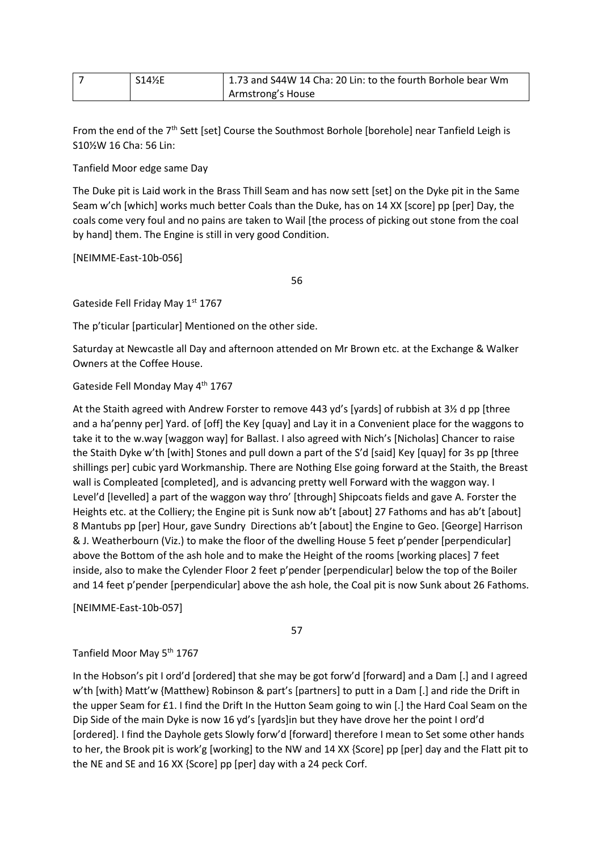| S14 <sup>%E</sup> | 1.73 and S44W 14 Cha: 20 Lin: to the fourth Borhole bear Wm |
|-------------------|-------------------------------------------------------------|
|                   | Armstrong's House                                           |

From the end of the 7<sup>th</sup> Sett [set] Course the Southmost Borhole [borehole] near Tanfield Leigh is S10½W 16 Cha: 56 Lin:

### Tanfield Moor edge same Day

The Duke pit is Laid work in the Brass Thill Seam and has now sett [set] on the Dyke pit in the Same Seam w'ch [which] works much better Coals than the Duke, has on 14 XX [score] pp [per] Day, the coals come very foul and no pains are taken to Wail [the process of picking out stone from the coal by hand] them. The Engine is still in very good Condition.

[NEIMME-East-10b-056]

56

Gateside Fell Friday May 1st 1767

The p'ticular [particular] Mentioned on the other side.

Saturday at Newcastle all Day and afternoon attended on Mr Brown etc. at the Exchange & Walker Owners at the Coffee House.

Gateside Fell Monday May 4<sup>th</sup> 1767

At the Staith agreed with Andrew Forster to remove 443 yd's [yards] of rubbish at 3½ d pp [three and a ha'penny per] Yard. of [off] the Key [quay] and Lay it in a Convenient place for the waggons to take it to the w.way [waggon way] for Ballast. I also agreed with Nich's [Nicholas] Chancer to raise the Staith Dyke w'th [with] Stones and pull down a part of the S'd [said] Key [quay] for 3s pp [three shillings per] cubic yard Workmanship. There are Nothing Else going forward at the Staith, the Breast wall is Compleated [completed], and is advancing pretty well Forward with the waggon way. I Level'd [levelled] a part of the waggon way thro' [through] Shipcoats fields and gave A. Forster the Heights etc. at the Colliery; the Engine pit is Sunk now ab't [about] 27 Fathoms and has ab't [about] 8 Mantubs pp [per] Hour, gave Sundry Directions ab't [about] the Engine to Geo. [George] Harrison & J. Weatherbourn (Viz.) to make the floor of the dwelling House 5 feet p'pender [perpendicular] above the Bottom of the ash hole and to make the Height of the rooms [working places] 7 feet inside, also to make the Cylender Floor 2 feet p'pender [perpendicular] below the top of the Boiler and 14 feet p'pender [perpendicular] above the ash hole, the Coal pit is now Sunk about 26 Fathoms.

[NEIMME-East-10b-057]

57

Tanfield Moor May 5th 1767

In the Hobson's pit I ord'd [ordered] that she may be got forw'd [forward] and a Dam [.] and I agreed w'th [with} Matt'w {Matthew} Robinson & part's [partners] to putt in a Dam [.] and ride the Drift in the upper Seam for £1. I find the Drift In the Hutton Seam going to win [.] the Hard Coal Seam on the Dip Side of the main Dyke is now 16 yd's [yards]in but they have drove her the point I ord'd [ordered]. I find the Dayhole gets Slowly forw'd [forward] therefore I mean to Set some other hands to her, the Brook pit is work'g [working] to the NW and 14 XX {Score] pp [per] day and the Flatt pit to the NE and SE and 16 XX {Score] pp [per] day with a 24 peck Corf.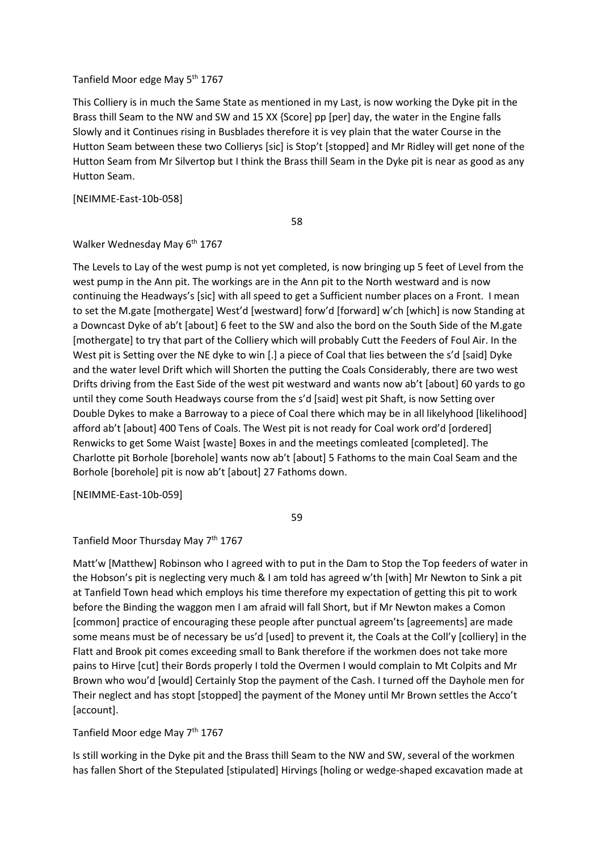### Tanfield Moor edge May 5<sup>th</sup> 1767

This Colliery is in much the Same State as mentioned in my Last, is now working the Dyke pit in the Brass thill Seam to the NW and SW and 15 XX {Score] pp [per] day, the water in the Engine falls Slowly and it Continues rising in Busblades therefore it is vey plain that the water Course in the Hutton Seam between these two Collierys [sic] is Stop't [stopped] and Mr Ridley will get none of the Hutton Seam from Mr Silvertop but I think the Brass thill Seam in the Dyke pit is near as good as any Hutton Seam.

[NEIMME-East-10b-058]

58

## Walker Wednesday May 6<sup>th</sup> 1767

The Levels to Lay of the west pump is not yet completed, is now bringing up 5 feet of Level from the west pump in the Ann pit. The workings are in the Ann pit to the North westward and is now continuing the Headways's [sic] with all speed to get a Sufficient number places on a Front. I mean to set the M.gate [mothergate] West'd [westward] forw'd [forward] w'ch [which] is now Standing at a Downcast Dyke of ab't [about] 6 feet to the SW and also the bord on the South Side of the M.gate [mothergate] to try that part of the Colliery which will probably Cutt the Feeders of Foul Air. In the West pit is Setting over the NE dyke to win [.] a piece of Coal that lies between the s'd [said] Dyke and the water level Drift which will Shorten the putting the Coals Considerably, there are two west Drifts driving from the East Side of the west pit westward and wants now ab't [about] 60 yards to go until they come South Headways course from the s'd [said] west pit Shaft, is now Setting over Double Dykes to make a Barroway to a piece of Coal there which may be in all likelyhood [likelihood] afford ab't [about] 400 Tens of Coals. The West pit is not ready for Coal work ord'd [ordered] Renwicks to get Some Waist [waste] Boxes in and the meetings comleated [completed]. The Charlotte pit Borhole [borehole] wants now ab't [about] 5 Fathoms to the main Coal Seam and the Borhole [borehole] pit is now ab't [about] 27 Fathoms down.

[NEIMME-East-10b-059]

59

Tanfield Moor Thursday May 7<sup>th</sup> 1767

Matt'w [Matthew] Robinson who I agreed with to put in the Dam to Stop the Top feeders of water in the Hobson's pit is neglecting very much & I am told has agreed w'th [with] Mr Newton to Sink a pit at Tanfield Town head which employs his time therefore my expectation of getting this pit to work before the Binding the waggon men I am afraid will fall Short, but if Mr Newton makes a Comon [common] practice of encouraging these people after punctual agreem'ts [agreements] are made some means must be of necessary be us'd [used] to prevent it, the Coals at the Coll'y [colliery] in the Flatt and Brook pit comes exceeding small to Bank therefore if the workmen does not take more pains to Hirve [cut] their Bords properly I told the Overmen I would complain to Mt Colpits and Mr Brown who wou'd [would] Certainly Stop the payment of the Cash. I turned off the Dayhole men for Their neglect and has stopt [stopped] the payment of the Money until Mr Brown settles the Acco't [account].

Tanfield Moor edge May 7<sup>th</sup> 1767

Is still working in the Dyke pit and the Brass thill Seam to the NW and SW, several of the workmen has fallen Short of the Stepulated [stipulated] Hirvings [holing or wedge-shaped excavation made at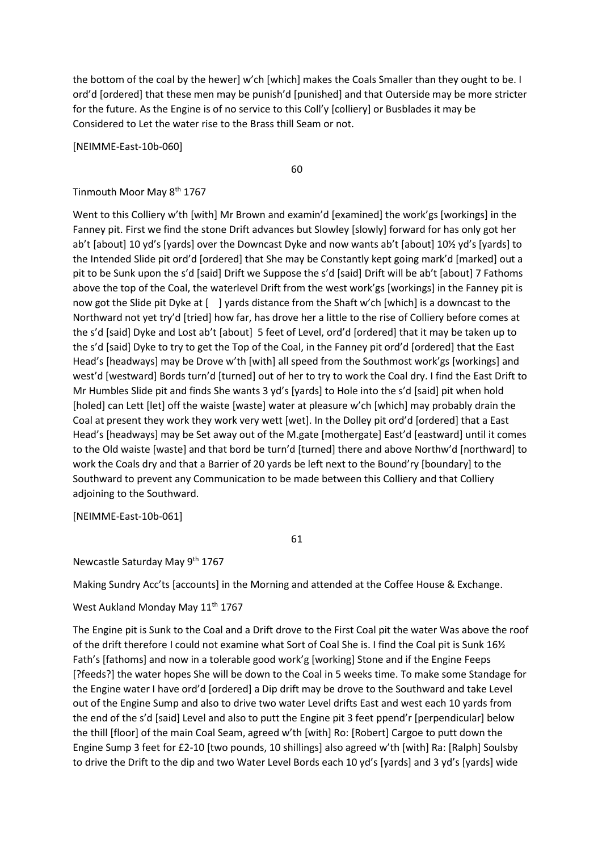the bottom of the coal by the hewer] w'ch [which] makes the Coals Smaller than they ought to be. I ord'd [ordered] that these men may be punish'd [punished] and that Outerside may be more stricter for the future. As the Engine is of no service to this Coll'y [colliery] or Busblades it may be Considered to Let the water rise to the Brass thill Seam or not.

[NEIMME-East-10b-060]

60

Tinmouth Moor May 8th 1767

Went to this Colliery w'th [with] Mr Brown and examin'd [examined] the work'gs [workings] in the Fanney pit. First we find the stone Drift advances but Slowley [slowly] forward for has only got her ab't [about] 10 yd's [yards] over the Downcast Dyke and now wants ab't [about] 10½ yd's [yards] to the Intended Slide pit ord'd [ordered] that She may be Constantly kept going mark'd [marked] out a pit to be Sunk upon the s'd [said] Drift we Suppose the s'd [said] Drift will be ab't [about] 7 Fathoms above the top of the Coal, the waterlevel Drift from the west work'gs [workings] in the Fanney pit is now got the Slide pit Dyke at [ ] yards distance from the Shaft w'ch [which] is a downcast to the Northward not yet try'd [tried] how far, has drove her a little to the rise of Colliery before comes at the s'd [said] Dyke and Lost ab't [about] 5 feet of Level, ord'd [ordered] that it may be taken up to the s'd [said] Dyke to try to get the Top of the Coal, in the Fanney pit ord'd [ordered] that the East Head's [headways] may be Drove w'th [with] all speed from the Southmost work'gs [workings] and west'd [westward] Bords turn'd [turned] out of her to try to work the Coal dry. I find the East Drift to Mr Humbles Slide pit and finds She wants 3 yd's [yards] to Hole into the s'd [said] pit when hold [holed] can Lett [let] off the waiste [waste] water at pleasure w'ch [which] may probably drain the Coal at present they work they work very wett [wet]. In the Dolley pit ord'd [ordered] that a East Head's [headways] may be Set away out of the M.gate [mothergate] East'd [eastward] until it comes to the Old waiste [waste] and that bord be turn'd [turned] there and above Northw'd [northward] to work the Coals dry and that a Barrier of 20 yards be left next to the Bound'ry [boundary] to the Southward to prevent any Communication to be made between this Colliery and that Colliery adjoining to the Southward.

[NEIMME-East-10b-061]

61

Newcastle Saturday May 9th 1767

Making Sundry Acc'ts [accounts] in the Morning and attended at the Coffee House & Exchange.

West Aukland Monday May 11<sup>th</sup> 1767

The Engine pit is Sunk to the Coal and a Drift drove to the First Coal pit the water Was above the roof of the drift therefore I could not examine what Sort of Coal She is. I find the Coal pit is Sunk 16½ Fath's [fathoms] and now in a tolerable good work'g [working] Stone and if the Engine Feeps [?feeds?] the water hopes She will be down to the Coal in 5 weeks time. To make some Standage for the Engine water I have ord'd [ordered] a Dip drift may be drove to the Southward and take Level out of the Engine Sump and also to drive two water Level drifts East and west each 10 yards from the end of the s'd [said] Level and also to putt the Engine pit 3 feet ppend'r [perpendicular] below the thill [floor] of the main Coal Seam, agreed w'th [with] Ro: [Robert] Cargoe to putt down the Engine Sump 3 feet for £2-10 [two pounds, 10 shillings] also agreed w'th [with] Ra: [Ralph] Soulsby to drive the Drift to the dip and two Water Level Bords each 10 yd's [yards] and 3 yd's [yards] wide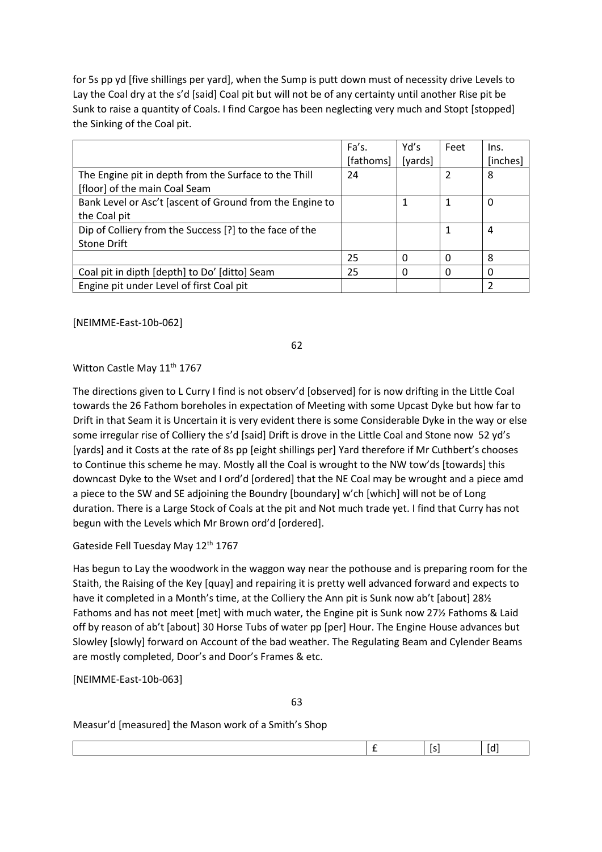for 5s pp yd [five shillings per yard], when the Sump is putt down must of necessity drive Levels to Lay the Coal dry at the s'd [said] Coal pit but will not be of any certainty until another Rise pit be Sunk to raise a quantity of Coals. I find Cargoe has been neglecting very much and Stopt [stopped] the Sinking of the Coal pit.

|                                                          | Fa's.     | Yd's     | Feet | Ins.          |
|----------------------------------------------------------|-----------|----------|------|---------------|
|                                                          | [fathoms] | [yards]  |      | [inches]      |
| The Engine pit in depth from the Surface to the Thill    | 24        |          | 2    | 8             |
| [floor] of the main Coal Seam                            |           |          |      |               |
| Bank Level or Asc't [ascent of Ground from the Engine to |           | 1        | 1    | 0             |
| the Coal pit                                             |           |          |      |               |
| Dip of Colliery from the Success [?] to the face of the  |           |          |      | 4             |
| <b>Stone Drift</b>                                       |           |          |      |               |
|                                                          | 25        | $\Omega$ | 0    | 8             |
| Coal pit in dipth [depth] to Do' [ditto] Seam            | 25        | $\Omega$ | 0    | 0             |
| Engine pit under Level of first Coal pit                 |           |          |      | $\mathfrak z$ |

[NEIMME-East-10b-062]

62

Witton Castle May 11<sup>th</sup> 1767

The directions given to L Curry I find is not observ'd [observed] for is now drifting in the Little Coal towards the 26 Fathom boreholes in expectation of Meeting with some Upcast Dyke but how far to Drift in that Seam it is Uncertain it is very evident there is some Considerable Dyke in the way or else some irregular rise of Colliery the s'd [said] Drift is drove in the Little Coal and Stone now 52 yd's [yards] and it Costs at the rate of 8s pp [eight shillings per] Yard therefore if Mr Cuthbert's chooses to Continue this scheme he may. Mostly all the Coal is wrought to the NW tow'ds [towards] this downcast Dyke to the Wset and I ord'd [ordered] that the NE Coal may be wrought and a piece amd a piece to the SW and SE adjoining the Boundry [boundary] w'ch [which] will not be of Long duration. There is a Large Stock of Coals at the pit and Not much trade yet. I find that Curry has not begun with the Levels which Mr Brown ord'd [ordered].

Gateside Fell Tuesday May 12<sup>th</sup> 1767

Has begun to Lay the woodwork in the waggon way near the pothouse and is preparing room for the Staith, the Raising of the Key [quay] and repairing it is pretty well advanced forward and expects to have it completed in a Month's time, at the Colliery the Ann pit is Sunk now ab't [about] 281/2 Fathoms and has not meet [met] with much water, the Engine pit is Sunk now 27½ Fathoms & Laid off by reason of ab't [about] 30 Horse Tubs of water pp [per] Hour. The Engine House advances but Slowley [slowly] forward on Account of the bad weather. The Regulating Beam and Cylender Beams are mostly completed, Door's and Door's Frames & etc.

[NEIMME-East-10b-063]

63

Measur'd [measured] the Mason work of a Smith's Shop

|  | ıa |
|--|----|
|  |    |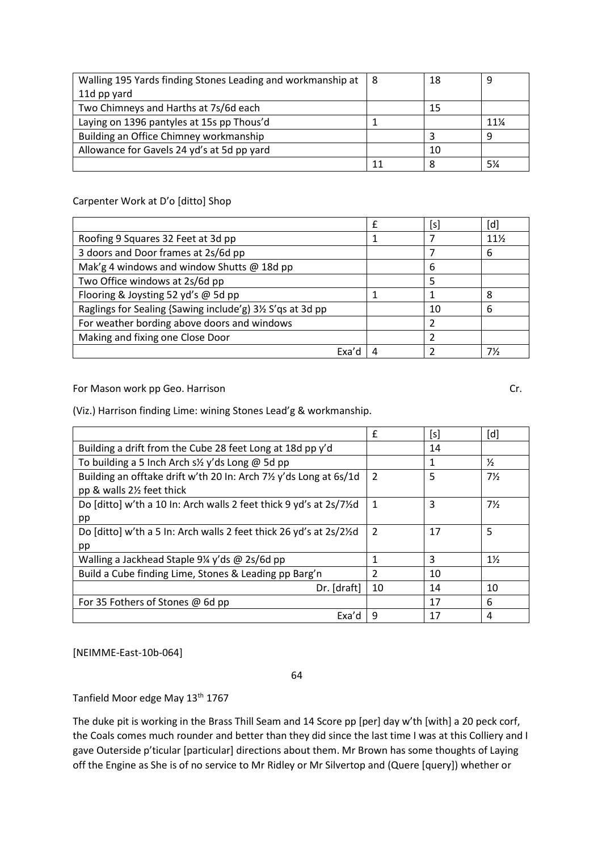| Walling 195 Yards finding Stones Leading and workmanship at | 8 | 18 | 9   |
|-------------------------------------------------------------|---|----|-----|
| 11d pp yard                                                 |   |    |     |
| Two Chimneys and Harths at 7s/6d each                       |   | 15 |     |
| Laying on 1396 pantyles at 15s pp Thous'd                   |   |    | 11% |
| Building an Office Chimney workmanship                      |   |    | q   |
| Allowance for Gavels 24 yd's at 5d pp yard                  |   | 10 |     |
|                                                             |   |    | 5¼  |

### Carpenter Work at D'o [ditto] Shop

|                                                            | f | [S] | [d]             |
|------------------------------------------------------------|---|-----|-----------------|
| Roofing 9 Squares 32 Feet at 3d pp                         |   |     | $11\frac{1}{2}$ |
| 3 doors and Door frames at 2s/6d pp                        |   |     | 6               |
| Mak'g 4 windows and window Shutts @ 18d pp                 |   | 6   |                 |
| Two Office windows at 2s/6d pp                             |   |     |                 |
| Flooring & Joysting 52 yd's @ 5d pp                        |   |     | 8               |
| Raglings for Sealing {Sawing include'g) 31/2 S'qs at 3d pp |   | 10  | 6               |
| For weather bording above doors and windows                |   |     |                 |
| Making and fixing one Close Door                           |   |     |                 |
| Exa'd                                                      |   |     | 7½              |

For Mason work pp Geo. Harrison Cr.

(Viz.) Harrison finding Lime: wining Stones Lead'g & workmanship.

|                                                                                             | £              | [s] | [d]            |
|---------------------------------------------------------------------------------------------|----------------|-----|----------------|
| Building a drift from the Cube 28 feet Long at 18d pp y'd                                   |                | 14  |                |
| To building a 5 Inch Arch s <sup>1/2</sup> y'ds Long @ 5d pp                                |                |     | $\frac{1}{2}$  |
| Building an offtake drift w'th 20 In: Arch 7 <sup>1</sup> / <sub>2</sub> y'ds Long at 6s/1d | $\overline{2}$ | 5   | $7\frac{1}{2}$ |
| pp & walls 21/2 feet thick                                                                  |                |     |                |
| Do [ditto] w'th a 10 In: Arch walls 2 feet thick 9 yd's at 2s/71/2d                         | $\mathbf 1$    | 3   | $7\frac{1}{2}$ |
| pp                                                                                          |                |     |                |
| Do [ditto] w'th a 5 In: Arch walls 2 feet thick 26 yd's at 2s/21/2d                         | $\overline{2}$ | 17  | 5              |
| pp                                                                                          |                |     |                |
| Walling a Jackhead Staple 9¼ y'ds @ 2s/6d pp                                                | 1              | 3   | $1\frac{1}{2}$ |
| Build a Cube finding Lime, Stones & Leading pp Barg'n                                       | $\mathfrak z$  | 10  |                |
| Dr. [draft]                                                                                 | 10             | 14  | 10             |
| For 35 Fothers of Stones $@$ 6d pp                                                          |                | 17  | 6              |
| Exa'd                                                                                       | 9              | 17  | 4              |

[NEIMME-East-10b-064]

64

Tanfield Moor edge May 13<sup>th</sup> 1767

The duke pit is working in the Brass Thill Seam and 14 Score pp [per] day w'th [with] a 20 peck corf, the Coals comes much rounder and better than they did since the last time I was at this Colliery and I gave Outerside p'ticular [particular] directions about them. Mr Brown has some thoughts of Laying off the Engine as She is of no service to Mr Ridley or Mr Silvertop and (Quere [query]) whether or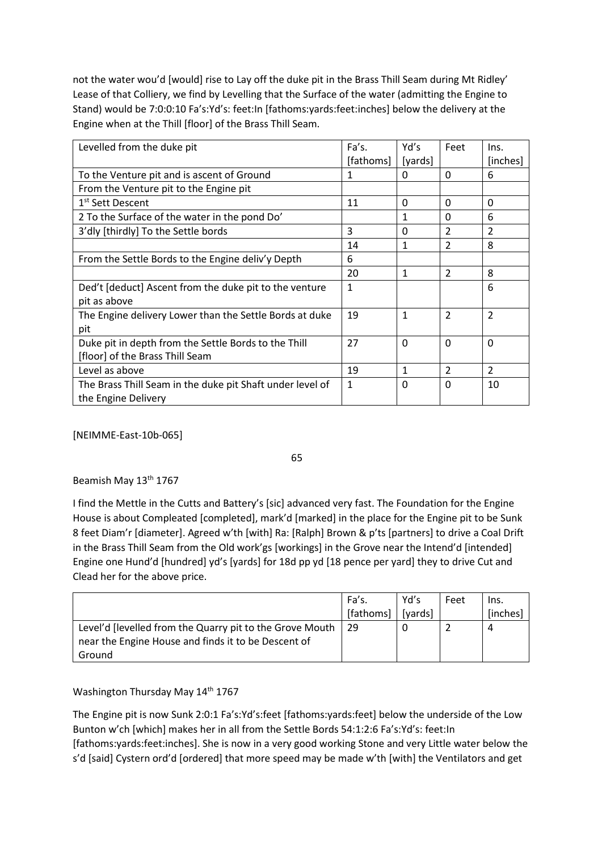not the water wou'd [would] rise to Lay off the duke pit in the Brass Thill Seam during Mt Ridley' Lease of that Colliery, we find by Levelling that the Surface of the water (admitting the Engine to Stand) would be 7:0:0:10 Fa's:Yd's: feet:In [fathoms:yards:feet:inches] below the delivery at the Engine when at the Thill [floor] of the Brass Thill Seam.

| Levelled from the duke pit                                | Fa's.     | Yd's         | Feet           | Ins.           |
|-----------------------------------------------------------|-----------|--------------|----------------|----------------|
|                                                           | [fathoms] | [yards]      |                | [inches]       |
| To the Venture pit and is ascent of Ground                | 1         | 0            | $\Omega$       | 6              |
| From the Venture pit to the Engine pit                    |           |              |                |                |
| 1 <sup>st</sup> Sett Descent                              | 11        | 0            | $\Omega$       | 0              |
| 2 To the Surface of the water in the pond Do'             |           | 1            | 0              | 6              |
| 3'dly [thirdly] To the Settle bords                       | 3         | $\Omega$     | $\mathfrak{p}$ | 2              |
|                                                           | 14        | 1            | $\overline{2}$ | 8              |
| From the Settle Bords to the Engine deliv'y Depth         | 6         |              |                |                |
|                                                           | 20        | 1            | $\overline{2}$ | 8              |
| Ded't [deduct] Ascent from the duke pit to the venture    | 1         |              |                | 6              |
| pit as above                                              |           |              |                |                |
| The Engine delivery Lower than the Settle Bords at duke   | 19        | $\mathbf{1}$ | $\overline{2}$ | $\overline{2}$ |
| pit                                                       |           |              |                |                |
| Duke pit in depth from the Settle Bords to the Thill      | 27        | $\Omega$     | $\Omega$       | $\Omega$       |
| [floor] of the Brass Thill Seam                           |           |              |                |                |
| Level as above                                            | 19        | $\mathbf{1}$ | $\overline{2}$ | $\overline{2}$ |
| The Brass Thill Seam in the duke pit Shaft under level of | 1         | 0            | 0              | 10             |
| the Engine Delivery                                       |           |              |                |                |

[NEIMME-East-10b-065]

65

### Beamish May 13<sup>th</sup> 1767

I find the Mettle in the Cutts and Battery's [sic] advanced very fast. The Foundation for the Engine House is about Compleated [completed], mark'd [marked] in the place for the Engine pit to be Sunk 8 feet Diam'r [diameter]. Agreed w'th [with] Ra: [Ralph] Brown & p'ts [partners] to drive a Coal Drift in the Brass Thill Seam from the Old work'gs [workings] in the Grove near the Intend'd [intended] Engine one Hund'd [hundred] yd's [yards] for 18d pp yd [18 pence per yard] they to drive Cut and Clead her for the above price.

|                                                          | Fa's.     | Yd's    | Feet | Ins.     |
|----------------------------------------------------------|-----------|---------|------|----------|
|                                                          | [fathoms] | [yards] |      | [inches] |
| Level'd [levelled from the Quarry pit to the Grove Mouth | 29        |         |      | 4        |
| near the Engine House and finds it to be Descent of      |           |         |      |          |
| Ground                                                   |           |         |      |          |

# Washington Thursday May 14<sup>th</sup> 1767

The Engine pit is now Sunk 2:0:1 Fa's:Yd's:feet [fathoms:yards:feet] below the underside of the Low Bunton w'ch [which] makes her in all from the Settle Bords 54:1:2:6 Fa's:Yd's: feet:In [fathoms:yards:feet:inches]. She is now in a very good working Stone and very Little water below the s'd [said] Cystern ord'd [ordered] that more speed may be made w'th [with] the Ventilators and get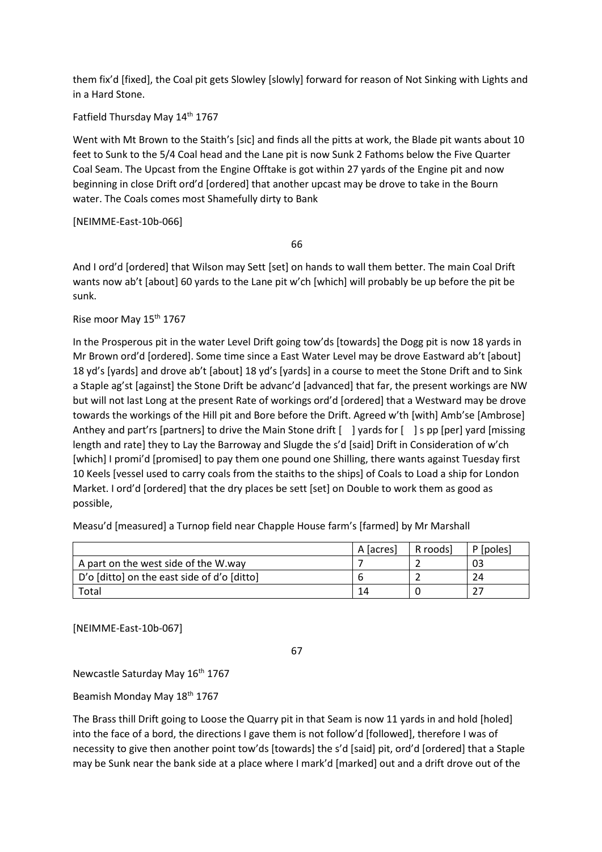them fix'd [fixed], the Coal pit gets Slowley [slowly] forward for reason of Not Sinking with Lights and in a Hard Stone.

Fatfield Thursday May 14th 1767

Went with Mt Brown to the Staith's [sic] and finds all the pitts at work, the Blade pit wants about 10 feet to Sunk to the 5/4 Coal head and the Lane pit is now Sunk 2 Fathoms below the Five Quarter Coal Seam. The Upcast from the Engine Offtake is got within 27 yards of the Engine pit and now beginning in close Drift ord'd [ordered] that another upcast may be drove to take in the Bourn water. The Coals comes most Shamefully dirty to Bank

### [NEIMME-East-10b-066]

66

And I ord'd [ordered] that Wilson may Sett [set] on hands to wall them better. The main Coal Drift wants now ab't [about] 60 yards to the Lane pit w'ch [which] will probably be up before the pit be sunk.

### Rise moor May 15<sup>th</sup> 1767

In the Prosperous pit in the water Level Drift going tow'ds [towards] the Dogg pit is now 18 yards in Mr Brown ord'd [ordered]. Some time since a East Water Level may be drove Eastward ab't [about] 18 yd's [yards] and drove ab't [about] 18 yd's [yards] in a course to meet the Stone Drift and to Sink a Staple ag'st [against] the Stone Drift be advanc'd [advanced] that far, the present workings are NW but will not last Long at the present Rate of workings ord'd [ordered] that a Westward may be drove towards the workings of the Hill pit and Bore before the Drift. Agreed w'th [with] Amb'se [Ambrose] Anthey and part'rs [partners] to drive the Main Stone drift [ ] yards for [ ] s pp [per] yard [missing length and rate] they to Lay the Barroway and Slugde the s'd [said] Drift in Consideration of w'ch [which] I promi'd [promised] to pay them one pound one Shilling, there wants against Tuesday first 10 Keels [vessel used to carry coals from the staiths to the ships] of Coals to Load a ship for London Market. I ord'd [ordered] that the dry places be sett [set] on Double to work them as good as possible,

Measu'd [measured] a Turnop field near Chapple House farm's [farmed] by Mr Marshall

|                                             | A lacres | R roodsl | P [poles] |
|---------------------------------------------|----------|----------|-----------|
| A part on the west side of the W.way        |          |          | 03        |
| D'o [ditto] on the east side of d'o [ditto] |          |          | 24        |
| Total                                       |          |          |           |

[NEIMME-East-10b-067]

67

Newcastle Saturday May 16<sup>th</sup> 1767

Beamish Monday May 18th 1767

The Brass thill Drift going to Loose the Quarry pit in that Seam is now 11 yards in and hold [holed] into the face of a bord, the directions I gave them is not follow'd [followed], therefore I was of necessity to give then another point tow'ds [towards] the s'd [said] pit, ord'd [ordered] that a Staple may be Sunk near the bank side at a place where I mark'd [marked] out and a drift drove out of the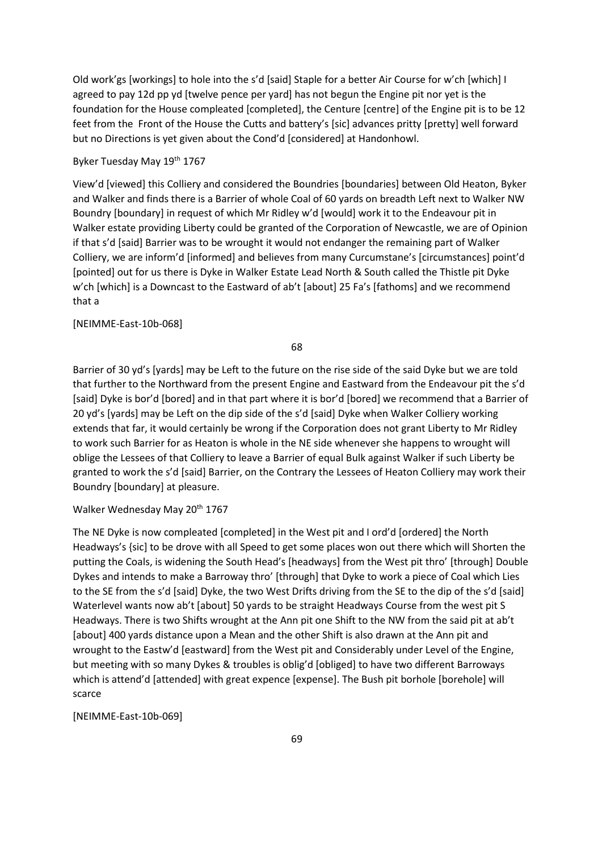Old work'gs [workings] to hole into the s'd [said] Staple for a better Air Course for w'ch [which] I agreed to pay 12d pp yd [twelve pence per yard] has not begun the Engine pit nor yet is the foundation for the House compleated [completed], the Centure [centre] of the Engine pit is to be 12 feet from the Front of the House the Cutts and battery's [sic] advances pritty [pretty] well forward but no Directions is yet given about the Cond'd [considered] at Handonhowl.

### Byker Tuesday May 19th 1767

View'd [viewed] this Colliery and considered the Boundries [boundaries] between Old Heaton, Byker and Walker and finds there is a Barrier of whole Coal of 60 yards on breadth Left next to Walker NW Boundry [boundary] in request of which Mr Ridley w'd [would] work it to the Endeavour pit in Walker estate providing Liberty could be granted of the Corporation of Newcastle, we are of Opinion if that s'd [said] Barrier was to be wrought it would not endanger the remaining part of Walker Colliery, we are inform'd [informed] and believes from many Curcumstane's [circumstances] point'd [pointed] out for us there is Dyke in Walker Estate Lead North & South called the Thistle pit Dyke w'ch [which] is a Downcast to the Eastward of ab't [about] 25 Fa's [fathoms] and we recommend that a

#### [NEIMME-East-10b-068]

68

Barrier of 30 yd's [yards] may be Left to the future on the rise side of the said Dyke but we are told that further to the Northward from the present Engine and Eastward from the Endeavour pit the s'd [said] Dyke is bor'd [bored] and in that part where it is bor'd [bored] we recommend that a Barrier of 20 yd's [yards] may be Left on the dip side of the s'd [said] Dyke when Walker Colliery working extends that far, it would certainly be wrong if the Corporation does not grant Liberty to Mr Ridley to work such Barrier for as Heaton is whole in the NE side whenever she happens to wrought will oblige the Lessees of that Colliery to leave a Barrier of equal Bulk against Walker if such Liberty be granted to work the s'd [said] Barrier, on the Contrary the Lessees of Heaton Colliery may work their Boundry [boundary] at pleasure.

# Walker Wednesday May 20<sup>th</sup> 1767

The NE Dyke is now compleated [completed] in the West pit and I ord'd [ordered] the North Headways's {sic] to be drove with all Speed to get some places won out there which will Shorten the putting the Coals, is widening the South Head's [headways] from the West pit thro' [through] Double Dykes and intends to make a Barroway thro' [through] that Dyke to work a piece of Coal which Lies to the SE from the s'd [said] Dyke, the two West Drifts driving from the SE to the dip of the s'd [said] Waterlevel wants now ab't [about] 50 yards to be straight Headways Course from the west pit S Headways. There is two Shifts wrought at the Ann pit one Shift to the NW from the said pit at ab't [about] 400 yards distance upon a Mean and the other Shift is also drawn at the Ann pit and wrought to the Eastw'd [eastward] from the West pit and Considerably under Level of the Engine, but meeting with so many Dykes & troubles is oblig'd [obliged] to have two different Barroways which is attend'd [attended] with great expence [expense]. The Bush pit borhole [borehole] will scarce

#### [NEIMME-East-10b-069]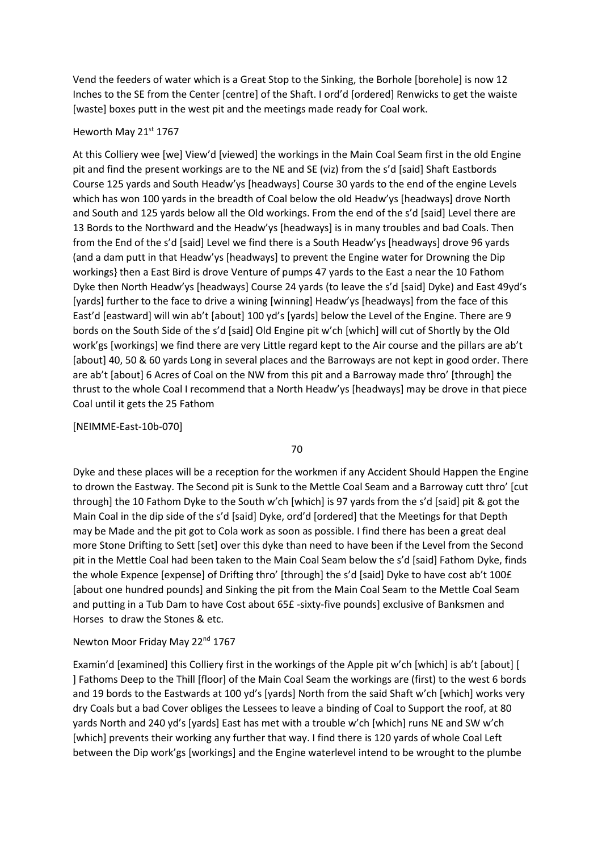Vend the feeders of water which is a Great Stop to the Sinking, the Borhole [borehole] is now 12 Inches to the SE from the Center [centre] of the Shaft. I ord'd [ordered] Renwicks to get the waiste [waste] boxes putt in the west pit and the meetings made ready for Coal work.

### Heworth May 21st 1767

At this Colliery wee [we] View'd [viewed] the workings in the Main Coal Seam first in the old Engine pit and find the present workings are to the NE and SE (viz) from the s'd [said] Shaft Eastbords Course 125 yards and South Headw'ys [headways] Course 30 yards to the end of the engine Levels which has won 100 yards in the breadth of Coal below the old Headw'ys [headways] drove North and South and 125 yards below all the Old workings. From the end of the s'd [said] Level there are 13 Bords to the Northward and the Headw'ys [headways] is in many troubles and bad Coals. Then from the End of the s'd [said] Level we find there is a South Headw'ys [headways] drove 96 yards (and a dam putt in that Headw'ys [headways] to prevent the Engine water for Drowning the Dip workings} then a East Bird is drove Venture of pumps 47 yards to the East a near the 10 Fathom Dyke then North Headw'ys [headways] Course 24 yards (to leave the s'd [said] Dyke) and East 49yd's [yards] further to the face to drive a wining [winning] Headw'ys [headways] from the face of this East'd [eastward] will win ab't [about] 100 yd's [yards] below the Level of the Engine. There are 9 bords on the South Side of the s'd [said] Old Engine pit w'ch [which] will cut of Shortly by the Old work'gs [workings] we find there are very Little regard kept to the Air course and the pillars are ab't [about] 40, 50 & 60 yards Long in several places and the Barroways are not kept in good order. There are ab't [about] 6 Acres of Coal on the NW from this pit and a Barroway made thro' [through] the thrust to the whole Coal I recommend that a North Headw'ys [headways] may be drove in that piece Coal until it gets the 25 Fathom

[NEIMME-East-10b-070]

70

Dyke and these places will be a reception for the workmen if any Accident Should Happen the Engine to drown the Eastway. The Second pit is Sunk to the Mettle Coal Seam and a Barroway cutt thro' [cut through] the 10 Fathom Dyke to the South w'ch [which] is 97 yards from the s'd [said] pit & got the Main Coal in the dip side of the s'd [said] Dyke, ord'd [ordered] that the Meetings for that Depth may be Made and the pit got to Cola work as soon as possible. I find there has been a great deal more Stone Drifting to Sett [set] over this dyke than need to have been if the Level from the Second pit in the Mettle Coal had been taken to the Main Coal Seam below the s'd [said] Fathom Dyke, finds the whole Expence [expense] of Drifting thro' [through] the s'd [said] Dyke to have cost ab't 100£ [about one hundred pounds] and Sinking the pit from the Main Coal Seam to the Mettle Coal Seam and putting in a Tub Dam to have Cost about 65£ -sixty-five pounds] exclusive of Banksmen and Horses to draw the Stones & etc.

# Newton Moor Friday May 22<sup>nd</sup> 1767

Examin'd [examined] this Colliery first in the workings of the Apple pit w'ch [which] is ab't [about] [ ] Fathoms Deep to the Thill [floor] of the Main Coal Seam the workings are (first) to the west 6 bords and 19 bords to the Eastwards at 100 yd's [yards] North from the said Shaft w'ch [which] works very dry Coals but a bad Cover obliges the Lessees to leave a binding of Coal to Support the roof, at 80 yards North and 240 yd's [yards] East has met with a trouble w'ch [which] runs NE and SW w'ch [which] prevents their working any further that way. I find there is 120 yards of whole Coal Left between the Dip work'gs [workings] and the Engine waterlevel intend to be wrought to the plumbe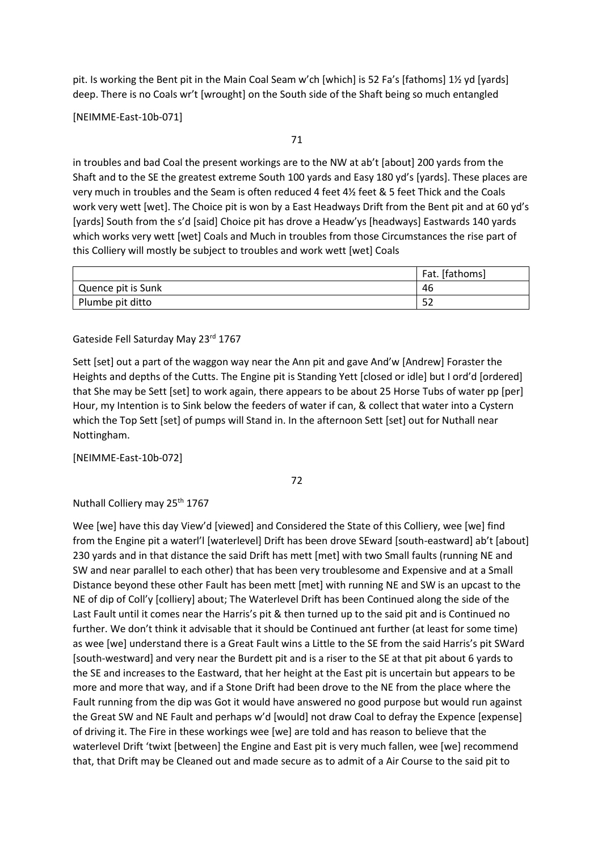pit. Is working the Bent pit in the Main Coal Seam w'ch [which] is 52 Fa's [fathoms] 1½ yd [yards] deep. There is no Coals wr't [wrought] on the South side of the Shaft being so much entangled

[NEIMME-East-10b-071]

### 71

in troubles and bad Coal the present workings are to the NW at ab't [about] 200 yards from the Shaft and to the SE the greatest extreme South 100 yards and Easy 180 yd's [yards]. These places are very much in troubles and the Seam is often reduced 4 feet 4½ feet & 5 feet Thick and the Coals work very wett [wet]. The Choice pit is won by a East Headways Drift from the Bent pit and at 60 yd's [yards] South from the s'd [said] Choice pit has drove a Headw'ys [headways] Eastwards 140 yards which works very wett [wet] Coals and Much in troubles from those Circumstances the rise part of this Colliery will mostly be subject to troubles and work wett [wet] Coals

|                    | Fat. [fathoms] |
|--------------------|----------------|
| Quence pit is Sunk | 46             |
| Plumbe pit ditto   | --<br>ے ر      |

Gateside Fell Saturday May 23rd 1767

Sett [set] out a part of the waggon way near the Ann pit and gave And'w [Andrew] Foraster the Heights and depths of the Cutts. The Engine pit is Standing Yett [closed or idle] but I ord'd [ordered] that She may be Sett [set] to work again, there appears to be about 25 Horse Tubs of water pp [per] Hour, my Intention is to Sink below the feeders of water if can, & collect that water into a Cystern which the Top Sett [set] of pumps will Stand in. In the afternoon Sett [set] out for Nuthall near Nottingham.

[NEIMME-East-10b-072]

72

Nuthall Colliery may 25<sup>th</sup> 1767

Wee [we] have this day View'd [viewed] and Considered the State of this Colliery, wee [we] find from the Engine pit a waterl'l [waterlevel] Drift has been drove SEward [south-eastward] ab't [about] 230 yards and in that distance the said Drift has mett [met] with two Small faults (running NE and SW and near parallel to each other) that has been very troublesome and Expensive and at a Small Distance beyond these other Fault has been mett [met] with running NE and SW is an upcast to the NE of dip of Coll'y [colliery] about; The Waterlevel Drift has been Continued along the side of the Last Fault until it comes near the Harris's pit & then turned up to the said pit and is Continued no further. We don't think it advisable that it should be Continued ant further (at least for some time) as wee [we] understand there is a Great Fault wins a Little to the SE from the said Harris's pit SWard [south-westward] and very near the Burdett pit and is a riser to the SE at that pit about 6 yards to the SE and increases to the Eastward, that her height at the East pit is uncertain but appears to be more and more that way, and if a Stone Drift had been drove to the NE from the place where the Fault running from the dip was Got it would have answered no good purpose but would run against the Great SW and NE Fault and perhaps w'd [would] not draw Coal to defray the Expence [expense] of driving it. The Fire in these workings wee [we] are told and has reason to believe that the waterlevel Drift 'twixt [between] the Engine and East pit is very much fallen, wee [we] recommend that, that Drift may be Cleaned out and made secure as to admit of a Air Course to the said pit to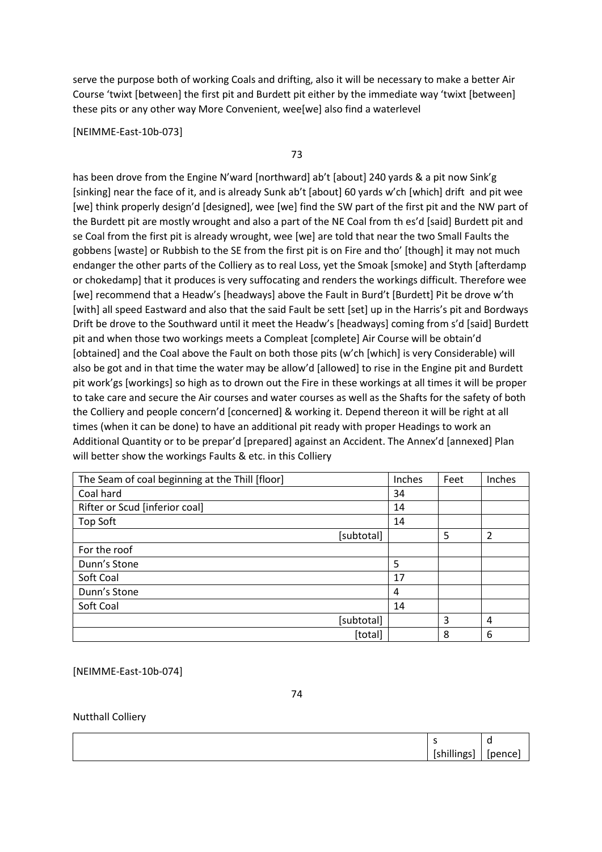serve the purpose both of working Coals and drifting, also it will be necessary to make a better Air Course 'twixt [between] the first pit and Burdett pit either by the immediate way 'twixt [between] these pits or any other way More Convenient, wee[we] also find a waterlevel

[NEIMME-East-10b-073]

73

has been drove from the Engine N'ward [northward] ab't [about] 240 yards & a pit now Sink'g [sinking] near the face of it, and is already Sunk ab't [about] 60 yards w'ch [which] drift and pit wee [we] think properly design'd [designed], wee [we] find the SW part of the first pit and the NW part of the Burdett pit are mostly wrought and also a part of the NE Coal from th es'd [said] Burdett pit and se Coal from the first pit is already wrought, wee [we] are told that near the two Small Faults the gobbens [waste] or Rubbish to the SE from the first pit is on Fire and tho' [though] it may not much endanger the other parts of the Colliery as to real Loss, yet the Smoak [smoke] and Styth [afterdamp or chokedamp] that it produces is very suffocating and renders the workings difficult. Therefore wee [we] recommend that a Headw's [headways] above the Fault in Burd't [Burdett] Pit be drove w'th [with] all speed Eastward and also that the said Fault be sett [set] up in the Harris's pit and Bordways Drift be drove to the Southward until it meet the Headw's [headways] coming from s'd [said] Burdett pit and when those two workings meets a Compleat [complete] Air Course will be obtain'd [obtained] and the Coal above the Fault on both those pits (w'ch [which] is very Considerable) will also be got and in that time the water may be allow'd [allowed] to rise in the Engine pit and Burdett pit work'gs [workings] so high as to drown out the Fire in these workings at all times it will be proper to take care and secure the Air courses and water courses as well as the Shafts for the safety of both the Colliery and people concern'd [concerned] & working it. Depend thereon it will be right at all times (when it can be done) to have an additional pit ready with proper Headings to work an Additional Quantity or to be prepar'd [prepared] against an Accident. The Annex'd [annexed] Plan will better show the workings Faults & etc. in this Colliery

| The Seam of coal beginning at the Thill [floor] | Inches | Feet | Inches |
|-------------------------------------------------|--------|------|--------|
| Coal hard                                       | 34     |      |        |
| Rifter or Scud [inferior coal]                  | 14     |      |        |
| Top Soft                                        | 14     |      |        |
| [subtotal]                                      |        | 5    | 2      |
| For the roof                                    |        |      |        |
| Dunn's Stone                                    | 5      |      |        |
| Soft Coal                                       | 17     |      |        |
| Dunn's Stone                                    | 4      |      |        |
| Soft Coal                                       | 14     |      |        |
| [subtotal]                                      |        | 3    | 4      |
| [total]                                         |        | 8    | 6      |

[NEIMME-East-10b-074]

74

### Nutthall Colliery

|                                                     | a            |
|-----------------------------------------------------|--------------|
| $\cdots$<br>$\sim$ -hillings $\sim$<br>,,,,,,,,,,,, | oence<br>. . |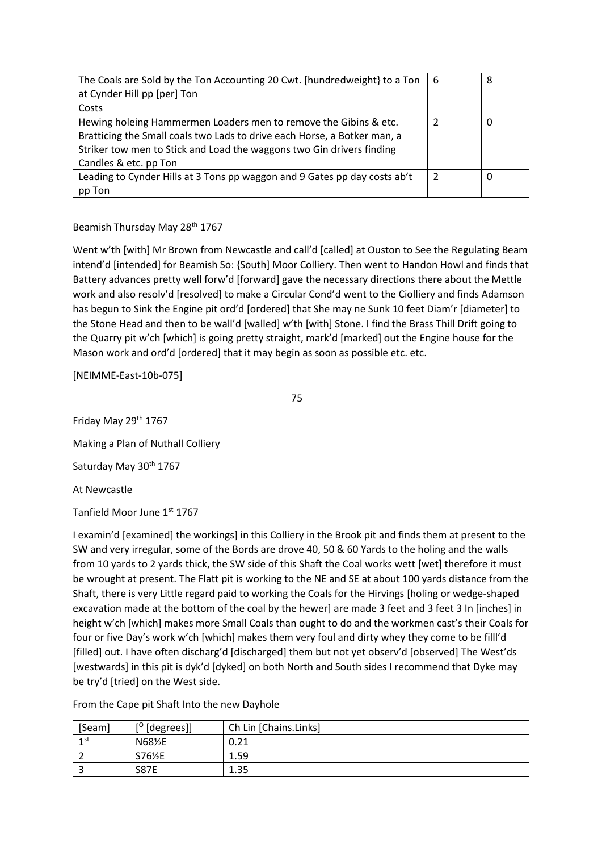| The Coals are Sold by the Ton Accounting 20 Cwt. [hundredweight] to a Ton | -6 | 8 |
|---------------------------------------------------------------------------|----|---|
| at Cynder Hill pp [per] Ton                                               |    |   |
| Costs                                                                     |    |   |
| Hewing holeing Hammermen Loaders men to remove the Gibins & etc.          |    | 0 |
| Bratticing the Small coals two Lads to drive each Horse, a Botker man, a  |    |   |
| Striker tow men to Stick and Load the waggons two Gin drivers finding     |    |   |
| Candles & etc. pp Ton                                                     |    |   |
| Leading to Cynder Hills at 3 Tons pp waggon and 9 Gates pp day costs ab't |    | 0 |
| pp Ton                                                                    |    |   |

# Beamish Thursday May 28<sup>th</sup> 1767

Went w'th [with] Mr Brown from Newcastle and call'd [called] at Ouston to See the Regulating Beam intend'd [intended] for Beamish So: {South] Moor Colliery. Then went to Handon Howl and finds that Battery advances pretty well forw'd [forward] gave the necessary directions there about the Mettle work and also resolv'd [resolved] to make a Circular Cond'd went to the Ciolliery and finds Adamson has begun to Sink the Engine pit ord'd [ordered] that She may ne Sunk 10 feet Diam'r [diameter] to the Stone Head and then to be wall'd [walled] w'th [with] Stone. I find the Brass Thill Drift going to the Quarry pit w'ch [which] is going pretty straight, mark'd [marked] out the Engine house for the Mason work and ord'd [ordered] that it may begin as soon as possible etc. etc.

[NEIMME-East-10b-075]

75

Friday May 29<sup>th</sup> 1767 Making a Plan of Nuthall Colliery Saturday May 30<sup>th</sup> 1767 At Newcastle Tanfield Moor June 1st 1767

I examin'd [examined] the workings] in this Colliery in the Brook pit and finds them at present to the SW and very irregular, some of the Bords are drove 40, 50 & 60 Yards to the holing and the walls from 10 yards to 2 yards thick, the SW side of this Shaft the Coal works wett [wet] therefore it must be wrought at present. The Flatt pit is working to the NE and SE at about 100 yards distance from the Shaft, there is very Little regard paid to working the Coals for the Hirvings [holing or wedge-shaped excavation made at the bottom of the coal by the hewer] are made 3 feet and 3 feet 3 In [inches] in height w'ch [which] makes more Small Coals than ought to do and the workmen cast's their Coals for four or five Day's work w'ch [which] makes them very foul and dirty whey they come to be filll'd [filled] out. I have often discharg'd [discharged] them but not yet observ'd [observed] The West'ds [westwards] in this pit is dyk'd [dyked] on both North and South sides I recommend that Dyke may be try'd [tried] on the West side.

| [Seam]          | $[°$ [degrees]] | Ch Lin [Chains.Links] |
|-----------------|-----------------|-----------------------|
| 1 <sub>st</sub> | N68½E           | 0.21                  |
|                 | S76½E           | 1.59                  |
|                 | <b>S87E</b>     | 1.35                  |

From the Cape pit Shaft Into the new Dayhole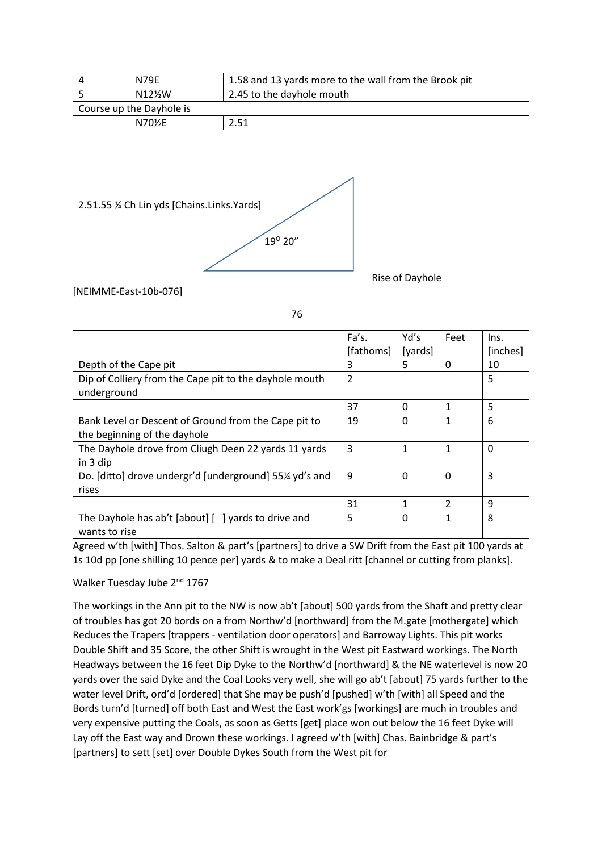|                          | N79E     | 1.58 and 13 yards more to the wall from the Brook pit |  |  |
|--------------------------|----------|-------------------------------------------------------|--|--|
|                          | $N12\%W$ | 2.45 to the dayhole mouth                             |  |  |
| Course up the Dayhole is |          |                                                       |  |  |
|                          | N70½E    | 2.51                                                  |  |  |



[NEIMME-East-10b-076]

76

|                                                        | Fa's.     | Yd's     | Feet                     | Ins.     |
|--------------------------------------------------------|-----------|----------|--------------------------|----------|
|                                                        | [fathoms] | [yards]  |                          | [inches] |
| Depth of the Cape pit                                  | 3         | 5        | $\Omega$                 | 10       |
| Dip of Colliery from the Cape pit to the dayhole mouth | 2         |          |                          | 5        |
| underground                                            |           |          |                          |          |
|                                                        | 37        | $\Omega$ | 1                        | 5        |
| Bank Level or Descent of Ground from the Cape pit to   | 19        | 0        | 1                        | 6        |
| the beginning of the dayhole                           |           |          |                          |          |
| The Dayhole drove from Cliugh Deen 22 yards 11 yards   | 3         | 1        | 1                        | 0        |
| in 3 dip                                               |           |          |                          |          |
| Do. [ditto] drove undergr'd [underground] 55% yd's and | 9         | 0        | 0                        | 3        |
| rises                                                  |           |          |                          |          |
|                                                        | 31        | 1        | $\overline{\phantom{a}}$ | 9        |
| The Dayhole has ab't [about] [ ] yards to drive and    | 5         | $\Omega$ | 1                        | 8        |
| wants to rise                                          |           |          |                          |          |

Agreed w'th [with] Thos. Salton & part's [partners] to drive a SW Drift from the East pit 100 yards at 1s 10d pp [one shilling 10 pence per] yards & to make a Deal ritt [channel or cutting from planks].

Walker Tuesday Jube 2<sup>nd</sup> 1767

The workings in the Ann pit to the NW is now ab't [about] 500 yards from the Shaft and pretty clear of troubles has got 20 bords on a from Northw'd [northward] from the M.gate [mothergate] which Reduces the Trapers [trappers - ventilation door operators] and Barroway Lights. This pit works Double Shift and 35 Score, the other Shift is wrought in the West pit Eastward workings. The North Headways between the 16 feet Dip Dyke to the Northw'd [northward] & the NE waterlevel is now 20 yards over the said Dyke and the Coal Looks very well, she will go ab't [about] 75 yards further to the water level Drift, ord'd [ordered] that She may be push'd [pushed] w'th [with] all Speed and the Bords turn'd [turned] off both East and West the East work'gs [workings] are much in troubles and very expensive putting the Coals, as soon as Getts [get] place won out below the 16 feet Dyke will Lay off the East way and Drown these workings. I agreed w'th [with] Chas. Bainbridge & part's [partners] to sett [set] over Double Dykes South from the West pit for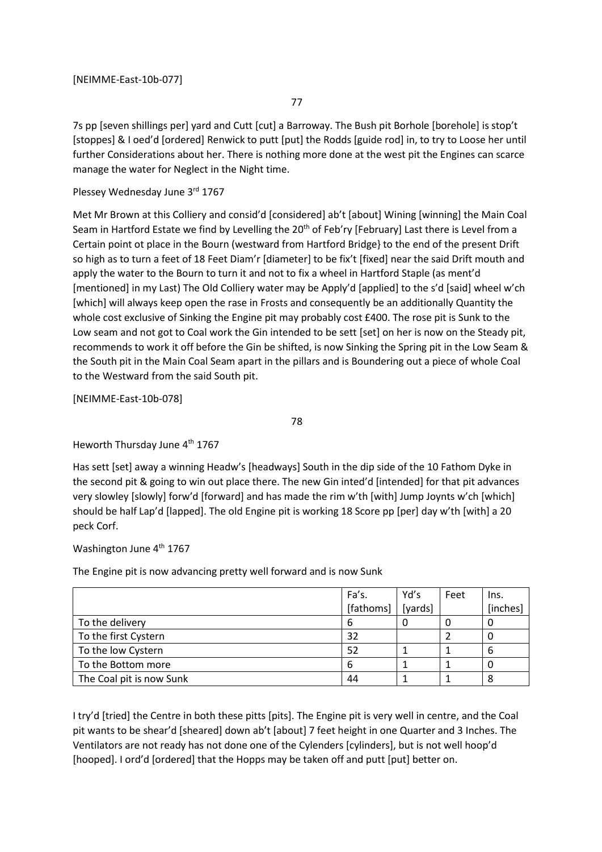### [NEIMME-East-10b-077]

7s pp [seven shillings per] yard and Cutt [cut] a Barroway. The Bush pit Borhole [borehole] is stop't [stoppes] & I oed'd [ordered] Renwick to putt [put] the Rodds [guide rod] in, to try to Loose her until further Considerations about her. There is nothing more done at the west pit the Engines can scarce manage the water for Neglect in the Night time.

#### Plessey Wednesday June 3rd 1767

Met Mr Brown at this Colliery and consid'd [considered] ab't [about] Wining [winning] the Main Coal Seam in Hartford Estate we find by Levelling the 20<sup>th</sup> of Feb'ry [February] Last there is Level from a Certain point ot place in the Bourn (westward from Hartford Bridge} to the end of the present Drift so high as to turn a feet of 18 Feet Diam'r [diameter] to be fix't [fixed] near the said Drift mouth and apply the water to the Bourn to turn it and not to fix a wheel in Hartford Staple (as ment'd [mentioned] in my Last) The Old Colliery water may be Apply'd [applied] to the s'd [said] wheel w'ch [which] will always keep open the rase in Frosts and consequently be an additionally Quantity the whole cost exclusive of Sinking the Engine pit may probably cost £400. The rose pit is Sunk to the Low seam and not got to Coal work the Gin intended to be sett [set] on her is now on the Steady pit, recommends to work it off before the Gin be shifted, is now Sinking the Spring pit in the Low Seam & the South pit in the Main Coal Seam apart in the pillars and is Boundering out a piece of whole Coal to the Westward from the said South pit.

[NEIMME-East-10b-078]

78

### Heworth Thursday June 4<sup>th</sup> 1767

Has sett [set] away a winning Headw's [headways] South in the dip side of the 10 Fathom Dyke in the second pit & going to win out place there. The new Gin inted'd [intended] for that pit advances very slowley [slowly] forw'd [forward] and has made the rim w'th [with] Jump Joynts w'ch [which] should be half Lap'd [lapped]. The old Engine pit is working 18 Score pp [per] day w'th [with] a 20 peck Corf.

#### Washington June 4<sup>th</sup> 1767

The Engine pit is now advancing pretty well forward and is now Sunk

|                          | Fa's.     | Yd's    | Feet | Ins.     |
|--------------------------|-----------|---------|------|----------|
|                          | [fathoms] | [yards] |      | [inches] |
| To the delivery          | n         | υ       |      |          |
| To the first Cystern     | 32        |         |      | U        |
| To the low Cystern       | 52        |         |      | 6        |
| To the Bottom more       |           |         |      |          |
| The Coal pit is now Sunk | 44        |         |      | 8        |

I try'd [tried] the Centre in both these pitts [pits]. The Engine pit is very well in centre, and the Coal pit wants to be shear'd [sheared] down ab't [about] 7 feet height in one Quarter and 3 Inches. The Ventilators are not ready has not done one of the Cylenders [cylinders], but is not well hoop'd [hooped]. I ord'd [ordered] that the Hopps may be taken off and putt [put] better on.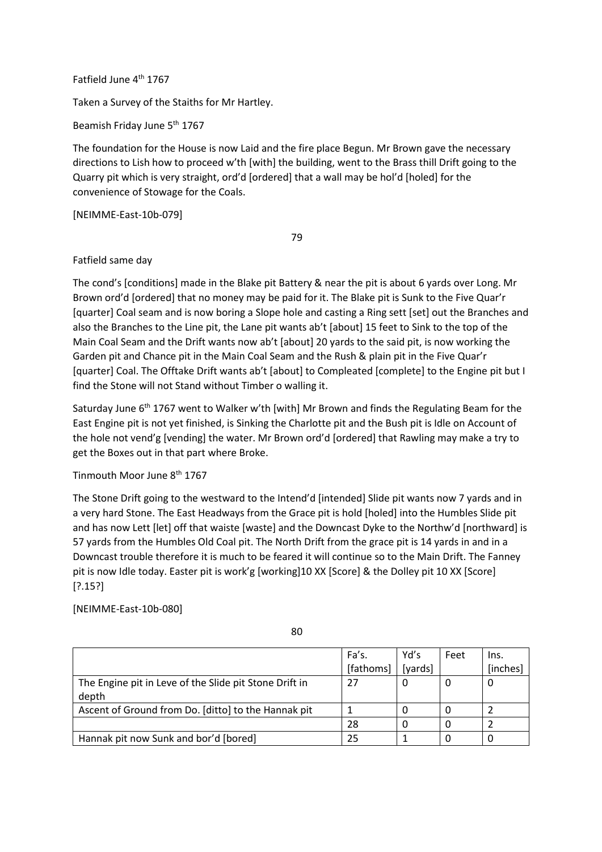Fatfield June 4<sup>th</sup> 1767

Taken a Survey of the Staiths for Mr Hartley.

Beamish Friday June 5<sup>th</sup> 1767

The foundation for the House is now Laid and the fire place Begun. Mr Brown gave the necessary directions to Lish how to proceed w'th [with] the building, went to the Brass thill Drift going to the Quarry pit which is very straight, ord'd [ordered] that a wall may be hol'd [holed] for the convenience of Stowage for the Coals.

[NEIMME-East-10b-079]

79

### Fatfield same day

The cond's [conditions] made in the Blake pit Battery & near the pit is about 6 yards over Long. Mr Brown ord'd [ordered] that no money may be paid for it. The Blake pit is Sunk to the Five Quar'r [quarter] Coal seam and is now boring a Slope hole and casting a Ring sett [set] out the Branches and also the Branches to the Line pit, the Lane pit wants ab't [about] 15 feet to Sink to the top of the Main Coal Seam and the Drift wants now ab't [about] 20 yards to the said pit, is now working the Garden pit and Chance pit in the Main Coal Seam and the Rush & plain pit in the Five Quar'r [quarter] Coal. The Offtake Drift wants ab't [about] to Compleated [complete] to the Engine pit but I find the Stone will not Stand without Timber o walling it.

Saturday June 6<sup>th</sup> 1767 went to Walker w'th [with] Mr Brown and finds the Regulating Beam for the East Engine pit is not yet finished, is Sinking the Charlotte pit and the Bush pit is Idle on Account of the hole not vend'g [vending] the water. Mr Brown ord'd [ordered] that Rawling may make a try to get the Boxes out in that part where Broke.

Tinmouth Moor June 8th 1767

The Stone Drift going to the westward to the Intend'd [intended] Slide pit wants now 7 yards and in a very hard Stone. The East Headways from the Grace pit is hold [holed] into the Humbles Slide pit and has now Lett [let] off that waiste [waste] and the Downcast Dyke to the Northw'd [northward] is 57 yards from the Humbles Old Coal pit. The North Drift from the grace pit is 14 yards in and in a Downcast trouble therefore it is much to be feared it will continue so to the Main Drift. The Fanney pit is now Idle today. Easter pit is work'g [working]10 XX [Score] & the Dolley pit 10 XX [Score] [?.15?]

### [NEIMME-East-10b-080]

|                                                                 | Fa's.<br>[fathoms] | Yd's<br>[yards] | Feet | Ins.<br>[inches] |
|-----------------------------------------------------------------|--------------------|-----------------|------|------------------|
| The Engine pit in Leve of the Slide pit Stone Drift in<br>depth | 27                 | 0               |      |                  |
| Ascent of Ground from Do. [ditto] to the Hannak pit             |                    |                 |      |                  |
|                                                                 | 28                 |                 |      |                  |
| Hannak pit now Sunk and bor'd [bored]                           | 25                 |                 |      |                  |

80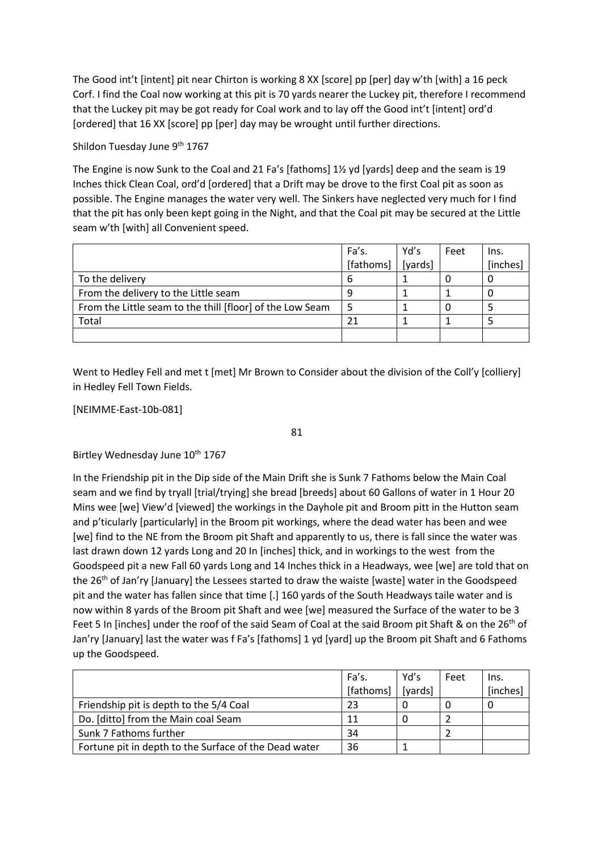The Good int't [intent] pit near Chirton is working 8 XX [score] pp [per] day w'th [with] a 16 peck Corf. I find the Coal now working at this pit is 70 yards nearer the Luckey pit, therefore I recommend that the Luckey pit may be got ready for Coal work and to lay off the Good int't [intent] ord'd [ordered] that 16 XX [score] pp [per] day may be wrought until further directions.

Shildon Tuesday June 9<sup>th</sup> 1767

The Engine is now Sunk to the Coal and 21 Fa's [fathoms] 1½ yd [yards] deep and the seam is 19 Inches thick Clean Coal, ord'd [ordered] that a Drift may be drove to the first Coal pit as soon as possible. The Engine manages the water very well. The Sinkers have neglected very much for I find that the pit has only been kept going in the Night, and that the Coal pit may be secured at the Little seam w'th [with] all Convenient speed.

|                                                           | Fa's.     | Yd's    | Feet | Ins.     |
|-----------------------------------------------------------|-----------|---------|------|----------|
|                                                           | [fathoms] | [yards] |      | [inches] |
| To the delivery                                           | ь         |         |      |          |
| From the delivery to the Little seam                      |           |         |      |          |
| From the Little seam to the thill [floor] of the Low Seam |           |         |      |          |
| Total                                                     | 21        |         |      |          |
|                                                           |           |         |      |          |

Went to Hedley Fell and met t [met] Mr Brown to Consider about the division of the Coll'y [colliery] in Hedley Fell Town Fields.

[NEIMME-East-10b-081]

81

Birtley Wednesday June 10<sup>th</sup> 1767

In the Friendship pit in the Dip side of the Main Drift she is Sunk 7 Fathoms below the Main Coal seam and we find by tryall [trial/trying] she bread [breeds] about 60 Gallons of water in 1 Hour 20 Mins wee [we] View'd [viewed] the workings in the Dayhole pit and Broom pitt in the Hutton seam and p'ticularly [particularly] in the Broom pit workings, where the dead water has been and wee [we] find to the NE from the Broom pit Shaft and apparently to us, there is fall since the water was last drawn down 12 yards Long and 20 In [inches] thick, and in workings to the west from the Goodspeed pit a new Fall 60 yards Long and 14 Inches thick in a Headways, wee [we] are told that on the 26<sup>th</sup> of Jan'ry [January] the Lessees started to draw the waiste [waste] water in the Goodspeed pit and the water has fallen since that time [.] 160 yards of the South Headways taile water and is now within 8 yards of the Broom pit Shaft and wee [we] measured the Surface of the water to be 3 Feet 5 In [inches] under the roof of the said Seam of Coal at the said Broom pit Shaft & on the 26<sup>th</sup> of Jan'ry [January] last the water was f Fa's [fathoms] 1 yd [yard] up the Broom pit Shaft and 6 Fathoms up the Goodspeed.

|                                                       | Fa's.     | Yd's    | Feet | Ins.     |
|-------------------------------------------------------|-----------|---------|------|----------|
|                                                       | [fathoms] | [yards] |      | [inches] |
| Friendship pit is depth to the 5/4 Coal               | 23        |         |      |          |
| Do. [ditto] from the Main coal Seam                   | 11        |         |      |          |
| Sunk 7 Fathoms further                                | 34        |         |      |          |
| Fortune pit in depth to the Surface of the Dead water | 36        |         |      |          |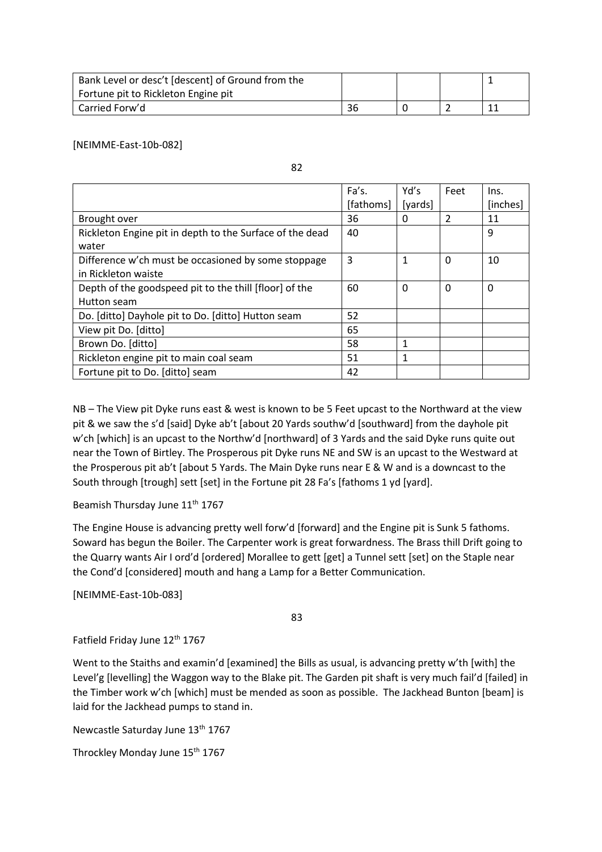| Bank Level or desc't [descent] of Ground from the |    |  |  |
|---------------------------------------------------|----|--|--|
| Fortune pit to Rickleton Engine pit               |    |  |  |
| Carried Forw'd                                    | 36 |  |  |

[NEIMME-East-10b-082]

| ٦             | ٠                    |
|---------------|----------------------|
| ۰.<br>۰,<br>٦ | I<br>۰,<br>۰.<br>. . |
| ×<br>۰,       |                      |

|                                                          | Fa's.<br>[fathoms] | Yd's<br>[yards] | Feet          | Ins.<br>[inches] |
|----------------------------------------------------------|--------------------|-----------------|---------------|------------------|
| Brought over                                             | 36                 | 0               | $\mathfrak z$ | 11               |
| Rickleton Engine pit in depth to the Surface of the dead | 40                 |                 |               | 9                |
| water                                                    |                    |                 |               |                  |
| Difference w'ch must be occasioned by some stoppage      | 3                  | 1               | 0             | 10               |
| in Rickleton waiste                                      |                    |                 |               |                  |
| Depth of the goodspeed pit to the thill [floor] of the   | 60                 | $\mathbf 0$     | 0             | 0                |
| Hutton seam                                              |                    |                 |               |                  |
| Do. [ditto] Dayhole pit to Do. [ditto] Hutton seam       | 52                 |                 |               |                  |
| View pit Do. [ditto]                                     | 65                 |                 |               |                  |
| Brown Do. [ditto]                                        | 58                 | 1               |               |                  |
| Rickleton engine pit to main coal seam                   | 51                 | 1               |               |                  |
| Fortune pit to Do. [ditto] seam                          | 42                 |                 |               |                  |

NB – The View pit Dyke runs east & west is known to be 5 Feet upcast to the Northward at the view pit & we saw the s'd [said] Dyke ab't [about 20 Yards southw'd [southward] from the dayhole pit w'ch [which] is an upcast to the Northw'd [northward] of 3 Yards and the said Dyke runs quite out near the Town of Birtley. The Prosperous pit Dyke runs NE and SW is an upcast to the Westward at the Prosperous pit ab't [about 5 Yards. The Main Dyke runs near E & W and is a downcast to the South through [trough] sett [set] in the Fortune pit 28 Fa's [fathoms 1 yd [yard].

Beamish Thursday June 11<sup>th</sup> 1767

The Engine House is advancing pretty well forw'd [forward] and the Engine pit is Sunk 5 fathoms. Soward has begun the Boiler. The Carpenter work is great forwardness. The Brass thill Drift going to the Quarry wants Air I ord'd [ordered] Morallee to gett [get] a Tunnel sett [set] on the Staple near the Cond'd [considered] mouth and hang a Lamp for a Better Communication.

[NEIMME-East-10b-083]

83

Fatfield Friday June 12<sup>th</sup> 1767

Went to the Staiths and examin'd [examined] the Bills as usual, is advancing pretty w'th [with] the Level'g [levelling] the Waggon way to the Blake pit. The Garden pit shaft is very much fail'd [failed] in the Timber work w'ch [which] must be mended as soon as possible. The Jackhead Bunton [beam] is laid for the Jackhead pumps to stand in.

Newcastle Saturday June 13th 1767

Throckley Monday June 15<sup>th</sup> 1767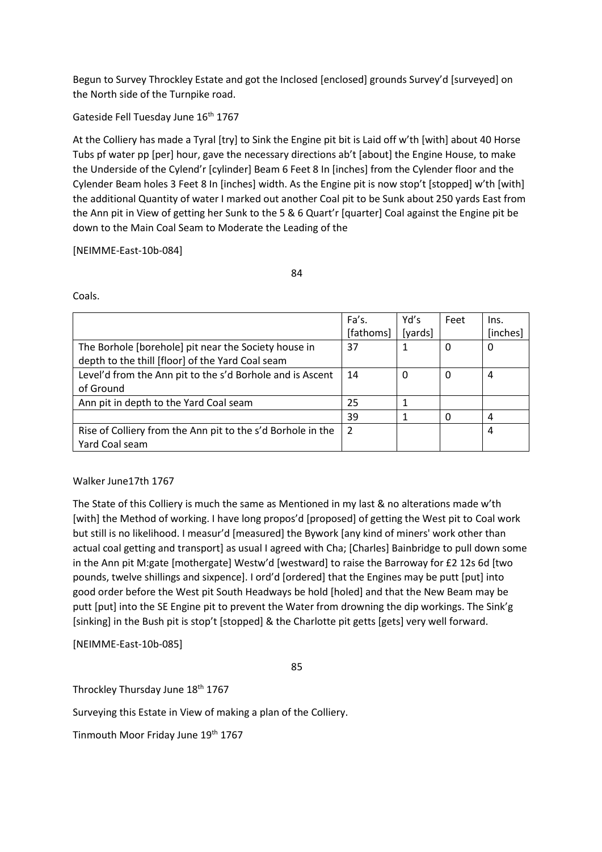Begun to Survey Throckley Estate and got the Inclosed [enclosed] grounds Survey'd [surveyed] on the North side of the Turnpike road.

Gateside Fell Tuesday June 16<sup>th</sup> 1767

At the Colliery has made a Tyral [try] to Sink the Engine pit bit is Laid off w'th [with] about 40 Horse Tubs pf water pp [per] hour, gave the necessary directions ab't [about] the Engine House, to make the Underside of the Cylend'r [cylinder] Beam 6 Feet 8 In [inches] from the Cylender floor and the Cylender Beam holes 3 Feet 8 In [inches] width. As the Engine pit is now stop't [stopped] w'th [with] the additional Quantity of water I marked out another Coal pit to be Sunk about 250 yards East from the Ann pit in View of getting her Sunk to the 5 & 6 Quart'r [quarter] Coal against the Engine pit be down to the Main Coal Seam to Moderate the Leading of the

[NEIMME-East-10b-084]

84

Coals.

|                                                             | Fa's.          | Yd's    | Feet | Ins.     |
|-------------------------------------------------------------|----------------|---------|------|----------|
|                                                             | [fathoms]      | [yards] |      | [inches] |
| The Borhole [borehole] pit near the Society house in        | 37             |         | 0    | 0        |
| depth to the thill [floor] of the Yard Coal seam            |                |         |      |          |
| Level'd from the Ann pit to the s'd Borhole and is Ascent   | 14             | 0       | 0    | 4        |
| of Ground                                                   |                |         |      |          |
| Ann pit in depth to the Yard Coal seam                      | 25             | 1       |      |          |
|                                                             | 39             |         | Ω    | 4        |
| Rise of Colliery from the Ann pit to the s'd Borhole in the | $\overline{2}$ |         |      | 4        |
| Yard Coal seam                                              |                |         |      |          |

# Walker June17th 1767

The State of this Colliery is much the same as Mentioned in my last & no alterations made w'th [with] the Method of working. I have long propos'd [proposed] of getting the West pit to Coal work but still is no likelihood. I measur'd [measured] the Bywork [any kind of miners' work other than actual coal getting and transport] as usual I agreed with Cha; [Charles] Bainbridge to pull down some in the Ann pit M:gate [mothergate] Westw'd [westward] to raise the Barroway for £2 12s 6d [two pounds, twelve shillings and sixpence]. I ord'd [ordered] that the Engines may be putt [put] into good order before the West pit South Headways be hold [holed] and that the New Beam may be putt [put] into the SE Engine pit to prevent the Water from drowning the dip workings. The Sink'g [sinking] in the Bush pit is stop't [stopped] & the Charlotte pit getts [gets] very well forward.

[NEIMME-East-10b-085]

85

Throckley Thursday June 18<sup>th</sup> 1767

Surveying this Estate in View of making a plan of the Colliery.

Tinmouth Moor Friday June 19th 1767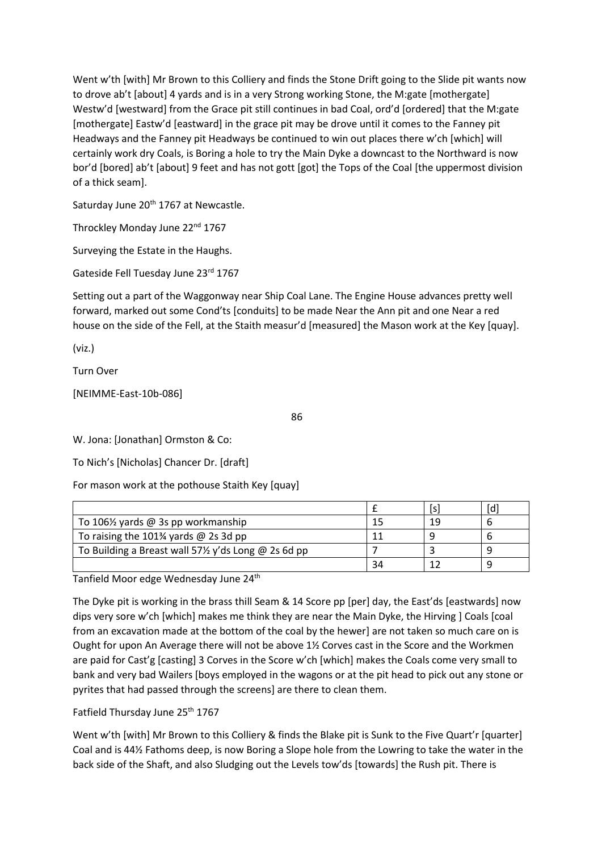Went w'th [with] Mr Brown to this Colliery and finds the Stone Drift going to the Slide pit wants now to drove ab't [about] 4 yards and is in a very Strong working Stone, the M:gate [mothergate] Westw'd [westward] from the Grace pit still continues in bad Coal, ord'd [ordered] that the M:gate [mothergate] Eastw'd [eastward] in the grace pit may be drove until it comes to the Fanney pit Headways and the Fanney pit Headways be continued to win out places there w'ch [which] will certainly work dry Coals, is Boring a hole to try the Main Dyke a downcast to the Northward is now bor'd [bored] ab't [about] 9 feet and has not gott [got] the Tops of the Coal [the uppermost division of a thick seam].

Saturday June 20<sup>th</sup> 1767 at Newcastle.

Throckley Monday June 22<sup>nd</sup> 1767

Surveying the Estate in the Haughs.

Gateside Fell Tuesday June 23rd 1767

Setting out a part of the Waggonway near Ship Coal Lane. The Engine House advances pretty well forward, marked out some Cond'ts [conduits] to be made Near the Ann pit and one Near a red house on the side of the Fell, at the Staith measur'd [measured] the Mason work at the Key [quay].

(viz.)

Turn Over

[NEIMME-East-10b-086]

86

W. Jona: [Jonathan] Ormston & Co:

To Nich's [Nicholas] Chancer Dr. [draft]

For mason work at the pothouse Staith Key [quay]

|                                                              |    | ١s |  |
|--------------------------------------------------------------|----|----|--|
| To 106 <sup>1</sup> / <sub>2</sub> yards @ 3s pp workmanship |    | 19 |  |
| To raising the 101% yards $@$ 2s 3d pp                       |    |    |  |
| To Building a Breast wall 57% y'ds Long @ 2s 6d pp           |    |    |  |
|                                                              | 34 |    |  |

Tanfield Moor edge Wednesday June 24th

The Dyke pit is working in the brass thill Seam & 14 Score pp [per] day, the East'ds [eastwards] now dips very sore w'ch [which] makes me think they are near the Main Dyke, the Hirving ] Coals [coal from an excavation made at the bottom of the coal by the hewer] are not taken so much care on is Ought for upon An Average there will not be above 1½ Corves cast in the Score and the Workmen are paid for Cast'g [casting] 3 Corves in the Score w'ch [which] makes the Coals come very small to bank and very bad Wailers [boys employed in the wagons or at the pit head to pick out any stone or pyrites that had passed through the screens] are there to clean them.

Fatfield Thursday June 25<sup>th</sup> 1767

Went w'th [with] Mr Brown to this Colliery & finds the Blake pit is Sunk to the Five Quart'r [quarter] Coal and is 44½ Fathoms deep, is now Boring a Slope hole from the Lowring to take the water in the back side of the Shaft, and also Sludging out the Levels tow'ds [towards] the Rush pit. There is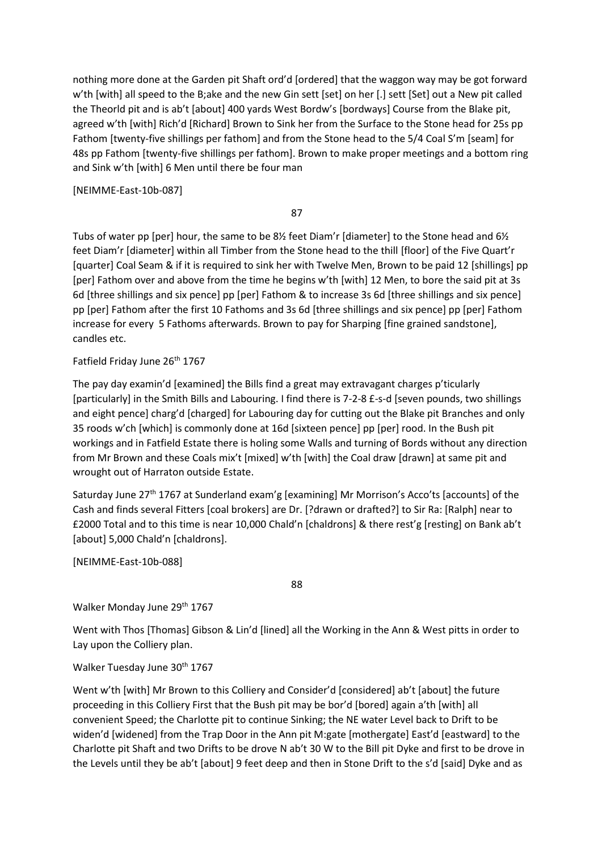nothing more done at the Garden pit Shaft ord'd [ordered] that the waggon way may be got forward w'th [with] all speed to the B;ake and the new Gin sett [set] on her [.] sett [Set] out a New pit called the Theorld pit and is ab't [about] 400 yards West Bordw's [bordways] Course from the Blake pit, agreed w'th [with] Rich'd [Richard] Brown to Sink her from the Surface to the Stone head for 25s pp Fathom [twenty-five shillings per fathom] and from the Stone head to the 5/4 Coal S'm [seam] for 48s pp Fathom [twenty-five shillings per fathom]. Brown to make proper meetings and a bottom ring and Sink w'th [with] 6 Men until there be four man

[NEIMME-East-10b-087]

87

Tubs of water pp [per] hour, the same to be 8½ feet Diam'r [diameter] to the Stone head and 6½ feet Diam'r [diameter] within all Timber from the Stone head to the thill [floor] of the Five Quart'r [quarter] Coal Seam & if it is required to sink her with Twelve Men, Brown to be paid 12 [shillings] pp [per] Fathom over and above from the time he begins w'th [with] 12 Men, to bore the said pit at 3s 6d [three shillings and six pence] pp [per] Fathom & to increase 3s 6d [three shillings and six pence] pp [per] Fathom after the first 10 Fathoms and 3s 6d [three shillings and six pence] pp [per] Fathom increase for every 5 Fathoms afterwards. Brown to pay for Sharping [fine grained sandstone], candles etc.

Fatfield Friday June 26<sup>th</sup> 1767

The pay day examin'd [examined] the Bills find a great may extravagant charges p'ticularly [particularly] in the Smith Bills and Labouring. I find there is 7-2-8 £-s-d [seven pounds, two shillings and eight pence] charg'd [charged] for Labouring day for cutting out the Blake pit Branches and only 35 roods w'ch [which] is commonly done at 16d [sixteen pence] pp [per] rood. In the Bush pit workings and in Fatfield Estate there is holing some Walls and turning of Bords without any direction from Mr Brown and these Coals mix't [mixed] w'th [with] the Coal draw [drawn] at same pit and wrought out of Harraton outside Estate.

Saturday June 27th 1767 at Sunderland exam'g [examining] Mr Morrison's Acco'ts [accounts] of the Cash and finds several Fitters [coal brokers] are Dr. [?drawn or drafted?] to Sir Ra: [Ralph] near to £2000 Total and to this time is near 10,000 Chald'n [chaldrons] & there rest'g [resting] on Bank ab't [about] 5,000 Chald'n [chaldrons].

[NEIMME-East-10b-088]

88

Walker Monday June 29th 1767

Went with Thos [Thomas] Gibson & Lin'd [lined] all the Working in the Ann & West pitts in order to Lay upon the Colliery plan.

Walker Tuesday June 30<sup>th</sup> 1767

Went w'th [with] Mr Brown to this Colliery and Consider'd [considered] ab't [about] the future proceeding in this Colliery First that the Bush pit may be bor'd [bored] again a'th [with] all convenient Speed; the Charlotte pit to continue Sinking; the NE water Level back to Drift to be widen'd [widened] from the Trap Door in the Ann pit M:gate [mothergate] East'd [eastward] to the Charlotte pit Shaft and two Drifts to be drove N ab't 30 W to the Bill pit Dyke and first to be drove in the Levels until they be ab't [about] 9 feet deep and then in Stone Drift to the s'd [said] Dyke and as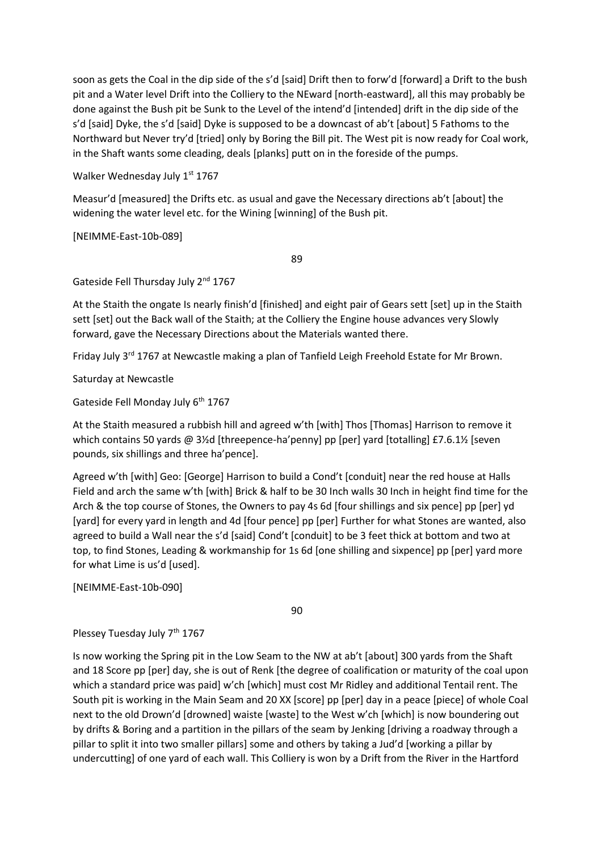soon as gets the Coal in the dip side of the s'd [said] Drift then to forw'd [forward] a Drift to the bush pit and a Water level Drift into the Colliery to the NEward [north-eastward], all this may probably be done against the Bush pit be Sunk to the Level of the intend'd [intended] drift in the dip side of the s'd [said] Dyke, the s'd [said] Dyke is supposed to be a downcast of ab't [about] 5 Fathoms to the Northward but Never try'd [tried] only by Boring the Bill pit. The West pit is now ready for Coal work, in the Shaft wants some cleading, deals [planks] putt on in the foreside of the pumps.

Walker Wednesday July 1<sup>st</sup> 1767

Measur'd [measured] the Drifts etc. as usual and gave the Necessary directions ab't [about] the widening the water level etc. for the Wining [winning] of the Bush pit.

[NEIMME-East-10b-089]

89

Gateside Fell Thursday July 2<sup>nd</sup> 1767

At the Staith the ongate Is nearly finish'd [finished] and eight pair of Gears sett [set] up in the Staith sett [set] out the Back wall of the Staith; at the Colliery the Engine house advances very Slowly forward, gave the Necessary Directions about the Materials wanted there.

Friday July 3<sup>rd</sup> 1767 at Newcastle making a plan of Tanfield Leigh Freehold Estate for Mr Brown.

Saturday at Newcastle

Gateside Fell Monday July 6<sup>th</sup> 1767

At the Staith measured a rubbish hill and agreed w'th [with] Thos [Thomas] Harrison to remove it which contains 50 yards @ 3<sup>y</sup><sub>d</sub> [threepence-ha'penny] pp [per] yard [totalling] £7.6.1<sup>1</sup>/<sub>2</sub> [seven] pounds, six shillings and three ha'pence].

Agreed w'th [with] Geo: [George] Harrison to build a Cond't [conduit] near the red house at Halls Field and arch the same w'th [with] Brick & half to be 30 Inch walls 30 Inch in height find time for the Arch & the top course of Stones, the Owners to pay 4s 6d [four shillings and six pence] pp [per] yd [yard] for every yard in length and 4d [four pence] pp [per] Further for what Stones are wanted, also agreed to build a Wall near the s'd [said] Cond't [conduit] to be 3 feet thick at bottom and two at top, to find Stones, Leading & workmanship for 1s 6d [one shilling and sixpence] pp [per] yard more for what Lime is us'd [used].

[NEIMME-East-10b-090]

90

Plessey Tuesday July 7<sup>th</sup> 1767

Is now working the Spring pit in the Low Seam to the NW at ab't [about] 300 yards from the Shaft and 18 Score pp [per] day, she is out of Renk [the degree of coalification or maturity of the coal upon which a standard price was paid] w'ch [which] must cost Mr Ridley and additional Tentail rent. The South pit is working in the Main Seam and 20 XX [score] pp [per] day in a peace [piece] of whole Coal next to the old Drown'd [drowned] waiste [waste] to the West w'ch [which] is now boundering out by drifts & Boring and a partition in the pillars of the seam by Jenking [driving a roadway through a pillar to split it into two smaller pillars] some and others by taking a Jud'd [working a pillar by undercutting] of one yard of each wall. This Colliery is won by a Drift from the River in the Hartford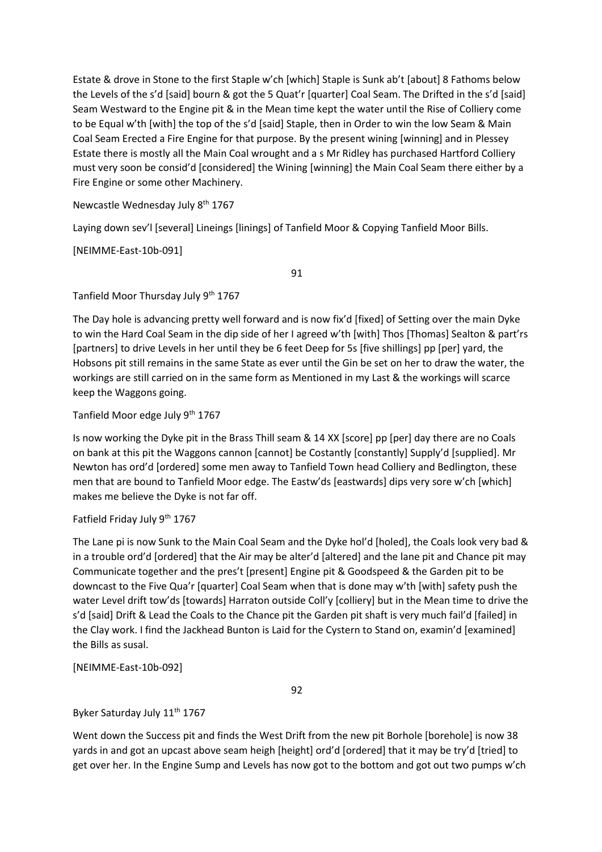Estate & drove in Stone to the first Staple w'ch [which] Staple is Sunk ab't [about] 8 Fathoms below the Levels of the s'd [said] bourn & got the 5 Quat'r [quarter] Coal Seam. The Drifted in the s'd [said] Seam Westward to the Engine pit & in the Mean time kept the water until the Rise of Colliery come to be Equal w'th [with] the top of the s'd [said] Staple, then in Order to win the low Seam & Main Coal Seam Erected a Fire Engine for that purpose. By the present wining [winning] and in Plessey Estate there is mostly all the Main Coal wrought and a s Mr Ridley has purchased Hartford Colliery must very soon be consid'd [considered] the Wining [winning] the Main Coal Seam there either by a Fire Engine or some other Machinery.

Newcastle Wednesday July 8th 1767

Laying down sev'l [several] Lineings [linings] of Tanfield Moor & Copying Tanfield Moor Bills.

[NEIMME-East-10b-091]

91

Tanfield Moor Thursday July 9th 1767

The Day hole is advancing pretty well forward and is now fix'd [fixed] of Setting over the main Dyke to win the Hard Coal Seam in the dip side of her I agreed w'th [with] Thos [Thomas] Sealton & part'rs [partners] to drive Levels in her until they be 6 feet Deep for 5s [five shillings] pp [per] yard, the Hobsons pit still remains in the same State as ever until the Gin be set on her to draw the water, the workings are still carried on in the same form as Mentioned in my Last & the workings will scarce keep the Waggons going.

Tanfield Moor edge July 9<sup>th</sup> 1767

Is now working the Dyke pit in the Brass Thill seam & 14 XX [score] pp [per] day there are no Coals on bank at this pit the Waggons cannon [cannot] be Costantly [constantly] Supply'd [supplied]. Mr Newton has ord'd [ordered] some men away to Tanfield Town head Colliery and Bedlington, these men that are bound to Tanfield Moor edge. The Eastw'ds [eastwards] dips very sore w'ch [which] makes me believe the Dyke is not far off.

Fatfield Friday July 9<sup>th</sup> 1767

The Lane pi is now Sunk to the Main Coal Seam and the Dyke hol'd [holed], the Coals look very bad & in a trouble ord'd [ordered] that the Air may be alter'd [altered] and the lane pit and Chance pit may Communicate together and the pres't [present] Engine pit & Goodspeed & the Garden pit to be downcast to the Five Qua'r [quarter] Coal Seam when that is done may w'th [with] safety push the water Level drift tow'ds [towards] Harraton outside Coll'y [colliery] but in the Mean time to drive the s'd [said] Drift & Lead the Coals to the Chance pit the Garden pit shaft is very much fail'd [failed] in the Clay work. I find the Jackhead Bunton is Laid for the Cystern to Stand on, examin'd [examined] the Bills as susal.

[NEIMME-East-10b-092]

92

Byker Saturday July 11<sup>th</sup> 1767

Went down the Success pit and finds the West Drift from the new pit Borhole [borehole] is now 38 yards in and got an upcast above seam heigh [height] ord'd [ordered] that it may be try'd [tried] to get over her. In the Engine Sump and Levels has now got to the bottom and got out two pumps w'ch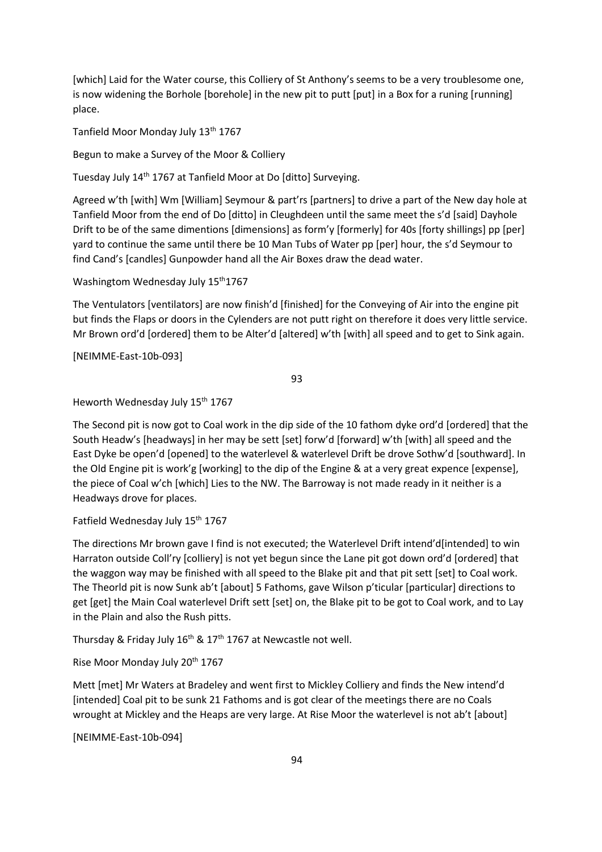[which] Laid for the Water course, this Colliery of St Anthony's seems to be a very troublesome one, is now widening the Borhole [borehole] in the new pit to putt [put] in a Box for a runing [running] place.

Tanfield Moor Monday July 13<sup>th</sup> 1767

Begun to make a Survey of the Moor & Colliery

Tuesday July 14<sup>th</sup> 1767 at Tanfield Moor at Do [ditto] Surveying.

Agreed w'th [with] Wm [William] Seymour & part'rs [partners] to drive a part of the New day hole at Tanfield Moor from the end of Do [ditto] in Cleughdeen until the same meet the s'd [said] Dayhole Drift to be of the same dimentions [dimensions] as form'y [formerly] for 40s [forty shillings] pp [per] yard to continue the same until there be 10 Man Tubs of Water pp [per] hour, the s'd Seymour to find Cand's [candles] Gunpowder hand all the Air Boxes draw the dead water.

Washingtom Wednesday July 15<sup>th</sup>1767

The Ventulators [ventilators] are now finish'd [finished] for the Conveying of Air into the engine pit but finds the Flaps or doors in the Cylenders are not putt right on therefore it does very little service. Mr Brown ord'd [ordered] them to be Alter'd [altered] w'th [with] all speed and to get to Sink again.

[NEIMME-East-10b-093]

93

Heworth Wednesday July 15<sup>th</sup> 1767

The Second pit is now got to Coal work in the dip side of the 10 fathom dyke ord'd [ordered] that the South Headw's [headways] in her may be sett [set] forw'd [forward] w'th [with] all speed and the East Dyke be open'd [opened] to the waterlevel & waterlevel Drift be drove Sothw'd [southward]. In the Old Engine pit is work'g [working] to the dip of the Engine & at a very great expence [expense], the piece of Coal w'ch [which] Lies to the NW. The Barroway is not made ready in it neither is a Headways drove for places.

Fatfield Wednesday July 15<sup>th</sup> 1767

The directions Mr brown gave I find is not executed; the Waterlevel Drift intend'd[intended] to win Harraton outside Coll'ry [colliery] is not yet begun since the Lane pit got down ord'd [ordered] that the waggon way may be finished with all speed to the Blake pit and that pit sett [set] to Coal work. The Theorld pit is now Sunk ab't [about] 5 Fathoms, gave Wilson p'ticular [particular] directions to get [get] the Main Coal waterlevel Drift sett [set] on, the Blake pit to be got to Coal work, and to Lay in the Plain and also the Rush pitts.

Thursday & Friday July  $16^{th}$  &  $17^{th}$  1767 at Newcastle not well.

Rise Moor Monday July 20<sup>th</sup> 1767

Mett [met] Mr Waters at Bradeley and went first to Mickley Colliery and finds the New intend'd [intended] Coal pit to be sunk 21 Fathoms and is got clear of the meetings there are no Coals wrought at Mickley and the Heaps are very large. At Rise Moor the waterlevel is not ab't [about]

[NEIMME-East-10b-094]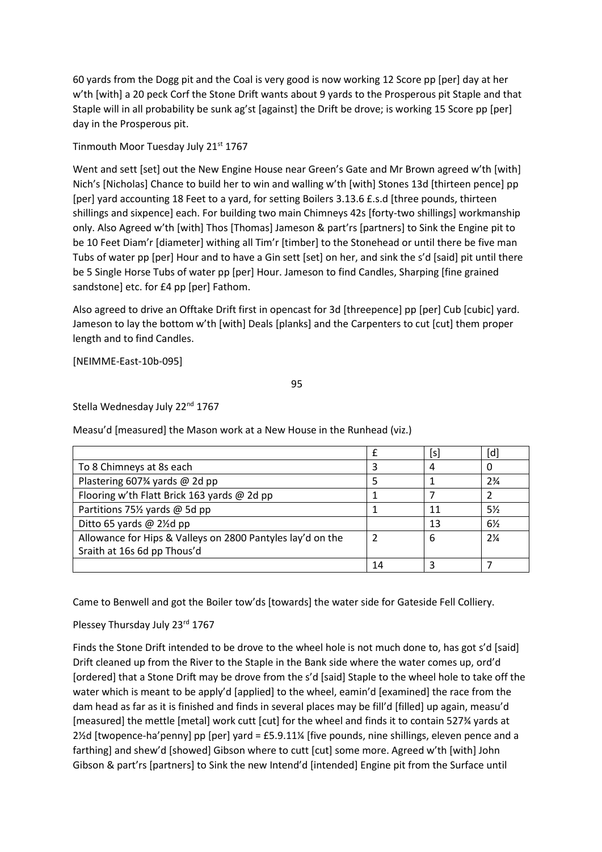60 yards from the Dogg pit and the Coal is very good is now working 12 Score pp [per] day at her w'th [with] a 20 peck Corf the Stone Drift wants about 9 yards to the Prosperous pit Staple and that Staple will in all probability be sunk ag'st [against] the Drift be drove; is working 15 Score pp [per] day in the Prosperous pit.

Tinmouth Moor Tuesday July 21<sup>st</sup> 1767

Went and sett [set] out the New Engine House near Green's Gate and Mr Brown agreed w'th [with] Nich's [Nicholas] Chance to build her to win and walling w'th [with] Stones 13d [thirteen pence] pp [per] yard accounting 18 Feet to a yard, for setting Boilers 3.13.6 £.s.d [three pounds, thirteen shillings and sixpence] each. For building two main Chimneys 42s [forty-two shillings] workmanship only. Also Agreed w'th [with] Thos [Thomas] Jameson & part'rs [partners] to Sink the Engine pit to be 10 Feet Diam'r [diameter] withing all Tim'r [timber] to the Stonehead or until there be five man Tubs of water pp [per] Hour and to have a Gin sett [set] on her, and sink the s'd [said] pit until there be 5 Single Horse Tubs of water pp [per] Hour. Jameson to find Candles, Sharping [fine grained sandstone] etc. for £4 pp [per] Fathom.

Also agreed to drive an Offtake Drift first in opencast for 3d [threepence] pp [per] Cub [cubic] yard. Jameson to lay the bottom w'th [with] Deals [planks] and the Carpenters to cut [cut] them proper length and to find Candles.

[NEIMME-East-10b-095]

95

Stella Wednesday July 22<sup>nd</sup> 1767

Measu'd [measured] the Mason work at a New House in the Runhead (viz.)

|                                                            |    | Isl | [d]            |
|------------------------------------------------------------|----|-----|----------------|
| To 8 Chimneys at 8s each                                   |    |     | O              |
| Plastering 607% yards @ 2d pp                              |    |     | 2%             |
| Flooring w'th Flatt Brick 163 yards @ 2d pp                |    |     |                |
| Partitions 75% yards @ 5d pp                               |    | 11  | 5½             |
| Ditto 65 yards @ 21/2d pp                                  |    | 13  | $6\frac{1}{2}$ |
| Allowance for Hips & Valleys on 2800 Pantyles lay'd on the |    | 6   | $2\%$          |
| Sraith at 16s 6d pp Thous'd                                |    |     |                |
|                                                            | 14 |     |                |

Came to Benwell and got the Boiler tow'ds [towards] the water side for Gateside Fell Colliery.

# Plessey Thursday July 23rd 1767

Finds the Stone Drift intended to be drove to the wheel hole is not much done to, has got s'd [said] Drift cleaned up from the River to the Staple in the Bank side where the water comes up, ord'd [ordered] that a Stone Drift may be drove from the s'd [said] Staple to the wheel hole to take off the water which is meant to be apply'd [applied] to the wheel, eamin'd [examined] the race from the dam head as far as it is finished and finds in several places may be fill'd [filled] up again, measu'd [measured] the mettle [metal] work cutt [cut] for the wheel and finds it to contain 527¾ yards at 2½d [twopence-ha'penny] pp [per] yard = £5.9.11¼ [five pounds, nine shillings, eleven pence and a farthing] and shew'd [showed] Gibson where to cutt [cut] some more. Agreed w'th [with] John Gibson & part'rs [partners] to Sink the new Intend'd [intended] Engine pit from the Surface until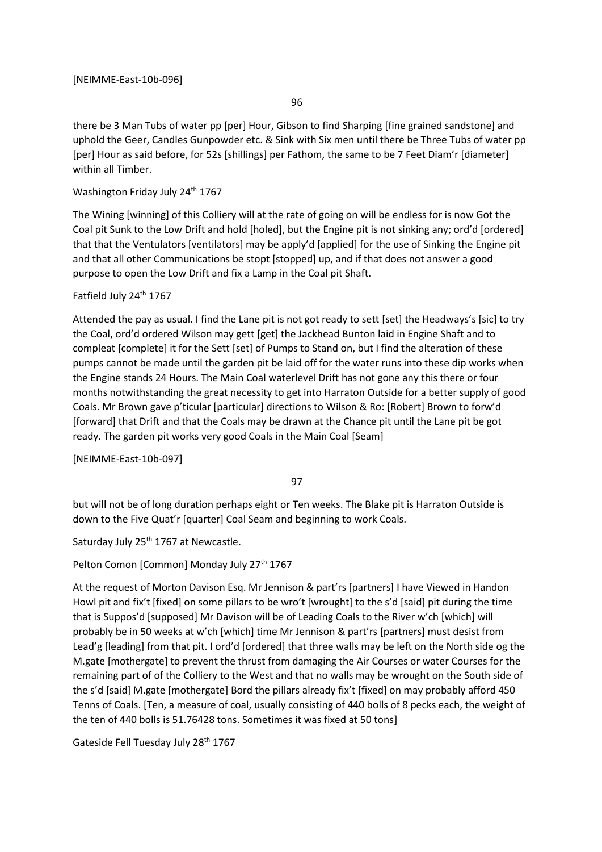### [NEIMME-East-10b-096]

96

there be 3 Man Tubs of water pp [per] Hour, Gibson to find Sharping [fine grained sandstone] and uphold the Geer, Candles Gunpowder etc. & Sink with Six men until there be Three Tubs of water pp [per] Hour as said before, for 52s [shillings] per Fathom, the same to be 7 Feet Diam'r [diameter] within all Timber.

### Washington Friday July 24<sup>th</sup> 1767

The Wining [winning] of this Colliery will at the rate of going on will be endless for is now Got the Coal pit Sunk to the Low Drift and hold [holed], but the Engine pit is not sinking any; ord'd [ordered] that that the Ventulators [ventilators] may be apply'd [applied] for the use of Sinking the Engine pit and that all other Communications be stopt [stopped] up, and if that does not answer a good purpose to open the Low Drift and fix a Lamp in the Coal pit Shaft.

### Fatfield July 24<sup>th</sup> 1767

Attended the pay as usual. I find the Lane pit is not got ready to sett [set] the Headways's [sic] to try the Coal, ord'd ordered Wilson may gett [get] the Jackhead Bunton laid in Engine Shaft and to compleat [complete] it for the Sett [set] of Pumps to Stand on, but I find the alteration of these pumps cannot be made until the garden pit be laid off for the water runs into these dip works when the Engine stands 24 Hours. The Main Coal waterlevel Drift has not gone any this there or four months notwithstanding the great necessity to get into Harraton Outside for a better supply of good Coals. Mr Brown gave p'ticular [particular] directions to Wilson & Ro: [Robert] Brown to forw'd [forward] that Drift and that the Coals may be drawn at the Chance pit until the Lane pit be got ready. The garden pit works very good Coals in the Main Coal [Seam]

[NEIMME-East-10b-097]

97

but will not be of long duration perhaps eight or Ten weeks. The Blake pit is Harraton Outside is down to the Five Quat'r [quarter] Coal Seam and beginning to work Coals.

Saturday July 25<sup>th</sup> 1767 at Newcastle.

Pelton Comon [Common] Monday July 27<sup>th</sup> 1767

At the request of Morton Davison Esq. Mr Jennison & part'rs [partners] I have Viewed in Handon Howl pit and fix't [fixed] on some pillars to be wro't [wrought] to the s'd [said] pit during the time that is Suppos'd [supposed] Mr Davison will be of Leading Coals to the River w'ch [which] will probably be in 50 weeks at w'ch [which] time Mr Jennison & part'rs [partners] must desist from Lead'g [leading] from that pit. I ord'd [ordered] that three walls may be left on the North side og the M.gate [mothergate] to prevent the thrust from damaging the Air Courses or water Courses for the remaining part of of the Colliery to the West and that no walls may be wrought on the South side of the s'd [said] M.gate [mothergate] Bord the pillars already fix't [fixed] on may probably afford 450 Tenns of Coals. [Ten, a measure of coal, usually consisting of 440 bolls of 8 pecks each, the weight of the ten of 440 bolls is 51.76428 tons. Sometimes it was fixed at 50 tons]

Gateside Fell Tuesday July 28<sup>th</sup> 1767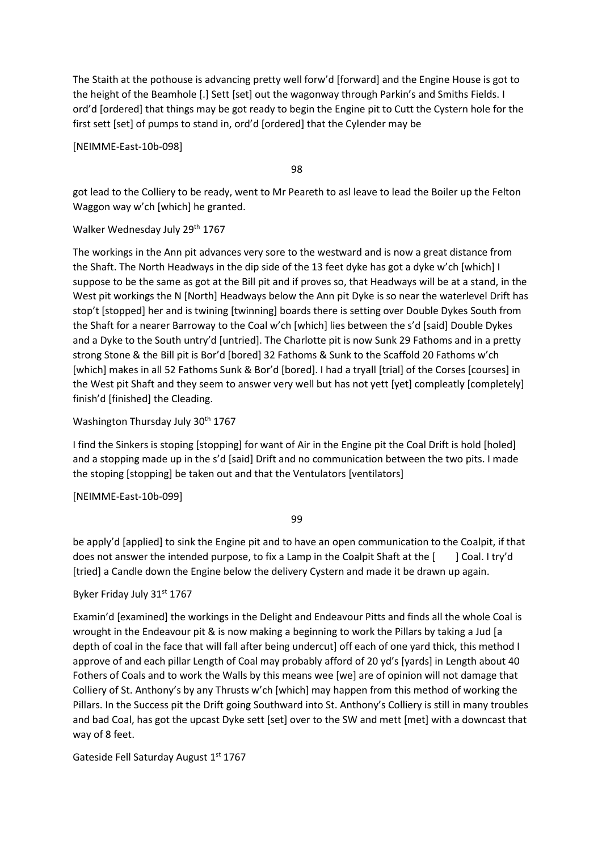The Staith at the pothouse is advancing pretty well forw'd [forward] and the Engine House is got to the height of the Beamhole [.] Sett [set] out the wagonway through Parkin's and Smiths Fields. I ord'd [ordered] that things may be got ready to begin the Engine pit to Cutt the Cystern hole for the first sett [set] of pumps to stand in, ord'd [ordered] that the Cylender may be

[NEIMME-East-10b-098]

98

got lead to the Colliery to be ready, went to Mr Peareth to asl leave to lead the Boiler up the Felton Waggon way w'ch [which] he granted.

### Walker Wednesday July 29th 1767

The workings in the Ann pit advances very sore to the westward and is now a great distance from the Shaft. The North Headways in the dip side of the 13 feet dyke has got a dyke w'ch [which] I suppose to be the same as got at the Bill pit and if proves so, that Headways will be at a stand, in the West pit workings the N [North] Headways below the Ann pit Dyke is so near the waterlevel Drift has stop't [stopped] her and is twining [twinning] boards there is setting over Double Dykes South from the Shaft for a nearer Barroway to the Coal w'ch [which] lies between the s'd [said] Double Dykes and a Dyke to the South untry'd [untried]. The Charlotte pit is now Sunk 29 Fathoms and in a pretty strong Stone & the Bill pit is Bor'd [bored] 32 Fathoms & Sunk to the Scaffold 20 Fathoms w'ch [which] makes in all 52 Fathoms Sunk & Bor'd [bored]. I had a tryall [trial] of the Corses [courses] in the West pit Shaft and they seem to answer very well but has not yett [yet] compleatly [completely] finish'd [finished] the Cleading.

### Washington Thursday July 30<sup>th</sup> 1767

I find the Sinkers is stoping [stopping] for want of Air in the Engine pit the Coal Drift is hold [holed] and a stopping made up in the s'd [said] Drift and no communication between the two pits. I made the stoping [stopping] be taken out and that the Ventulators [ventilators]

[NEIMME-East-10b-099]

99

be apply'd [applied] to sink the Engine pit and to have an open communication to the Coalpit, if that does not answer the intended purpose, to fix a Lamp in the Coalpit Shaft at the [ ] Coal. I try'd [tried] a Candle down the Engine below the delivery Cystern and made it be drawn up again.

# Byker Friday July 31<sup>st</sup> 1767

Examin'd [examined] the workings in the Delight and Endeavour Pitts and finds all the whole Coal is wrought in the Endeavour pit & is now making a beginning to work the Pillars by taking a Jud [a depth of coal in the face that will fall after being undercut] off each of one yard thick, this method I approve of and each pillar Length of Coal may probably afford of 20 yd's [yards] in Length about 40 Fothers of Coals and to work the Walls by this means wee [we] are of opinion will not damage that Colliery of St. Anthony's by any Thrusts w'ch [which] may happen from this method of working the Pillars. In the Success pit the Drift going Southward into St. Anthony's Colliery is still in many troubles and bad Coal, has got the upcast Dyke sett [set] over to the SW and mett [met] with a downcast that way of 8 feet.

Gateside Fell Saturday August 1st 1767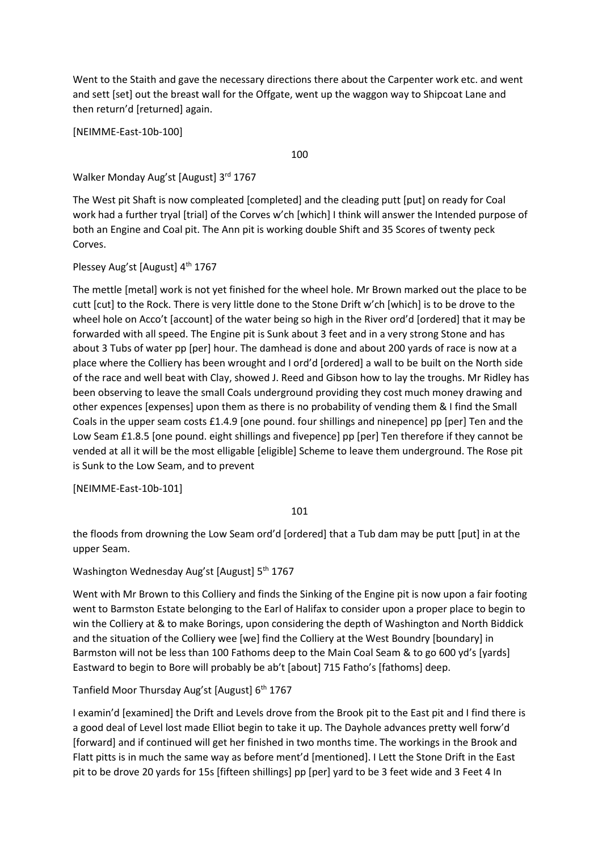Went to the Staith and gave the necessary directions there about the Carpenter work etc. and went and sett [set] out the breast wall for the Offgate, went up the waggon way to Shipcoat Lane and then return'd [returned] again.

[NEIMME-East-10b-100]

100

Walker Monday Aug'st [August] 3rd 1767

The West pit Shaft is now compleated [completed] and the cleading putt [put] on ready for Coal work had a further tryal [trial] of the Corves w'ch [which] I think will answer the Intended purpose of both an Engine and Coal pit. The Ann pit is working double Shift and 35 Scores of twenty peck Corves.

Plessey Aug'st [August] 4<sup>th</sup> 1767

The mettle [metal] work is not yet finished for the wheel hole. Mr Brown marked out the place to be cutt [cut] to the Rock. There is very little done to the Stone Drift w'ch [which] is to be drove to the wheel hole on Acco't [account] of the water being so high in the River ord'd [ordered] that it may be forwarded with all speed. The Engine pit is Sunk about 3 feet and in a very strong Stone and has about 3 Tubs of water pp [per] hour. The damhead is done and about 200 yards of race is now at a place where the Colliery has been wrought and I ord'd [ordered] a wall to be built on the North side of the race and well beat with Clay, showed J. Reed and Gibson how to lay the troughs. Mr Ridley has been observing to leave the small Coals underground providing they cost much money drawing and other expences [expenses] upon them as there is no probability of vending them & I find the Small Coals in the upper seam costs £1.4.9 [one pound. four shillings and ninepence] pp [per] Ten and the Low Seam £1.8.5 [one pound. eight shillings and fivepence] pp [per] Ten therefore if they cannot be vended at all it will be the most elligable [eligible] Scheme to leave them underground. The Rose pit is Sunk to the Low Seam, and to prevent

[NEIMME-East-10b-101]

101

the floods from drowning the Low Seam ord'd [ordered] that a Tub dam may be putt [put] in at the upper Seam.

Washington Wednesday Aug'st [August] 5<sup>th</sup> 1767

Went with Mr Brown to this Colliery and finds the Sinking of the Engine pit is now upon a fair footing went to Barmston Estate belonging to the Earl of Halifax to consider upon a proper place to begin to win the Colliery at & to make Borings, upon considering the depth of Washington and North Biddick and the situation of the Colliery wee [we] find the Colliery at the West Boundry [boundary] in Barmston will not be less than 100 Fathoms deep to the Main Coal Seam & to go 600 yd's [yards] Eastward to begin to Bore will probably be ab't [about] 715 Fatho's [fathoms] deep.

Tanfield Moor Thursday Aug'st [August] 6<sup>th</sup> 1767

I examin'd [examined] the Drift and Levels drove from the Brook pit to the East pit and I find there is a good deal of Level lost made Elliot begin to take it up. The Dayhole advances pretty well forw'd [forward] and if continued will get her finished in two months time. The workings in the Brook and Flatt pitts is in much the same way as before ment'd [mentioned]. I Lett the Stone Drift in the East pit to be drove 20 yards for 15s [fifteen shillings] pp [per] yard to be 3 feet wide and 3 Feet 4 In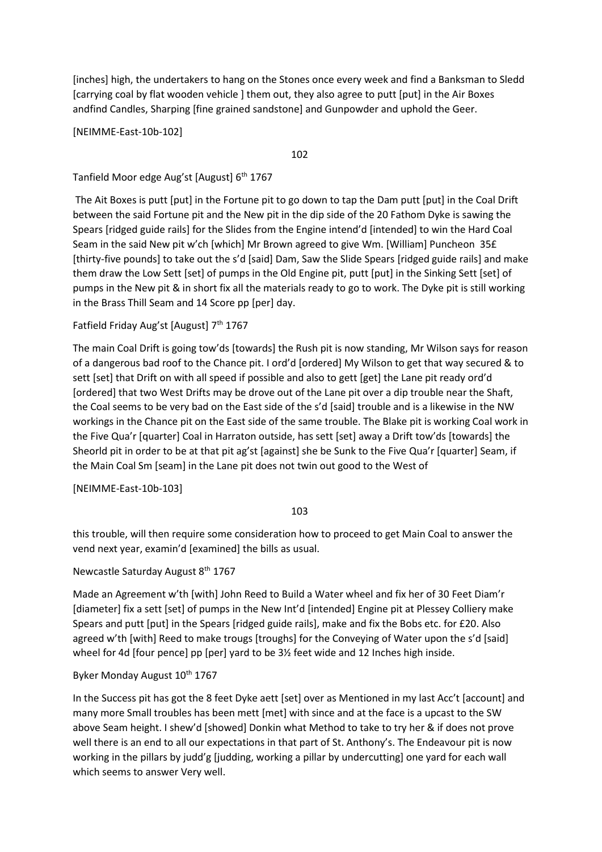[inches] high, the undertakers to hang on the Stones once every week and find a Banksman to Sledd [carrying coal by flat wooden vehicle ] them out, they also agree to putt [put] in the Air Boxes andfind Candles, Sharping [fine grained sandstone] and Gunpowder and uphold the Geer.

[NEIMME-East-10b-102]

102

Tanfield Moor edge Aug'st [August] 6<sup>th</sup> 1767

The Ait Boxes is putt [put] in the Fortune pit to go down to tap the Dam putt [put] in the Coal Drift between the said Fortune pit and the New pit in the dip side of the 20 Fathom Dyke is sawing the Spears [ridged guide rails] for the Slides from the Engine intend'd [intended] to win the Hard Coal Seam in the said New pit w'ch [which] Mr Brown agreed to give Wm. [William] Puncheon 35£ [thirty-five pounds] to take out the s'd [said] Dam, Saw the Slide Spears [ridged guide rails] and make them draw the Low Sett [set] of pumps in the Old Engine pit, putt [put] in the Sinking Sett [set] of pumps in the New pit & in short fix all the materials ready to go to work. The Dyke pit is still working in the Brass Thill Seam and 14 Score pp [per] day.

# Fatfield Friday Aug'st [August] 7<sup>th</sup> 1767

The main Coal Drift is going tow'ds [towards] the Rush pit is now standing, Mr Wilson says for reason of a dangerous bad roof to the Chance pit. I ord'd [ordered] My Wilson to get that way secured & to sett [set] that Drift on with all speed if possible and also to gett [get] the Lane pit ready ord'd [ordered] that two West Drifts may be drove out of the Lane pit over a dip trouble near the Shaft, the Coal seems to be very bad on the East side of the s'd [said] trouble and is a likewise in the NW workings in the Chance pit on the East side of the same trouble. The Blake pit is working Coal work in the Five Qua'r [quarter] Coal in Harraton outside, has sett [set] away a Drift tow'ds [towards] the Sheorld pit in order to be at that pit ag'st [against] she be Sunk to the Five Qua'r [quarter] Seam, if the Main Coal Sm [seam] in the Lane pit does not twin out good to the West of

# [NEIMME-East-10b-103]

### 103

this trouble, will then require some consideration how to proceed to get Main Coal to answer the vend next year, examin'd [examined] the bills as usual.

# Newcastle Saturday August 8<sup>th</sup> 1767

Made an Agreement w'th [with] John Reed to Build a Water wheel and fix her of 30 Feet Diam'r [diameter] fix a sett [set] of pumps in the New Int'd [intended] Engine pit at Plessey Colliery make Spears and putt [put] in the Spears [ridged guide rails], make and fix the Bobs etc. for £20. Also agreed w'th [with] Reed to make trougs [troughs] for the Conveying of Water upon the s'd [said] wheel for 4d [four pence] pp [per] yard to be 3½ feet wide and 12 Inches high inside.

# Byker Monday August 10<sup>th</sup> 1767

In the Success pit has got the 8 feet Dyke aett [set] over as Mentioned in my last Acc't [account] and many more Small troubles has been mett [met] with since and at the face is a upcast to the SW above Seam height. I shew'd [showed] Donkin what Method to take to try her & if does not prove well there is an end to all our expectations in that part of St. Anthony's. The Endeavour pit is now working in the pillars by judd'g [judding, working a pillar by undercutting] one yard for each wall which seems to answer Very well.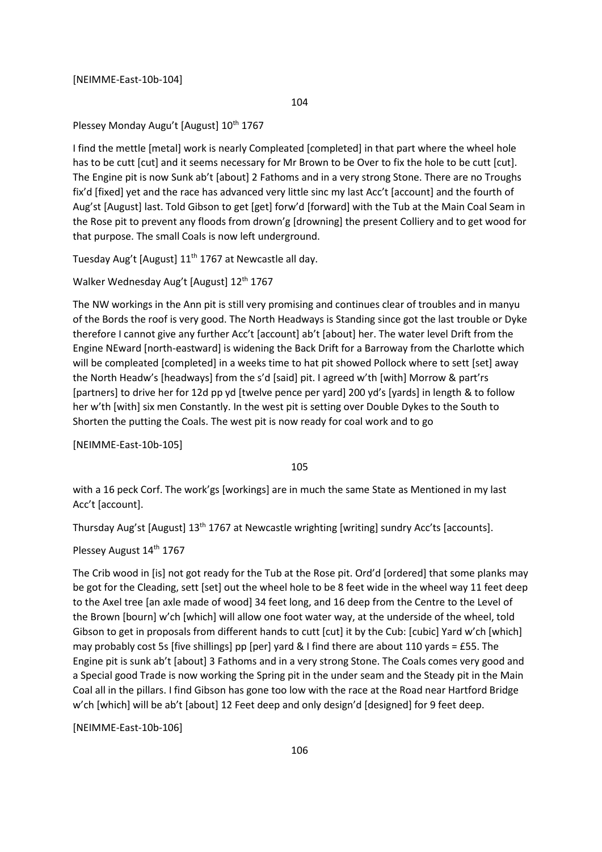#### [NEIMME-East-10b-104]

104

Plessey Monday Augu't [August] 10<sup>th</sup> 1767

I find the mettle [metal] work is nearly Compleated [completed] in that part where the wheel hole has to be cutt [cut] and it seems necessary for Mr Brown to be Over to fix the hole to be cutt [cut]. The Engine pit is now Sunk ab't [about] 2 Fathoms and in a very strong Stone. There are no Troughs fix'd [fixed] yet and the race has advanced very little sinc my last Acc't [account] and the fourth of Aug'st [August] last. Told Gibson to get [get] forw'd [forward] with the Tub at the Main Coal Seam in the Rose pit to prevent any floods from drown'g [drowning] the present Colliery and to get wood for that purpose. The small Coals is now left underground.

Tuesday Aug't [August]  $11<sup>th</sup>$  1767 at Newcastle all day.

Walker Wednesday Aug't [August] 12<sup>th</sup> 1767

The NW workings in the Ann pit is still very promising and continues clear of troubles and in manyu of the Bords the roof is very good. The North Headways is Standing since got the last trouble or Dyke therefore I cannot give any further Acc't [account] ab't [about] her. The water level Drift from the Engine NEward [north-eastward] is widening the Back Drift for a Barroway from the Charlotte which will be compleated [completed] in a weeks time to hat pit showed Pollock where to sett [set] away the North Headw's [headways] from the s'd [said] pit. I agreed w'th [with] Morrow & part'rs [partners] to drive her for 12d pp yd [twelve pence per yard] 200 yd's [yards] in length & to follow her w'th [with] six men Constantly. In the west pit is setting over Double Dykes to the South to Shorten the putting the Coals. The west pit is now ready for coal work and to go

[NEIMME-East-10b-105]

105

with a 16 peck Corf. The work'gs [workings] are in much the same State as Mentioned in my last Acc't [account].

Thursday Aug'st [August] 13th 1767 at Newcastle wrighting [writing] sundry Acc'ts [accounts].

Plessey August 14<sup>th</sup> 1767

The Crib wood in [is] not got ready for the Tub at the Rose pit. Ord'd [ordered] that some planks may be got for the Cleading, sett [set] out the wheel hole to be 8 feet wide in the wheel way 11 feet deep to the Axel tree [an axle made of wood] 34 feet long, and 16 deep from the Centre to the Level of the Brown [bourn] w'ch [which] will allow one foot water way, at the underside of the wheel, told Gibson to get in proposals from different hands to cutt [cut] it by the Cub: [cubic] Yard w'ch [which] may probably cost 5s [five shillings] pp [per] yard & I find there are about 110 yards = £55. The Engine pit is sunk ab't [about] 3 Fathoms and in a very strong Stone. The Coals comes very good and a Special good Trade is now working the Spring pit in the under seam and the Steady pit in the Main Coal all in the pillars. I find Gibson has gone too low with the race at the Road near Hartford Bridge w'ch [which] will be ab't [about] 12 Feet deep and only design'd [designed] for 9 feet deep.

[NEIMME-East-10b-106]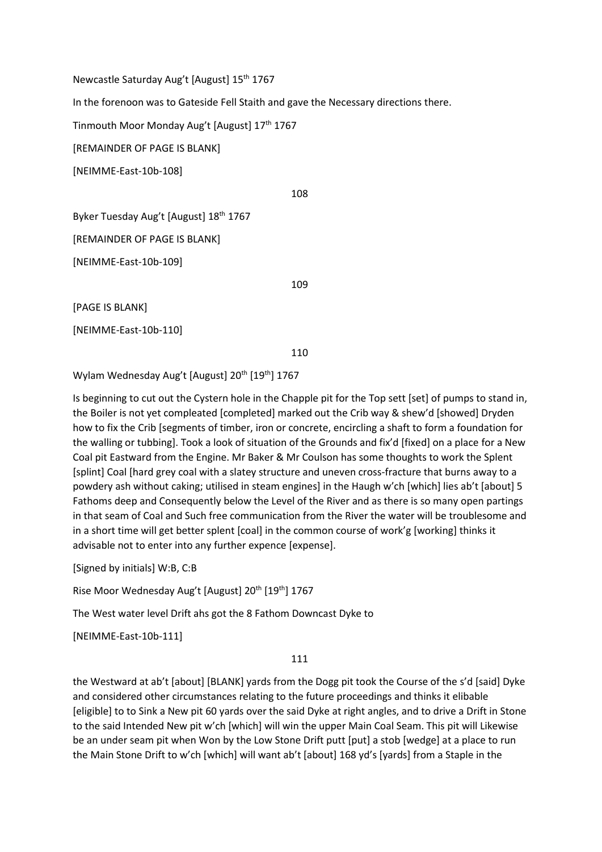Newcastle Saturday Aug't [August] 15th 1767

In the forenoon was to Gateside Fell Staith and gave the Necessary directions there.

Tinmouth Moor Monday Aug't [August] 17<sup>th</sup> 1767

[REMAINDER OF PAGE IS BLANK]

[NEIMME-East-10b-108]

108

Byker Tuesday Aug't [August] 18<sup>th</sup> 1767

[REMAINDER OF PAGE IS BLANK]

[NEIMME-East-10b-109]

109

[PAGE IS BLANK]

[NEIMME-East-10b-110]

110

Wylam Wednesday Aug't [August] 20<sup>th</sup> [19<sup>th</sup>] 1767

Is beginning to cut out the Cystern hole in the Chapple pit for the Top sett [set] of pumps to stand in, the Boiler is not yet compleated [completed] marked out the Crib way & shew'd [showed] Dryden how to fix the Crib [segments of timber, iron or concrete, encircling a shaft to form a foundation for the walling or tubbing]. Took a look of situation of the Grounds and fix'd [fixed] on a place for a New Coal pit Eastward from the Engine. Mr Baker & Mr Coulson has some thoughts to work the Splent [splint] Coal [hard grey coal with a slatey structure and uneven cross-fracture that burns away to a powdery ash without caking; utilised in steam engines] in the Haugh w'ch [which] lies ab't [about] 5 Fathoms deep and Consequently below the Level of the River and as there is so many open partings in that seam of Coal and Such free communication from the River the water will be troublesome and in a short time will get better splent [coal] in the common course of work'g [working] thinks it advisable not to enter into any further expence [expense].

[Signed by initials] W:B, C:B

Rise Moor Wednesday Aug't [August] 20<sup>th</sup> [19<sup>th</sup>] 1767

The West water level Drift ahs got the 8 Fathom Downcast Dyke to

[NEIMME-East-10b-111]

111

the Westward at ab't [about] [BLANK] yards from the Dogg pit took the Course of the s'd [said] Dyke and considered other circumstances relating to the future proceedings and thinks it elibable [eligible] to to Sink a New pit 60 yards over the said Dyke at right angles, and to drive a Drift in Stone to the said Intended New pit w'ch [which] will win the upper Main Coal Seam. This pit will Likewise be an under seam pit when Won by the Low Stone Drift putt [put] a stob [wedge] at a place to run the Main Stone Drift to w'ch [which] will want ab't [about] 168 yd's [yards] from a Staple in the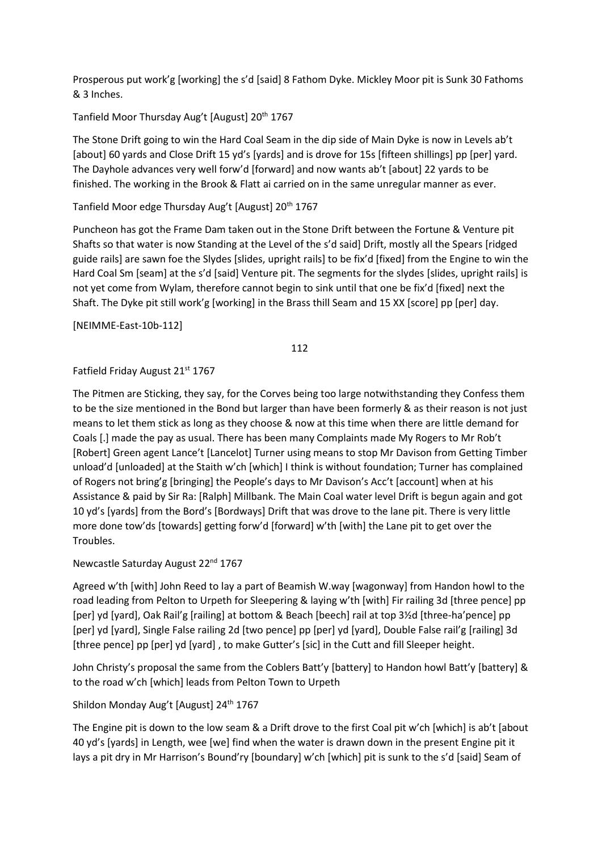Prosperous put work'g [working] the s'd [said] 8 Fathom Dyke. Mickley Moor pit is Sunk 30 Fathoms & 3 Inches.

# Tanfield Moor Thursday Aug't [August] 20<sup>th</sup> 1767

The Stone Drift going to win the Hard Coal Seam in the dip side of Main Dyke is now in Levels ab't [about] 60 yards and Close Drift 15 yd's [yards] and is drove for 15s [fifteen shillings] pp [per] yard. The Dayhole advances very well forw'd [forward] and now wants ab't [about] 22 yards to be finished. The working in the Brook & Flatt ai carried on in the same unregular manner as ever.

# Tanfield Moor edge Thursday Aug't [August] 20<sup>th</sup> 1767

Puncheon has got the Frame Dam taken out in the Stone Drift between the Fortune & Venture pit Shafts so that water is now Standing at the Level of the s'd said] Drift, mostly all the Spears [ridged guide rails] are sawn foe the Slydes [slides, upright rails] to be fix'd [fixed] from the Engine to win the Hard Coal Sm [seam] at the s'd [said] Venture pit. The segments for the slydes [slides, upright rails] is not yet come from Wylam, therefore cannot begin to sink until that one be fix'd [fixed] next the Shaft. The Dyke pit still work'g [working] in the Brass thill Seam and 15 XX [score] pp [per] day.

# [NEIMME-East-10b-112]

112

# Fatfield Friday August 21st 1767

The Pitmen are Sticking, they say, for the Corves being too large notwithstanding they Confess them to be the size mentioned in the Bond but larger than have been formerly & as their reason is not just means to let them stick as long as they choose & now at this time when there are little demand for Coals [.] made the pay as usual. There has been many Complaints made My Rogers to Mr Rob't [Robert] Green agent Lance't [Lancelot] Turner using means to stop Mr Davison from Getting Timber unload'd [unloaded] at the Staith w'ch [which] I think is without foundation; Turner has complained of Rogers not bring'g [bringing] the People's days to Mr Davison's Acc't [account] when at his Assistance & paid by Sir Ra: [Ralph] Millbank. The Main Coal water level Drift is begun again and got 10 yd's [yards] from the Bord's [Bordways] Drift that was drove to the lane pit. There is very little more done tow'ds [towards] getting forw'd [forward] w'th [with] the Lane pit to get over the Troubles.

# Newcastle Saturday August 22<sup>nd</sup> 1767

Agreed w'th [with] John Reed to lay a part of Beamish W.way [wagonway] from Handon howl to the road leading from Pelton to Urpeth for Sleepering & laying w'th [with] Fir railing 3d [three pence] pp [per] yd [yard], Oak Rail'g [railing] at bottom & Beach [beech] rail at top 3½d [three-ha'pence] pp [per] yd [yard], Single False railing 2d [two pence] pp [per] yd [yard], Double False rail'g [railing] 3d [three pence] pp [per] yd [yard] , to make Gutter's [sic] in the Cutt and fill Sleeper height.

John Christy's proposal the same from the Coblers Batt'y [battery] to Handon howl Batt'y [battery] & to the road w'ch [which] leads from Pelton Town to Urpeth

# Shildon Monday Aug't [August] 24<sup>th</sup> 1767

The Engine pit is down to the low seam & a Drift drove to the first Coal pit w'ch [which] is ab't [about 40 yd's [yards] in Length, wee [we] find when the water is drawn down in the present Engine pit it lays a pit dry in Mr Harrison's Bound'ry [boundary] w'ch [which] pit is sunk to the s'd [said] Seam of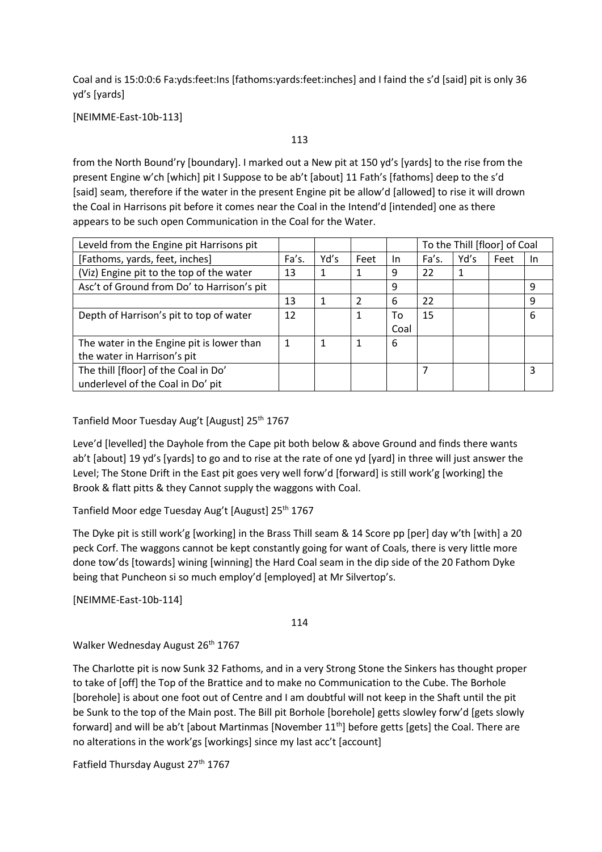Coal and is 15:0:0:6 Fa:yds:feet:Ins [fathoms:yards:feet:inches] and I faind the s'd [said] pit is only 36 yd's [yards]

[NEIMME-East-10b-113]

### 113

from the North Bound'ry [boundary]. I marked out a New pit at 150 yd's [yards] to the rise from the present Engine w'ch [which] pit I Suppose to be ab't [about] 11 Fath's [fathoms] deep to the s'd [said] seam, therefore if the water in the present Engine pit be allow'd [allowed] to rise it will drown the Coal in Harrisons pit before it comes near the Coal in the Intend'd [intended] one as there appears to be such open Communication in the Coal for the Water.

| Leveld from the Engine pit Harrisons pit   |       |      |                |      | To the Thill [floor] of Coal |      |      |     |
|--------------------------------------------|-------|------|----------------|------|------------------------------|------|------|-----|
| [Fathoms, yards, feet, inches]             | Fa's. | Yd's | Feet           | In.  | Fa's.                        | Yd's | Feet | In. |
| (Viz) Engine pit to the top of the water   | 13    |      | 1              | 9    | 22                           | 1    |      |     |
| Asc't of Ground from Do' to Harrison's pit |       |      |                | 9    |                              |      |      | 9   |
|                                            | 13    |      | $\overline{2}$ | 6    | 22                           |      |      | 9   |
| Depth of Harrison's pit to top of water    | 12    |      |                | Т٥   | 15                           |      |      | 6   |
|                                            |       |      |                | Coal |                              |      |      |     |
| The water in the Engine pit is lower than  |       |      |                | 6    |                              |      |      |     |
| the water in Harrison's pit                |       |      |                |      |                              |      |      |     |
| The thill [floor] of the Coal in Do'       |       |      |                |      |                              |      |      | 3   |
| underlevel of the Coal in Do' pit          |       |      |                |      |                              |      |      |     |

Tanfield Moor Tuesday Aug't [August] 25<sup>th</sup> 1767

Leve'd [levelled] the Dayhole from the Cape pit both below & above Ground and finds there wants ab't [about] 19 yd's [yards] to go and to rise at the rate of one yd [yard] in three will just answer the Level; The Stone Drift in the East pit goes very well forw'd [forward] is still work'g [working] the Brook & flatt pitts & they Cannot supply the waggons with Coal.

Tanfield Moor edge Tuesday Aug't [August] 25<sup>th</sup> 1767

The Dyke pit is still work'g [working] in the Brass Thill seam & 14 Score pp [per] day w'th [with] a 20 peck Corf. The waggons cannot be kept constantly going for want of Coals, there is very little more done tow'ds [towards] wining [winning] the Hard Coal seam in the dip side of the 20 Fathom Dyke being that Puncheon si so much employ'd [employed] at Mr Silvertop's.

[NEIMME-East-10b-114]

114

Walker Wednesday August 26<sup>th</sup> 1767

The Charlotte pit is now Sunk 32 Fathoms, and in a very Strong Stone the Sinkers has thought proper to take of [off] the Top of the Brattice and to make no Communication to the Cube. The Borhole [borehole] is about one foot out of Centre and I am doubtful will not keep in the Shaft until the pit be Sunk to the top of the Main post. The Bill pit Borhole [borehole] getts slowley forw'd [gets slowly forward] and will be ab't [about Martinmas [November  $11<sup>th</sup>$ ] before getts [gets] the Coal. There are no alterations in the work'gs [workings] since my last acc't [account]

Fatfield Thursday August 27<sup>th</sup> 1767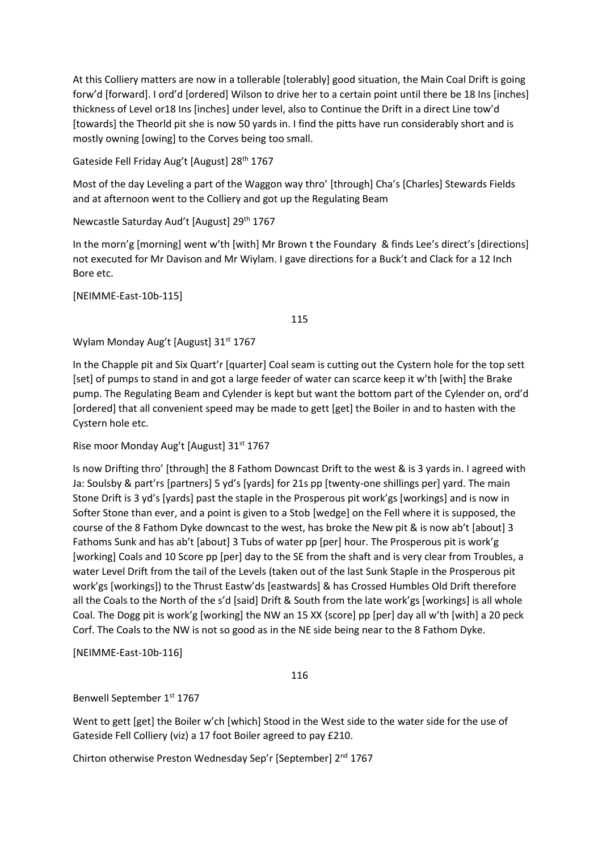At this Colliery matters are now in a tollerable [tolerably] good situation, the Main Coal Drift is going forw'd [forward]. I ord'd [ordered] Wilson to drive her to a certain point until there be 18 Ins [inches] thickness of Level or18 Ins [inches] under level, also to Continue the Drift in a direct Line tow'd [towards] the Theorld pit she is now 50 yards in. I find the pitts have run considerably short and is mostly owning [owing] to the Corves being too small.

Gateside Fell Friday Aug't [August] 28<sup>th</sup> 1767

Most of the day Leveling a part of the Waggon way thro' [through] Cha's [Charles] Stewards Fields and at afternoon went to the Colliery and got up the Regulating Beam

Newcastle Saturday Aud't [August] 29th 1767

In the morn'g [morning] went w'th [with] Mr Brown t the Foundary & finds Lee's direct's [directions] not executed for Mr Davison and Mr Wiylam. I gave directions for a Buck't and Clack for a 12 Inch Bore etc.

[NEIMME-East-10b-115]

115

Wylam Monday Aug't [August] 31<sup>st</sup> 1767

In the Chapple pit and Six Quart'r [quarter] Coal seam is cutting out the Cystern hole for the top sett [set] of pumps to stand in and got a large feeder of water can scarce keep it w'th [with] the Brake pump. The Regulating Beam and Cylender is kept but want the bottom part of the Cylender on, ord'd [ordered] that all convenient speed may be made to gett [get] the Boiler in and to hasten with the Cystern hole etc.

Rise moor Monday Aug't [August] 31<sup>st</sup> 1767

Is now Drifting thro' [through] the 8 Fathom Downcast Drift to the west & is 3 yards in. I agreed with Ja: Soulsby & part'rs [partners] 5 yd's [yards] for 21s pp [twenty-one shillings per] yard. The main Stone Drift is 3 yd's [yards] past the staple in the Prosperous pit work'gs [workings] and is now in Softer Stone than ever, and a point is given to a Stob [wedge] on the Fell where it is supposed, the course of the 8 Fathom Dyke downcast to the west, has broke the New pit & is now ab't [about] 3 Fathoms Sunk and has ab't [about] 3 Tubs of water pp [per] hour. The Prosperous pit is work'g [working] Coals and 10 Score pp [per] day to the SE from the shaft and is very clear from Troubles, a water Level Drift from the tail of the Levels (taken out of the last Sunk Staple in the Prosperous pit work'gs [workings]) to the Thrust Eastw'ds [eastwards] & has Crossed Humbles Old Drift therefore all the Coals to the North of the s'd [said] Drift & South from the late work'gs [workings] is all whole Coal. The Dogg pit is work'g [working] the NW an 15 XX {score] pp [per] day all w'th [with] a 20 peck Corf. The Coals to the NW is not so good as in the NE side being near to the 8 Fathom Dyke.

[NEIMME-East-10b-116]

116

Benwell September 1st 1767

Went to gett [get] the Boiler w'ch [which] Stood in the West side to the water side for the use of Gateside Fell Colliery (viz) a 17 foot Boiler agreed to pay £210.

Chirton otherwise Preston Wednesday Sep'r [September] 2nd 1767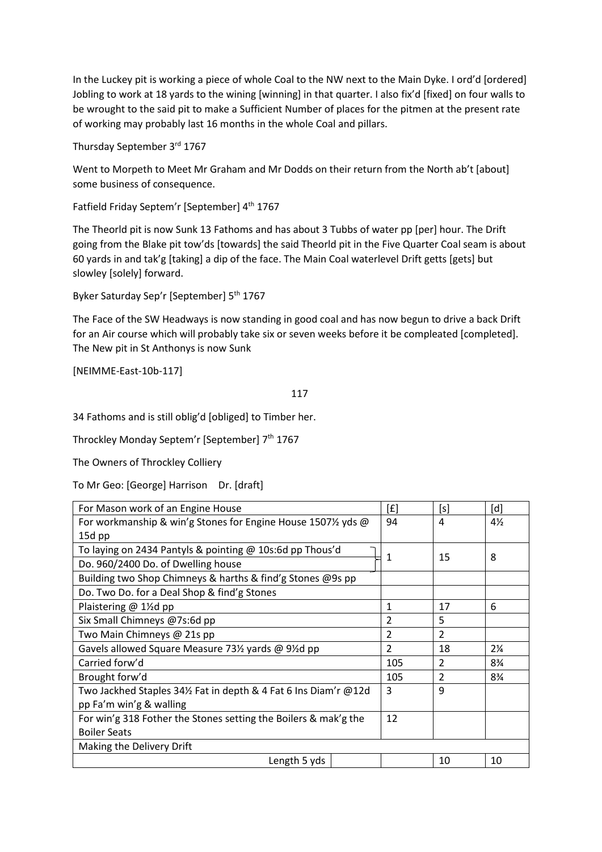In the Luckey pit is working a piece of whole Coal to the NW next to the Main Dyke. I ord'd [ordered] Jobling to work at 18 yards to the wining [winning] in that quarter. I also fix'd [fixed] on four walls to be wrought to the said pit to make a Sufficient Number of places for the pitmen at the present rate of working may probably last 16 months in the whole Coal and pillars.

Thursday September 3rd 1767

Went to Morpeth to Meet Mr Graham and Mr Dodds on their return from the North ab't [about] some business of consequence.

Fatfield Friday Septem'r [September] 4<sup>th</sup> 1767

The Theorld pit is now Sunk 13 Fathoms and has about 3 Tubbs of water pp [per] hour. The Drift going from the Blake pit tow'ds [towards] the said Theorld pit in the Five Quarter Coal seam is about 60 yards in and tak'g [taking] a dip of the face. The Main Coal waterlevel Drift getts [gets] but slowley [solely] forward.

Byker Saturday Sep'r [September] 5<sup>th</sup> 1767

The Face of the SW Headways is now standing in good coal and has now begun to drive a back Drift for an Air course which will probably take six or seven weeks before it be compleated [completed]. The New pit in St Anthonys is now Sunk

[NEIMME-East-10b-117]

117

34 Fathoms and is still oblig'd [obliged] to Timber her.

Throckley Monday Septem'r [September] 7<sup>th</sup> 1767

The Owners of Throckley Colliery

To Mr Geo: [George] Harrison Dr. [draft]

| For Mason work of an Engine House                               | [£]            | [s]            | [d]            |
|-----------------------------------------------------------------|----------------|----------------|----------------|
| For workmanship & win'g Stones for Engine House 15071/2 yds @   | 94             | $\overline{a}$ | $4\frac{1}{2}$ |
| 15d pp                                                          |                |                |                |
| To laying on 2434 Pantyls & pointing @ 10s:6d pp Thous'd        |                | 15             | 8              |
| Do. 960/2400 Do. of Dwelling house                              | 1              |                |                |
| Building two Shop Chimneys & harths & find'g Stones @9s pp      |                |                |                |
| Do. Two Do. for a Deal Shop & find'g Stones                     |                |                |                |
| Plaistering @ 1½d pp                                            | 1              | 17             | 6              |
| Six Small Chimneys @7s:6d pp                                    | $\overline{2}$ | 5              |                |
| Two Main Chimneys @ 21s pp                                      | $\overline{2}$ | $\overline{2}$ |                |
| Gavels allowed Square Measure 731/2 yards @ 91/2d pp            | $\overline{2}$ | 18             | $2\frac{1}{4}$ |
| Carried forw'd                                                  | 105            | 2              | $8\frac{3}{4}$ |
| Brought forw'd                                                  | 105            | 2              | $8\frac{3}{4}$ |
| Two Jackhed Staples 34½ Fat in depth & 4 Fat 6 Ins Diam'r @12d  | 3              | 9              |                |
| pp Fa'm win'g & walling                                         |                |                |                |
| For win'g 318 Fother the Stones setting the Boilers & mak'g the | 12             |                |                |
| <b>Boiler Seats</b>                                             |                |                |                |
| Making the Delivery Drift                                       |                |                |                |
| Length 5 yds                                                    |                | 10             | 10             |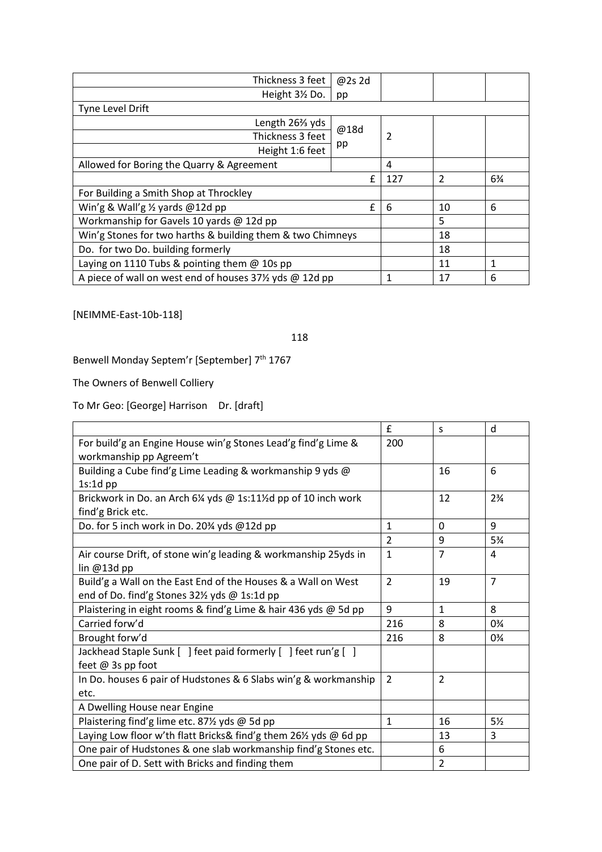| Thickness 3 feet                                           | @2s 2d |                |                |                |
|------------------------------------------------------------|--------|----------------|----------------|----------------|
| Height 31/2 Do.                                            | pp     |                |                |                |
| Tyne Level Drift                                           |        |                |                |                |
| Length 26% yds                                             | @18d   |                |                |                |
| Thickness 3 feet                                           |        | $\overline{2}$ |                |                |
| Height 1:6 feet                                            | pp     |                |                |                |
| Allowed for Boring the Quarry & Agreement                  |        | 4              |                |                |
|                                                            | £      | 127            | $\mathfrak{p}$ | $6\frac{3}{4}$ |
| For Building a Smith Shop at Throckley                     |        |                |                |                |
| Win'g & Wall'g $\frac{1}{2}$ yards @12d pp                 | £      | 6              | 10             | 6              |
| Workmanship for Gavels 10 yards @ 12d pp                   |        |                | 5              |                |
| Win'g Stones for two harths & building them & two Chimneys |        |                | 18             |                |
| Do. for two Do. building formerly                          |        |                | 18             |                |
| Laying on 1110 Tubs & pointing them @ 10s pp               |        |                | 11             | 1              |
| A piece of wall on west end of houses 37% yds @ 12d pp     |        | 1              | 17             | 6              |

[NEIMME-East-10b-118]

### 118

Benwell Monday Septem'r [September] 7<sup>th</sup> 1767

The Owners of Benwell Colliery

To Mr Geo: [George] Harrison Dr. [draft]

|                                                                                                                | £                       | S              | d                             |
|----------------------------------------------------------------------------------------------------------------|-------------------------|----------------|-------------------------------|
| For build'g an Engine House win'g Stones Lead'g find'g Lime &<br>workmanship pp Agreem't                       | 200                     |                |                               |
| Building a Cube find'g Lime Leading & workmanship 9 yds @                                                      |                         | 16             | 6                             |
| $1s:1d$ pp                                                                                                     |                         |                |                               |
| Brickwork in Do. an Arch 6¼ yds @ 1s:11½d pp of 10 inch work                                                   |                         | 12             | $2\frac{3}{4}$                |
| find'g Brick etc.                                                                                              |                         |                |                               |
| Do. for 5 inch work in Do. 20 <sup>3</sup> /4 yds @12d pp                                                      | $\mathbf{1}$            | $\mathbf{0}$   | 9                             |
|                                                                                                                | $\overline{2}$          | 9              | $5\frac{3}{4}$                |
| Air course Drift, of stone win'g leading & workmanship 25yds in<br>lin @13d pp                                 | $\mathbf{1}$            | $\overline{7}$ | 4                             |
| Build'g a Wall on the East End of the Houses & a Wall on West<br>end of Do. find'g Stones 321/2 yds @ 1s:1d pp | $\overline{\mathbf{z}}$ | 19             | $\overline{7}$                |
| Plaistering in eight rooms & find'g Lime & hair 436 yds $\omega$ 5d pp                                         | 9                       | 1              | 8                             |
| Carried forw'd                                                                                                 | 216                     | 8              | 0 <sup>3</sup> / <sub>4</sub> |
| Brought forw'd                                                                                                 | 216                     | 8              | $0\frac{3}{4}$                |
| Jackhead Staple Sunk [ ] feet paid formerly [ ] feet run'g [ ]                                                 |                         |                |                               |
| feet @ 3s pp foot                                                                                              |                         |                |                               |
| In Do. houses 6 pair of Hudstones & 6 Slabs win'g & workmanship                                                | $\overline{2}$          | $\overline{2}$ |                               |
| etc.                                                                                                           |                         |                |                               |
| A Dwelling House near Engine                                                                                   |                         |                |                               |
| Plaistering find'g lime etc. 871/2 yds @ 5d pp                                                                 | $\mathbf{1}$            | 16             | $5\frac{1}{2}$                |
| Laying Low floor w'th flatt Bricks& find'g them 261/2 yds @ 6d pp                                              |                         | 13             | 3                             |
| One pair of Hudstones & one slab workmanship find'g Stones etc.                                                |                         | 6              |                               |
| One pair of D. Sett with Bricks and finding them                                                               |                         | $\overline{2}$ |                               |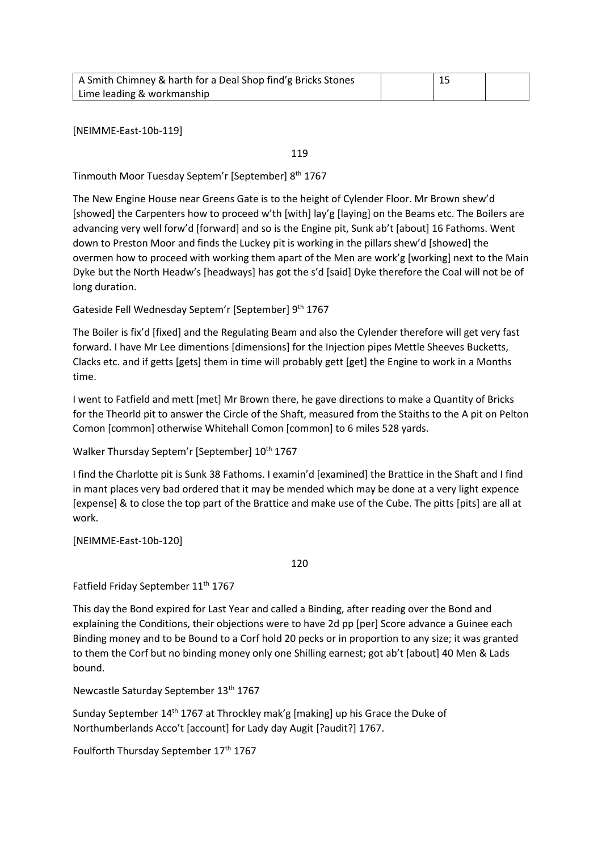| A Smith Chimney & harth for a Deal Shop find'g Bricks Stones |  |  |
|--------------------------------------------------------------|--|--|
| Lime leading & workmanship                                   |  |  |

[NEIMME-East-10b-119]

119

Tinmouth Moor Tuesday Septem'r [September] 8<sup>th</sup> 1767

The New Engine House near Greens Gate is to the height of Cylender Floor. Mr Brown shew'd [showed] the Carpenters how to proceed w'th [with] lay'g [laying] on the Beams etc. The Boilers are advancing very well forw'd [forward] and so is the Engine pit, Sunk ab't [about] 16 Fathoms. Went down to Preston Moor and finds the Luckey pit is working in the pillars shew'd [showed] the overmen how to proceed with working them apart of the Men are work'g [working] next to the Main Dyke but the North Headw's [headways] has got the s'd [said] Dyke therefore the Coal will not be of long duration.

Gateside Fell Wednesday Septem'r [September] 9th 1767

The Boiler is fix'd [fixed] and the Regulating Beam and also the Cylender therefore will get very fast forward. I have Mr Lee dimentions [dimensions] for the Injection pipes Mettle Sheeves Bucketts, Clacks etc. and if getts [gets] them in time will probably gett [get] the Engine to work in a Months time.

I went to Fatfield and mett [met] Mr Brown there, he gave directions to make a Quantity of Bricks for the Theorld pit to answer the Circle of the Shaft, measured from the Staiths to the A pit on Pelton Comon [common] otherwise Whitehall Comon [common] to 6 miles 528 yards.

Walker Thursday Septem'r [September]  $10^{th}$  1767

I find the Charlotte pit is Sunk 38 Fathoms. I examin'd [examined] the Brattice in the Shaft and I find in mant places very bad ordered that it may be mended which may be done at a very light expence [expense] & to close the top part of the Brattice and make use of the Cube. The pitts [pits] are all at work.

[NEIMME-East-10b-120]

120

Fatfield Friday September 11<sup>th</sup> 1767

This day the Bond expired for Last Year and called a Binding, after reading over the Bond and explaining the Conditions, their objections were to have 2d pp [per] Score advance a Guinee each Binding money and to be Bound to a Corf hold 20 pecks or in proportion to any size; it was granted to them the Corf but no binding money only one Shilling earnest; got ab't [about] 40 Men & Lads bound.

Newcastle Saturday September 13<sup>th</sup> 1767

Sunday September 14<sup>th</sup> 1767 at Throckley mak'g [making] up his Grace the Duke of Northumberlands Acco't [account] for Lady day Augit [?audit?] 1767.

Foulforth Thursday September 17<sup>th</sup> 1767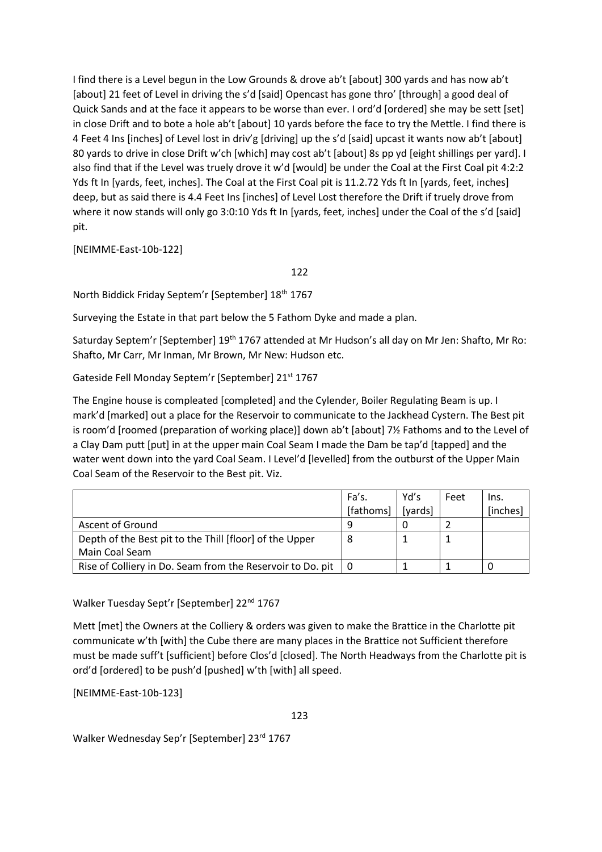I find there is a Level begun in the Low Grounds & drove ab't [about] 300 yards and has now ab't [about] 21 feet of Level in driving the s'd [said] Opencast has gone thro' [through] a good deal of Quick Sands and at the face it appears to be worse than ever. I ord'd [ordered] she may be sett [set] in close Drift and to bote a hole ab't [about] 10 yards before the face to try the Mettle. I find there is 4 Feet 4 Ins [inches] of Level lost in driv'g [driving] up the s'd [said] upcast it wants now ab't [about] 80 yards to drive in close Drift w'ch [which] may cost ab't [about] 8s pp yd [eight shillings per yard]. I also find that if the Level was truely drove it w'd [would] be under the Coal at the First Coal pit 4:2:2 Yds ft In [yards, feet, inches]. The Coal at the First Coal pit is 11.2.72 Yds ft In [yards, feet, inches] deep, but as said there is 4.4 Feet Ins [inches] of Level Lost therefore the Drift if truely drove from where it now stands will only go 3:0:10 Yds ft In [yards, feet, inches] under the Coal of the s'd [said] pit.

[NEIMME-East-10b-122]

122

North Biddick Friday Septem'r [September] 18th 1767

Surveying the Estate in that part below the 5 Fathom Dyke and made a plan.

Saturday Septem'r [September] 19th 1767 attended at Mr Hudson's all day on Mr Jen: Shafto, Mr Ro: Shafto, Mr Carr, Mr Inman, Mr Brown, Mr New: Hudson etc.

Gateside Fell Monday Septem'r [September] 21st 1767

The Engine house is compleated [completed] and the Cylender, Boiler Regulating Beam is up. I mark'd [marked] out a place for the Reservoir to communicate to the Jackhead Cystern. The Best pit is room'd [roomed (preparation of working place)] down ab't [about] 7½ Fathoms and to the Level of a Clay Dam putt [put] in at the upper main Coal Seam I made the Dam be tap'd [tapped] and the water went down into the yard Coal Seam. I Level'd [levelled] from the outburst of the Upper Main Coal Seam of the Reservoir to the Best pit. Viz.

|                                                                      | Fa's.     | Yd's    | Feet | Ins.     |
|----------------------------------------------------------------------|-----------|---------|------|----------|
|                                                                      | [fathoms] | [yards] |      | [inches] |
| Ascent of Ground                                                     |           |         |      |          |
| Depth of the Best pit to the Thill [floor] of the Upper              |           |         |      |          |
| Main Coal Seam                                                       |           |         |      |          |
| Rise of Colliery in Do. Seam from the Reservoir to Do. pit $\vert$ 0 |           |         |      |          |

Walker Tuesday Sept'r [September] 22<sup>nd</sup> 1767

Mett [met] the Owners at the Colliery & orders was given to make the Brattice in the Charlotte pit communicate w'th [with] the Cube there are many places in the Brattice not Sufficient therefore must be made suff't [sufficient] before Clos'd [closed]. The North Headways from the Charlotte pit is ord'd [ordered] to be push'd [pushed] w'th [with] all speed.

[NEIMME-East-10b-123]

123

Walker Wednesday Sep'r [September] 23rd 1767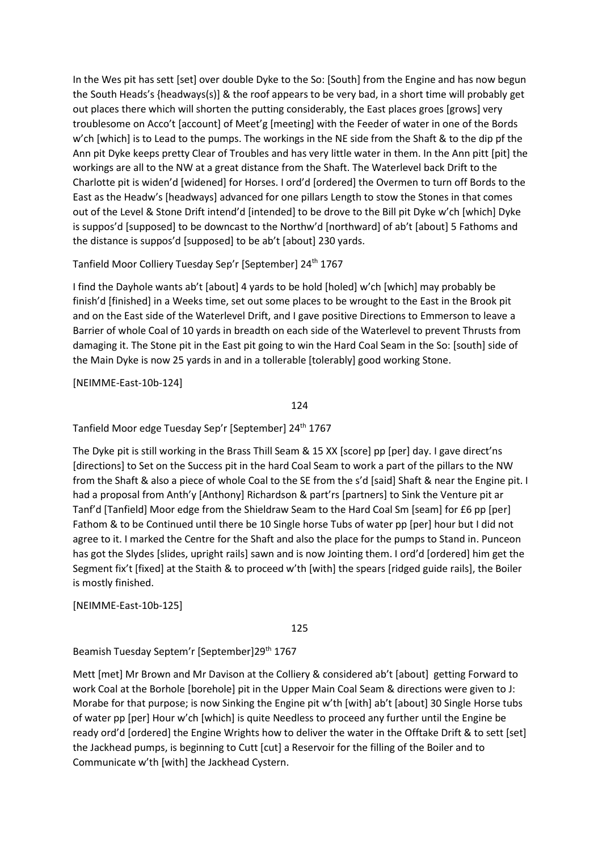In the Wes pit has sett [set] over double Dyke to the So: [South] from the Engine and has now begun the South Heads's {headways(s)] & the roof appears to be very bad, in a short time will probably get out places there which will shorten the putting considerably, the East places groes [grows] very troublesome on Acco't [account] of Meet'g [meeting] with the Feeder of water in one of the Bords w'ch [which] is to Lead to the pumps. The workings in the NE side from the Shaft & to the dip pf the Ann pit Dyke keeps pretty Clear of Troubles and has very little water in them. In the Ann pitt [pit] the workings are all to the NW at a great distance from the Shaft. The Waterlevel back Drift to the Charlotte pit is widen'd [widened] for Horses. I ord'd [ordered] the Overmen to turn off Bords to the East as the Headw's [headways] advanced for one pillars Length to stow the Stones in that comes out of the Level & Stone Drift intend'd [intended] to be drove to the Bill pit Dyke w'ch [which] Dyke is suppos'd [supposed] to be downcast to the Northw'd [northward] of ab't [about] 5 Fathoms and the distance is suppos'd [supposed] to be ab't [about] 230 yards.

# Tanfield Moor Colliery Tuesday Sep'r [September] 24th 1767

I find the Dayhole wants ab't [about] 4 yards to be hold [holed] w'ch [which] may probably be finish'd [finished] in a Weeks time, set out some places to be wrought to the East in the Brook pit and on the East side of the Waterlevel Drift, and I gave positive Directions to Emmerson to leave a Barrier of whole Coal of 10 yards in breadth on each side of the Waterlevel to prevent Thrusts from damaging it. The Stone pit in the East pit going to win the Hard Coal Seam in the So: [south] side of the Main Dyke is now 25 yards in and in a tollerable [tolerably] good working Stone.

[NEIMME-East-10b-124]

124

Tanfield Moor edge Tuesday Sep'r [September] 24<sup>th</sup> 1767

The Dyke pit is still working in the Brass Thill Seam & 15 XX [score] pp [per] day. I gave direct'ns [directions] to Set on the Success pit in the hard Coal Seam to work a part of the pillars to the NW from the Shaft & also a piece of whole Coal to the SE from the s'd [said] Shaft & near the Engine pit. I had a proposal from Anth'y [Anthony] Richardson & part'rs [partners] to Sink the Venture pit ar Tanf'd [Tanfield] Moor edge from the Shieldraw Seam to the Hard Coal Sm [seam] for £6 pp [per] Fathom & to be Continued until there be 10 Single horse Tubs of water pp [per] hour but I did not agree to it. I marked the Centre for the Shaft and also the place for the pumps to Stand in. Punceon has got the Slydes [slides, upright rails] sawn and is now Jointing them. I ord'd [ordered] him get the Segment fix't [fixed] at the Staith & to proceed w'th [with] the spears [ridged guide rails], the Boiler is mostly finished.

[NEIMME-East-10b-125]

125

Beamish Tuesday Septem'r [September]29<sup>th</sup> 1767

Mett [met] Mr Brown and Mr Davison at the Colliery & considered ab't [about] getting Forward to work Coal at the Borhole [borehole] pit in the Upper Main Coal Seam & directions were given to J: Morabe for that purpose; is now Sinking the Engine pit w'th [with] ab't [about] 30 Single Horse tubs of water pp [per] Hour w'ch [which] is quite Needless to proceed any further until the Engine be ready ord'd [ordered] the Engine Wrights how to deliver the water in the Offtake Drift & to sett [set] the Jackhead pumps, is beginning to Cutt [cut] a Reservoir for the filling of the Boiler and to Communicate w'th [with] the Jackhead Cystern.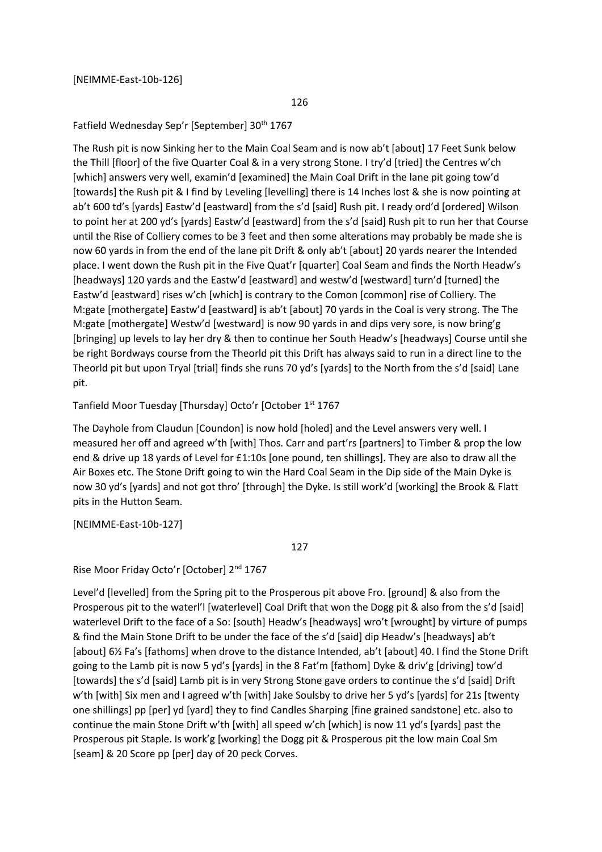#### 126

### Fatfield Wednesday Sep'r [September] 30<sup>th</sup> 1767

The Rush pit is now Sinking her to the Main Coal Seam and is now ab't [about] 17 Feet Sunk below the Thill [floor] of the five Quarter Coal & in a very strong Stone. I try'd [tried] the Centres w'ch [which] answers very well, examin'd [examined] the Main Coal Drift in the lane pit going tow'd [towards] the Rush pit & I find by Leveling [levelling] there is 14 Inches lost & she is now pointing at ab't 600 td's [yards] Eastw'd [eastward] from the s'd [said] Rush pit. I ready ord'd [ordered] Wilson to point her at 200 yd's [yards] Eastw'd [eastward] from the s'd [said] Rush pit to run her that Course until the Rise of Colliery comes to be 3 feet and then some alterations may probably be made she is now 60 yards in from the end of the lane pit Drift & only ab't [about] 20 yards nearer the Intended place. I went down the Rush pit in the Five Quat'r [quarter] Coal Seam and finds the North Headw's [headways] 120 yards and the Eastw'd [eastward] and westw'd [westward] turn'd [turned] the Eastw'd [eastward] rises w'ch [which] is contrary to the Comon [common] rise of Colliery. The M:gate [mothergate] Eastw'd [eastward] is ab't [about] 70 yards in the Coal is very strong. The The M:gate [mothergate] Westw'd [westward] is now 90 yards in and dips very sore, is now bring'g [bringing] up levels to lay her dry & then to continue her South Headw's [headways] Course until she be right Bordways course from the Theorld pit this Drift has always said to run in a direct line to the Theorld pit but upon Tryal [trial] finds she runs 70 yd's [yards] to the North from the s'd [said] Lane pit.

### Tanfield Moor Tuesday [Thursday] Octo'r [October 1<sup>st</sup> 1767

The Dayhole from Claudun [Coundon] is now hold [holed] and the Level answers very well. I measured her off and agreed w'th [with] Thos. Carr and part'rs [partners] to Timber & prop the low end & drive up 18 yards of Level for £1:10s [one pound, ten shillings]. They are also to draw all the Air Boxes etc. The Stone Drift going to win the Hard Coal Seam in the Dip side of the Main Dyke is now 30 yd's [yards] and not got thro' [through] the Dyke. Is still work'd [working] the Brook & Flatt pits in the Hutton Seam.

[NEIMME-East-10b-127]

127

# Rise Moor Friday Octo'r [October] 2<sup>nd</sup> 1767

Level'd [levelled] from the Spring pit to the Prosperous pit above Fro. [ground] & also from the Prosperous pit to the waterl'l [waterlevel] Coal Drift that won the Dogg pit & also from the s'd [said] waterlevel Drift to the face of a So: [south] Headw's [headways] wro't [wrought] by virture of pumps & find the Main Stone Drift to be under the face of the s'd [said] dip Headw's [headways] ab't [about] 6½ Fa's [fathoms] when drove to the distance Intended, ab't [about] 40. I find the Stone Drift going to the Lamb pit is now 5 yd's [yards] in the 8 Fat'm [fathom] Dyke & driv'g [driving] tow'd [towards] the s'd [said] Lamb pit is in very Strong Stone gave orders to continue the s'd [said] Drift w'th [with] Six men and I agreed w'th [with] Jake Soulsby to drive her 5 yd's [yards] for 21s [twenty one shillings] pp [per] yd [yard] they to find Candles Sharping [fine grained sandstone] etc. also to continue the main Stone Drift w'th [with] all speed w'ch [which] is now 11 yd's [yards] past the Prosperous pit Staple. Is work'g [working] the Dogg pit & Prosperous pit the low main Coal Sm [seam] & 20 Score pp [per] day of 20 peck Corves.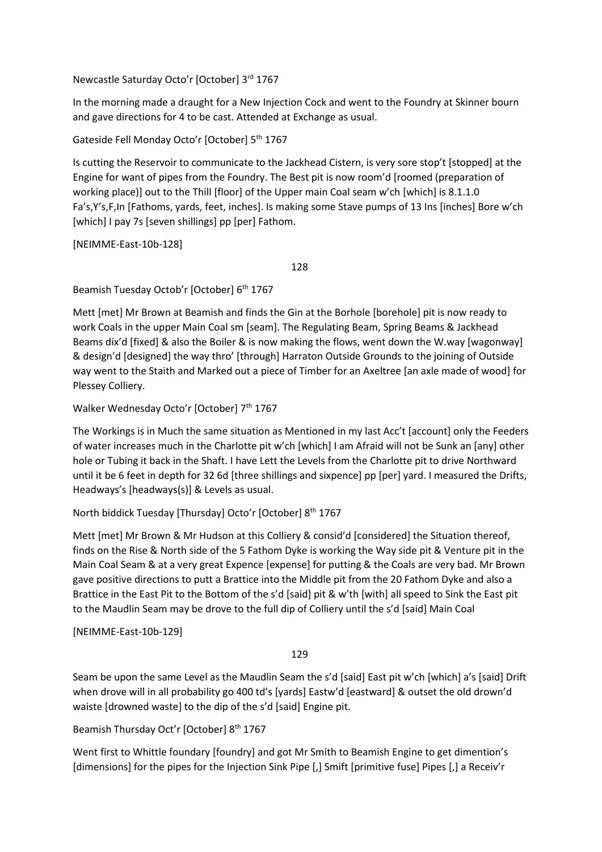Newcastle Saturday Octo'r [October] 3rd 1767

In the morning made a draught for a New Injection Cock and went to the Foundry at Skinner bourn and gave directions for 4 to be cast. Attended at Exchange as usual.

Gateside Fell Monday Octo'r [October] 5<sup>th</sup> 1767

Is cutting the Reservoir to communicate to the Jackhead Cistern, is very sore stop't [stopped] at the Engine for want of pipes from the Foundry. The Best pit is now room'd [roomed (preparation of working place)] out to the Thill [floor] of the Upper main Coal seam w'ch [which] is 8.1.1.0 Fa's,Y's,F,In [Fathoms, yards, feet, inches]. Is making some Stave pumps of 13 Ins [inches] Bore w'ch [which] I pay 7s [seven shillings] pp [per] Fathom.

[NEIMME-East-10b-128]

128

Beamish Tuesday Octob'r [October] 6<sup>th</sup> 1767

Mett [met] Mr Brown at Beamish and finds the Gin at the Borhole [borehole] pit is now ready to work Coals in the upper Main Coal sm [seam]. The Regulating Beam, Spring Beams & Jackhead Beams dix'd [fixed] & also the Boiler & is now making the flows, went down the W.way [wagonway] & design'd [designed] the way thro' [through] Harraton Outside Grounds to the joining of Outside way went to the Staith and Marked out a piece of Timber for an Axeltree [an axle made of wood] for Plessey Colliery.

Walker Wednesday Octo'r [October] 7<sup>th</sup> 1767

The Workings is in Much the same situation as Mentioned in my last Acc't [account] only the Feeders of water increases much in the Charlotte pit w'ch [which] I am Afraid will not be Sunk an [any] other hole or Tubing it back in the Shaft. I have Lett the Levels from the Charlotte pit to drive Northward until it be 6 feet in depth for 32 6d [three shillings and sixpence] pp [per] yard. I measured the Drifts, Headways's [headways(s)] & Levels as usual.

North biddick Tuesday [Thursday] Octo'r [October] 8th 1767

Mett [met] Mr Brown & Mr Hudson at this Colliery & consid'd [considered] the Situation thereof, finds on the Rise & North side of the 5 Fathom Dyke is working the Way side pit & Venture pit in the Main Coal Seam & at a very great Expence [expense] for putting & the Coals are very bad. Mr Brown gave positive directions to putt a Brattice into the Middle pit from the 20 Fathom Dyke and also a Brattice in the East Pit to the Bottom of the s'd [said] pit & w'th [with] all speed to Sink the East pit to the Maudlin Seam may be drove to the full dip of Colliery until the s'd [said] Main Coal

[NEIMME-East-10b-129]

129

Seam be upon the same Level as the Maudlin Seam the s'd [said] East pit w'ch [which] a's [said] Drift when drove will in all probability go 400 td's [yards] Eastw'd [eastward] & outset the old drown'd waiste [drowned waste] to the dip of the s'd [said] Engine pit.

Beamish Thursday Oct'r [October] 8<sup>th</sup> 1767

Went first to Whittle foundary [foundry] and got Mr Smith to Beamish Engine to get dimention's [dimensions] for the pipes for the Injection Sink Pipe [,] Smift [primitive fuse] Pipes [,] a Receiv'r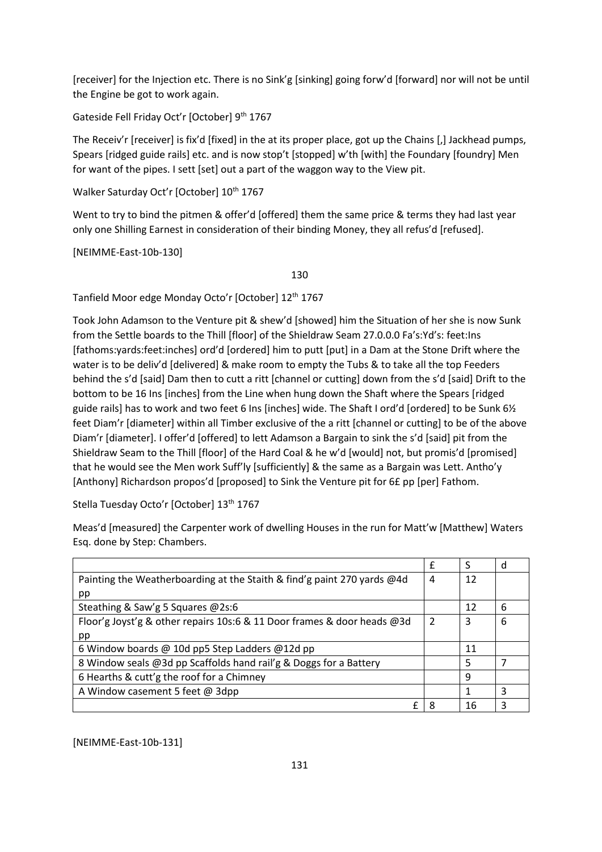[receiver] for the Injection etc. There is no Sink'g [sinking] going forw'd [forward] nor will not be until the Engine be got to work again.

Gateside Fell Friday Oct'r [October] 9<sup>th</sup> 1767

The Receiv'r [receiver] is fix'd [fixed] in the at its proper place, got up the Chains [,] Jackhead pumps, Spears [ridged guide rails] etc. and is now stop't [stopped] w'th [with] the Foundary [foundry] Men for want of the pipes. I sett [set] out a part of the waggon way to the View pit.

Walker Saturday Oct'r [October] 10<sup>th</sup> 1767

Went to try to bind the pitmen & offer'd [offered] them the same price & terms they had last year only one Shilling Earnest in consideration of their binding Money, they all refus'd [refused].

[NEIMME-East-10b-130]

130

Tanfield Moor edge Monday Octo'r [October] 12<sup>th</sup> 1767

Took John Adamson to the Venture pit & shew'd [showed] him the Situation of her she is now Sunk from the Settle boards to the Thill [floor] of the Shieldraw Seam 27.0.0.0 Fa's:Yd's: feet:Ins [fathoms:yards:feet:inches] ord'd [ordered] him to putt [put] in a Dam at the Stone Drift where the water is to be deliv'd [delivered] & make room to empty the Tubs & to take all the top Feeders behind the s'd [said] Dam then to cutt a ritt [channel or cutting] down from the s'd [said] Drift to the bottom to be 16 Ins [inches] from the Line when hung down the Shaft where the Spears [ridged guide rails] has to work and two feet 6 Ins [inches] wide. The Shaft I ord'd [ordered] to be Sunk 6½ feet Diam'r [diameter] within all Timber exclusive of the a ritt [channel or cutting] to be of the above Diam'r [diameter]. I offer'd [offered] to lett Adamson a Bargain to sink the s'd [said] pit from the Shieldraw Seam to the Thill [floor] of the Hard Coal & he w'd [would] not, but promis'd [promised] that he would see the Men work Suff'ly [sufficiently] & the same as a Bargain was Lett. Antho'y [Anthony] Richardson propos'd [proposed] to Sink the Venture pit for 6£ pp [per] Fathom.

Stella Tuesday Octo'r [October] 13<sup>th</sup> 1767

Meas'd [measured] the Carpenter work of dwelling Houses in the run for Matt'w [Matthew] Waters Esq. done by Step: Chambers.

|                                                                         | f |    | d |
|-------------------------------------------------------------------------|---|----|---|
| Painting the Weatherboarding at the Staith & find'g paint 270 yards @4d | 4 | 12 |   |
| pp                                                                      |   |    |   |
| Steathing & Saw'g 5 Squares @2s:6                                       |   | 12 | 6 |
| Floor'g Joyst'g & other repairs 10s:6 & 11 Door frames & door heads @3d |   | 3  | 6 |
| pp                                                                      |   |    |   |
| 6 Window boards @ 10d pp5 Step Ladders @12d pp                          |   | 11 |   |
| 8 Window seals @3d pp Scaffolds hand rail'g & Doggs for a Battery       |   | 5  |   |
| 6 Hearths & cutt'g the roof for a Chimney                               |   | 9  |   |
| A Window casement 5 feet @ 3dpp                                         |   |    | З |
|                                                                         |   | 16 | 3 |

[NEIMME-East-10b-131]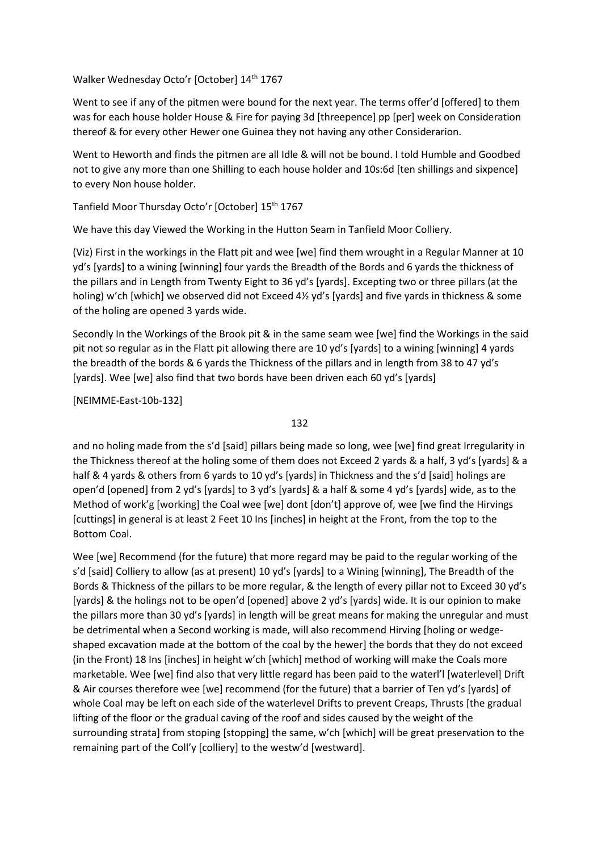Walker Wednesday Octo'r [October] 14<sup>th</sup> 1767

Went to see if any of the pitmen were bound for the next year. The terms offer'd [offered] to them was for each house holder House & Fire for paying 3d [threepence] pp [per] week on Consideration thereof & for every other Hewer one Guinea they not having any other Considerarion.

Went to Heworth and finds the pitmen are all Idle & will not be bound. I told Humble and Goodbed not to give any more than one Shilling to each house holder and 10s:6d [ten shillings and sixpence] to every Non house holder.

Tanfield Moor Thursday Octo'r [October] 15<sup>th</sup> 1767

We have this day Viewed the Working in the Hutton Seam in Tanfield Moor Colliery.

(Viz) First in the workings in the Flatt pit and wee [we] find them wrought in a Regular Manner at 10 yd's [yards] to a wining [winning] four yards the Breadth of the Bords and 6 yards the thickness of the pillars and in Length from Twenty Eight to 36 yd's [yards]. Excepting two or three pillars (at the holing) w'ch [which] we observed did not Exceed 4½ yd's [yards] and five yards in thickness & some of the holing are opened 3 yards wide.

Secondly In the Workings of the Brook pit & in the same seam wee [we] find the Workings in the said pit not so regular as in the Flatt pit allowing there are 10 yd's [yards] to a wining [winning] 4 yards the breadth of the bords & 6 yards the Thickness of the pillars and in length from 38 to 47 yd's [yards]. Wee [we] also find that two bords have been driven each 60 yd's [yards]

[NEIMME-East-10b-132]

132

and no holing made from the s'd [said] pillars being made so long, wee [we] find great Irregularity in the Thickness thereof at the holing some of them does not Exceed 2 yards & a half, 3 yd's [yards] & a half & 4 yards & others from 6 yards to 10 yd's [yards] in Thickness and the s'd [said] holings are open'd [opened] from 2 yd's [yards] to 3 yd's [yards] & a half & some 4 yd's [yards] wide, as to the Method of work'g [working] the Coal wee [we] dont [don't] approve of, wee [we find the Hirvings [cuttings] in general is at least 2 Feet 10 Ins [inches] in height at the Front, from the top to the Bottom Coal.

Wee [we] Recommend (for the future) that more regard may be paid to the regular working of the s'd [said] Colliery to allow (as at present) 10 yd's [yards] to a Wining [winning], The Breadth of the Bords & Thickness of the pillars to be more regular, & the length of every pillar not to Exceed 30 yd's [yards] & the holings not to be open'd [opened] above 2 yd's [yards] wide. It is our opinion to make the pillars more than 30 yd's [yards] in length will be great means for making the unregular and must be detrimental when a Second working is made, will also recommend Hirving [holing or wedgeshaped excavation made at the bottom of the coal by the hewer] the bords that they do not exceed (in the Front) 18 Ins [inches] in height w'ch [which] method of working will make the Coals more marketable. Wee [we] find also that very little regard has been paid to the waterl'l [waterlevel] Drift & Air courses therefore wee [we] recommend (for the future) that a barrier of Ten yd's [yards] of whole Coal may be left on each side of the waterlevel Drifts to prevent Creaps, Thrusts [the gradual lifting of the floor or the gradual caving of the roof and sides caused by the weight of the surrounding strata] from stoping [stopping] the same, w'ch [which] will be great preservation to the remaining part of the Coll'y [colliery] to the westw'd [westward].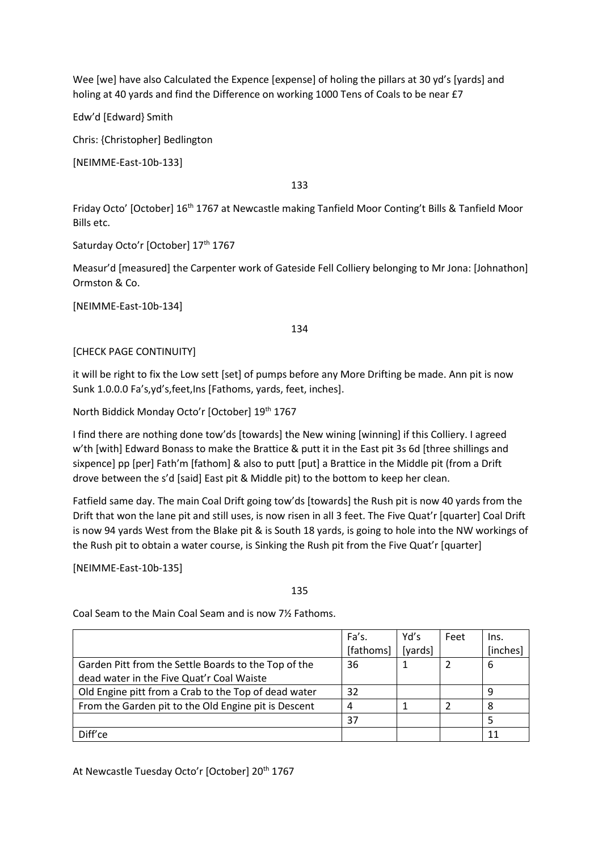Wee [we] have also Calculated the Expence [expense] of holing the pillars at 30 yd's [yards] and holing at 40 yards and find the Difference on working 1000 Tens of Coals to be near £7

Edw'd [Edward} Smith

Chris: {Christopher] Bedlington

[NEIMME-East-10b-133]

133

Friday Octo' [October] 16<sup>th</sup> 1767 at Newcastle making Tanfield Moor Conting't Bills & Tanfield Moor Bills etc.

Saturday Octo'r [October] 17<sup>th</sup> 1767

Measur'd [measured] the Carpenter work of Gateside Fell Colliery belonging to Mr Jona: [Johnathon] Ormston & Co.

[NEIMME-East-10b-134]

134

[CHECK PAGE CONTINUITY]

it will be right to fix the Low sett [set] of pumps before any More Drifting be made. Ann pit is now Sunk 1.0.0.0 Fa's,yd's,feet,Ins [Fathoms, yards, feet, inches].

North Biddick Monday Octo'r [October] 19th 1767

I find there are nothing done tow'ds [towards] the New wining [winning] if this Colliery. I agreed w'th [with] Edward Bonass to make the Brattice & putt it in the East pit 3s 6d [three shillings and sixpence] pp [per] Fath'm [fathom] & also to putt [put] a Brattice in the Middle pit (from a Drift drove between the s'd [said] East pit & Middle pit) to the bottom to keep her clean.

Fatfield same day. The main Coal Drift going tow'ds [towards] the Rush pit is now 40 yards from the Drift that won the lane pit and still uses, is now risen in all 3 feet. The Five Quat'r [quarter] Coal Drift is now 94 yards West from the Blake pit & is South 18 yards, is going to hole into the NW workings of the Rush pit to obtain a water course, is Sinking the Rush pit from the Five Quat'r [quarter]

[NEIMME-East-10b-135]

135

Coal Seam to the Main Coal Seam and is now 7½ Fathoms.

|                                                      | Fa's.     | Yd's    | Feet | Ins.     |
|------------------------------------------------------|-----------|---------|------|----------|
|                                                      | [fathoms] | [yards] |      | [inches] |
| Garden Pitt from the Settle Boards to the Top of the | 36        |         |      | 6        |
| dead water in the Five Quat'r Coal Waiste            |           |         |      |          |
| Old Engine pitt from a Crab to the Top of dead water | 32        |         |      | 9        |
| From the Garden pit to the Old Engine pit is Descent |           |         |      | 8        |
|                                                      | 37        |         |      | 5        |
| Diff'ce                                              |           |         |      | 11       |

At Newcastle Tuesday Octo'r [October] 20<sup>th</sup> 1767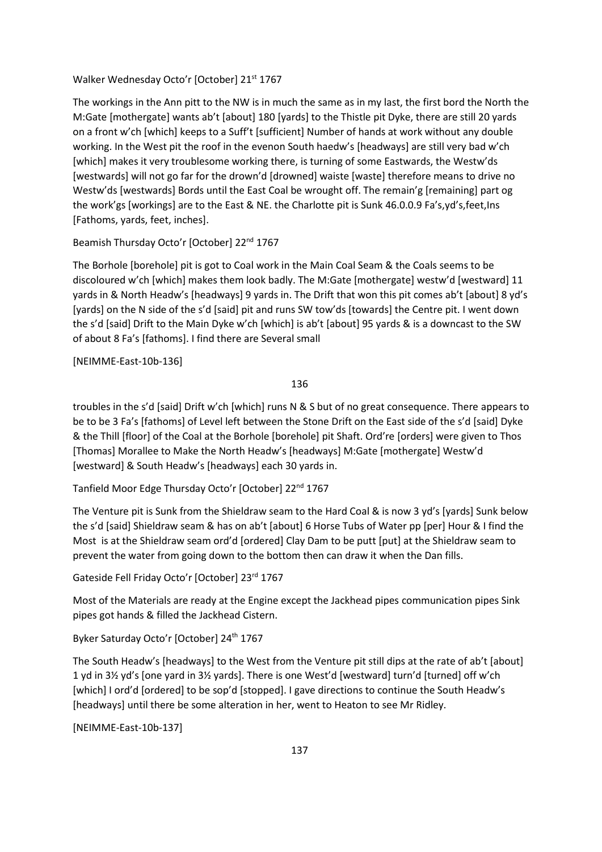Walker Wednesday Octo'r [October] 21<sup>st</sup> 1767

The workings in the Ann pitt to the NW is in much the same as in my last, the first bord the North the M:Gate [mothergate] wants ab't [about] 180 [yards] to the Thistle pit Dyke, there are still 20 yards on a front w'ch [which] keeps to a Suff't [sufficient] Number of hands at work without any double working. In the West pit the roof in the evenon South haedw's [headways] are still very bad w'ch [which] makes it very troublesome working there, is turning of some Eastwards, the Westw'ds [westwards] will not go far for the drown'd [drowned] waiste [waste] therefore means to drive no Westw'ds [westwards] Bords until the East Coal be wrought off. The remain'g [remaining] part og the work'gs [workings] are to the East & NE. the Charlotte pit is Sunk 46.0.0.9 Fa's,yd's,feet,Ins [Fathoms, yards, feet, inches].

Beamish Thursday Octo'r [October] 22<sup>nd</sup> 1767

The Borhole [borehole] pit is got to Coal work in the Main Coal Seam & the Coals seems to be discoloured w'ch [which] makes them look badly. The M:Gate [mothergate] westw'd [westward] 11 yards in & North Headw's [headways] 9 yards in. The Drift that won this pit comes ab't [about] 8 yd's [yards] on the N side of the s'd [said] pit and runs SW tow'ds [towards] the Centre pit. I went down the s'd [said] Drift to the Main Dyke w'ch [which] is ab't [about] 95 yards & is a downcast to the SW of about 8 Fa's [fathoms]. I find there are Several small

[NEIMME-East-10b-136]

136

troubles in the s'd [said] Drift w'ch [which] runs N & S but of no great consequence. There appears to be to be 3 Fa's [fathoms] of Level left between the Stone Drift on the East side of the s'd [said] Dyke & the Thill [floor] of the Coal at the Borhole [borehole] pit Shaft. Ord're [orders] were given to Thos [Thomas] Morallee to Make the North Headw's [headways] M:Gate [mothergate] Westw'd [westward] & South Headw's [headways] each 30 yards in.

Tanfield Moor Edge Thursday Octo'r [October] 22<sup>nd</sup> 1767

The Venture pit is Sunk from the Shieldraw seam to the Hard Coal & is now 3 yd's [yards] Sunk below the s'd [said] Shieldraw seam & has on ab't [about] 6 Horse Tubs of Water pp [per] Hour & I find the Most is at the Shieldraw seam ord'd [ordered] Clay Dam to be putt [put] at the Shieldraw seam to prevent the water from going down to the bottom then can draw it when the Dan fills.

Gateside Fell Friday Octo'r [October] 23rd 1767

Most of the Materials are ready at the Engine except the Jackhead pipes communication pipes Sink pipes got hands & filled the Jackhead Cistern.

Byker Saturday Octo'r [October] 24<sup>th</sup> 1767

The South Headw's [headways] to the West from the Venture pit still dips at the rate of ab't [about] 1 yd in 3½ yd's [one yard in 3½ yards]. There is one West'd [westward] turn'd [turned] off w'ch [which] I ord'd [ordered] to be sop'd [stopped]. I gave directions to continue the South Headw's [headways] until there be some alteration in her, went to Heaton to see Mr Ridley.

[NEIMME-East-10b-137]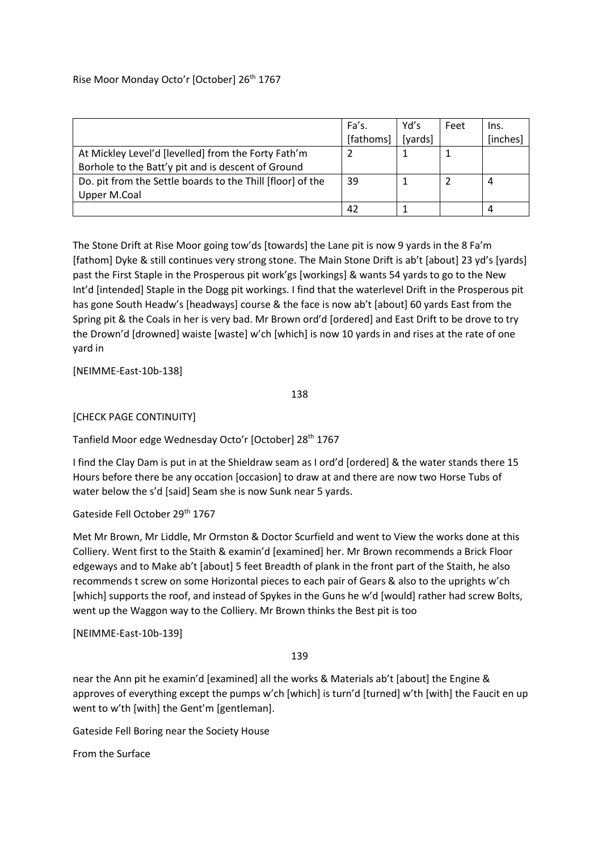|                                                            | Fa's.     | Yd's    | Feet | Ins.     |
|------------------------------------------------------------|-----------|---------|------|----------|
|                                                            | [fathoms] | [yards] |      | [inches] |
| At Mickley Level'd [levelled] from the Forty Fath'm        |           |         |      |          |
| Borhole to the Batt'y pit and is descent of Ground         |           |         |      |          |
| Do. pit from the Settle boards to the Thill [floor] of the | 39        |         |      | 4        |
| Upper M.Coal                                               |           |         |      |          |
|                                                            | 42        |         |      |          |

The Stone Drift at Rise Moor going tow'ds [towards] the Lane pit is now 9 yards in the 8 Fa'm [fathom] Dyke & still continues very strong stone. The Main Stone Drift is ab't [about] 23 yd's [yards] past the First Staple in the Prosperous pit work'gs [workings] & wants 54 yards to go to the New Int'd [intended] Staple in the Dogg pit workings. I find that the waterlevel Drift in the Prosperous pit has gone South Headw's [headways] course & the face is now ab't [about] 60 yards East from the Spring pit & the Coals in her is very bad. Mr Brown ord'd [ordered] and East Drift to be drove to try the Drown'd [drowned] waiste [waste] w'ch [which] is now 10 yards in and rises at the rate of one yard in

[NEIMME-East-10b-138]

138

[CHECK PAGE CONTINUITY]

Tanfield Moor edge Wednesday Octo'r [October] 28th 1767

I find the Clay Dam is put in at the Shieldraw seam as I ord'd [ordered] & the water stands there 15 Hours before there be any occation [occasion] to draw at and there are now two Horse Tubs of water below the s'd [said] Seam she is now Sunk near 5 yards.

Gateside Fell October 29th 1767

Met Mr Brown, Mr Liddle, Mr Ormston & Doctor Scurfield and went to View the works done at this Colliery. Went first to the Staith & examin'd [examined] her. Mr Brown recommends a Brick Floor edgeways and to Make ab't [about] 5 feet Breadth of plank in the front part of the Staith, he also recommends t screw on some Horizontal pieces to each pair of Gears & also to the uprights w'ch [which] supports the roof, and instead of Spykes in the Guns he w'd [would] rather had screw Bolts, went up the Waggon way to the Colliery. Mr Brown thinks the Best pit is too

[NEIMME-East-10b-139]

139

near the Ann pit he examin'd [examined] all the works & Materials ab't [about] the Engine & approves of everything except the pumps w'ch [which] is turn'd [turned] w'th [with] the Faucit en up went to w'th [with] the Gent'm [gentleman].

Gateside Fell Boring near the Society House

From the Surface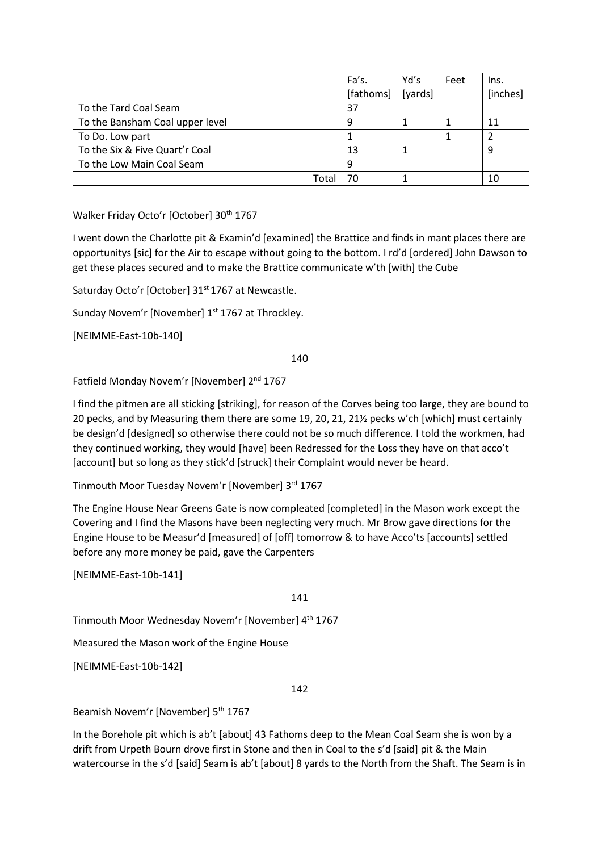|                                 | Fa's.     | Yd's    | Feet | Ins.     |
|---------------------------------|-----------|---------|------|----------|
|                                 | [fathoms] | [yards] |      | [inches] |
| To the Tard Coal Seam           | 37        |         |      |          |
| To the Bansham Coal upper level | 9         |         |      | 11       |
| To Do. Low part                 |           |         |      |          |
| To the Six & Five Quart'r Coal  | 13        |         |      | 9        |
| To the Low Main Coal Seam       | 9         |         |      |          |
| Total                           | 70        |         |      | 10       |

Walker Friday Octo'r [October] 30<sup>th</sup> 1767

I went down the Charlotte pit & Examin'd [examined] the Brattice and finds in mant places there are opportunitys [sic] for the Air to escape without going to the bottom. I rd'd [ordered] John Dawson to get these places secured and to make the Brattice communicate w'th [with] the Cube

Saturday Octo'r [October] 31<sup>st</sup> 1767 at Newcastle.

Sunday Novem'r [November] 1<sup>st</sup> 1767 at Throckley.

[NEIMME-East-10b-140]

140

Fatfield Monday Novem'r [November] 2<sup>nd</sup> 1767

I find the pitmen are all sticking [striking], for reason of the Corves being too large, they are bound to 20 pecks, and by Measuring them there are some 19, 20, 21, 21½ pecks w'ch [which] must certainly be design'd [designed] so otherwise there could not be so much difference. I told the workmen, had they continued working, they would [have] been Redressed for the Loss they have on that acco't [account] but so long as they stick'd [struck] their Complaint would never be heard.

Tinmouth Moor Tuesday Novem'r [November] 3rd 1767

The Engine House Near Greens Gate is now compleated [completed] in the Mason work except the Covering and I find the Masons have been neglecting very much. Mr Brow gave directions for the Engine House to be Measur'd [measured] of [off] tomorrow & to have Acco'ts [accounts] settled before any more money be paid, gave the Carpenters

[NEIMME-East-10b-141]

141

Tinmouth Moor Wednesday Novem'r [November] 4th 1767

Measured the Mason work of the Engine House

[NEIMME-East-10b-142]

142

Beamish Novem'r [November] 5<sup>th</sup> 1767

In the Borehole pit which is ab't [about] 43 Fathoms deep to the Mean Coal Seam she is won by a drift from Urpeth Bourn drove first in Stone and then in Coal to the s'd [said] pit & the Main watercourse in the s'd [said] Seam is ab't [about] 8 yards to the North from the Shaft. The Seam is in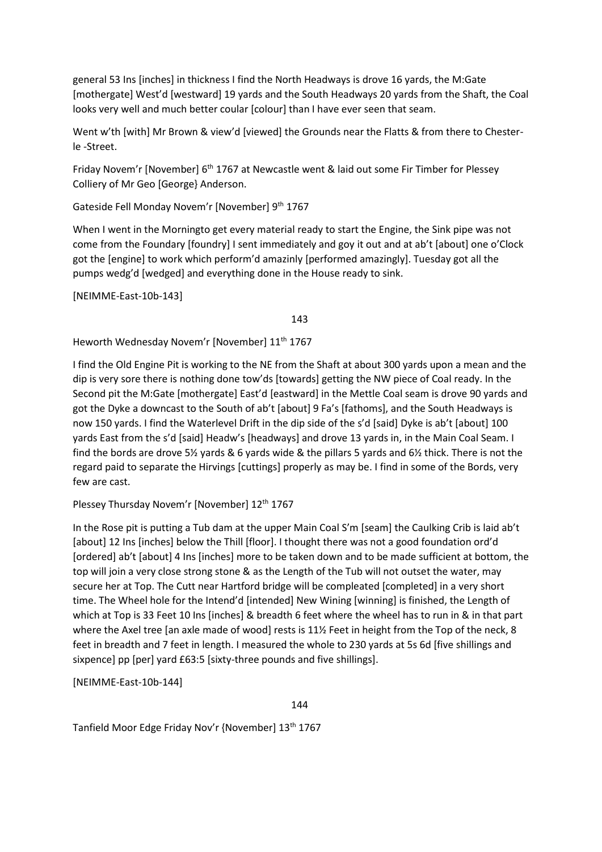general 53 Ins [inches] in thickness I find the North Headways is drove 16 yards, the M:Gate [mothergate] West'd [westward] 19 yards and the South Headways 20 yards from the Shaft, the Coal looks very well and much better coular [colour] than I have ever seen that seam.

Went w'th [with] Mr Brown & view'd [viewed] the Grounds near the Flatts & from there to Chesterle -Street.

Friday Novem'r [November] 6<sup>th</sup> 1767 at Newcastle went & laid out some Fir Timber for Plessey Colliery of Mr Geo [George} Anderson.

Gateside Fell Monday Novem'r [November] 9<sup>th</sup> 1767

When I went in the Morningto get every material ready to start the Engine, the Sink pipe was not come from the Foundary [foundry] I sent immediately and goy it out and at ab't [about] one o'Clock got the [engine] to work which perform'd amazinly [performed amazingly]. Tuesday got all the pumps wedg'd [wedged] and everything done in the House ready to sink.

[NEIMME-East-10b-143]

143

Heworth Wednesday Novem'r [November] 11<sup>th</sup> 1767

I find the Old Engine Pit is working to the NE from the Shaft at about 300 yards upon a mean and the dip is very sore there is nothing done tow'ds [towards] getting the NW piece of Coal ready. In the Second pit the M:Gate [mothergate] East'd [eastward] in the Mettle Coal seam is drove 90 yards and got the Dyke a downcast to the South of ab't [about] 9 Fa's [fathoms], and the South Headways is now 150 yards. I find the Waterlevel Drift in the dip side of the s'd [said] Dyke is ab't [about] 100 yards East from the s'd [said] Headw's [headways] and drove 13 yards in, in the Main Coal Seam. I find the bords are drove 5½ yards & 6 yards wide & the pillars 5 yards and 6½ thick. There is not the regard paid to separate the Hirvings [cuttings] properly as may be. I find in some of the Bords, very few are cast.

Plessey Thursday Novem'r [November] 12<sup>th</sup> 1767

In the Rose pit is putting a Tub dam at the upper Main Coal S'm [seam] the Caulking Crib is laid ab't [about] 12 Ins [inches] below the Thill [floor]. I thought there was not a good foundation ord'd [ordered] ab't [about] 4 Ins [inches] more to be taken down and to be made sufficient at bottom, the top will join a very close strong stone & as the Length of the Tub will not outset the water, may secure her at Top. The Cutt near Hartford bridge will be compleated [completed] in a very short time. The Wheel hole for the Intend'd [intended] New Wining [winning] is finished, the Length of which at Top is 33 Feet 10 Ins [inches] & breadth 6 feet where the wheel has to run in & in that part where the Axel tree [an axle made of wood] rests is 11½ Feet in height from the Top of the neck, 8 feet in breadth and 7 feet in length. I measured the whole to 230 yards at 5s 6d [five shillings and sixpence] pp [per] yard £63:5 [sixty-three pounds and five shillings].

[NEIMME-East-10b-144]

Tanfield Moor Edge Friday Nov'r {November] 13<sup>th</sup> 1767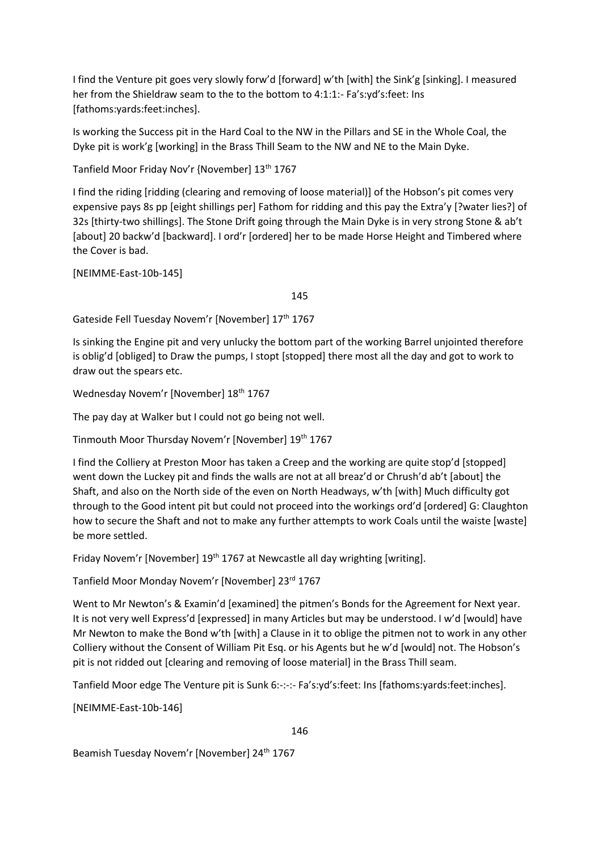I find the Venture pit goes very slowly forw'd [forward] w'th [with] the Sink'g [sinking]. I measured her from the Shieldraw seam to the to the bottom to 4:1:1:- Fa's:yd's:feet: Ins [fathoms:yards:feet:inches].

Is working the Success pit in the Hard Coal to the NW in the Pillars and SE in the Whole Coal, the Dyke pit is work'g [working] in the Brass Thill Seam to the NW and NE to the Main Dyke.

Tanfield Moor Friday Nov'r {November] 13<sup>th</sup> 1767

I find the riding [ridding (clearing and removing of loose material)] of the Hobson's pit comes very expensive pays 8s pp [eight shillings per] Fathom for ridding and this pay the Extra'y [?water lies?] of 32s [thirty-two shillings]. The Stone Drift going through the Main Dyke is in very strong Stone & ab't [about] 20 backw'd [backward]. I ord'r [ordered] her to be made Horse Height and Timbered where the Cover is bad.

[NEIMME-East-10b-145]

145

Gateside Fell Tuesday Novem'r [November] 17th 1767

Is sinking the Engine pit and very unlucky the bottom part of the working Barrel unjointed therefore is oblig'd [obliged] to Draw the pumps, I stopt [stopped] there most all the day and got to work to draw out the spears etc.

Wednesday Novem'r [November] 18<sup>th</sup> 1767

The pay day at Walker but I could not go being not well.

Tinmouth Moor Thursday Novem'r [November] 19th 1767

I find the Colliery at Preston Moor has taken a Creep and the working are quite stop'd [stopped] went down the Luckey pit and finds the walls are not at all breaz'd or Chrush'd ab't [about] the Shaft, and also on the North side of the even on North Headways, w'th [with] Much difficulty got through to the Good intent pit but could not proceed into the workings ord'd [ordered] G: Claughton how to secure the Shaft and not to make any further attempts to work Coals until the waiste [waste] be more settled.

Friday Novem'r [November] 19<sup>th</sup> 1767 at Newcastle all day wrighting [writing].

Tanfield Moor Monday Novem'r [November] 23rd 1767

Went to Mr Newton's & Examin'd [examined] the pitmen's Bonds for the Agreement for Next year. It is not very well Express'd [expressed] in many Articles but may be understood. I w'd [would] have Mr Newton to make the Bond w'th [with] a Clause in it to oblige the pitmen not to work in any other Colliery without the Consent of William Pit Esq. or his Agents but he w'd [would] not. The Hobson's pit is not ridded out [clearing and removing of loose material] in the Brass Thill seam.

Tanfield Moor edge The Venture pit is Sunk 6:-:-:- Fa's:yd's:feet: Ins [fathoms:yards:feet:inches].

[NEIMME-East-10b-146]

146

Beamish Tuesday Novem'r [November] 24<sup>th</sup> 1767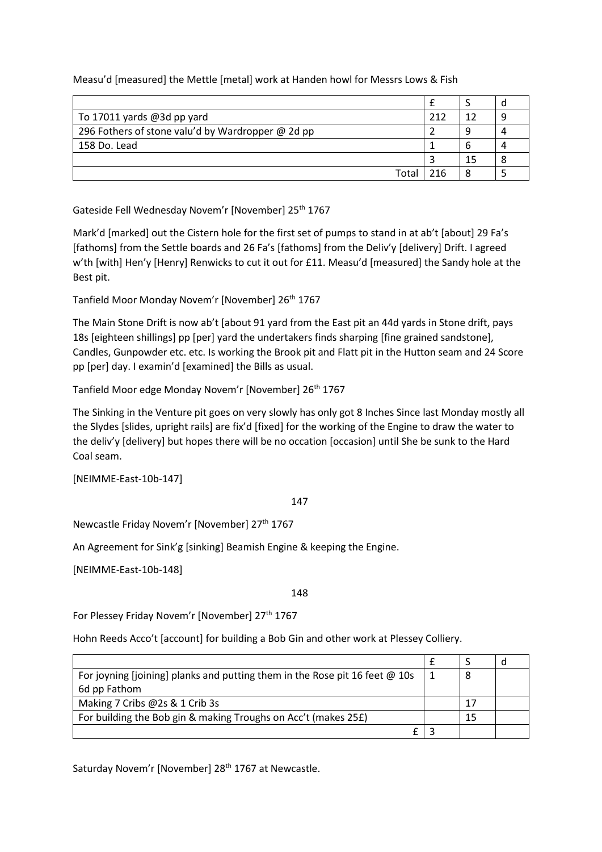| To 17011 yards @3d pp yard                        | 212 | 17 |  |
|---------------------------------------------------|-----|----|--|
| 296 Fothers of stone valu'd by Wardropper @ 2d pp |     |    |  |
| 158 Do. Lead                                      |     |    |  |
|                                                   |     | 15 |  |
| Total                                             | 216 |    |  |

Measu'd [measured] the Mettle [metal] work at Handen howl for Messrs Lows & Fish

Gateside Fell Wednesday Novem'r [November] 25<sup>th</sup> 1767

Mark'd [marked] out the Cistern hole for the first set of pumps to stand in at ab't [about] 29 Fa's [fathoms] from the Settle boards and 26 Fa's [fathoms] from the Deliv'y [delivery] Drift. I agreed w'th [with] Hen'y [Henry] Renwicks to cut it out for £11. Measu'd [measured] the Sandy hole at the Best pit.

Tanfield Moor Monday Novem'r [November] 26<sup>th</sup> 1767

The Main Stone Drift is now ab't [about 91 yard from the East pit an 44d yards in Stone drift, pays 18s [eighteen shillings] pp [per] yard the undertakers finds sharping [fine grained sandstone], Candles, Gunpowder etc. etc. Is working the Brook pit and Flatt pit in the Hutton seam and 24 Score pp [per] day. I examin'd [examined] the Bills as usual.

Tanfield Moor edge Monday Novem'r [November] 26<sup>th</sup> 1767

The Sinking in the Venture pit goes on very slowly has only got 8 Inches Since last Monday mostly all the Slydes [slides, upright rails] are fix'd [fixed] for the working of the Engine to draw the water to the deliv'y [delivery] but hopes there will be no occation [occasion] until She be sunk to the Hard Coal seam.

[NEIMME-East-10b-147]

147

Newcastle Friday Novem'r [November] 27<sup>th</sup> 1767

An Agreement for Sink'g [sinking] Beamish Engine & keeping the Engine.

[NEIMME-East-10b-148]

148

For Plessey Friday Novem'r [November] 27th 1767

Hohn Reeds Acco't [account] for building a Bob Gin and other work at Plessey Colliery.

| For joyning [joining] planks and putting them in the Rose pit 16 feet @ 10s | -8 |  |
|-----------------------------------------------------------------------------|----|--|
| 6d pp Fathom                                                                |    |  |
| Making 7 Cribs @2s & 1 Crib 3s                                              | 17 |  |
| For building the Bob gin & making Troughs on Acc't (makes 25£)              |    |  |
|                                                                             |    |  |

Saturday Novem'r [November] 28<sup>th</sup> 1767 at Newcastle.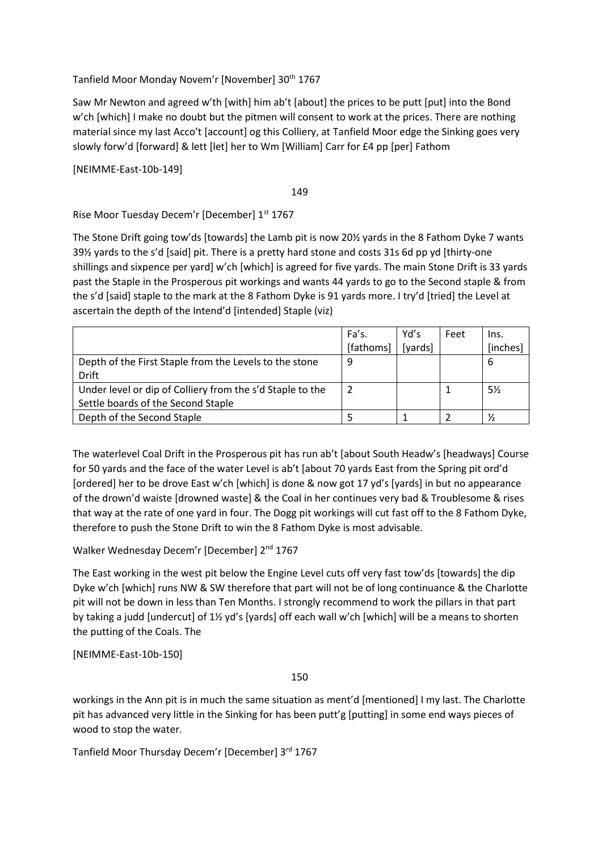Tanfield Moor Monday Novem'r [November] 30<sup>th</sup> 1767

Saw Mr Newton and agreed w'th [with] him ab't [about] the prices to be putt [put] into the Bond w'ch [which] I make no doubt but the pitmen will consent to work at the prices. There are nothing material since my last Acco't [account] og this Colliery, at Tanfield Moor edge the Sinking goes very slowly forw'd [forward] & lett [let] her to Wm [William] Carr for £4 pp [per] Fathom

[NEIMME-East-10b-149]

149

Rise Moor Tuesday Decem'r [December] 1st 1767

The Stone Drift going tow'ds [towards] the Lamb pit is now 20½ yards in the 8 Fathom Dyke 7 wants 39½ yards to the s'd [said] pit. There is a pretty hard stone and costs 31s 6d pp yd [thirty-one shillings and sixpence per yard] w'ch [which] is agreed for five yards. The main Stone Drift is 33 yards past the Staple in the Prosperous pit workings and wants 44 yards to go to the Second staple & from the s'd [said] staple to the mark at the 8 Fathom Dyke is 91 yards more. I try'd [tried] the Level at ascertain the depth of the Intend'd [intended] Staple (viz)

|                                                           | Fa's.     | Yd's    | Feet | Ins.          |
|-----------------------------------------------------------|-----------|---------|------|---------------|
|                                                           | [fathoms] | [yards] |      | [inches]      |
| Depth of the First Staple from the Levels to the stone    | 9         |         |      | 6             |
| Drift                                                     |           |         |      |               |
| Under level or dip of Colliery from the s'd Staple to the |           |         |      | $5\%$         |
| Settle boards of the Second Staple                        |           |         |      |               |
| Depth of the Second Staple                                |           |         |      | $\frac{1}{2}$ |

The waterlevel Coal Drift in the Prosperous pit has run ab't [about South Headw's [headways] Course for 50 yards and the face of the water Level is ab't [about 70 yards East from the Spring pit ord'd [ordered] her to be drove East w'ch [which] is done & now got 17 yd's [yards] in but no appearance of the drown'd waiste [drowned waste] & the Coal in her continues very bad & Troublesome & rises that way at the rate of one yard in four. The Dogg pit workings will cut fast off to the 8 Fathom Dyke, therefore to push the Stone Drift to win the 8 Fathom Dyke is most advisable.

Walker Wednesday Decem'r [December] 2<sup>nd</sup> 1767

The East working in the west pit below the Engine Level cuts off very fast tow'ds [towards] the dip Dyke w'ch [which] runs NW & SW therefore that part will not be of long continuance & the Charlotte pit will not be down in less than Ten Months. I strongly recommend to work the pillars in that part by taking a judd [undercut] of 1½ yd's [yards] off each wall w'ch [which] will be a means to shorten the putting of the Coals. The

[NEIMME-East-10b-150]

150

workings in the Ann pit is in much the same situation as ment'd [mentioned] I my last. The Charlotte pit has advanced very little in the Sinking for has been putt'g [putting] in some end ways pieces of wood to stop the water.

Tanfield Moor Thursday Decem'r [December] 3rd 1767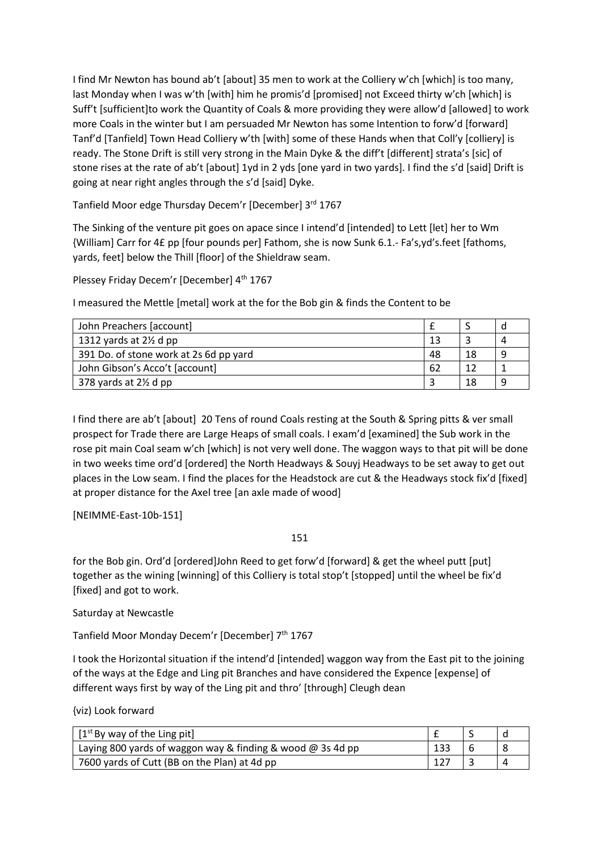I find Mr Newton has bound ab't [about] 35 men to work at the Colliery w'ch [which] is too many, last Monday when I was w'th [with] him he promis'd [promised] not Exceed thirty w'ch [which] is Suff't [sufficient]to work the Quantity of Coals & more providing they were allow'd [allowed] to work more Coals in the winter but I am persuaded Mr Newton has some Intention to forw'd [forward] Tanf'd [Tanfield] Town Head Colliery w'th [with] some of these Hands when that Coll'y [colliery] is ready. The Stone Drift is still very strong in the Main Dyke & the diff't [different] strata's [sic] of stone rises at the rate of ab't [about] 1yd in 2 yds [one yard in two yards]. I find the s'd [said] Drift is going at near right angles through the s'd [said] Dyke.

Tanfield Moor edge Thursday Decem'r [December] 3rd 1767

The Sinking of the venture pit goes on apace since I intend'd [intended] to Lett [let] her to Wm {William] Carr for 4£ pp [four pounds per] Fathom, she is now Sunk 6.1.- Fa's,yd's.feet [fathoms, yards, feet] below the Thill [floor] of the Shieldraw seam.

Plessey Friday Decem'r [December] 4<sup>th</sup> 1767

I measured the Mettle [metal] work at the for the Bob gin & finds the Content to be

| John Preachers [account]               |    |    |  |
|----------------------------------------|----|----|--|
| 1312 yards at $2\frac{1}{2}$ d pp      | 13 |    |  |
| 391 Do. of stone work at 2s 6d pp yard | 48 | 18 |  |
| John Gibson's Acco't [account]         | 62 | 1. |  |
| 378 yards at $2\frac{1}{2}$ d pp       |    | 18 |  |

I find there are ab't [about] 20 Tens of round Coals resting at the South & Spring pitts & ver small prospect for Trade there are Large Heaps of small coals. I exam'd [examined] the Sub work in the rose pit main Coal seam w'ch [which] is not very well done. The waggon ways to that pit will be done in two weeks time ord'd [ordered] the North Headways & Souyj Headways to be set away to get out places in the Low seam. I find the places for the Headstock are cut & the Headways stock fix'd [fixed] at proper distance for the Axel tree [an axle made of wood]

[NEIMME-East-10b-151]

151

for the Bob gin. Ord'd [ordered]John Reed to get forw'd [forward] & get the wheel putt [put] together as the wining [winning] of this Colliery is total stop't [stopped] until the wheel be fix'd [fixed] and got to work.

## Saturday at Newcastle

Tanfield Moor Monday Decem'r [December] 7<sup>th</sup> 1767

I took the Horizontal situation if the intend'd [intended] waggon way from the East pit to the joining of the ways at the Edge and Ling pit Branches and have considered the Expence [expense] of different ways first by way of the Ling pit and thro' [through] Cleugh dean

{viz) Look forward

| $[1st$ By way of the Ling pit]                               |     |  |
|--------------------------------------------------------------|-----|--|
| Laying 800 yards of waggon way & finding & wood $@$ 3s 4d pp | 133 |  |
| 7600 yards of Cutt (BB on the Plan) at 4d pp                 |     |  |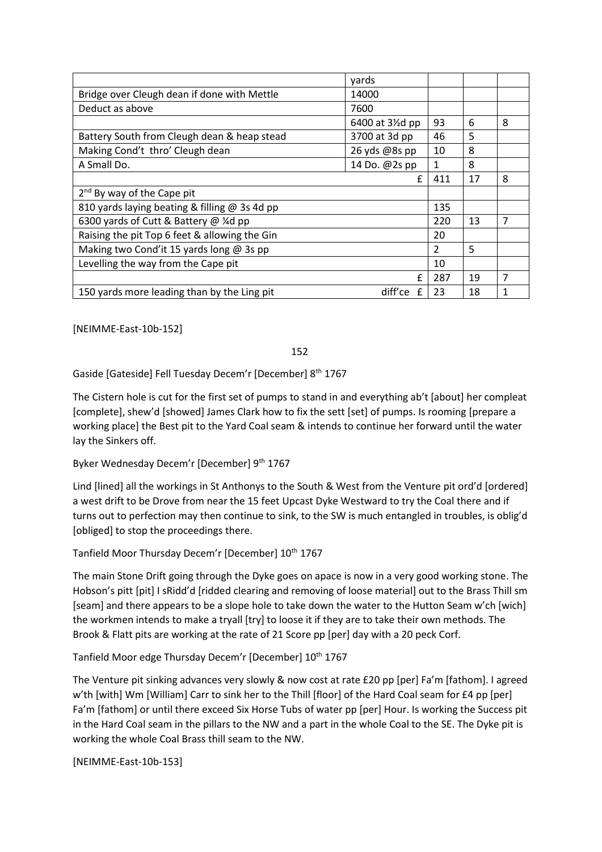|                                               | yards                   |               |    |   |
|-----------------------------------------------|-------------------------|---------------|----|---|
| Bridge over Cleugh dean if done with Mettle   | 14000                   |               |    |   |
| Deduct as above                               | 7600                    |               |    |   |
|                                               | 6400 at 3½d pp          | 93            | 6  | 8 |
| Battery South from Cleugh dean & heap stead   | 3700 at 3d pp           | 46            | 5  |   |
| Making Cond't thro' Cleugh dean               | 26 yds @8s pp           | 10            | 8  |   |
| A Small Do.                                   | 14 Do. @2s pp           | $\mathbf{1}$  | 8  |   |
|                                               | £                       | 411           | 17 | 8 |
| $2nd$ By way of the Cape pit                  |                         |               |    |   |
| 810 yards laying beating & filling @ 3s 4d pp |                         | 135           |    |   |
| 6300 yards of Cutt & Battery @ ¼d pp          |                         | 220           | 13 | 7 |
| Raising the pit Top 6 feet & allowing the Gin |                         | 20            |    |   |
| Making two Cond'it 15 yards long @ 3s pp      |                         | $\mathcal{P}$ | 5  |   |
| Levelling the way from the Cape pit           |                         | 10            |    |   |
|                                               | £                       | 287           | 19 | 7 |
| 150 yards more leading than by the Ling pit   | diff'ce<br>$\mathbf{f}$ | 23            | 18 |   |

[NEIMME-East-10b-152]

152

Gaside [Gateside] Fell Tuesday Decem'r [December] 8<sup>th</sup> 1767

The Cistern hole is cut for the first set of pumps to stand in and everything ab't [about] her compleat [complete], shew'd [showed] James Clark how to fix the sett [set] of pumps. Is rooming [prepare a working place] the Best pit to the Yard Coal seam & intends to continue her forward until the water lay the Sinkers off.

Byker Wednesday Decem'r [December] 9th 1767

Lind [lined] all the workings in St Anthonys to the South & West from the Venture pit ord'd [ordered] a west drift to be Drove from near the 15 feet Upcast Dyke Westward to try the Coal there and if turns out to perfection may then continue to sink, to the SW is much entangled in troubles, is oblig'd [obliged] to stop the proceedings there.

Tanfield Moor Thursday Decem'r [December] 10<sup>th</sup> 1767

The main Stone Drift going through the Dyke goes on apace is now in a very good working stone. The Hobson's pitt [pit] I sRidd'd [ridded clearing and removing of loose material] out to the Brass Thill sm [seam] and there appears to be a slope hole to take down the water to the Hutton Seam w'ch [wich] the workmen intends to make a tryall [try] to loose it if they are to take their own methods. The Brook & Flatt pits are working at the rate of 21 Score pp [per] day with a 20 peck Corf.

Tanfield Moor edge Thursday Decem'r [December]  $10^{th}$  1767

The Venture pit sinking advances very slowly & now cost at rate £20 pp [per] Fa'm [fathom]. I agreed w'th [with] Wm [William] Carr to sink her to the Thill [floor] of the Hard Coal seam for £4 pp [per] Fa'm [fathom] or until there exceed Six Horse Tubs of water pp [per] Hour. Is working the Success pit in the Hard Coal seam in the pillars to the NW and a part in the whole Coal to the SE. The Dyke pit is working the whole Coal Brass thill seam to the NW.

[NEIMME-East-10b-153]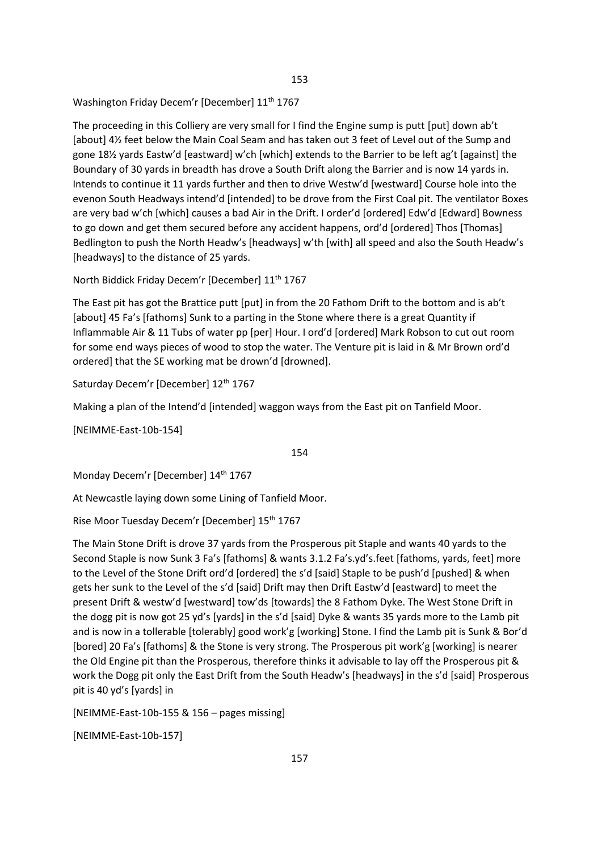Washington Friday Decem'r [December] 11<sup>th</sup> 1767

The proceeding in this Colliery are very small for I find the Engine sump is putt [put] down ab't [about] 4½ feet below the Main Coal Seam and has taken out 3 feet of Level out of the Sump and gone 18½ yards Eastw'd [eastward] w'ch [which] extends to the Barrier to be left ag't [against] the Boundary of 30 yards in breadth has drove a South Drift along the Barrier and is now 14 yards in. Intends to continue it 11 yards further and then to drive Westw'd [westward] Course hole into the evenon South Headways intend'd [intended] to be drove from the First Coal pit. The ventilator Boxes are very bad w'ch [which] causes a bad Air in the Drift. I order'd [ordered] Edw'd [Edward] Bowness to go down and get them secured before any accident happens, ord'd [ordered] Thos [Thomas] Bedlington to push the North Headw's [headways] w'th [with] all speed and also the South Headw's [headways] to the distance of 25 yards.

North Biddick Friday Decem'r [December]  $11<sup>th</sup> 1767$ 

The East pit has got the Brattice putt [put] in from the 20 Fathom Drift to the bottom and is ab't [about] 45 Fa's [fathoms] Sunk to a parting in the Stone where there is a great Quantity if Inflammable Air & 11 Tubs of water pp [per] Hour. I ord'd [ordered] Mark Robson to cut out room for some end ways pieces of wood to stop the water. The Venture pit is laid in & Mr Brown ord'd ordered] that the SE working mat be drown'd [drowned].

Saturday Decem'r [December] 12<sup>th</sup> 1767

Making a plan of the Intend'd [intended] waggon ways from the East pit on Tanfield Moor.

[NEIMME-East-10b-154]

154

Monday Decem'r [December] 14<sup>th</sup> 1767

At Newcastle laying down some Lining of Tanfield Moor.

Rise Moor Tuesday Decem'r [December] 15<sup>th</sup> 1767

The Main Stone Drift is drove 37 yards from the Prosperous pit Staple and wants 40 yards to the Second Staple is now Sunk 3 Fa's [fathoms] & wants 3.1.2 Fa's.yd's.feet [fathoms, yards, feet] more to the Level of the Stone Drift ord'd [ordered] the s'd [said] Staple to be push'd [pushed] & when gets her sunk to the Level of the s'd [said] Drift may then Drift Eastw'd [eastward] to meet the present Drift & westw'd [westward] tow'ds [towards] the 8 Fathom Dyke. The West Stone Drift in the dogg pit is now got 25 yd's [yards] in the s'd [said] Dyke & wants 35 yards more to the Lamb pit and is now in a tollerable [tolerably] good work'g [working] Stone. I find the Lamb pit is Sunk & Bor'd [bored] 20 Fa's [fathoms] & the Stone is very strong. The Prosperous pit work'g [working] is nearer the Old Engine pit than the Prosperous, therefore thinks it advisable to lay off the Prosperous pit & work the Dogg pit only the East Drift from the South Headw's [headways] in the s'd [said] Prosperous pit is 40 yd's [yards] in

[NEIMME-East-10b-155 & 156 – pages missing]

[NEIMME-East-10b-157]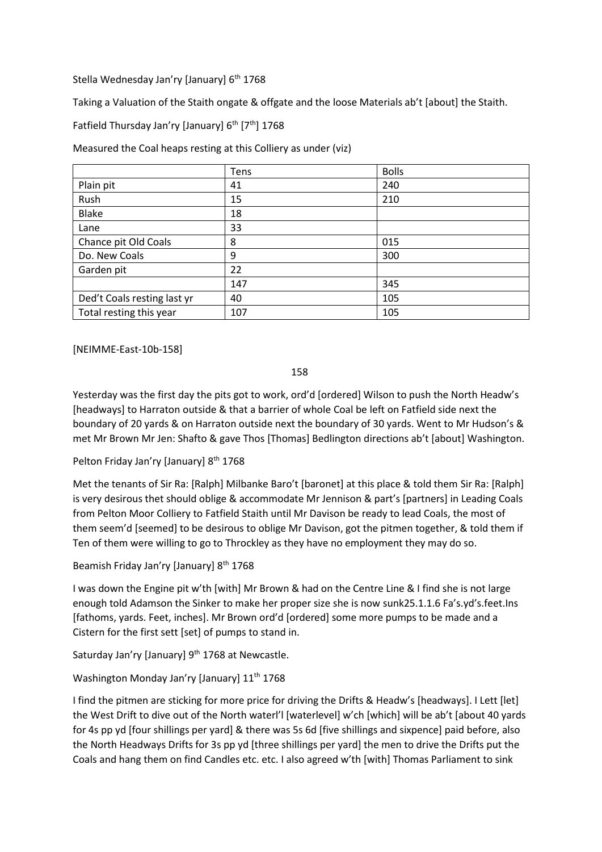Stella Wednesday Jan'ry [January] 6<sup>th</sup> 1768

Taking a Valuation of the Staith ongate & offgate and the loose Materials ab't [about] the Staith.

Fatfield Thursday Jan'ry [January]  $6<sup>th</sup>$  [7<sup>th</sup>] 1768

Measured the Coal heaps resting at this Colliery as under (viz)

|                             | Tens | <b>Bolls</b> |
|-----------------------------|------|--------------|
| Plain pit                   | 41   | 240          |
| Rush                        | 15   | 210          |
| <b>Blake</b>                | 18   |              |
| Lane                        | 33   |              |
| Chance pit Old Coals        | 8    | 015          |
| Do. New Coals               | 9    | 300          |
| Garden pit                  | 22   |              |
|                             | 147  | 345          |
| Ded't Coals resting last yr | 40   | 105          |
| Total resting this year     | 107  | 105          |

[NEIMME-East-10b-158]

158

Yesterday was the first day the pits got to work, ord'd [ordered] Wilson to push the North Headw's [headways] to Harraton outside & that a barrier of whole Coal be left on Fatfield side next the boundary of 20 yards & on Harraton outside next the boundary of 30 yards. Went to Mr Hudson's & met Mr Brown Mr Jen: Shafto & gave Thos [Thomas] Bedlington directions ab't [about] Washington.

Pelton Friday Jan'ry [January] 8<sup>th</sup> 1768

Met the tenants of Sir Ra: [Ralph] Milbanke Baro't [baronet] at this place & told them Sir Ra: [Ralph] is very desirous thet should oblige & accommodate Mr Jennison & part's [partners] in Leading Coals from Pelton Moor Colliery to Fatfield Staith until Mr Davison be ready to lead Coals, the most of them seem'd [seemed] to be desirous to oblige Mr Davison, got the pitmen together, & told them if Ten of them were willing to go to Throckley as they have no employment they may do so.

Beamish Friday Jan'ry [January] 8<sup>th</sup> 1768

I was down the Engine pit w'th [with] Mr Brown & had on the Centre Line & I find she is not large enough told Adamson the Sinker to make her proper size she is now sunk25.1.1.6 Fa's.yd's.feet.Ins [fathoms, yards. Feet, inches]. Mr Brown ord'd [ordered] some more pumps to be made and a Cistern for the first sett [set] of pumps to stand in.

Saturday Jan'ry [January] 9<sup>th</sup> 1768 at Newcastle.

```
Washington Monday Jan'ry [January] 11<sup>th</sup> 1768
```
I find the pitmen are sticking for more price for driving the Drifts & Headw's [headways]. I Lett [let] the West Drift to dive out of the North waterl'l [waterlevel] w'ch [which] will be ab't [about 40 yards for 4s pp yd [four shillings per yard] & there was 5s 6d [five shillings and sixpence] paid before, also the North Headways Drifts for 3s pp yd [three shillings per yard] the men to drive the Drifts put the Coals and hang them on find Candles etc. etc. I also agreed w'th [with] Thomas Parliament to sink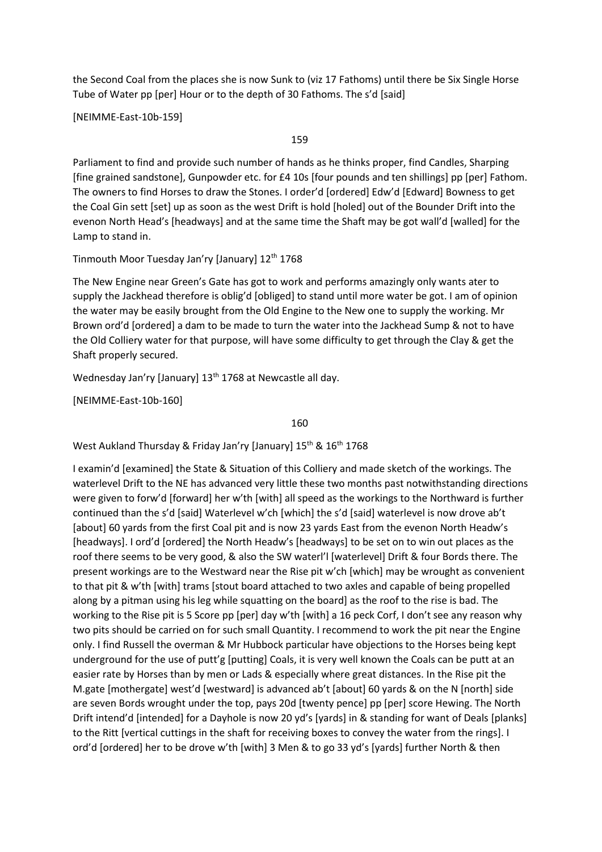the Second Coal from the places she is now Sunk to (viz 17 Fathoms) until there be Six Single Horse Tube of Water pp [per] Hour or to the depth of 30 Fathoms. The s'd [said]

[NEIMME-East-10b-159]

159

Parliament to find and provide such number of hands as he thinks proper, find Candles, Sharping [fine grained sandstone], Gunpowder etc. for £4 10s [four pounds and ten shillings] pp [per] Fathom. The owners to find Horses to draw the Stones. I order'd [ordered] Edw'd [Edward] Bowness to get the Coal Gin sett [set] up as soon as the west Drift is hold [holed] out of the Bounder Drift into the evenon North Head's [headways] and at the same time the Shaft may be got wall'd [walled] for the Lamp to stand in.

Tinmouth Moor Tuesday Jan'ry [January] 12<sup>th</sup> 1768

The New Engine near Green's Gate has got to work and performs amazingly only wants ater to supply the Jackhead therefore is oblig'd [obliged] to stand until more water be got. I am of opinion the water may be easily brought from the Old Engine to the New one to supply the working. Mr Brown ord'd [ordered] a dam to be made to turn the water into the Jackhead Sump & not to have the Old Colliery water for that purpose, will have some difficulty to get through the Clay & get the Shaft properly secured.

Wednesday Jan'ry [January] 13<sup>th</sup> 1768 at Newcastle all day.

[NEIMME-East-10b-160]

160

West Aukland Thursday & Friday Jan'ry [January] 15<sup>th</sup> & 16<sup>th</sup> 1768

I examin'd [examined] the State & Situation of this Colliery and made sketch of the workings. The waterlevel Drift to the NE has advanced very little these two months past notwithstanding directions were given to forw'd [forward] her w'th [with] all speed as the workings to the Northward is further continued than the s'd [said] Waterlevel w'ch [which] the s'd [said] waterlevel is now drove ab't [about] 60 yards from the first Coal pit and is now 23 yards East from the evenon North Headw's [headways]. I ord'd [ordered] the North Headw's [headways] to be set on to win out places as the roof there seems to be very good, & also the SW waterl'l [waterlevel] Drift & four Bords there. The present workings are to the Westward near the Rise pit w'ch [which] may be wrought as convenient to that pit & w'th [with] trams [stout board attached to two axles and capable of being propelled along by a pitman using his leg while squatting on the board] as the roof to the rise is bad. The working to the Rise pit is 5 Score pp [per] day w'th [with] a 16 peck Corf, I don't see any reason why two pits should be carried on for such small Quantity. I recommend to work the pit near the Engine only. I find Russell the overman & Mr Hubbock particular have objections to the Horses being kept underground for the use of putt'g [putting] Coals, it is very well known the Coals can be putt at an easier rate by Horses than by men or Lads & especially where great distances. In the Rise pit the M.gate [mothergate] west'd [westward] is advanced ab't [about] 60 yards & on the N [north] side are seven Bords wrought under the top, pays 20d [twenty pence] pp [per] score Hewing. The North Drift intend'd [intended] for a Dayhole is now 20 yd's [yards] in & standing for want of Deals [planks] to the Ritt [vertical cuttings in the shaft for receiving boxes to convey the water from the rings]. I ord'd [ordered] her to be drove w'th [with] 3 Men & to go 33 yd's [yards] further North & then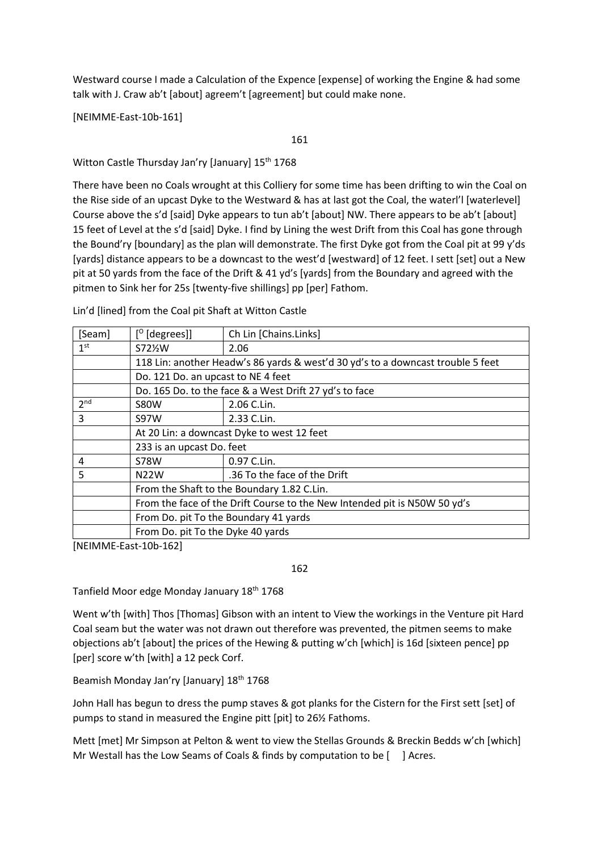Westward course I made a Calculation of the Expence [expense] of working the Engine & had some talk with J. Craw ab't [about] agreem't [agreement] but could make none.

[NEIMME-East-10b-161]

161

Witton Castle Thursday Jan'ry [January] 15<sup>th</sup> 1768

There have been no Coals wrought at this Colliery for some time has been drifting to win the Coal on the Rise side of an upcast Dyke to the Westward & has at last got the Coal, the waterl'l [waterlevel] Course above the s'd [said] Dyke appears to tun ab't [about] NW. There appears to be ab't [about] 15 feet of Level at the s'd [said] Dyke. I find by Lining the west Drift from this Coal has gone through the Bound'ry [boundary] as the plan will demonstrate. The first Dyke got from the Coal pit at 99 y'ds [yards] distance appears to be a downcast to the west'd [westward] of 12 feet. I sett [set] out a New pit at 50 yards from the face of the Drift & 41 yd's [yards] from the Boundary and agreed with the pitmen to Sink her for 25s [twenty-five shillings] pp [per] Fathom.

| [Seam]          | $[°$ [degrees]]                                                           | Ch Lin [Chains.Links]                                                           |  |  |  |
|-----------------|---------------------------------------------------------------------------|---------------------------------------------------------------------------------|--|--|--|
| 1 <sup>st</sup> | S72½W                                                                     | 2.06                                                                            |  |  |  |
|                 |                                                                           | 118 Lin: another Headw's 86 yards & west'd 30 yd's to a downcast trouble 5 feet |  |  |  |
|                 | Do. 121 Do. an upcast to NE 4 feet                                        |                                                                                 |  |  |  |
|                 |                                                                           | Do. 165 Do. to the face & a West Drift 27 yd's to face                          |  |  |  |
| 2 <sub>nd</sub> | <b>S80W</b>                                                               | 2.06 C.Lin.                                                                     |  |  |  |
| 3               | <b>S97W</b>                                                               | 2.33 C.Lin.                                                                     |  |  |  |
|                 | At 20 Lin: a downcast Dyke to west 12 feet                                |                                                                                 |  |  |  |
|                 | 233 is an upcast Do. feet                                                 |                                                                                 |  |  |  |
| 4               | <b>S78W</b>                                                               | 0.97 C.Lin.                                                                     |  |  |  |
| 5               | N22W                                                                      | .36 To the face of the Drift                                                    |  |  |  |
|                 |                                                                           | From the Shaft to the Boundary 1.82 C.Lin.                                      |  |  |  |
|                 | From the face of the Drift Course to the New Intended pit is N50W 50 yd's |                                                                                 |  |  |  |
|                 | From Do. pit To the Boundary 41 yards                                     |                                                                                 |  |  |  |
|                 | From Do. pit To the Dyke 40 yards                                         |                                                                                 |  |  |  |

Lin'd [lined] from the Coal pit Shaft at Witton Castle

[NEIMME-East-10b-162]

162

Tanfield Moor edge Monday January 18th 1768

Went w'th [with] Thos [Thomas] Gibson with an intent to View the workings in the Venture pit Hard Coal seam but the water was not drawn out therefore was prevented, the pitmen seems to make objections ab't [about] the prices of the Hewing & putting w'ch [which] is 16d [sixteen pence] pp [per] score w'th [with] a 12 peck Corf.

Beamish Monday Jan'ry [January] 18<sup>th</sup> 1768

John Hall has begun to dress the pump staves & got planks for the Cistern for the First sett [set] of pumps to stand in measured the Engine pitt [pit] to 26½ Fathoms.

Mett [met] Mr Simpson at Pelton & went to view the Stellas Grounds & Breckin Bedds w'ch [which] Mr Westall has the Low Seams of Coals & finds by computation to be [ ] Acres.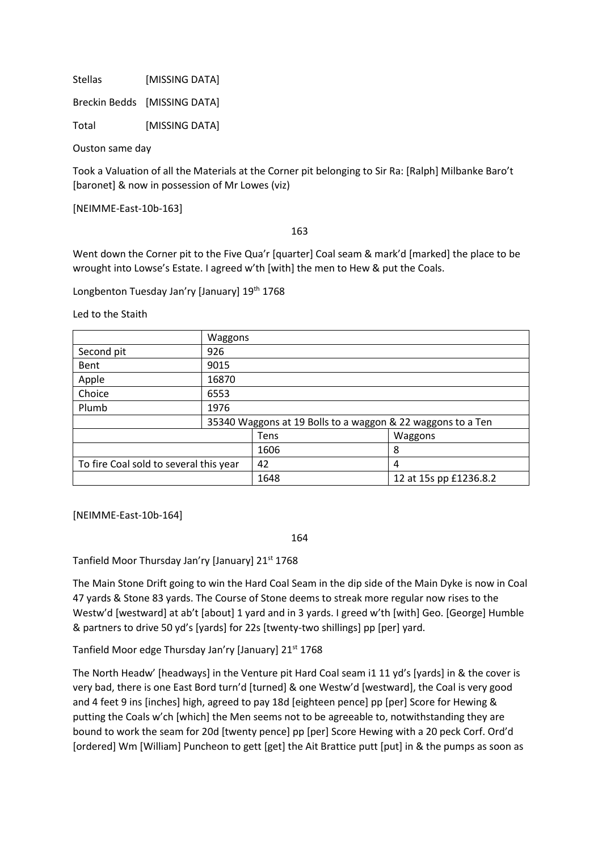Stellas [MISSING DATA]

Breckin Bedds [MISSING DATA]

Total [MISSING DATA]

Ouston same day

Took a Valuation of all the Materials at the Corner pit belonging to Sir Ra: [Ralph] Milbanke Baro't [baronet] & now in possession of Mr Lowes (viz)

[NEIMME-East-10b-163]

163

Went down the Corner pit to the Five Qua'r [quarter] Coal seam & mark'd [marked] the place to be wrought into Lowse's Estate. I agreed w'th [with] the men to Hew & put the Coals.

Longbenton Tuesday Jan'ry [January] 19th 1768

Led to the Staith

|                                        | Waggons |                                                             |                        |  |  |
|----------------------------------------|---------|-------------------------------------------------------------|------------------------|--|--|
| Second pit                             | 926     |                                                             |                        |  |  |
| Bent                                   | 9015    |                                                             |                        |  |  |
| Apple                                  | 16870   |                                                             |                        |  |  |
| Choice                                 | 6553    |                                                             |                        |  |  |
| Plumb                                  | 1976    |                                                             |                        |  |  |
|                                        |         | 35340 Waggons at 19 Bolls to a waggon & 22 waggons to a Ten |                        |  |  |
|                                        |         | Tens                                                        | Waggons                |  |  |
|                                        |         | 1606                                                        | 8                      |  |  |
| To fire Coal sold to several this year |         | 42                                                          | 4                      |  |  |
|                                        |         | 1648                                                        | 12 at 15s pp £1236.8.2 |  |  |

[NEIMME-East-10b-164]

164

Tanfield Moor Thursday Jan'ry [January] 21st 1768

The Main Stone Drift going to win the Hard Coal Seam in the dip side of the Main Dyke is now in Coal 47 yards & Stone 83 yards. The Course of Stone deems to streak more regular now rises to the Westw'd [westward] at ab't [about] 1 yard and in 3 yards. I greed w'th [with] Geo. [George] Humble & partners to drive 50 yd's [yards] for 22s [twenty-two shillings] pp [per] yard.

Tanfield Moor edge Thursday Jan'ry [January] 21st 1768

The North Headw' [headways] in the Venture pit Hard Coal seam i1 11 yd's [yards] in & the cover is very bad, there is one East Bord turn'd [turned] & one Westw'd [westward], the Coal is very good and 4 feet 9 ins [inches] high, agreed to pay 18d [eighteen pence] pp [per] Score for Hewing & putting the Coals w'ch [which] the Men seems not to be agreeable to, notwithstanding they are bound to work the seam for 20d [twenty pence] pp [per] Score Hewing with a 20 peck Corf. Ord'd [ordered] Wm [William] Puncheon to gett [get] the Ait Brattice putt [put] in & the pumps as soon as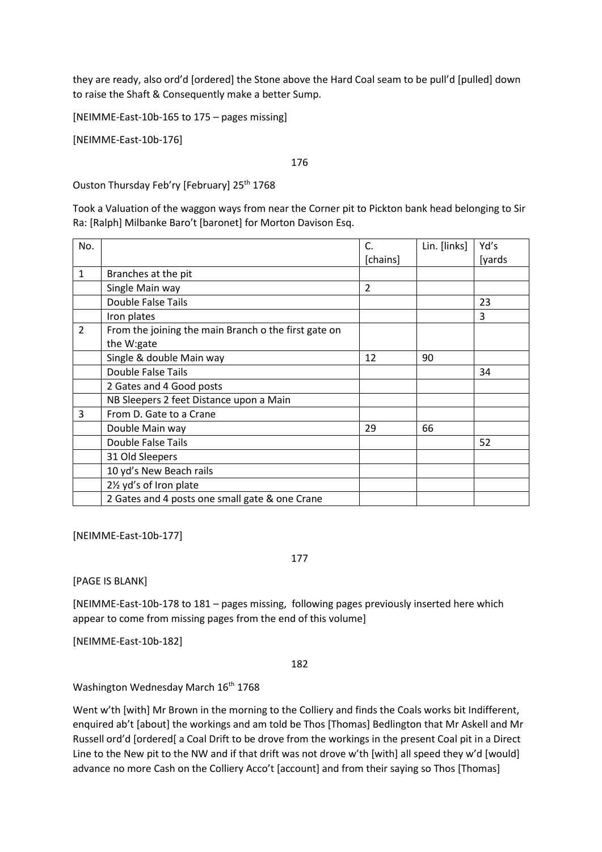they are ready, also ord'd [ordered] the Stone above the Hard Coal seam to be pull'd [pulled] down to raise the Shaft & Consequently make a better Sump.

[NEIMME-East-10b-165 to 175 – pages missing]

[NEIMME-East-10b-176]

## 176

Ouston Thursday Feb'ry [February] 25<sup>th</sup> 1768

Took a Valuation of the waggon ways from near the Corner pit to Pickton bank head belonging to Sir Ra: [Ralph] Milbanke Baro't [baronet] for Morton Davison Esq.

| No.          |                                                      | C.       | Lin. [links] | Yd's    |
|--------------|------------------------------------------------------|----------|--------------|---------|
|              |                                                      | [chains] |              | [yards] |
| $\mathbf{1}$ | Branches at the pit                                  |          |              |         |
|              | Single Main way                                      | 2        |              |         |
|              | <b>Double False Tails</b>                            |          |              | 23      |
|              | Iron plates                                          |          |              | 3       |
| 2            | From the joining the main Branch o the first gate on |          |              |         |
|              | the W:gate                                           |          |              |         |
|              | Single & double Main way                             | 12       | 90           |         |
|              | Double False Tails                                   |          |              | 34      |
|              | 2 Gates and 4 Good posts                             |          |              |         |
|              | NB Sleepers 2 feet Distance upon a Main              |          |              |         |
| 3            | From D. Gate to a Crane                              |          |              |         |
|              | Double Main way                                      | 29       | 66           |         |
|              | <b>Double False Tails</b>                            |          |              | 52      |
|              | 31 Old Sleepers                                      |          |              |         |
|              | 10 yd's New Beach rails                              |          |              |         |
|              | 21/ <sub>2</sub> yd's of Iron plate                  |          |              |         |
|              | 2 Gates and 4 posts one small gate & one Crane       |          |              |         |

[NEIMME-East-10b-177]

177

[PAGE IS BLANK]

[NEIMME-East-10b-178 to 181 – pages missing, following pages previously inserted here which appear to come from missing pages from the end of this volume]

[NEIMME-East-10b-182]

182

Washington Wednesday March 16<sup>th</sup> 1768

Went w'th [with] Mr Brown in the morning to the Colliery and finds the Coals works bit Indifferent, enquired ab't [about] the workings and am told be Thos [Thomas] Bedlington that Mr Askell and Mr Russell ord'd [ordered[ a Coal Drift to be drove from the workings in the present Coal pit in a Direct Line to the New pit to the NW and if that drift was not drove w'th [with] all speed they w'd [would] advance no more Cash on the Colliery Acco't [account] and from their saying so Thos [Thomas]